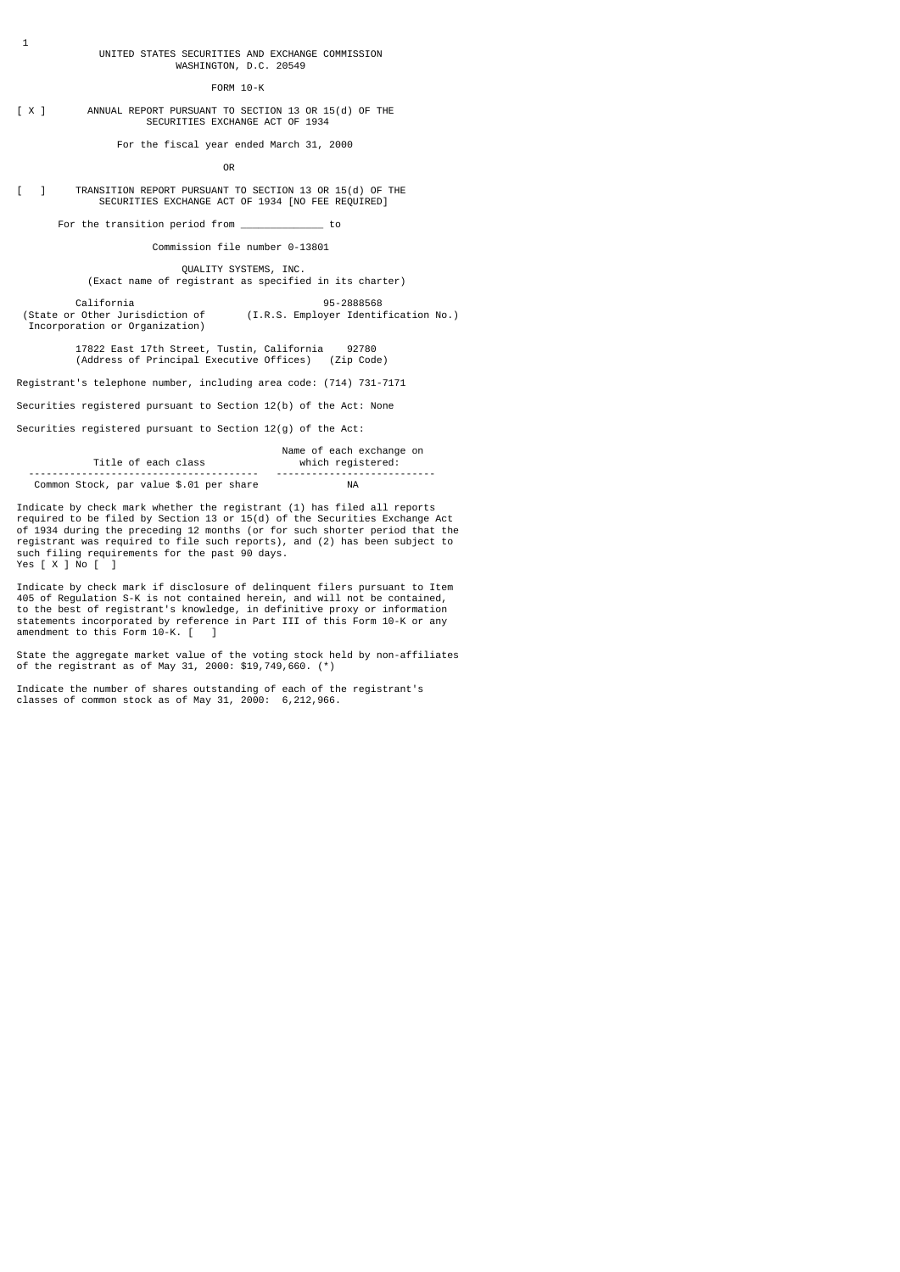#### UNITED STATES SECURITIES AND EXCHANGE COMMISSION WASHINGTON, D.C. 20549

### FORM 10-K

## [ X ] ANNUAL REPORT PURSUANT TO SECTION 13 OR 15(d) OF THE SECURITIES EXCHANGE ACT OF 1934

For the fiscal year ended March 31, 2000

**OR** Service Service Service Service Service Service Service Service Service Service Service Service Service Service Service Service Service Service Service Service Service Service Service Service Service Service Service S

# [ ] TRANSITION REPORT PURSUANT TO SECTION 13 OR 15(d) OF THE SECURITIES EXCHANGE ACT OF 1934 [NO FEE REQUIRED]

For the transition period from \_\_\_\_\_\_\_\_\_\_\_\_\_\_ to

## Commission file number 0-13801

 QUALITY SYSTEMS, INC. (Exact name of registrant as specified in its charter)

California<br>California 95-2888568 (State or Other Jurisdiction of ) (I.R.S. Employer Identi (I.R.S. Employer Identification No.)

Incorporation or Organization)

17822 East 17th Street, Tustin, California 92780 (Address of Principal Executive Offices) (Zip Code)

Registrant's telephone number, including area code: (714) 731-7171

Securities registered pursuant to Section 12(b) of the Act: None

Securities registered pursuant to Section 12(g) of the Act:

|                                         | Name of each exchange on |
|-----------------------------------------|--------------------------|
| Title of each class                     | which registered:        |
|                                         |                          |
| Common Stock, par value \$.01 per share | ΝA                       |

Indicate by check mark whether the registrant (1) has filed all reports required to be filed by Section 13 or 15(d) of the Securities Exchange Act of 1934 during the preceding 12 months (or for such shorter period that the registrant was required to file such reports), and (2) has been subject to such filing requirements for the past 90 days. Yes [ X ] No [ ]

Indicate by check mark if disclosure of delinquent filers pursuant to Item 405 of Regulation S-K is not contained herein, and will not be contained, to the best of registrant's knowledge, in definitive proxy or information statements incorporated by reference in Part III of this Form 10-K or any amendment to this Form 10-K. [ ]

State the aggregate market value of the voting stock held by non-affiliates of the registrant as of May 31, 2000: \$19,749,660. (\*)

Indicate the number of shares outstanding of each of the registrant's classes of common stock as of May 31, 2000: 6,212,966.

1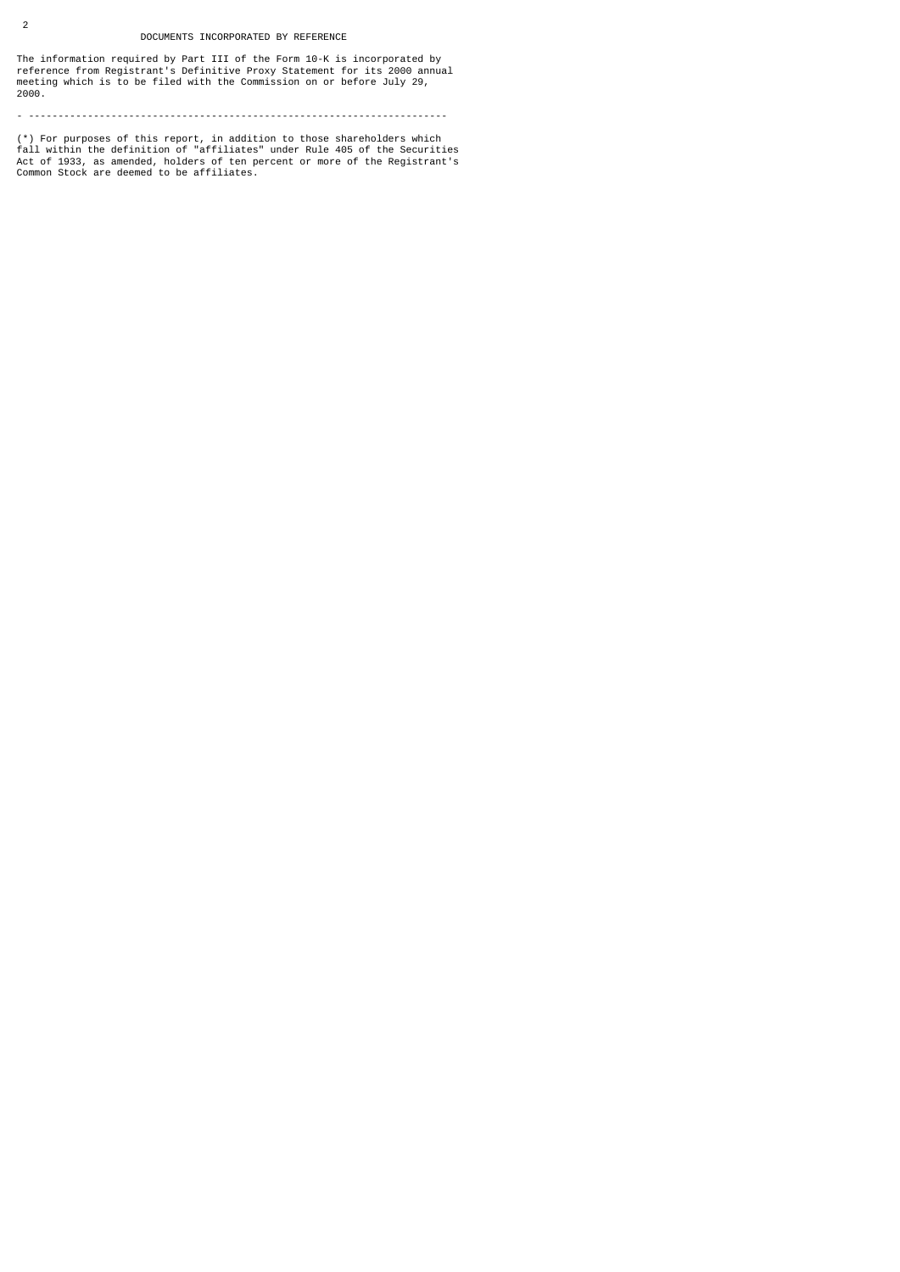## DOCUMENTS INCORPORATED BY REFERENCE

2

The information required by Part III of the Form 10-K is incorporated by reference from Registrant's Definitive Proxy Statement for its 2000 annual meeting which is to be filed with the Commission on or before July 29, 2000.

- -----------------------------------------------------------------------

(\*) For purposes of this report, in addition to those shareholders which<br>fall within the definition of "affiliates" under Rule 405 of the Securities<br>Act of 1933, as amended, holders of ten percent or more of the Registrant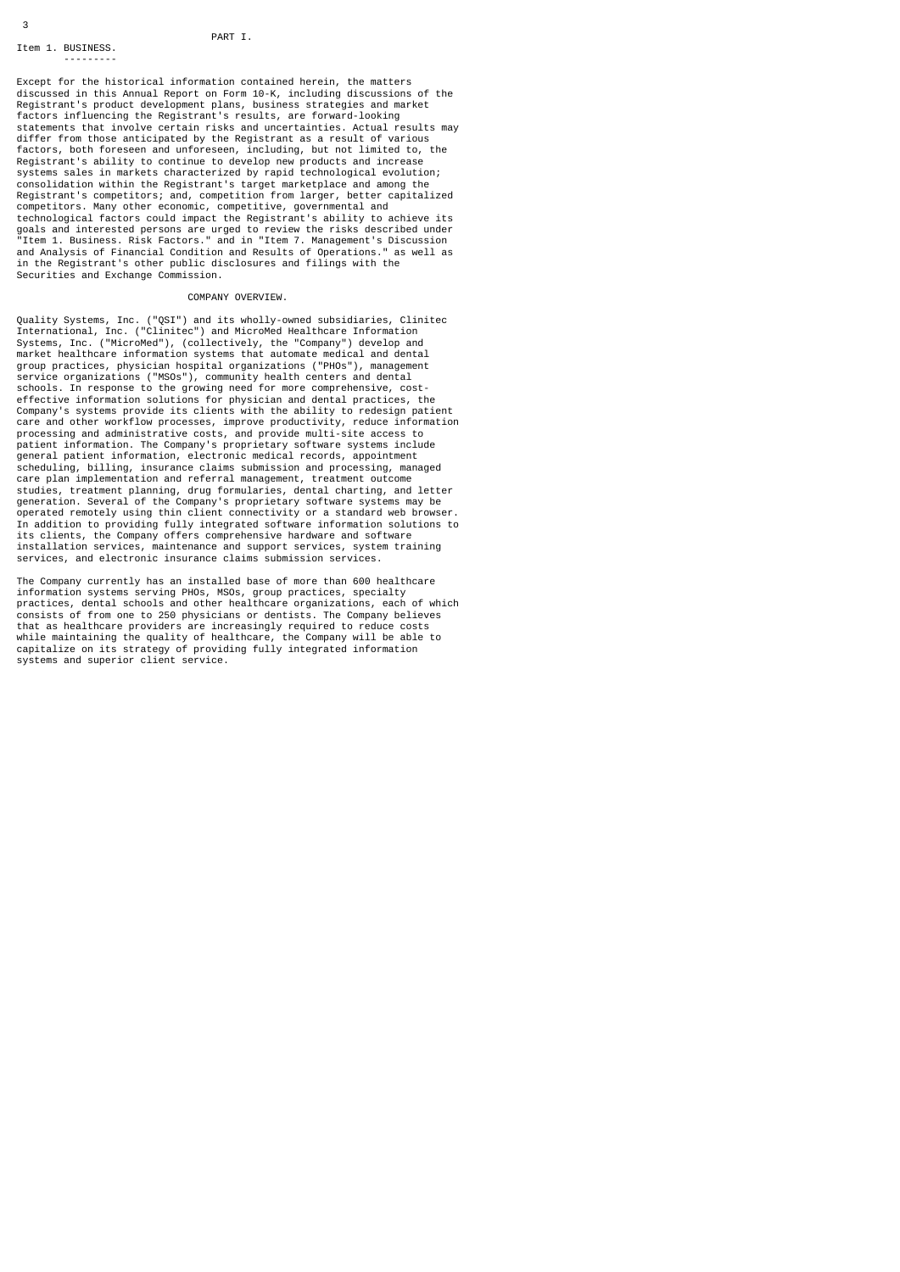## PART I.

---------

3

Except for the historical information contained herein, the matters discussed in this Annual Report on Form 10-K, including discussions of the Registrant's product development plans, business strategies and market factors influencing the Registrant's results, are forward-looking statements that involve certain risks and uncertainties. Actual results may differ from those anticipated by the Registrant as a result of various factors, both foreseen and unforeseen, including, but not limited to, the Registrant's ability to continue to develop new products and increase systems sales in markets characterized by rapid technological evolution; consolidation within the Registrant's target marketplace and among the Registrant's competitors; and, competition from larger, better capitalized competitors. Many other economic, competitive, governmental and technological factors could impact the Registrant's ability to achieve its goals and interested persons are urged to review the risks described under "Item 1. Business. Risk Factors." and in "Item 7. Management's Discussion and Analysis of Financial Condition and Results of Operations." as well as in the Registrant's other public disclosures and filings with the Securities and Exchange Commission.

# COMPANY OVERVIEW.

Quality Systems, Inc. ("QSI") and its wholly-owned subsidiaries, Clinitec<br>International, Inc. ("Clinitec") and MicroMed Healthcare Information<br>Systems, Inc. ("MicroMed"), (collectively, the "Company") develop and<br>market he schools. In response to the growing need for more comprehensive, cost-effective information solutions for physician and dental practices, the Company's systems provide its clients with the ability to redesign patient care and other workflow processes, improve productivity, reduce information<br>processing and administrative costs, and provide multi-site access to<br>patient information. The Company's proprietary software systems include general patient information, electronic medical records, appointment scheduling, billing, insurance claims submission and processing, managed care plan implementation and referral management, treatment outcome studies, treatment planning, drug formularies, dental charting, and letter generation. Several of the Company's proprietary software systems may be operated remotely using thin client connectivity or a standard web browser. In addition to providing fully integrated software information solutions to its clients, the Company offers comprehensive hardware and software installation services, maintenance and support services, system training services, and electronic insurance claims submission services.

The Company currently has an installed base of more than 600 healthcare information systems serving PHOs, MSOs, group practices, specialty practices, dental schools and other healthcare organizations, each of which consists of from one to 250 physicians or dentists. The Company believes that as healthcare providers are increasingly required to reduce costs while maintaining the quality of healthcare, the Company will be able to capitalize on its strategy of providing fully integrated information systems and superior client service.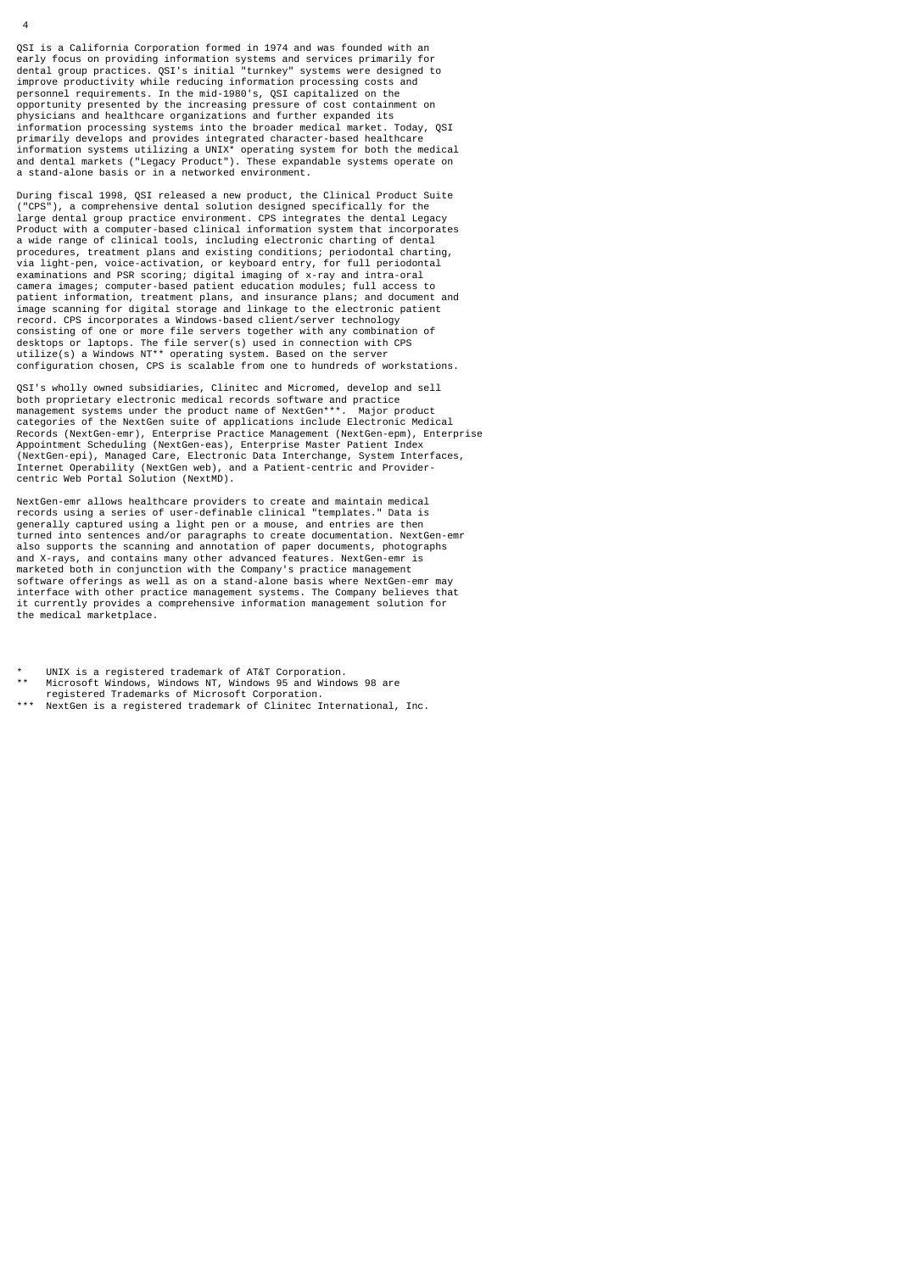QSI is a California Corporation formed in 1974 and was founded with an early focus on providing information systems and services primarily for dental group practices. QSI's initial "turnkey" systems were designed to improve productivity while reducing information processing costs and personnel requirements. In the mid-1980's, QSI capitalized on the opportunity presented by the increasing pressure of cost containment on physicians and healthcare organizations and further expanded its information processing systems into the broader medical market. Today, QSI primarily develops and provides integrated character-based healthcare<br>information systems utilizing a UNIX\* operating system for both the medical<br>and dental markets ("Legacy Product"). These expandable systems operate on a stand-alone basis or in a networked environment.

During fiscal 1998, QSI released a new product, the Clinical Product Suite ("CPS"), a comprehensive dental solution designed specifically for the large dental group practice environment. CPS integrates the dental Legacy Product with a computer-based clinical information system that incorporates a wide range of clinical tools, including electronic charting of dental procedures, treatment plans and existing conditions; periodontal charting, via light-pen, voice-activation, or keyboard entry, for full periodontal examinations and PSR scoring; digital imaging of x-ray and intra-oral camera images; computer-based patient education modules; full access to patient information, treatment plans, and insurance plans; and document and image scanning for digital storage and linkage to the electronic patient record. CPS incorporates a Windows-based client/server technology<br>consisting of one or more file servers together with any combination of<br>desktops or laptops. The file server(s) used in connection with CPS<br>utilize(s) a Wi

QSI's wholly owned subsidiaries, Clinitec and Micromed, develop and sell both proprietary electronic medical records software and practice management systems under the product name of NextGen\*\*\*. Major product categories of the NextGen suite of applications include Electronic Medical<br>Records (NextGen-emr), Enterprise Practice Management (NextGen-epm), Enterprise<br>Appointment Scheduling (NextGen-eas), Enterprise Master Patient Ind (NextGen-epi), Managed Care, Electronic Data Interchange, System Interfaces, Internet Operability (NextGen web), and a Patient-centric and Provider-centric Web Portal Solution (NextMD).

NextGen-emr allows healthcare providers to create and maintain medical records using a series of user-definable clinical "templates." Data is generally captured using a light pen or a mouse, and entries are then turned into sentences and/or paragraphs to create documentation. NextGen-emr also supports the scanning and annotation of paper documents, photographs and X-rays, and contains many other advanced features. NextGen-emr is marketed both in conjunction with the Company's practice management software offerings as well as on a stand-alone basis where NextGen-emr may interface with other practice management systems. The Company believes that it currently provides a comprehensive information management solution for the medical marketplace.

- \* UNIX is a registered trademark of AT&T Corporation.
- Microsoft Windows, Windows NT, Windows 95 and Windows 98 are
- registered Trademarks of Microsoft Corporation.
- NextGen is a registered trademark of Clinitec International, Inc.

 $\overline{A}$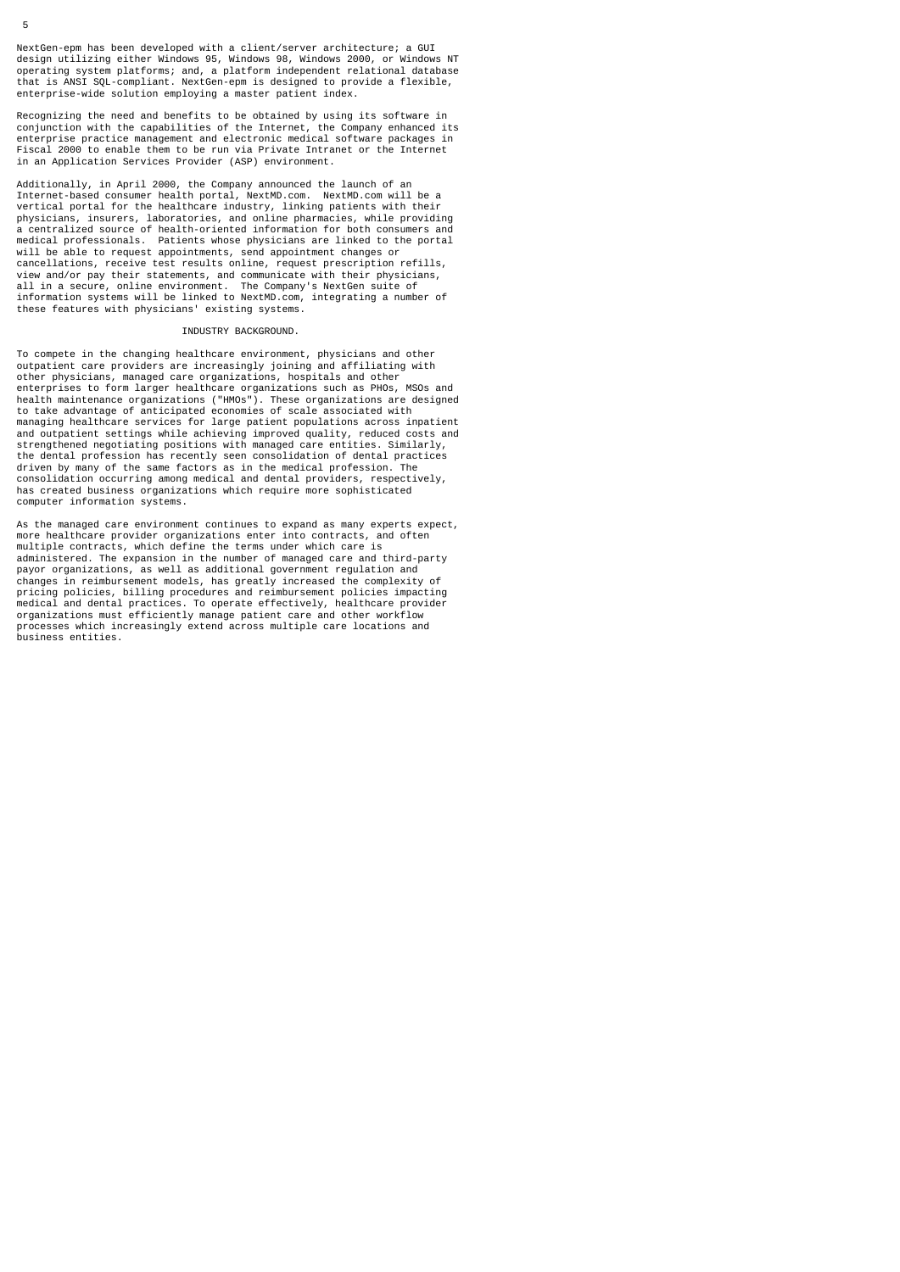NextGen-epm has been developed with a client/server architecture; a GUI design utilizing either Windows 95, Windows 98, Windows 2000, or Windows NT operating system platforms; and, a platform independent relational database that is ANSI SQL-compliant. NextGen-epm is designed to provide a flexible, enterprise-wide solution employing a master patient index.

Recognizing the need and benefits to be obtained by using its software in<br>conjunction with the capabilities of the Internet, the Company enhanced its<br>enterprise practice management and electronic medical software packages in an Application Services Provider (ASP) environment.

Additionally, in April 2000, the Company announced the launch of an Internet-based consumer health portal, NextMD.com. NextMD.com will be a vertical portal for the healthcare industry, linking patients with their physicians, insurers, laboratories, and online pharmacies, while providing a centralized source of health-oriented information for both consumers and medical professionals. Patients whose physicians are linked to the portal will be able to request appointments, send appointment changes or cancellations, receive test results online, request prescription refills, view and/or pay their statements, and communicate with their physicians, all in a secure, online environment. The Company's NextGen suite of information systems will be linked to NextMD.com, integrating a number of these features with physicians' existing systems.

#### INDUSTRY BACKGROUND.

To compete in the changing healthcare environment, physicians and other outpatient care providers are increasingly joining and affiliating with other physicians, managed care organizations, hospitals and other enterprises to form larger healthcare organizations such as PHOs, MSOs and health maintenance organizations ("HMOs"). These organizations are designed to take advantage of anticipated economies of scale associated with managing healthcare services for large patient populations across inpatient and outpatient settings while achieving improved quality, reduced costs and strengthened negotiating positions with managed care entities. Similarly, the dental profession has recently seen consolidation of dental practices driven by many of the same factors as in the medical profession. The consolidation occurring among medical and dental providers, respectively, has created business organizations which require more sophisticated computer information systems.

As the managed care environment continues to expand as many experts expect, more healthcare provider organizations enter into contracts, and often multiple contracts, which define the terms under which care is administered. The expansion in the number of managed care and third-party payor organizations, as well as additional government regulation and changes in reimbursement models, has greatly increased the complexity of pricing policies, billing procedures and reimbursement policies impacting medical and dental practices. To operate effectively, healthcare provider organizations must efficiently manage patient care and other workflow processes which increasingly extend across multiple care locations and business entities.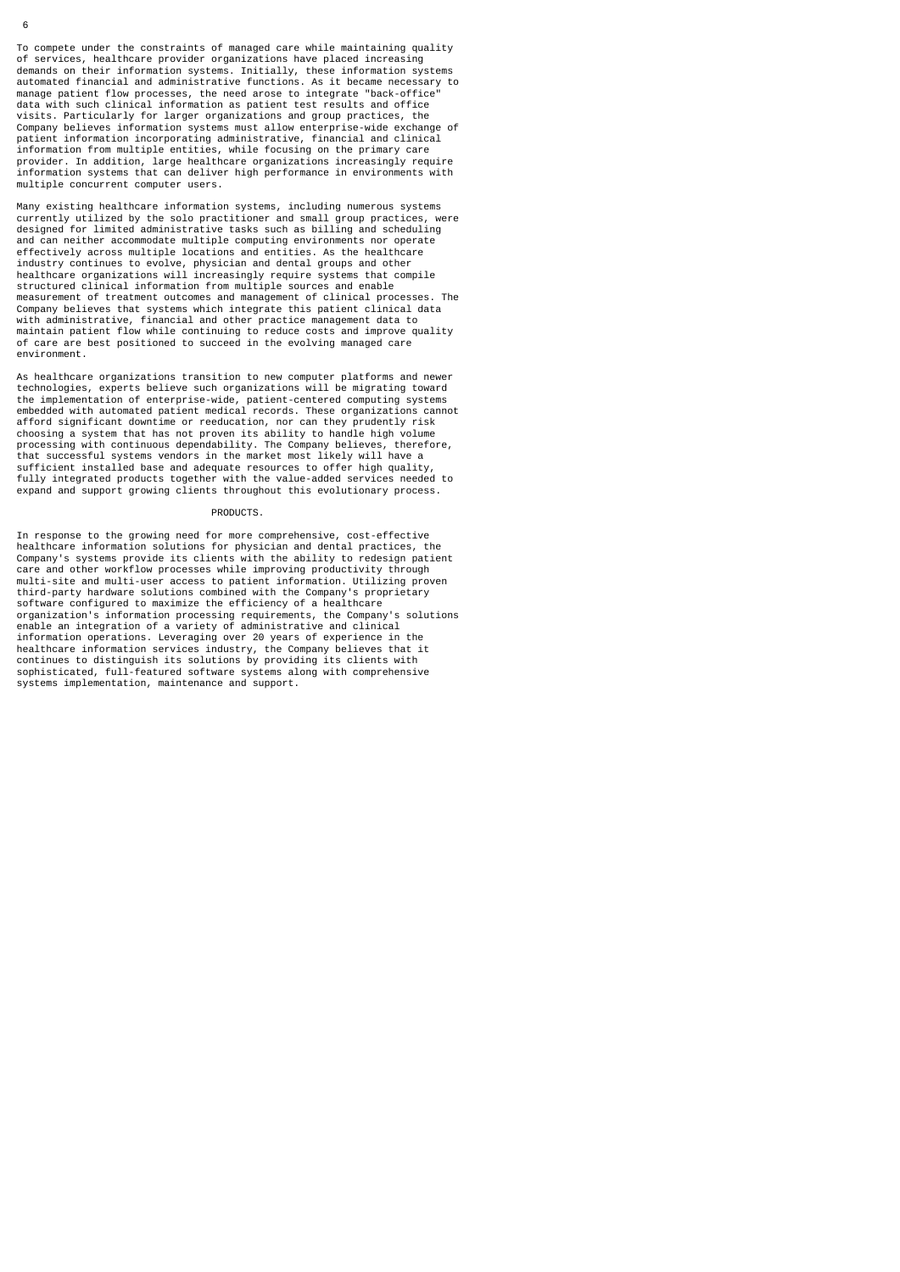To compete under the constraints of managed care while maintaining quality of services, healthcare provider organizations have placed increasing demands on their information systems. Initially, these information systems automated financial and administrative functions. As it became necessary to manage patient flow processes, the need arose to integrate "back-office" data with such clinical information as patient test results and office visits. Particularly for larger organizations and group practices, the Company believes information systems must allow enterprise-wide exchange of patient information incorporating administrative, financial and clinical information from multiple entities, while focusing on the primary care provider. In addition, large healthcare organizations increasingly require information systems that can deliver high performance in environments with multiple concurrent computer users.

Many existing healthcare information systems, including numerous systems currently utilized by the solo practitioner and small group practices, were designed for limited administrative tasks such as billing and scheduling and can neither accommodate multiple computing environments nor operate<br>effectively across multiple locations and entities. As the healthcare<br>industry continues to evolve, physician and dental groups and other<br>healthcare o structured clinical information from multiple sources and enable measurement of treatment outcomes and management of clinical processes. The Company believes that systems which integrate this patient clinical data with administrative, financial and other practice management data to maintain patient flow while continuing to reduce costs and improve quality of care are best positioned to succeed in the evolving managed care environment.

As healthcare organizations transition to new computer platforms and newer technologies, experts believe such organizations will be migrating toward the implementation of enterprise-wide, patient-centered computing systems embedded with automated patient medical records. These organizations cannot afford significant downtime or reeducation, nor can they prudently risk choosing a system that has not proven its ability to handle high volume processing with continuous dependability. The Company believes, therefore, that successful systems vendors in the market most likely will have a sufficient installed base and adequate resources to offer high quality, fully integrated products together with the value-added services needed to expand and support growing clients throughout this evolutionary process.

#### PRODUCTS.

In response to the growing need for more comprehensive, cost-effective healthcare information solutions for physician and dental practices, the Company's systems provide its clients with the ability to redesign patient care and other workflow processes while improving productivity through multi-site and multi-user access to patient information. Utilizing proven third-party hardware solutions combined with the Company's proprietary software configured to maximize the efficiency of a healthcare organization's information processing requirements, the Company's solutions enable an integration of a variety of administrative and clinical information operations. Leveraging over 20 years of experience in the healthcare information services industry, the Company believes that it continues to distinguish its solutions by providing its clients with sophisticated, full-featured software systems along with comprehensive systems implementation, maintenance and support.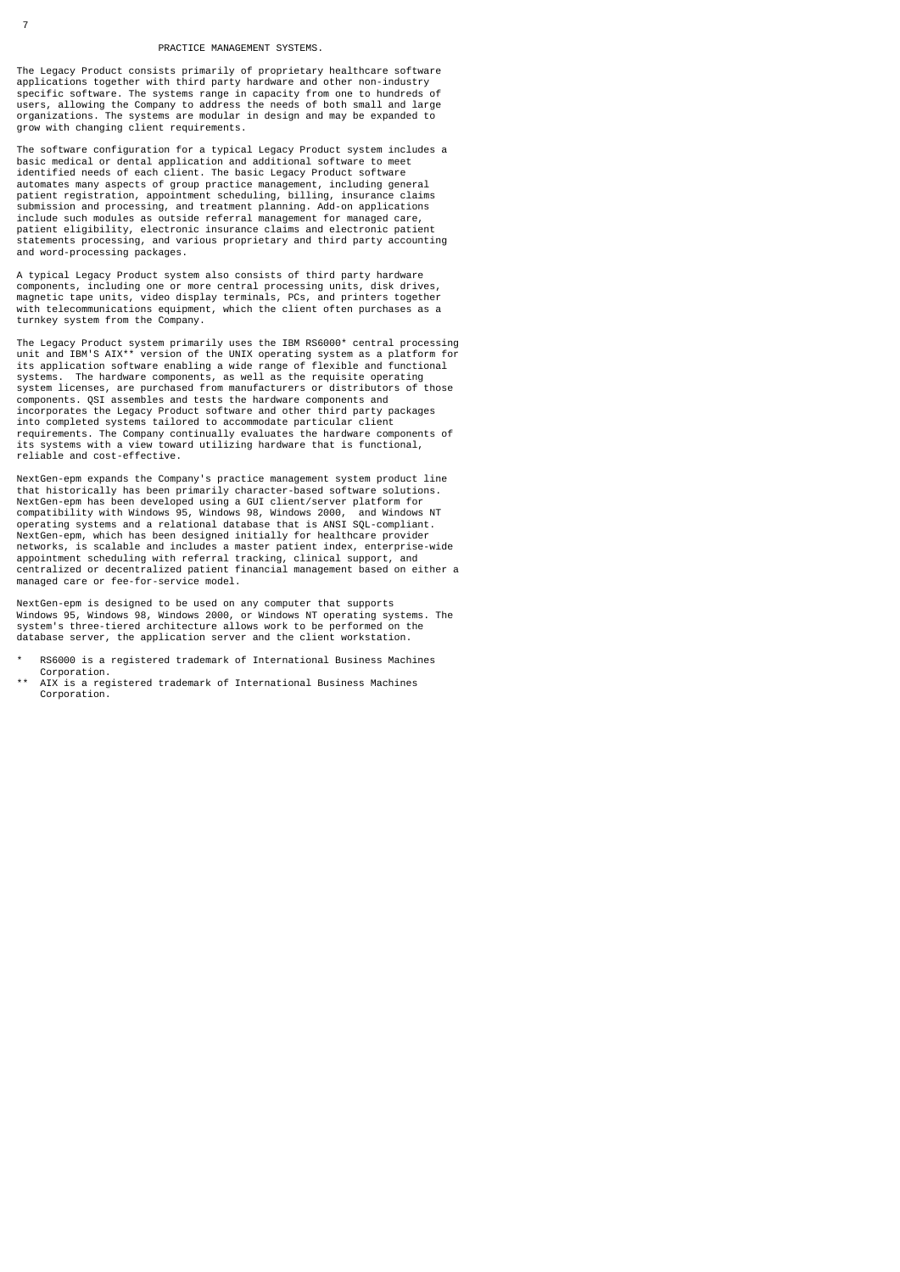## PRACTICE MANAGEMENT SYSTEMS.

The Legacy Product consists primarily of proprietary healthcare software applications together with third party hardware and other non-industry specific software. The systems range in capacity from one to hundreds of users, allowing the Company to address the needs of both small and large organizations. The systems are modular in design and may be expanded to grow with changing client requirements.

The software configuration for a typical Legacy Product system includes a basic medical or dental application and additional software to meet identified needs of each client. The basic Legacy Product software automates many aspects of group practice management, including general patient registration, appointment scheduling, billing, insurance claims submission and processing, and treatment planning. Add-on applications include such modules as outside referral management for managed care, patient eligibility, electronic insurance claims and electronic patient statements processing, and various proprietary and third party accounting and word-processing packages.

A typical Legacy Product system also consists of third party hardware components, including one or more central processing units, disk drives, magnetic tape units, video display terminals, PCs, and printers together with telecommunications equipment, which the client often purchases as a turnkey system from the Company.

The Legacy Product system primarily uses the IBM RS6000\* central processing<br>unit and IBM'S AIX\*\* version of the UNIX operating system as a platform for<br>its application software enabling a wide range of flexible and functio systems. The hardware components, as well as the requisite operating system licenses, are purchased from manufacturers or distributors of those components. QSI assembles and tests the hardware components and incorporates the Legacy Product software and other third party packages into completed systems tailored to accommodate particular client requirements. The Company continually evaluates the hardware components of its systems with a view toward utilizing hardware that is functional, reliable and cost-effective.

NextGen-epm expands the Company's practice management system product line that historically has been primarily character-based software solutions. NextGen-epm has been developed using a GUI client/server platform for compatibility with Windows 95, Windows 98, Windows 2000, and Windows NT operating systems and a relational database that is ANSI SQL-compliant. NextGen-epm, which has been designed initially for healthcare provider networks, is scalable and includes a master patient index, enterprise-wide appointment scheduling with referral tracking, clinical support, and centralized or decentralized patient financial management based on either a managed care or fee-for-service model.

NextGen-epm is designed to be used on any computer that supports Windows 95, Windows 98, Windows 2000, or Windows NT operating systems. The system's three-tiered architecture allows work to be performed on the database server, the application server and the client workstation.

- RS6000 is a registered trademark of International Business Machines Corporation.
- AIX is a registered trademark of International Business Machines Corporation.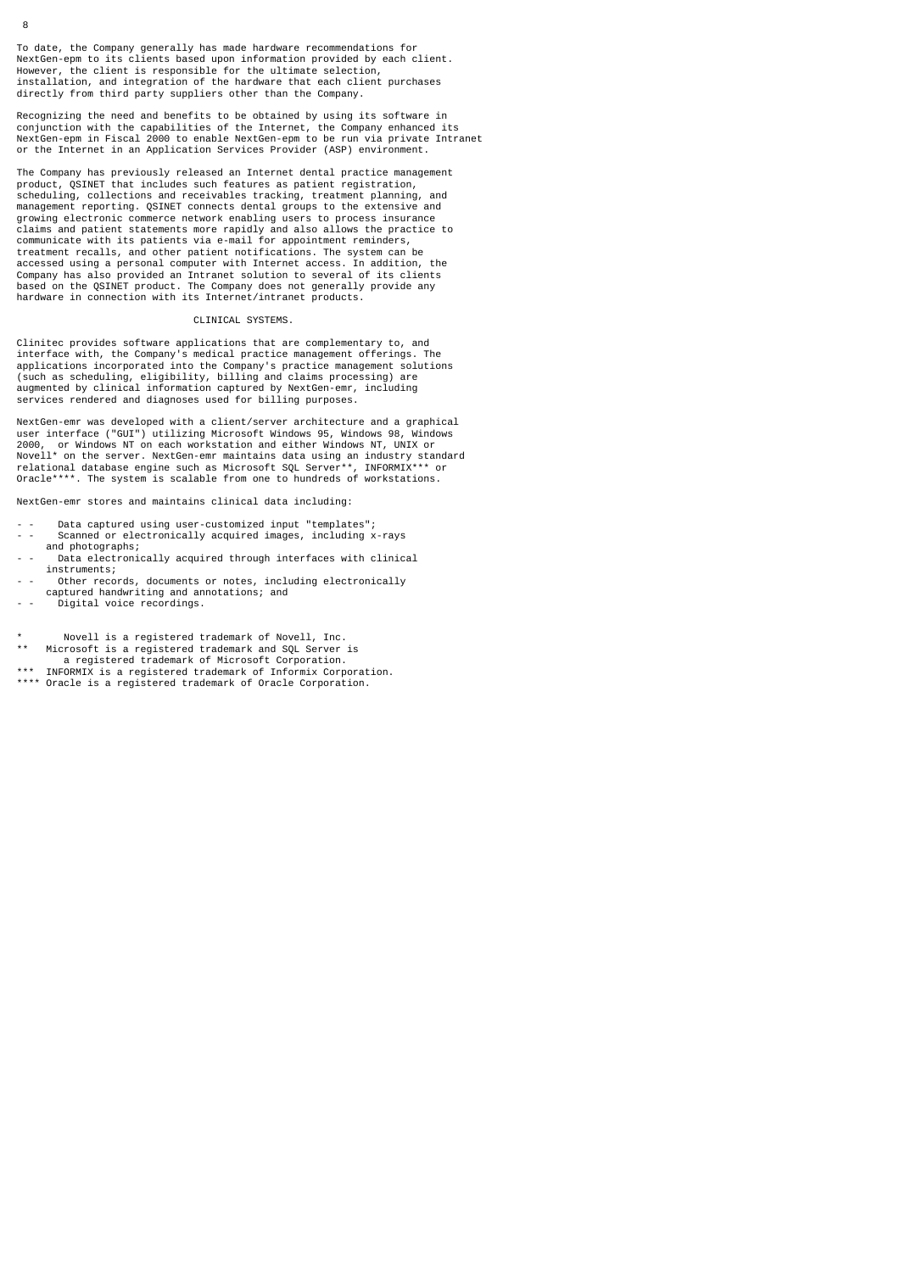To date, the Company generally has made hardware recommendations for NextGen-epm to its clients based upon information provided by each client. However, the client is responsible for the ultimate selection, installation, and integration of the hardware that each client purchases directly from third party suppliers other than the Company.

Recognizing the need and benefits to be obtained by using its software in<br>conjunction with the capabilities of the Internet, the Company enhanced its<br>NextGen-epm in Fiscal 2000 to enable NextGen-epm to be run via private I

The Company has previously released an Internet dental practice management product, QSINET that includes such features as patient registration, scheduling, collections and receivables tracking, treatment planning, and management reporting. QSINET connects dental groups to the extensive and growing electronic commerce network enabling users to process insurance claims and patient statements more rapidly and also allows the practice to communicate with its patients via e-mail for appointment reminders, treatment recalls, and other patient notifications. The system can be accessed using a personal computer with Internet access. In addition, the Company has also provided an Intranet solution to several of its clients based on the QSINET product. The Company does not generally provide any hardware in connection with its Internet/intranet products.

# CLINICAL SYSTEMS.

Clinitec provides software applications that are complementary to, and interface with, the Company's medical practice management offerings. The applications incorporated into the Company's practice management solutions (such as scheduling, eligibility, billing and claims processing) are augmented by clinical information captured by NextGen-emr, including services rendered and diagnoses used for billing purposes.

NextGen-emr was developed with a client/server architecture and a graphical<br>user interface ("GUI") utilizing Microsoft Windows 95, Windows 98, Windows<br>2000, or Windows NT on each workstation and either Windows NT, UNIX or<br>

NextGen-emr stores and maintains clinical data including:

- - Data captured using user-customized input "templates"; - Scanned or electronically acquired images, including x-rays and photographs;
- Data electronically acquired through interfaces with clinical instruments;
- Other records, documents or notes, including electronically captured handwriting and annotations; and
- bigital voice recordings.
- \* Novell is a registered trademark of Novell, Inc.<br>\*\* Microsoft is a registered trademark and SOL Server Microsoft is a registered trademark and SQL Server is
- a registered trademark of Microsoft Corporation.<br>\*\*\* INFORMIX is a registered trademark of Informix Corpo **INFORMIX** is a registered trademark of Informix Corporation.
- \*\*\*\* Oracle is a registered trademark of Oracle Corporation.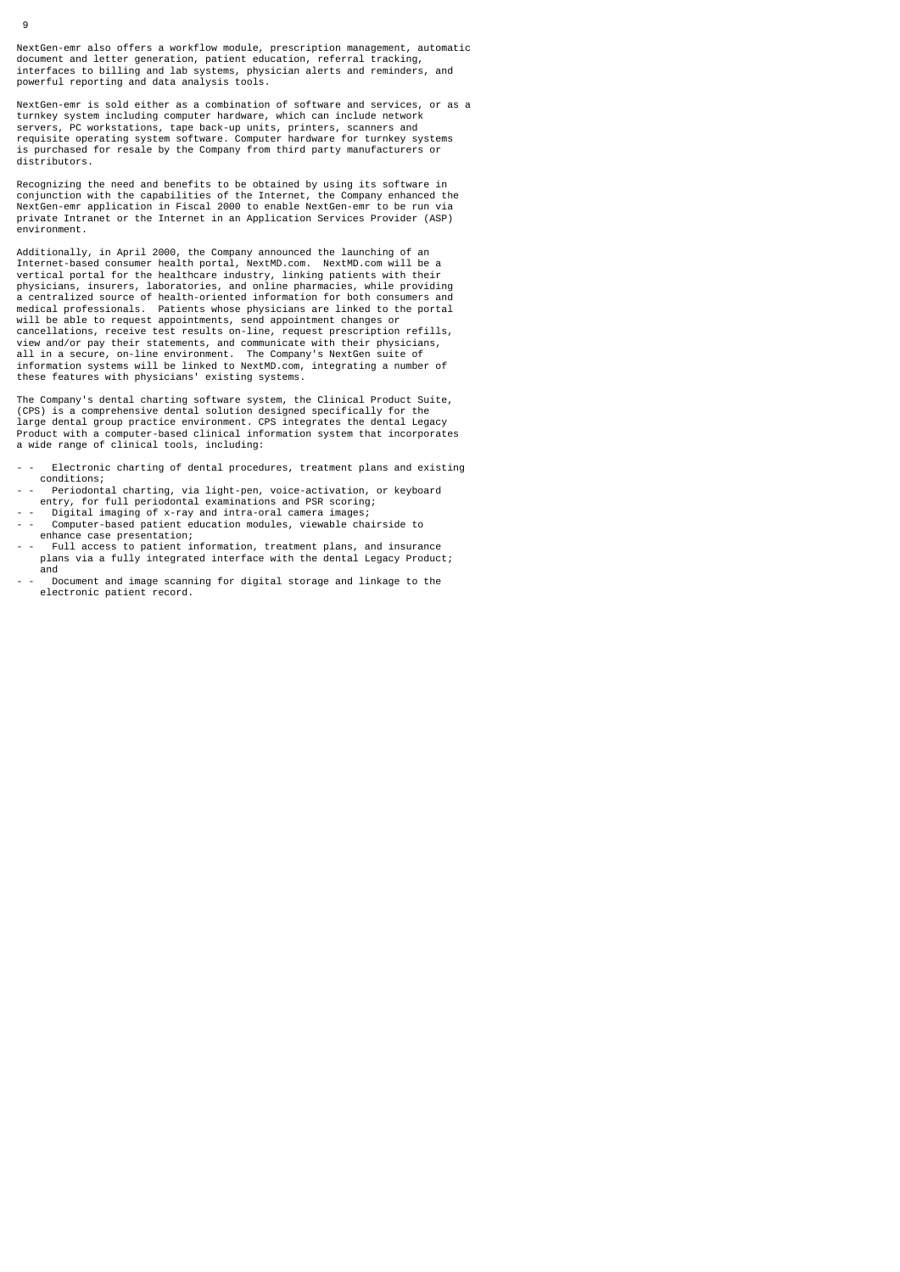NextGen-emr also offers a workflow module, prescription management, automatic document and letter generation, patient education, referral tracking, interfaces to billing and lab systems, physician alerts and reminders, and powerful reporting and data analysis tools.

NextGen-emr is sold either as a combination of software and services, or as a turnkey system including computer hardware, which can include network servers, PC workstations, tape back-up units, printers, scanners and requisite operating system software. Computer hardware for turnkey systems is purchased for resale by the Company from third party manufacturers or distributors.

Recognizing the need and benefits to be obtained by using its software in conjunction with the capabilities of the Internet, the Company enhanced the NextGen-emr application in Fiscal 2000 to enable NextGen-emr to be run via private Intranet or the Internet in an Application Services Provider (ASP) environment.

Additionally, in April 2000, the Company announced the launching of an Internet-based consumer health portal, NextMD.com. NextMD.com will be a vertical portal for the healthcare industry, linking patients with their physicians, insurers, laboratories, and online pharmacies, while providing a centralized source of health-oriented information for both consumers and medical professionals. Patients whose physicians are linked to the portal will be able to request appointments, send appointment changes or<br>cancellations, receive test results on-line, request prescription refills,<br>view and/or pay their statements, and communicate with their physicians,<br>all in a these features with physicians' existing systems.

The Company's dental charting software system, the Clinical Product Suite, (CPS) is a comprehensive dental solution designed specifically for the large dental group practice environment. CPS integrates the dental Legacy Product with a computer-based clinical information system that incorporates a wide range of clinical tools, including:

- Electronic charting of dental procedures, treatment plans and existing conditions;
- - Periodontal charting, via light-pen, voice-activation, or keyboard entry, for full periodontal examinations and PSR scoring; - Digital imaging of x-ray and intra-oral camera images;
- Computer-based patient education modules, viewable chairside to
- enhance case presentation; - Full access to patient information, treatment plans, and insurance plans via a fully integrated interface with the dental Legacy Product; and
- Document and image scanning for digital storage and linkage to the electronic patient record.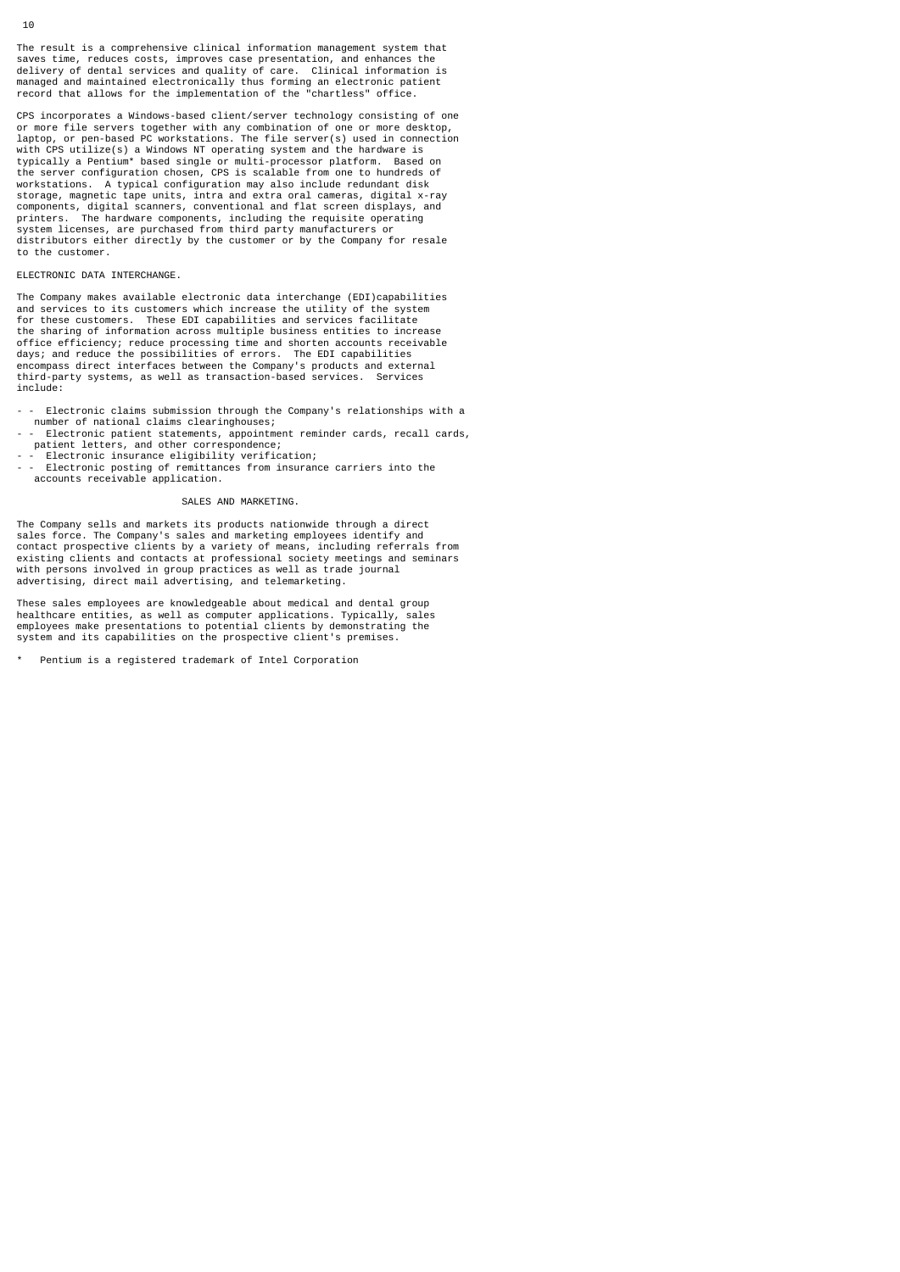CPS incorporates a Windows-based client/server technology consisting of one<br>or more file servers together with any combination of one or more desktop,<br>laptop, or pen-based PC workstations. The file server(s) used in connec workstations. A typical configuration may also include redundant disk storage, magnetic tape units, intra and extra oral cameras, digital x-ray components, digital scanners, conventional and flat screen displays, and printers. The hardware components, including the requisite operating system licenses, are purchased from third party manufacturers or distributors either directly by the customer or by the Company for resale to the customer.

## ELECTRONIC DATA INTERCHANGE.

The Company makes available electronic data interchange (EDI)capabilities and services to its customers which increase the utility of the system for these customers. These EDI capabilities and services facilitate the sharing of information across multiple business entities to increase office efficiency; reduce processing time and shorten accounts receivable days; and reduce the possibilities of errors. The EDI capabilities encompass direct interfaces between the Company's products and external third-party systems, as well as transaction-based services. Services include:

Electronic claims submission through the Company's relationships with a number of national claims clearinghouses;

- - Electronic patient statements, appointment reminder cards, recall cards, patient letters, and other correspondence;
- 
- - Electronic insurance eligibility verification; - Electronic posting of remittances from insurance carriers into the accounts receivable application.

# SALES AND MARKETING.

The Company sells and markets its products nationwide through a direct sales force. The Company's sales and marketing employees identify and contact prospective clients by a variety of means, including referrals from existing clients and contacts at professional society meetings and seminars with persons involved in group practices as well as trade journal advertising, direct mail advertising, and telemarketing.

These sales employees are knowledgeable about medical and dental group healthcare entities, as well as computer applications. Typically, sales employees make presentations to potential clients by demonstrating the system and its capabilities on the prospective client's premises.

Pentium is a registered trademark of Intel Corporation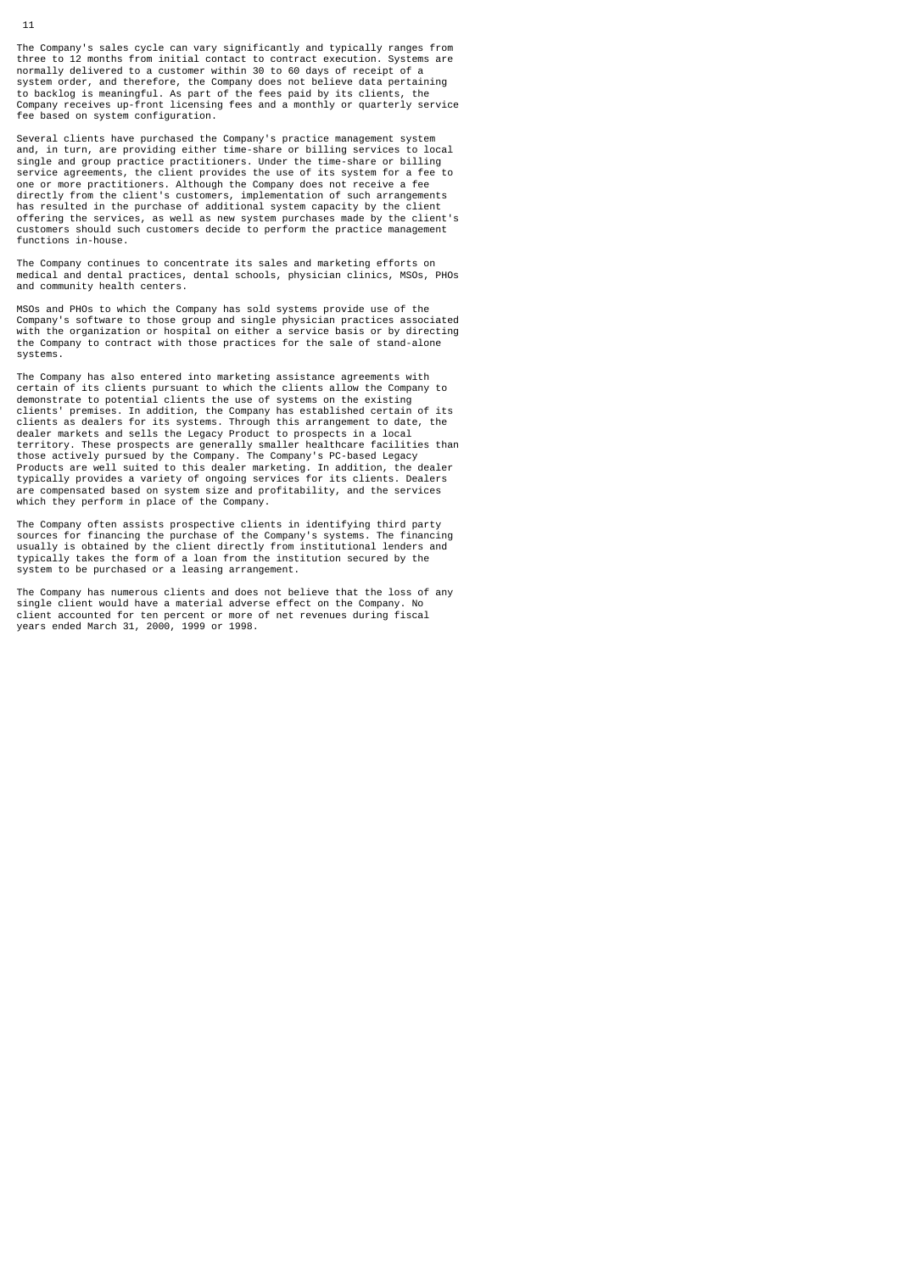The Company's sales cycle can vary significantly and typically ranges from<br>three to 12 months from initial contact to contract execution. Systems are three to 12 months from initial contact to contract execution. normally delivered to a customer within 30 to 60 days of receipt of a system order, and therefore, the Company does not believe data pertaining to backlog is meaningful. As part of the fees paid by its clients, the Company receives up-front licensing fees and a monthly or quarterly service fee based on system configuration.

Several clients have purchased the Company's practice management system and, in turn, are providing either time-share or billing services to local single and group practice practitioners. Under the time-share or billing service agreements, the client provides the use of its system for a fee to one or more practitioners. Although the Company does not receive a fee directly from the client's customers, implementation of such arrangements has resulted in the purchase of additional system capacity by the client offering the services, as well as new system purchases made by the client's customers should such customers decide to perform the practice management functions in-house.

The Company continues to concentrate its sales and marketing efforts on medical and dental practices, dental schools, physician clinics, MSOs, PHOs and community health centers.

MSOs and PHOs to which the Company has sold systems provide use of the Company's software to those group and single physician practices associated with the organization or hospital on either a service basis or by directing the Company to contract with those practices for the sale of stand-alone systems.

The Company has also entered into marketing assistance agreements with certain of its clients pursuant to which the clients allow the Company to demonstrate to potential clients the use of systems on the existing clients' premises. In addition, the Company has established certain of its clients as dealers for its systems. Through this arrangement to date, the dealer markets and sells the Legacy Product to prospects in a local territory. These prospects are generally smaller healthcare facilities than those actively pursued by the Company. The Company's PC-based Legacy Products are well suited to this dealer marketing. In addition, the dealer typically provides a variety of ongoing services for its clients. Dealers are compensated based on system size and profitability, and the services which they perform in place of the Company.

The Company often assists prospective clients in identifying third party sources for financing the purchase of the Company's systems. The financing usually is obtained by the client directly from institutional lenders and typically takes the form of a loan from the institution secured by the system to be purchased or a leasing arrangement.

The Company has numerous clients and does not believe that the loss of any single client would have a material adverse effect on the Company. No client accounted for ten percent or more of net revenues during fiscal years ended March 31, 2000, 1999 or 1998.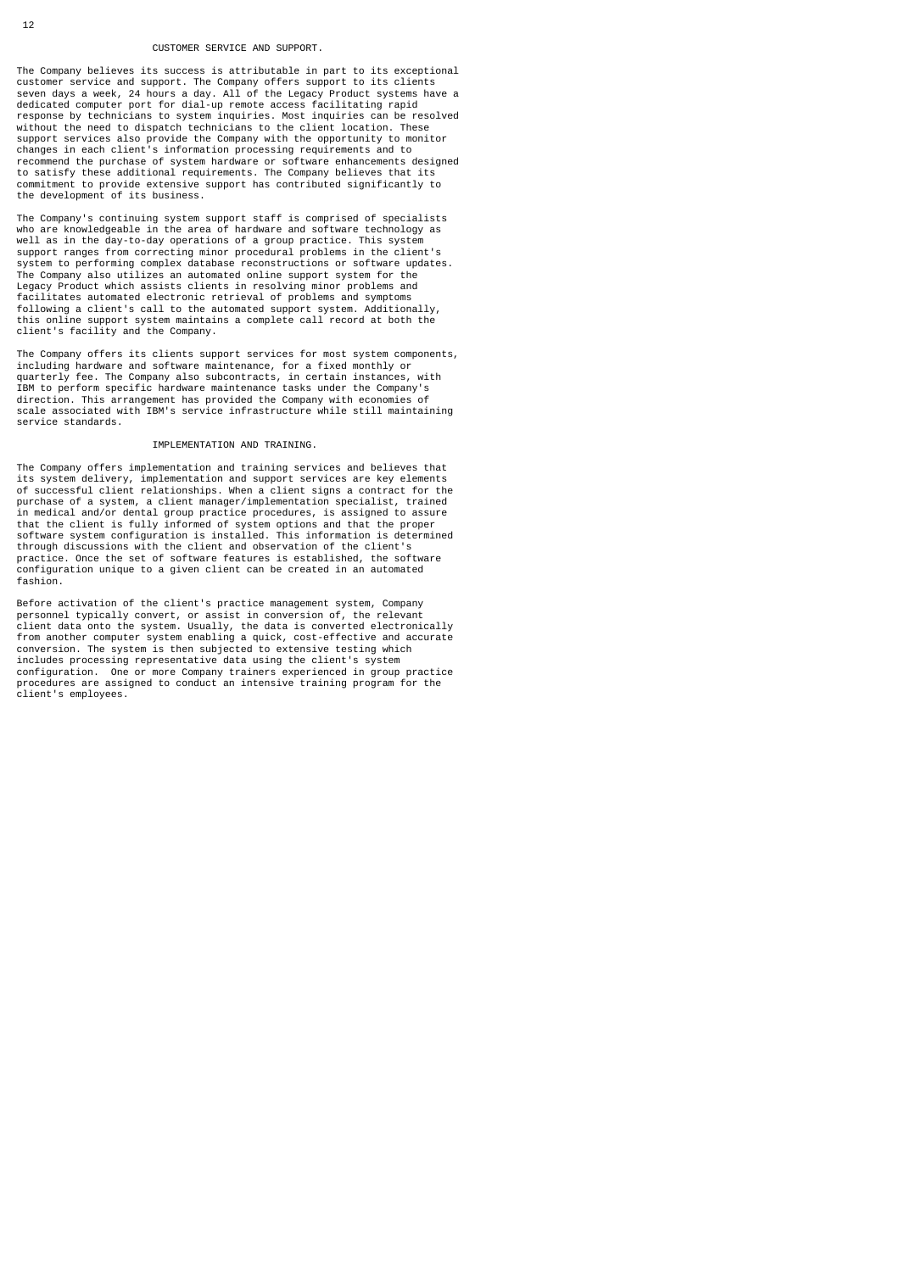## CUSTOMER SERVICE AND SUPPORT.

The Company believes its success is attributable in part to its exceptional<br>customer service and support. The Company offers support to its clients<br>seven days a week, 24 hours a day. All of the Legacy Product systems have without the need to dispatch technicians to the client location. These support services also provide the Company with the opportunity to monitor changes in each client's information processing requirements and to recommend the purchase of system hardware or software enhancements designed to satisfy these additional requirements. The Company believes that its commitment to provide extensive support has contributed significantly to the development of its business.

The Company's continuing system support staff is comprised of specialists who are knowledgeable in the area of hardware and software technology as well as in the day-to-day operations of a group practice. This system support ranges from correcting minor procedural problems in the client's system to performing complex database reconstructions or software updates. The Company also utilizes an automated online support system for the Legacy Product which assists clients in resolving minor problems and facilitates automated electronic retrieval of problems and symptoms following a client's call to the automated support system. Additionally, this online support system maintains a complete call record at both the client's facility and the Company.

The Company offers its clients support services for most system components, including hardware and software maintenance, for a fixed monthly or quarterly fee. The Company also subcontracts, in certain instances, with IBM to perform specific hardware maintenance tasks under the Company's direction. This arrangement has provided the Company with economies of scale associated with IBM's service infrastructure while still maintaining service standards.

## IMPLEMENTATION AND TRAINING.

The Company offers implementation and training services and believes that its system delivery, implementation and support services are key elements of successful client relationships. When a client signs a contract for the purchase of a system, a client manager/implementation specialist, trained in medical and/or dental group practice procedures, is assigned to assure that the client is fully informed of system options and that the proper software system configuration is installed. This information is determined through discussions with the client and observation of the client's practice. Once the set of software features is established, the software configuration unique to a given client can be created in an automated fashion.

Before activation of the client's practice management system, Company personnel typically convert, or assist in conversion of, the relevant<br>client data onto the system. Usually, the data is converted electronically<br>from another computer system enabling a quick, cost-effective and accurate<br>co includes processing representative data using the client's system configuration. One or more Company trainers experienced in group practice procedures are assigned to conduct an intensive training program for the client's employees.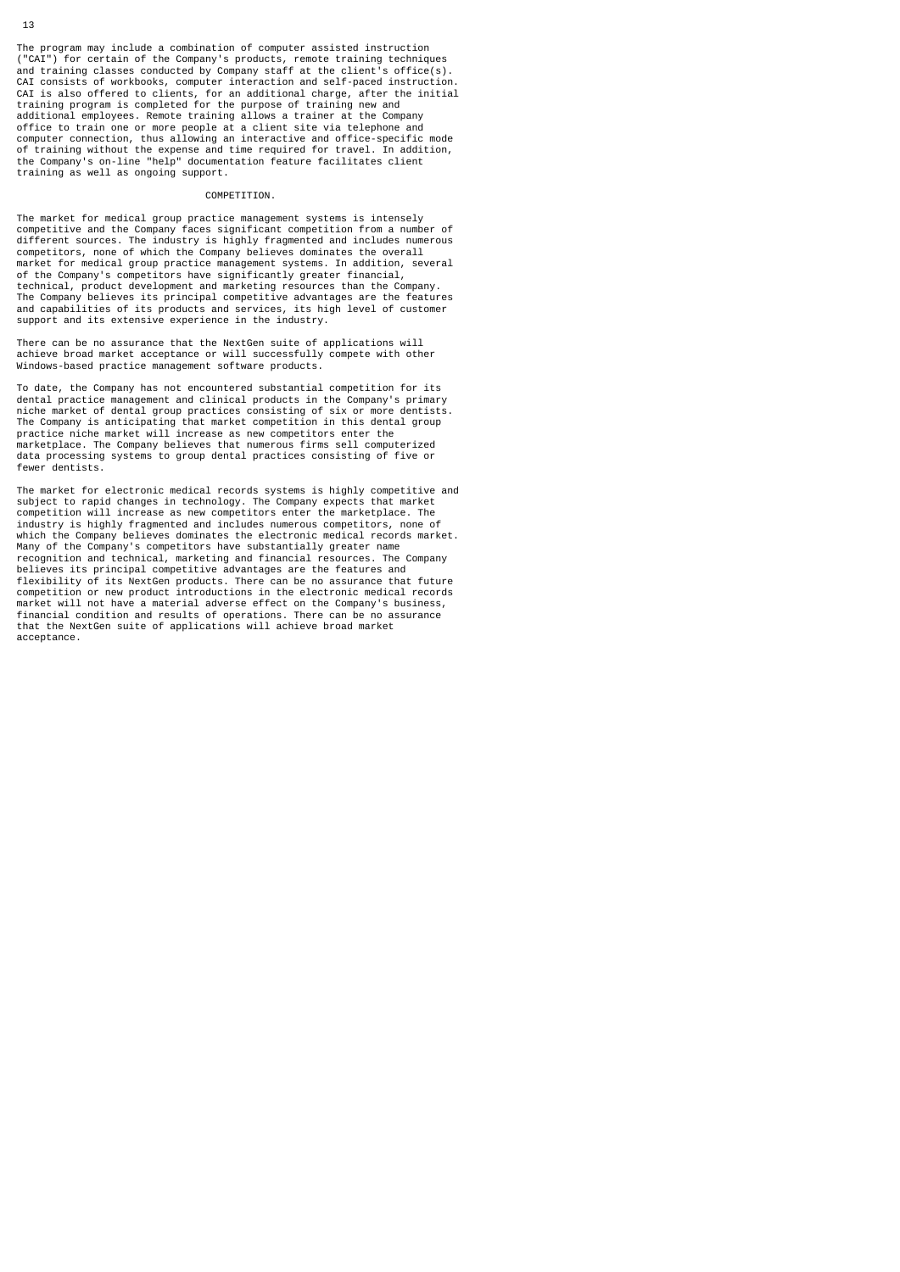The program may include a combination of computer assisted instruction ("CAI") for certain of the Company's products, remote training techniques and training classes conducted by Company staff at the client's office(s). CAI consists of workbooks, computer interaction and self-paced instruction. CAI is also offered to clients, for an additional charge, after the initial training program is completed for the purpose of training new and additional employees. Remote training allows a trainer at the Company office to train one or more people at a client site via telephone and computer connection, thus allowing an interactive and office-specific mode of training without the expense and time required for travel. In addition, the Company's on-line "help" documentation feature facilitates client training as well as ongoing support.

# COMPETITION.

The market for medical group practice management systems is intensely competitive and the Company faces significant competition from a number of different sources. The industry is highly fragmented and includes numerous competitors, none of which the Company believes dominates the overall market for medical group practice management systems. In addition, several of the Company's competitors have significantly greater financial, technical, product development and marketing resources than the Company. The Company believes its principal competitive advantages are the features and capabilities of its products and services, its high level of customer support and its extensive experience in the industry.

There can be no assurance that the NextGen suite of applications will achieve broad market acceptance or will successfully compete with other Windows-based practice management software products.

To date, the Company has not encountered substantial competition for its dental practice management and clinical products in the Company's primary niche market of dental group practices consisting of six or more dentists. The Company is anticipating that market competition in this dental group practice niche market will increase as new competitors enter the marketplace. The Company believes that numerous firms sell computerized data processing systems to group dental practices consisting of five or fewer dentists.

The market for electronic medical records systems is highly competitive and<br>subject to rapid changes in technology. The Company expects that market<br>competition will increase as new competitors enter the marketplace. The industry is highly fragmented and includes numerous competitors, none of which the Company believes dominates the electronic medical records market. Many of the Company's competitors have substantially greater name recognition and technical, marketing and financial resources. The Company believes its principal competitive advantages are the features and flexibility of its NextGen products. There can be no assurance that future competition or new product introductions in the electronic medical records market will not have a material adverse effect on the Company's business, financial condition and results of operations. There can be no assurance that the NextGen suite of applications will achieve broad market acceptance.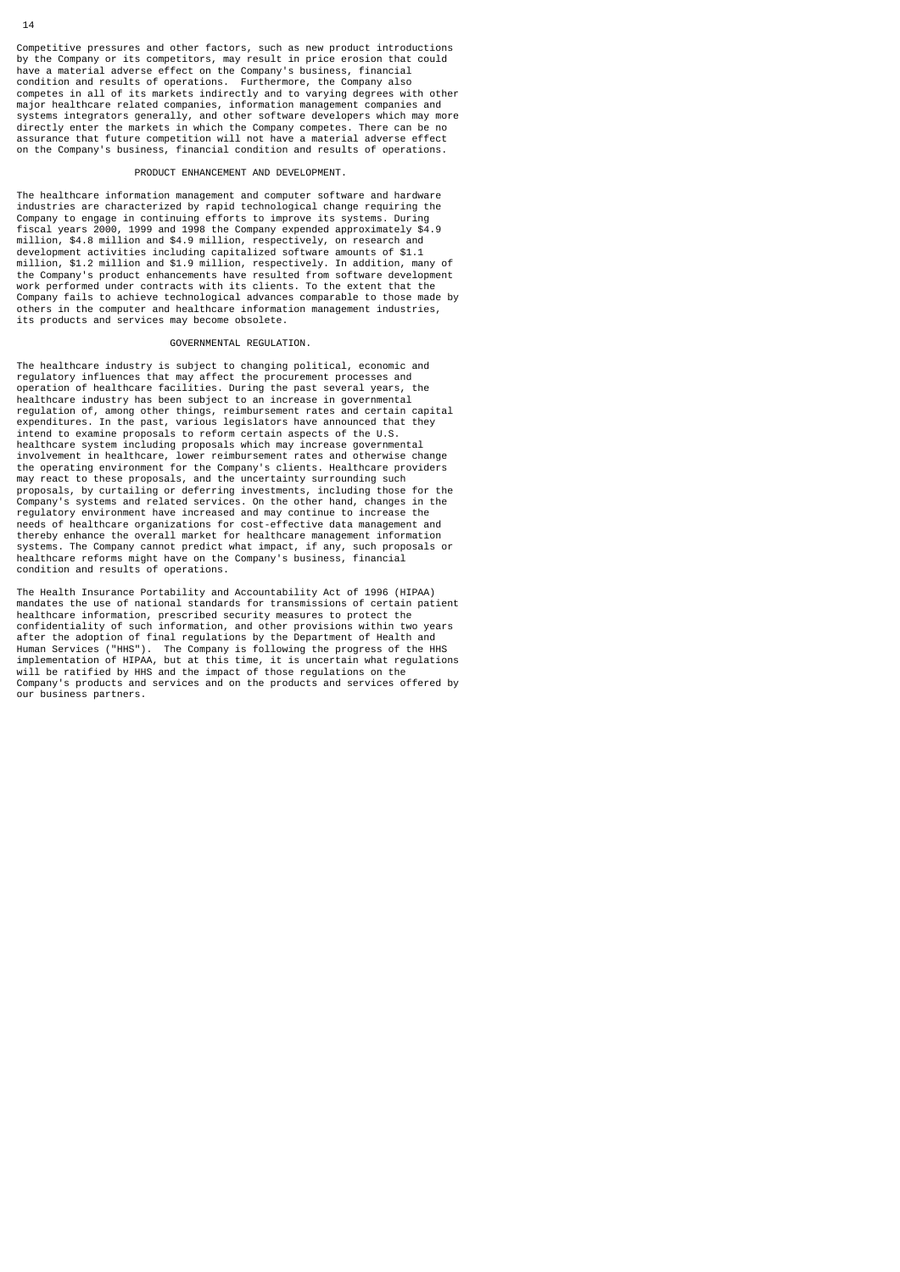Competitive pressures and other factors, such as new product introductions by the Company or its competitors, may result in price erosion that could have a material adverse effect on the Company's business, financial condition and results of operations. Furthermore, the Company also competes in all of its markets indirectly and to varying degrees with other major healthcare related companies, information management companies and<br>systems integrators generally, and other software developers which may more<br>directly enter the markets in which the Company competes. There can be no on the Company's business, financial condition and results of operations.

#### PRODUCT ENHANCEMENT AND DEVELOPMENT.

The healthcare information management and computer software and hardware industries are characterized by rapid technological change requiring the Company to engage in continuing efforts to improve its systems. During fiscal years 2000, 1999 and 1998 the Company expended approximately \$4.9 million, \$4.8 million and \$4.9 million, respectively, on research and development activities including capitalized software amounts of \$1.1 million, \$1.2 million and \$1.9 million, respectively. In addition, many of the Company's product enhancements have resulted from software development work performed under contracts with its clients. To the extent that the Company fails to achieve technological advances comparable to those made by others in the computer and healthcare information management industries, its products and services may become obsolete.

## GOVERNMENTAL REGULATION.

The healthcare industry is subject to changing political, economic and regulatory influences that may affect the procurement processes and operation of healthcare facilities. During the past several years, the healthcare industry has been subject to an increase in governmental regulation of, among other things, reimbursement rates and certain capital<br>expenditures. In the past, various legislators have announced that they<br>intend to examine proposals to reform certain aspects of the U.S.<br>healthcar proposals, by curtailing or deferring investments, including those for the Company's systems and related services. On the other hand, changes in the regulatory environment have increased and may continue to increase the needs of healthcare organizations for cost-effective data management and<br>thereby enhance the overall market for healthcare management information<br>systems. The Company cannot predict what impact, if any, such proposals or<br>h condition and results of operations.

The Health Insurance Portability and Accountability Act of 1996 (HIPAA) mandates the use of national standards for transmissions of certain patient healthcare information, prescribed security measures to protect the confidentiality of such information, and other provisions within two years after the adoption of final regulations by the Department of Health and<br>Human Services ("HHS"). The Company is following the progress of the HHS<br>implementation of HIPAA, but at this time, it is uncertain what regulations<br>w our business partners.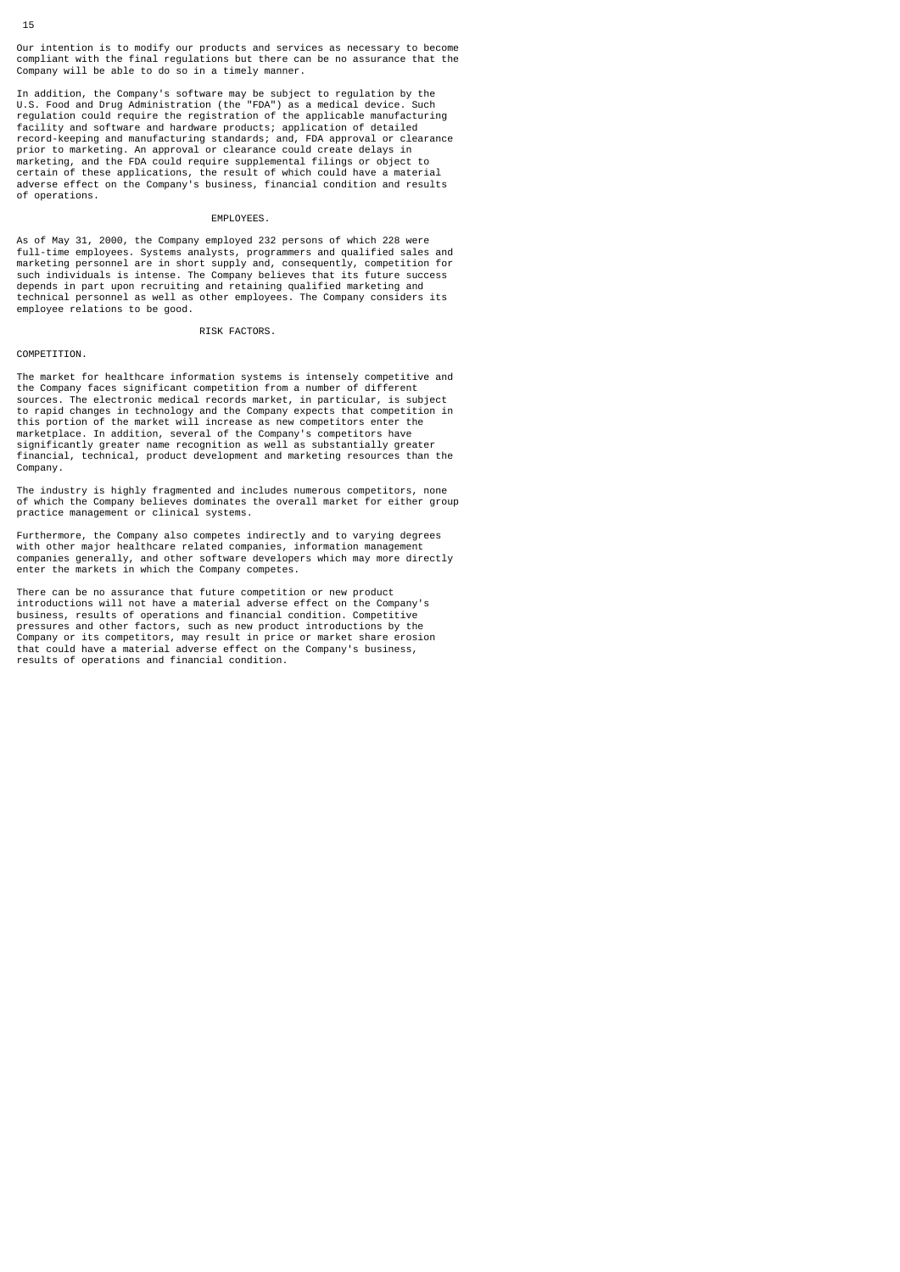Our intention is to modify our products and services as necessary to become compliant with the final regulations but there can be no assurance that the Company will be able to do so in a timely manner.

In addition, the Company's software may be subject to regulation by the U.S. Food and Drug Administration (the "FDA") as a medical device. Such regulation could require the registration of the applicable manufacturing facility and software and hardware products; application of detailed record-keeping and manufacturing standards; and, FDA approval or clearance prior to marketing. An approval or clearance could create delays in marketing, and the FDA could require supplemental filings or object to certain of these applications, the result of which could have a material adverse effect on the Company's business, financial condition and results of operations.

# EMPLOYEES.

As of May 31, 2000, the Company employed 232 persons of which 228 were full-time employees. Systems analysts, programmers and qualified sales and marketing personnel are in short supply and, consequently, competition for such individuals is intense. The Company believes that its future success depends in part upon recruiting and retaining qualified marketing and technical personnel as well as other employees. The Company considers its employee relations to be good.

RISK FACTORS.

#### COMPETITION.

The market for healthcare information systems is intensely competitive and<br>the Company faces significant competition from a number of different<br>sources. The electronic medical records market, in particular, is subject<br>to r marketplace. In addition, several of the Company's competitors have significantly greater name recognition as well as substantially greater financial, technical, product development and marketing resources than the Company.

The industry is highly fragmented and includes numerous competitors, none of which the Company believes dominates the overall market for either group practice management or clinical systems.

Furthermore, the Company also competes indirectly and to varying degrees with other major healthcare related companies, information management companies generally, and other software developers which may more directly enter the markets in which the Company competes.

There can be no assurance that future competition or new product introductions will not have a material adverse effect on the Company's business, results of operations and financial condition. Competitive pressures and other factors, such as new product introductions by the Company or its competitors, may result in price or market share erosion that could have a material adverse effect on the Company's business, results of operations and financial condition.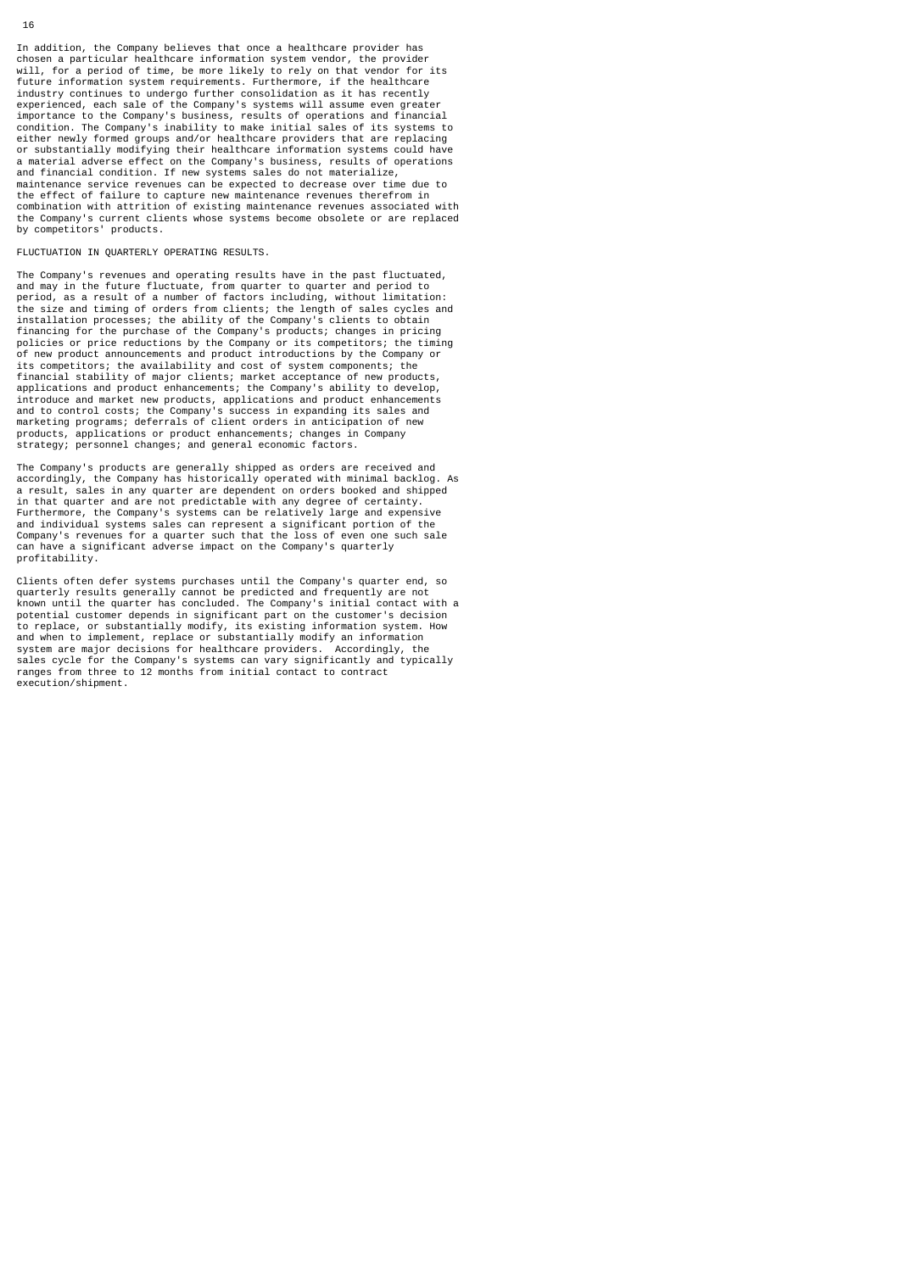In addition, the Company believes that once a healthcare provider has chosen a particular healthcare information system vendor, the provider will, for a period of time, be more likely to rely on that vendor for its future information system requirements. Furthermore, if the healthcare industry continues to undergo further consolidation as it has recently experienced, each sale of the Company's systems will assume even greater importance to the Company's business, results of operations and financial condition. The Company's inability to make initial sales of its systems to either newly formed groups and/or healthcare providers that are replacing or substantially modifying their healthcare information systems could have a material adverse effect on the Company's business, results of operations and financial condition. If new systems sales do not materialize, maintenance service revenues can be expected to decrease over time due to the effect of failure to capture new maintenance revenues therefrom in combination with attrition of existing maintenance revenues associated with the Company's current clients whose systems become obsolete or are replaced by competitors' products.

FLUCTUATION IN QUARTERLY OPERATING RESULTS.

The Company's revenues and operating results have in the past fluctuated, and may in the future fluctuate, from quarter to quarter and period to period, as a result of a number of factors including, without limitation: the size and timing of orders from clients; the length of sales cycles and installation processes; the ability of the Company's clients to obtain financing for the purchase of the Company's products; changes in pricing policies or price reductions by the Company or its competitors; the timing of new product announcements and product introductions by the Company or its competitors; the availability and cost of system components; the financial stability of major clients; market acceptance of new products, applications and product enhancements; the Company's ability to develop, introduce and market new products, applications and product enhancements and to control costs; the Company's success in expanding its sales and marketing programs; deferrals of client orders in anticipation of new products, applications or product enhancements; changes in Company strategy; personnel changes; and general economic factors.

The Company's products are generally shipped as orders are received and accordingly, the Company has historically operated with minimal backlog. As a result, sales in any quarter are dependent on orders booked and shipped  $\sim$  sales in any quarter are dependent on orders booked and shipped in that quarter and are not predictable with any degree of certainty Furthermore, the Company's systems can be relatively large and expensive and individual systems sales can represent a significant portion of the Company's revenues for a quarter such that the loss of even one such sale can have a significant adverse impact on the Company's quarterly profitability.

Clients often defer systems purchases until the Company's quarter end, so quarterly results generally cannot be predicted and frequently are not known until the quarter has concluded. The Company's initial contact with a potential customer depends in significant part on the customer's decision to replace, or substantially modify, its existing information system. How and when to implement, replace or substantially modify an information system are major decisions for healthcare providers. Accordingly, the sales cycle for the Company's systems can vary significantly and typically ranges from three to 12 months from initial contact to contract execution/shipment.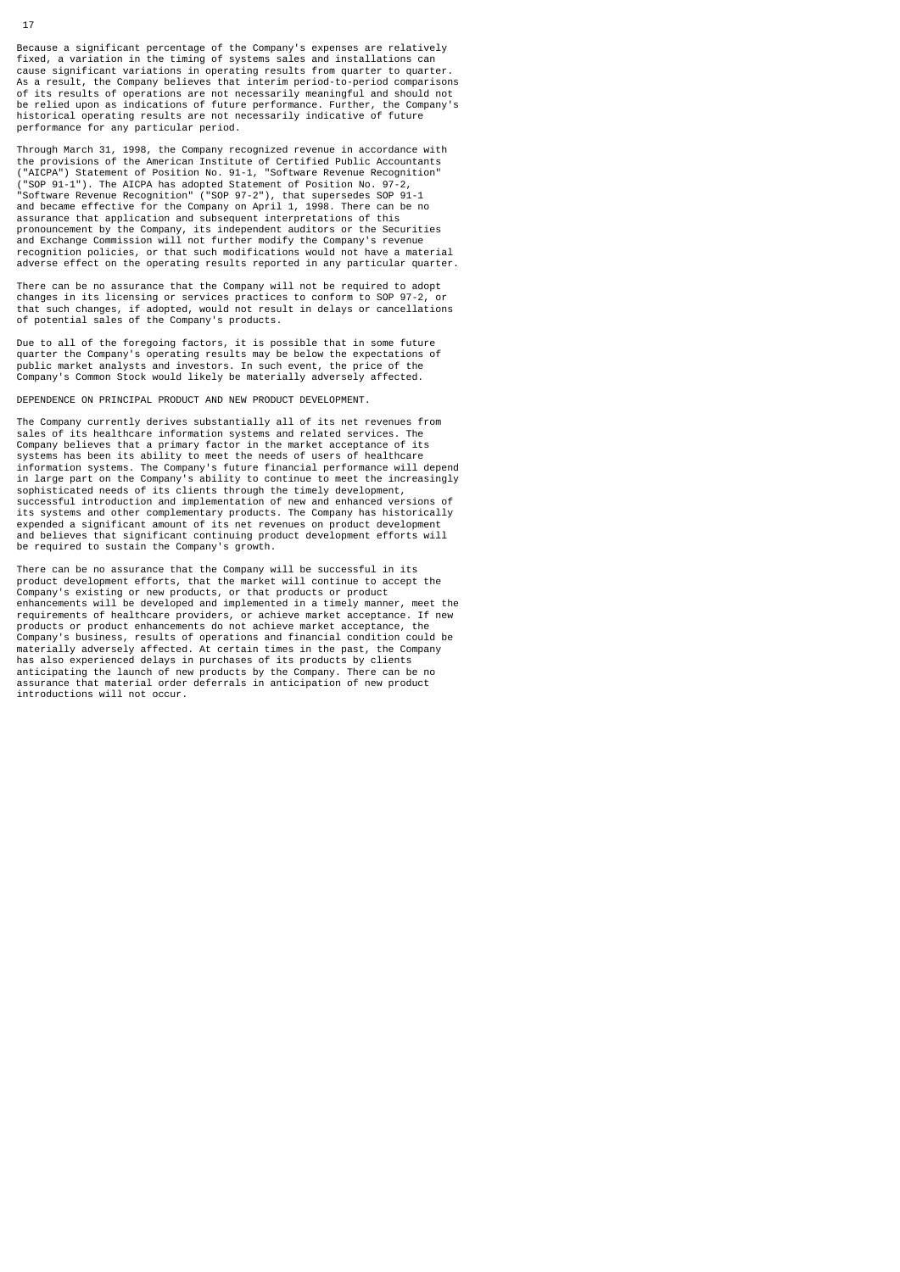Because a significant percentage of the Company's expenses are relatively fixed, a variation in the timing of systems sales and installations can cause significant variations in operating results from quarter to quarter. As a result, the Company believes that interim period-to-period comparisons of its results of operations are not necessarily meaningful and should not be relied upon as indications of future performance. Further, the Company's historical operating results are not necessarily indicative of future performance for any particular period.

Through March 31, 1998, the Company recognized revenue in accordance with the provisions of the American Institute of Certified Public Accountants ("AICPA") Statement of Position No. 91-1, "Software Revenue Recognition" ("SOP 91-1"). The AICPA has adopted Statement of Position No. 97-2, "Software Revenue Recognition" ("SOP 97-2"), that supersedes SOP 91-1 and became effective for the Company on April 1, 1998. There can be no assurance that application and subsequent interpretations of this pronouncement by the Company, its independent auditors or the Securities and Exchange Commission will not further modify the Company's revenue recognition policies, or that such modifications would not have a material adverse effect on the operating results reported in any particular quarter.

There can be no assurance that the Company will not be required to adopt changes in its licensing or services practices to conform to SOP 97-2, or that such changes, if adopted, would not result in delays or cancellations of potential sales of the Company's products.

Due to all of the foregoing factors, it is possible that in some future quarter the Company's operating results may be below the expectations of public market analysts and investors. In such event, the price of the Company's Common Stock would likely be materially adversely affected.

DEPENDENCE ON PRINCIPAL PRODUCT AND NEW PRODUCT DEVELOPMENT.

The Company currently derives substantially all of its net revenues from sales of its healthcare information systems and related services. The Company believes that a primary factor in the market acceptance of its systems has been its ability to meet the needs of users of healthcare information systems. The Company's future financial performance will depend in large part on the Company's ability to continue to meet the increasingly sophisticated needs of its clients through the timely development, successful introduction and implementation of new and enhanced versions of its systems and other complementary products. The Company has historically expended a significant amount of its net revenues on product development and believes that significant continuing product development efforts will be required to sustain the Company's growth.

There can be no assurance that the Company will be successful in its product development efforts, that the market will continue to accept the Company's existing or new products, or that products or product enhancements will be developed and implemented in a timely manner, meet the requirements of healthcare providers, or achieve market acceptance. If new products or product enhancements do not achieve market acceptance, the Company's business, results of operations and financial condition could be materially adversely affected. At certain times in the past, the Company has also experienced delays in purchases of its products by clients anticipating the launch of new products by the Company. There can be no assurance that material order deferrals in anticipation of new product introductions will not occur.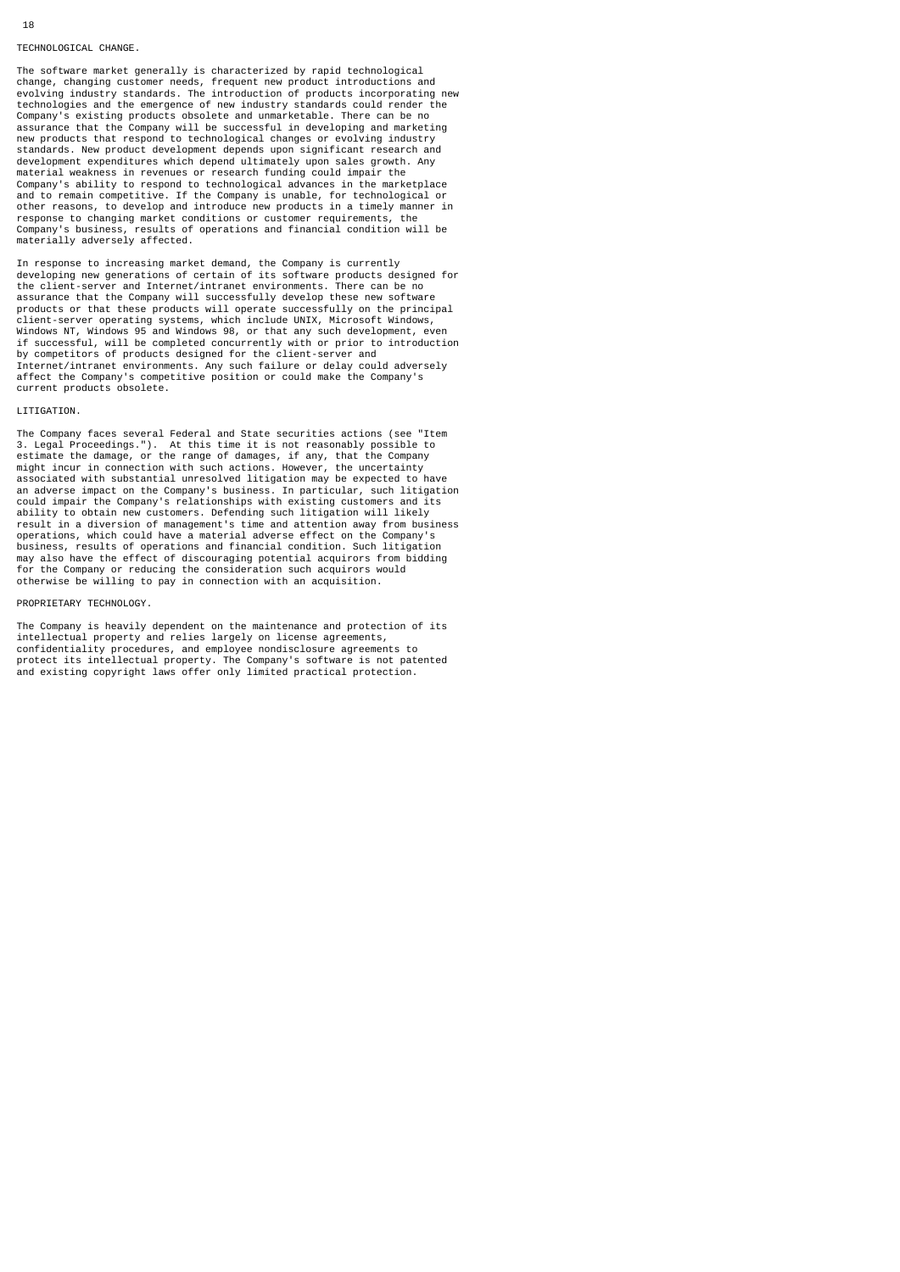## TECHNOLOGICAL CHANGE.

The software market generally is characterized by rapid technological change, changing customer needs, frequent new product introductions and evolving industry standards. The introduction of products incorporating new technologies and the emergence of new industry standards could render the Company's existing products obsolete and unmarketable. There can be no assurance that the Company will be successful in developing and marketing new products that respond to technological changes or evolving industry standards. New product development depends upon significant research and development expenditures which depend ultimately upon sales growth. Any material weakness in revenues or research funding could impair the Company's ability to respond to technological advances in the marketplace and to remain competitive. If the Company is unable, for technological or other reasons, to develop and introduce new products in a timely manner in response to changing market conditions or customer requirements, the Company's business, results of operations and financial condition will be sumpany o backnows, reduce on<br>materially adversely affected.

In response to increasing market demand, the Company is currently developing new generations of certain of its software products designed for the client-server and Internet/intranet environments. There can be no assurance that the Company will successfully develop these new software products or that these products will operate successfully on the principal client-server operating systems, which include UNIX, Microsoft Windows,<br>Windows NT, Windows 95 and Windows 98, or that any such development, even<br>if successful, will be completed concurrently with or prior to introduction by competitors of products designed for the client-server and Internet/intranet environments. Any such failure or delay could adversely affect the Company's competitive position or could make the Company's current products obsolete.

## LITIGATION.

The Company faces several Federal and State securities actions (see "Item 3. Legal Proceedings."). At this time it is not reasonably possible to<br>estimate the damage, or the range of damages, if any, that the Company<br>might incur in connection with such actions. However, the uncertainty<br>associated an adverse impact on the Company's business. In particular, such litigation could impair the Company's relationships with existing customers and its ability to obtain new customers. Defending such litigation will likely result in a diversion of management's time and attention away from business operations, which could have a material adverse effect on the Company's business, results of operations and financial condition. Such litigation may also have the effect of discouraging potential acquirors from bidding for the Company or reducing the consideration such acquirors would otherwise be willing to pay in connection with an acquisition.

#### PROPRIETARY TECHNOLOGY.

The Company is heavily dependent on the maintenance and protection of its intellectual property and relies largely on license agreements,<br>confidentiality procedures, and employee nondisclosure agreements to<br>protect its intellectual property. The Company's software is not patented<br>and existing co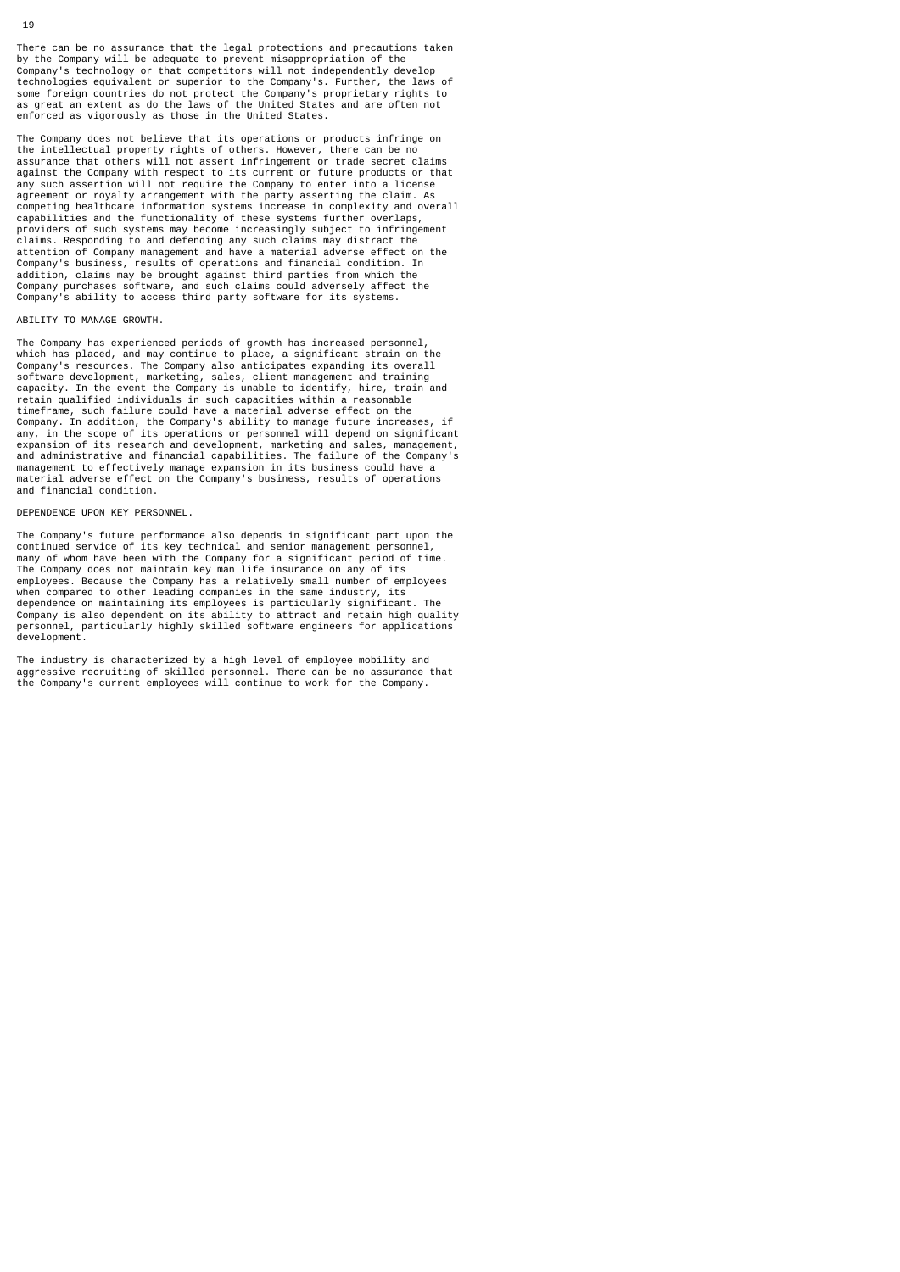There can be no assurance that the legal protections and precautions taken by the Company will be adequate to prevent misappropriation of the Company's technology or that competitors will not independently develop technologies equivalent or superior to the Company's. Further, the laws of some foreign countries do not protect the Company's proprietary rights to as great an extent as do the laws of the United States and are often not enforced as vigorously as those in the United States.

The Company does not believe that its operations or products infringe on the intellectual property rights of others. However, there can be no assurance that others will not assert infringement or trade secret claims against the Company with respect to its current or future products or that any such assertion will not require the Company to enter into a license agreement or royalty arrangement with the party asserting the claim. As competing healthcare information systems increase in complexity and overall capabilities and the functionality of these systems further overlaps, providers of such systems may become increasingly subject to infringement claims. Responding to and defending any such claims may distract the attention of Company management and have a material adverse effect on the Company's business, results of operations and financial condition. In addition, claims may be brought against third parties from which the Company purchases software, and such claims could adversely affect the Company's ability to access third party software for its systems.

# ABILITY TO MANAGE GROWTH.

The Company has experienced periods of growth has increased personnel, which has placed, and may continue to place, a significant strain on the Company's resources. The Company also anticipates expanding its overall software development, marketing, sales, client management and training capacity. In the event the Company is unable to identify, hire, train and retain qualified individuals in such capacities within a reasonable timeframe, such failure could have a material adverse effect on the Company. In addition, the Company's ability to manage future increases, if<br>any, in the scope of its operations or personnel will depend on significant<br>expansion of its research and development, marketing and sales, managem and administrative and financial capabilities. The failure of the Company's management to effectively manage expansion in its business could have a material adverse effect on the Company's business, results of operations and financial condition.

#### DEPENDENCE UPON KEY PERSONNEL.

The Company's future performance also depends in significant part upon the continued service of its key technical and senior management personnel,<br>many of whom have been with the Company for a significant period of time.<br>The Company does not maintain key man life insurance on any of its employees. Because the Company has a relatively small number of employees when compared to other leading companies in the same industry, its dependence on maintaining its employees is particularly significant. The Company is also dependent on its ability to attract and retain high quality personnel, particularly highly skilled software engineers for applications development.

The industry is characterized by a high level of employee mobility and aggressive recruiting of skilled personnel. There can be no assurance that the Company's current employees will continue to work for the Company.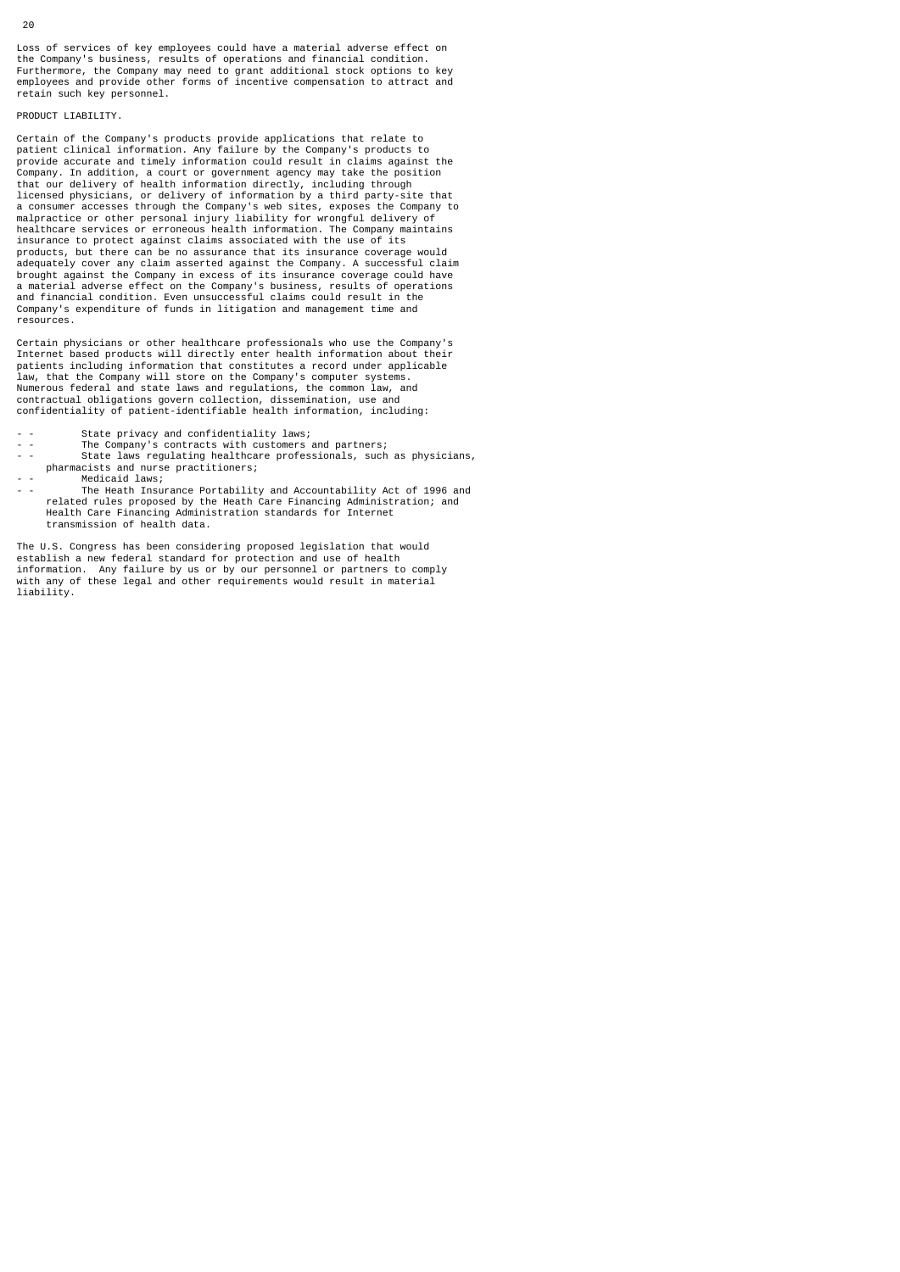Loss of services of key employees could have a material adverse effect on the Company's business, results of operations and financial condition. Furthermore, the Company may need to grant additional stock options to key employees and provide other forms of incentive compensation to attract and retain such key personnel.

# PRODUCT LIABILITY.

Certain of the Company's products provide applications that relate to patient clinical information. Any failure by the Company's products to provide accurate and timely information could result in claims against the Company. In addition, a court or government agency may take the position that our delivery of health information directly, including through licensed physicians, or delivery of information by a third party-site that a consumer accesses through the Company's web sites, exposes the Company to malpractice or other personal injury liability for wrongful delivery of healthcare services or erroneous health information. The Company maintains insurance to protect against claims associated with the use of its products, but there can be no assurance that its insurance coverage would adequately cover any claim asserted against the Company. A successful claim brought against the Company in excess of its insurance coverage could have<br>a material adverse effect on the Company's business, results of operations<br>and financial condition. Even unsuccessful claims could result in the<br>Co resources.

Certain physicians or other healthcare professionals who use the Company's Internet based products will directly enter health information about their patients including information that constitutes a record under applicable law, that the Company will store on the Company's computer systems. Numerous federal and state laws and regulations, the common law, and contractual obligations govern collection, dissemination, use and confidentiality of patient-identifiable health information, including:

- State privacy and confidentiality laws;
- - The Company's contracts with customers and partners;<br>- State laws requisiting bealthcare professionals such
- State laws regulating healthcare professionals, such as physicians, pharmacists and nurse practitioners;
- - Medicaid laws;<br>The Heath Insur
- The Heath Insurance Portability and Accountability Act of 1996 and related rules proposed by the Heath Care Financing Administration; and Health Care Financing Administration standards for Internet transmission of health data.

The U.S. Congress has been considering proposed legislation that would establish a new federal standard for protection and use of health information. Any failure by us or by our personnel or partners to comply with any of these legal and other requirements would result in material liability.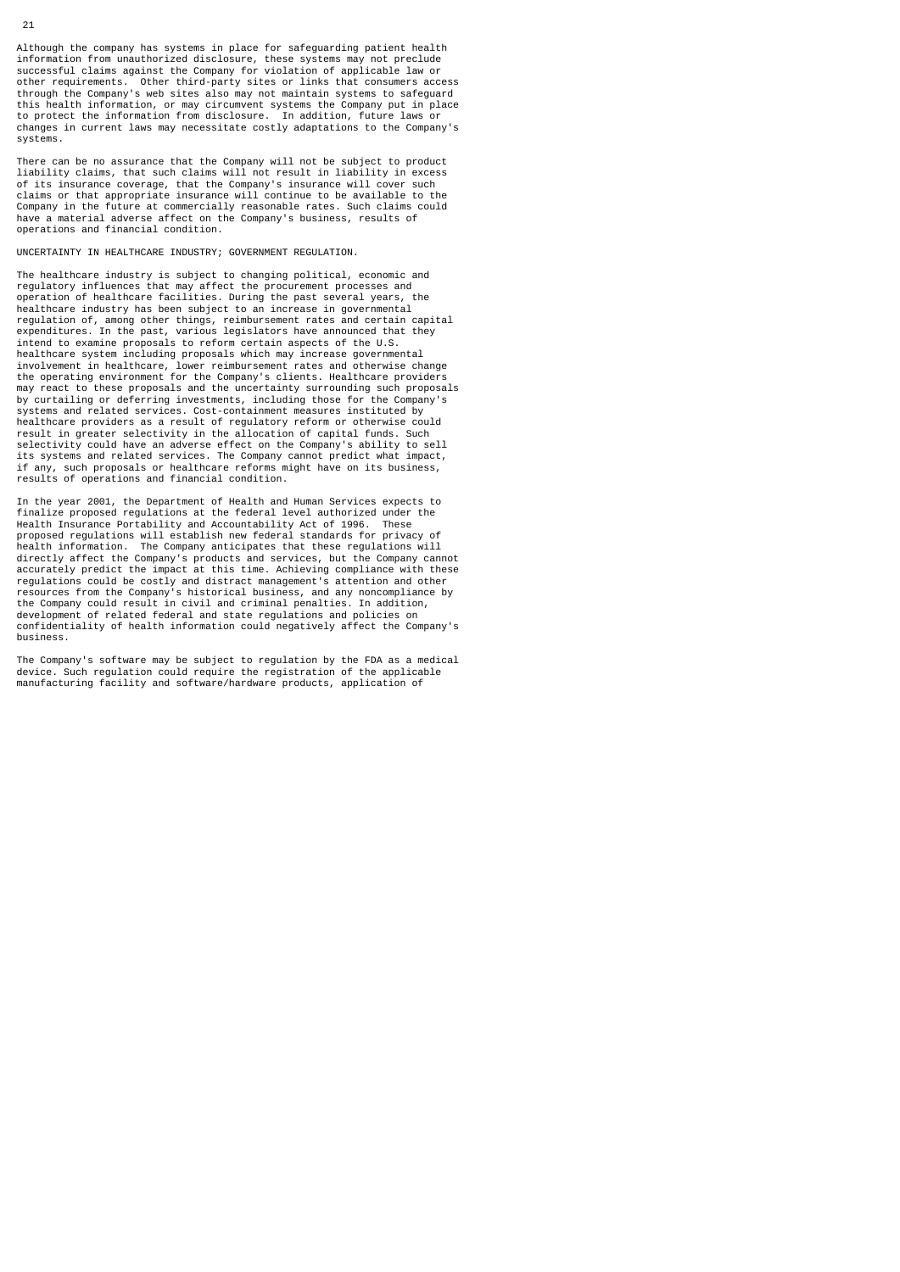Although the company has systems in place for safeguarding patient health information from unauthorized disclosure, these systems may not preclude<br>successful claims against the Company for violation of applicable law or<br>other requirements. Other third-party sites or links that consumers access<br>t this health information, or may circumvent systems the Company put in place to protect the information from disclosure. In addition, future laws or changes in current laws may necessitate costly adaptations to the Company's systems.

There can be no assurance that the Company will not be subject to product liability claims, that such claims will not result in liability in excess of its insurance coverage, that the Company's insurance will cover such claims or that appropriate insurance will continue to be available to the Company in the future at commercially reasonable rates. Such claims could have a material adverse affect on the Company's business, results of operations and financial condition.

UNCERTAINTY IN HEALTHCARE INDUSTRY; GOVERNMENT REGULATION.

The healthcare industry is subject to changing political, economic and regulatory influences that may affect the procurement processes and operation of healthcare facilities. During the past several years, the healthcare industry has been subject to an increase in governmental regulation of, among other things, reimbursement rates and certain capital expenditures. In the past, various legislators have announced that they intend to examine proposals to reform certain aspects of the U.S. healthcare system including proposals which may increase governmental involvement in healthcare, lower reimbursement rates and otherwise change the operating environment for the Company's clients. Healthcare providers may react to these proposals and the uncertainty surrounding such proposals by curtailing or deferring investments, including those for the Company's systems and related services. Cost-containment measures instituted by healthcare providers as a result of regulatory reform or otherwise could result in greater selectivity in the allocation of capital funds. Such selectivity could have an adverse effect on the Company's ability to sell its systems and related services. The Company cannot predict what impact, if any, such proposals or healthcare reforms might have on its business, results of operations and financial condition.

In the year 2001, the Department of Health and Human Services expects to finalize proposed regulations at the federal level authorized under the Health Insurance Portability and Accountability Act of 1996. These proposed regulations will establish new federal standards for privacy of health information. The Company anticipates that these regulations will directly affect the Company's products and services, but the Company cannot accurately predict the impact at this time. Achieving compliance with these regulations could be costly and distract management's attention and other resources from the Company's historical business, and any noncompliance by the Company could result in civil and criminal penalties. In addition, development of related federal and state regulations and policies on confidentiality of health information could negatively affect the Company's business.

The Company's software may be subject to regulation by the FDA as a medical device. Such regulation could require the registration of the applicable manufacturing facility and software/hardware products, application of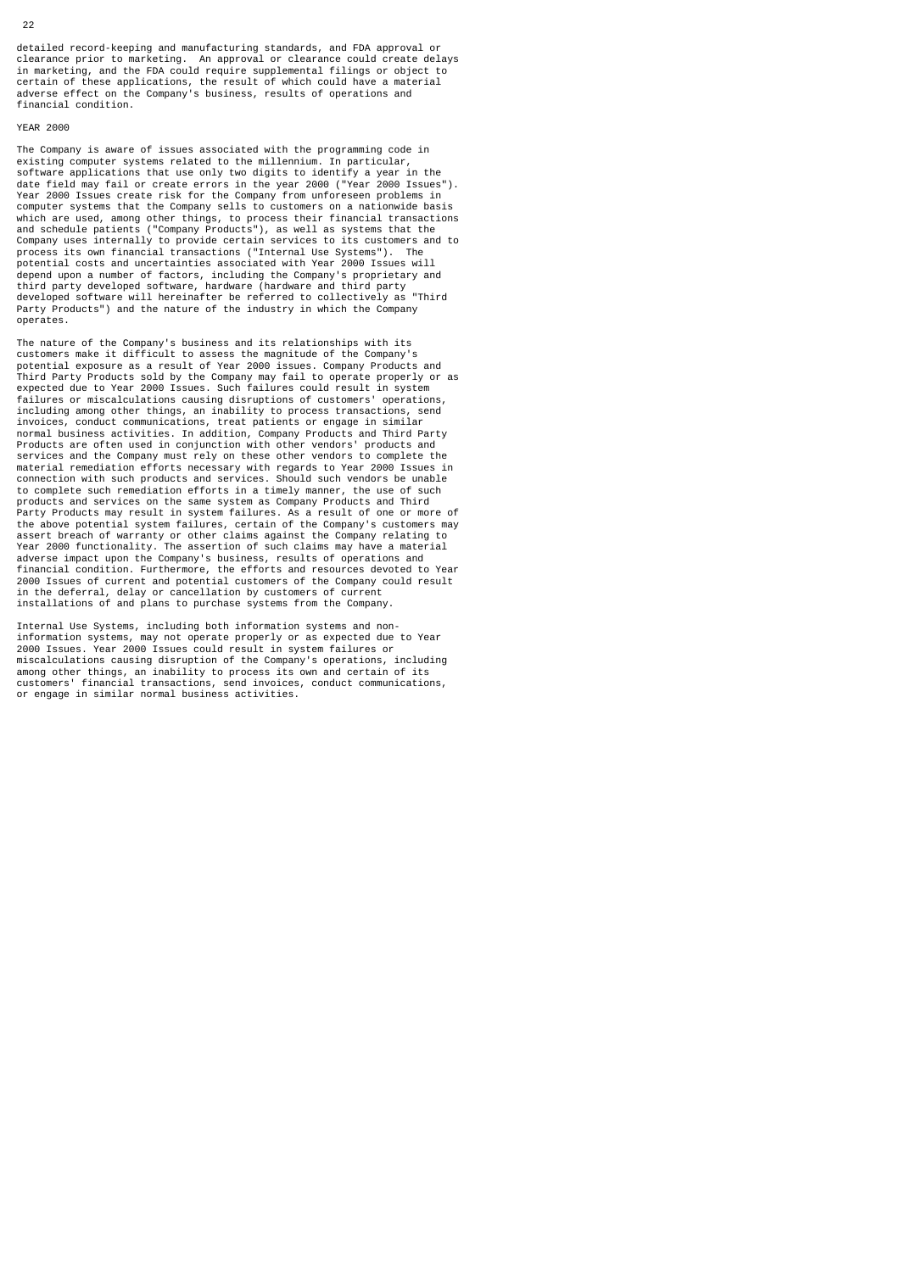detailed record-keeping and manufacturing standards, and FDA approval or clearance prior to marketing. An approval or clearance could create delays<br>in marketing, and the FDA could require supplemental filings or object to<br>certain of these applications, the result of which could have a material<br> financial condition.

## YEAR 2000

The Company is aware of issues associated with the programming code in existing computer systems related to the millennium. In particular, software applications that use only two digits to identify a year in the date field may fail or create errors in the year 2000 ("Year 2000 Issues"). Year 2000 Issues create risk for the Company from unforeseen problems in computer systems that the Company sells to customers on a nationwide basis which are used, among other things, to process their financial transactions and schedule patients ("Company Products"), as well as systems that the Company uses internally to provide certain services to its customers and to process its own financial transactions ("Internal Use Systems"). The<br>potential costs and uncertainties associated with Year 2000 Issues will<br>depend upon a number of factors, including the Company's proprietary and<br>third pa Party Products") and the nature of the industry in which the Company operates.

The nature of the Company's business and its relationships with its customers make it difficult to assess the magnitude of the Company's potential exposure as a result of Year 2000 issues. Company Products and Third Party Products sold by the Company may fail to operate properly or as expected due to Year 2000 Issues. Such failures could result in system failures or miscalculations causing disruptions of customers' operations, including among other things, an inability to process transactions, send invoices, conduct communications, treat patients or engage in similar<br>normal business activities. In addition, Company Products and Third Party<br>Products are often used in conjunction with other vendors' products and<br>servic material remediation efforts necessary with regards to Year 2000 Issues in connection with such products and services. Should such vendors be unable to complete such remediation efforts in a timely manner, the use of such products and services on the same system as Company Products and Third Party Products may result in system failures. As a result of one or more of the above potential system failures, certain of the Company's customers may<br>assert breach of warranty or other claims against the Company relating to<br>Year 2000 functionality. The assertion of such claims may have a materia in the deferral, delay or cancellation by customers of current installations of and plans to purchase systems from the Company.

Internal Use Systems, including both information systems and noninformation systems, may not operate properly or as expected due to Year 2000 Issues. Year 2000 Issues could result in system failures or miscalculations causing disruption of the Company's operations, including among other things, an inability to process its own and certain of its customers' financial transactions, send invoices, conduct communications, or engage in similar normal business activities.

#### 22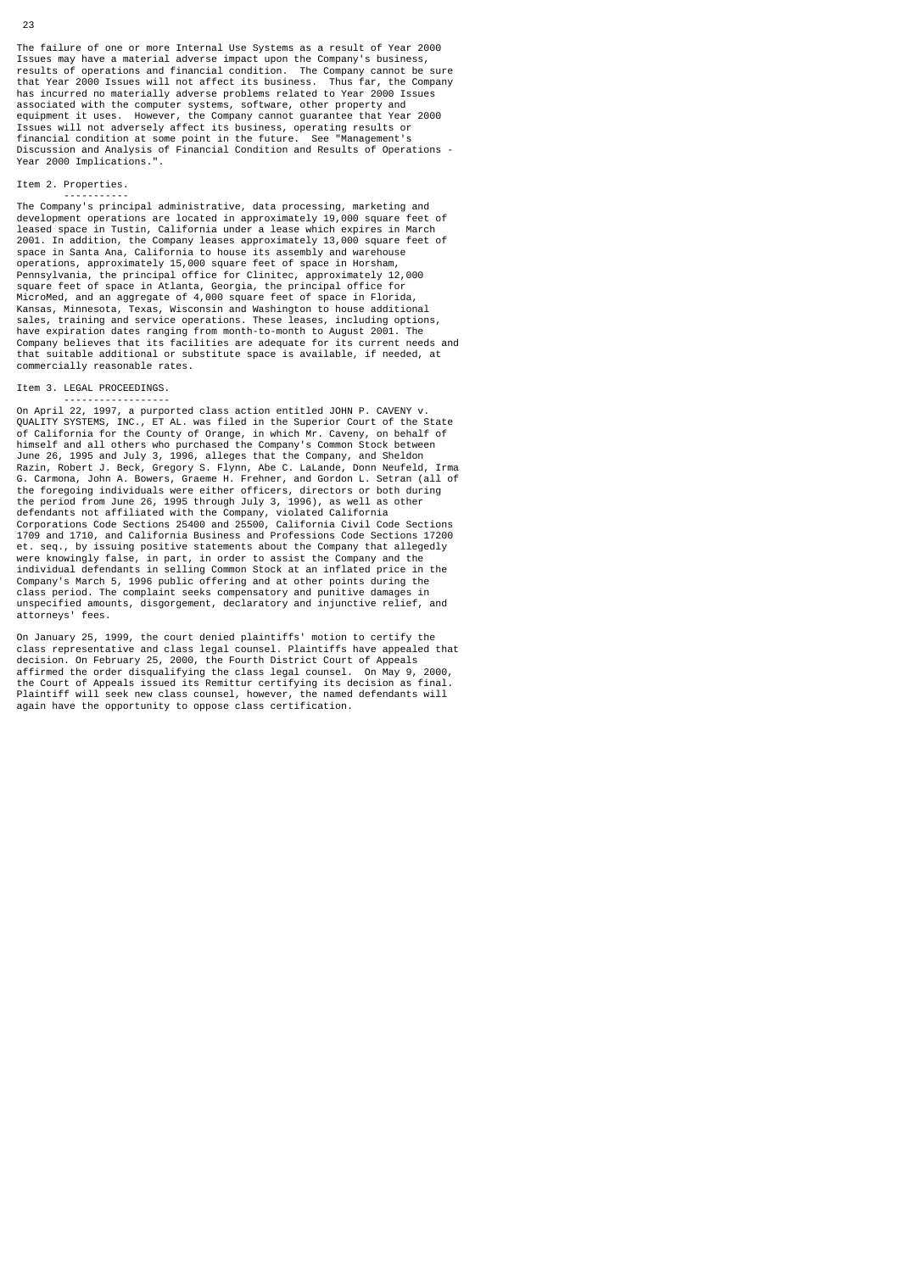## Item 2. Properties.

Year 2000 Implications.".

 ----------- The Company's principal administrative, data processing, marketing and development operations are located in approximately 19,000 square feet of leased space in Tustin, California under a lease which expires in March 2001. In addition, the Company leases approximately 13,000 square feet of space in Santa Ana, California to house its assembly and warehouse operations, approximately 15,000 square feet of space in Horsham, Pennsylvania, the principal office for Clinitec, approximately 12,000 square feet of space in Atlanta, Georgia, the principal office for MicroMed, and an aggregate of 4,000 square feet of space in Florida, Kansas, Minnesota, Texas, Wisconsin and Washington to house additional sales, training and service operations. These leases, including options, have expiration dates ranging from month-to-month to August 2001. The Company believes that its facilities are adequate for its current needs and that suitable additional or substitute space is available, if needed, at commercially reasonable rates.

# Item 3. LEGAL PROCEEDINGS.

 ------------------ On April 22, 1997, a purported class action entitled JOHN P. CAVENY v. QUALITY SYSTEMS, INC., ET AL. was filed in the Superior Court of the State of California for the County of Orange, in which Mr. Caveny, on behalf of himself and all others who purchased the Company's Common Stock between June 26, 1995 and July 3, 1996, alleges that the Company, and Sheldon Razin, Robert J. Beck, Gregory S. Flynn, Abe C. LaLande, Donn Neufeld, Irma G. Carmona, John A. Bowers, Graeme H. Frehner, and Gordon L. Setran (all of the foregoing individuals were either officers, directors or both during<br>the period from June 26, 1995 through July 3, 1996), as well as other<br>defendants not affiliated with the Company, violated California<br>Corporations Co et. seq., by issuing positive statements about the Company that allegedly were knowingly false, in part, in order to assist the Company and the individual defendants in selling Common Stock at an inflated price in the Company's March 5, 1996 public offering and at other points during the class period. The complaint seeks compensatory and punitive damages in unspecified amounts, disgorgement, declaratory and injunctive relief, and attorneys' fees.

On January 25, 1999, the court denied plaintiffs' motion to certify the class representative and class legal counsel. Plaintiffs have appealed that decision. On February 25, 2000, the Fourth District Court of Appeals affirmed the order disqualifying the class legal counsel. On May 9, 2000, the Court of Appeals issued its Remittur certifying its decision as final. Plaintiff will seek new class counsel, however, the named defendants will again have the opportunity to oppose class certification.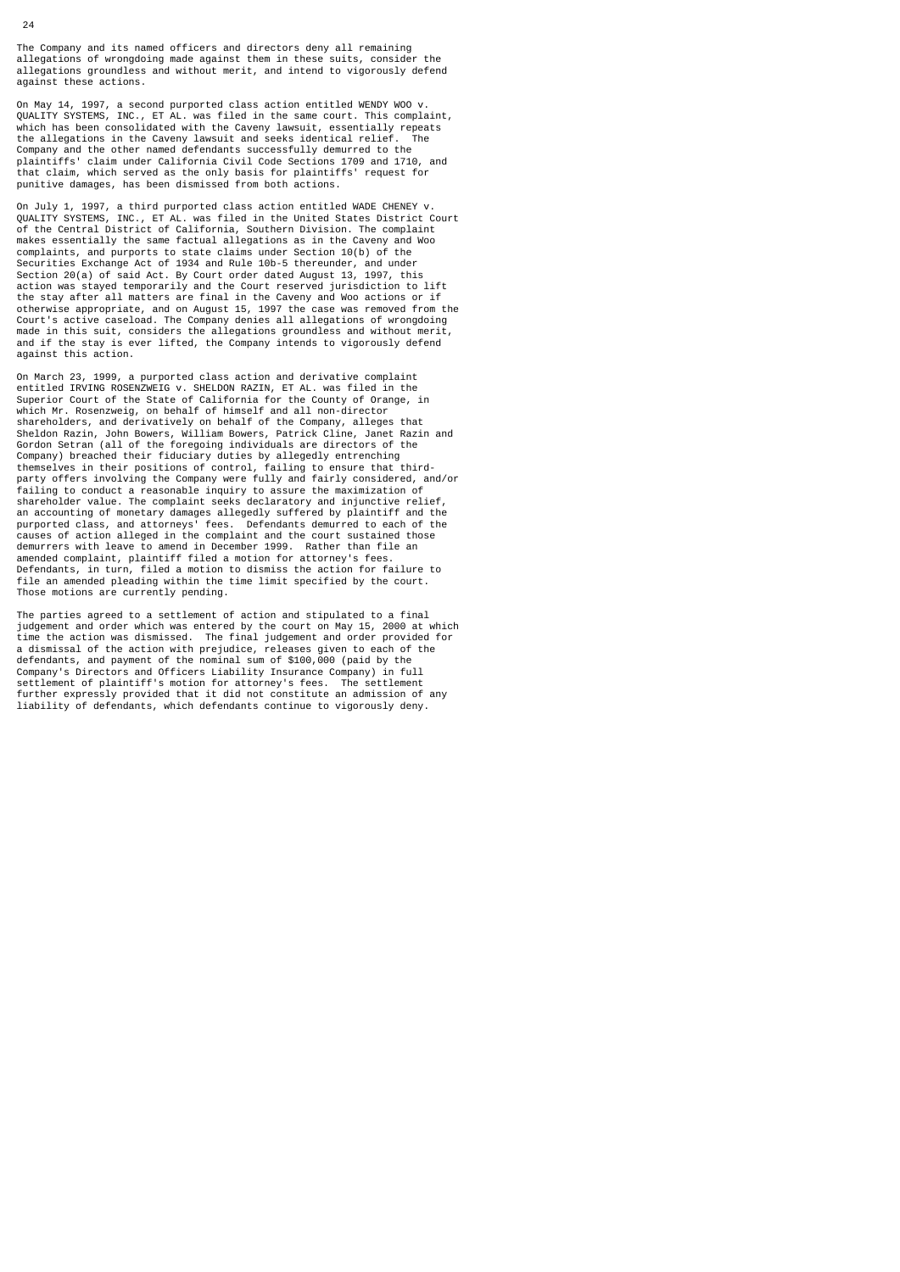The Company and its named officers and directors deny all remaining allegations of wrongdoing made against them in these suits, consider the allegations groundless and without merit, and intend to vigorously defend against these actions.

On May 14, 1997, a second purported class action entitled WENDY WOO v. QUALITY SYSTEMS, INC., ET AL. was filed in the same court. This complaint, which has been consolidated with the Caveny lawsuit, essentially repeats<br>the allegations in the Caveny lawsuit and seeks identical relief. the allegations in the Caveny lawsuit and seeks identical relief. The Company and the other named defendants successfully demurred to the plaintiffs' claim under California Civil Code Sections 1709 and 1710, and that claim, which served as the only basis for plaintiffs' request for punitive damages, has been dismissed from both actions.

On July 1, 1997, a third purported class action entitled WADE CHENEY v.<br>QUALITY SYSTEMS, INC., ET AL. was filed in the United States District Court<br>of the Central District of California, Southern Division. The complaint<br>ma complaints, and purports to state claims under Section 10(b) of the Securities Exchange Act of 1934 and Rule 10b-5 thereunder, and under Section 20(a) of said Act. By Court order dated August 13, 1997, this action was stayed temporarily and the Court reserved jurisdiction to lift the stay after all matters are final in the Caveny and Woo actions or if otherwise appropriate, and on August 15, 1997 the case was removed from the Court's active caseload. The Company denies all allegations of wrongdoing made in this suit, considers the allegations groundless and without merit, and if the stay is ever lifted, the Company intends to vigorously defend against this action.

On March 23, 1999, a purported class action and derivative complaint entitled IRVING ROSENZWEIG v. SHELDON RAZIN, ET AL. was filed in the Superior Court of the State of California for the County of Orange, in which Mr. Rosenzweig, on behalf of himself and all non-director shareholders, and derivatively on behalf of the Company, alleges that Sheldon Razin, John Bowers, William Bowers, Patrick Cline, Janet Razin and Gordon Setran (all of the foregoing individuals are directors of the Company) breached their fiduciary duties by allegedly entrenching themselves in their positions of control, failing to ensure that third-party offers involving the Company were fully and fairly considered, and/or failing to conduct a reasonable inquiry to assure the maximization of shareholder value. The complaint seeks declaratory and injunctive relief, an accounting of monetary damages allegedly suffered by plaintiff and the<br>purported class, and attorneys' fees. Defendants demurred to each of the<br>causes of action alleged in the complaint and the court sustained those<br>de amended complaint, plaintiff filed a motion for attorney's fees. Defendants, in turn, filed a motion to dismiss the action for failure to file an amended pleading within the time limit specified by the court. Those motions are currently pending.

The parties agreed to a settlement of action and stipulated to a final judgement and order which was entered by the court on May 15, 2000 at which time the action was dismissed. The final judgement and order provided for a dismissal of the action with prejudice, releases given to each of the defendants, and payment of the nominal sum of \$100,000 (paid by the Company's Directors and Officers Liability Insurance Company) in full settlement of plaintiff's motion for attorney's fees. The settlement further expressly provided that it did not constitute an admission of any liability of defendants, which defendants continue to vigorously deny.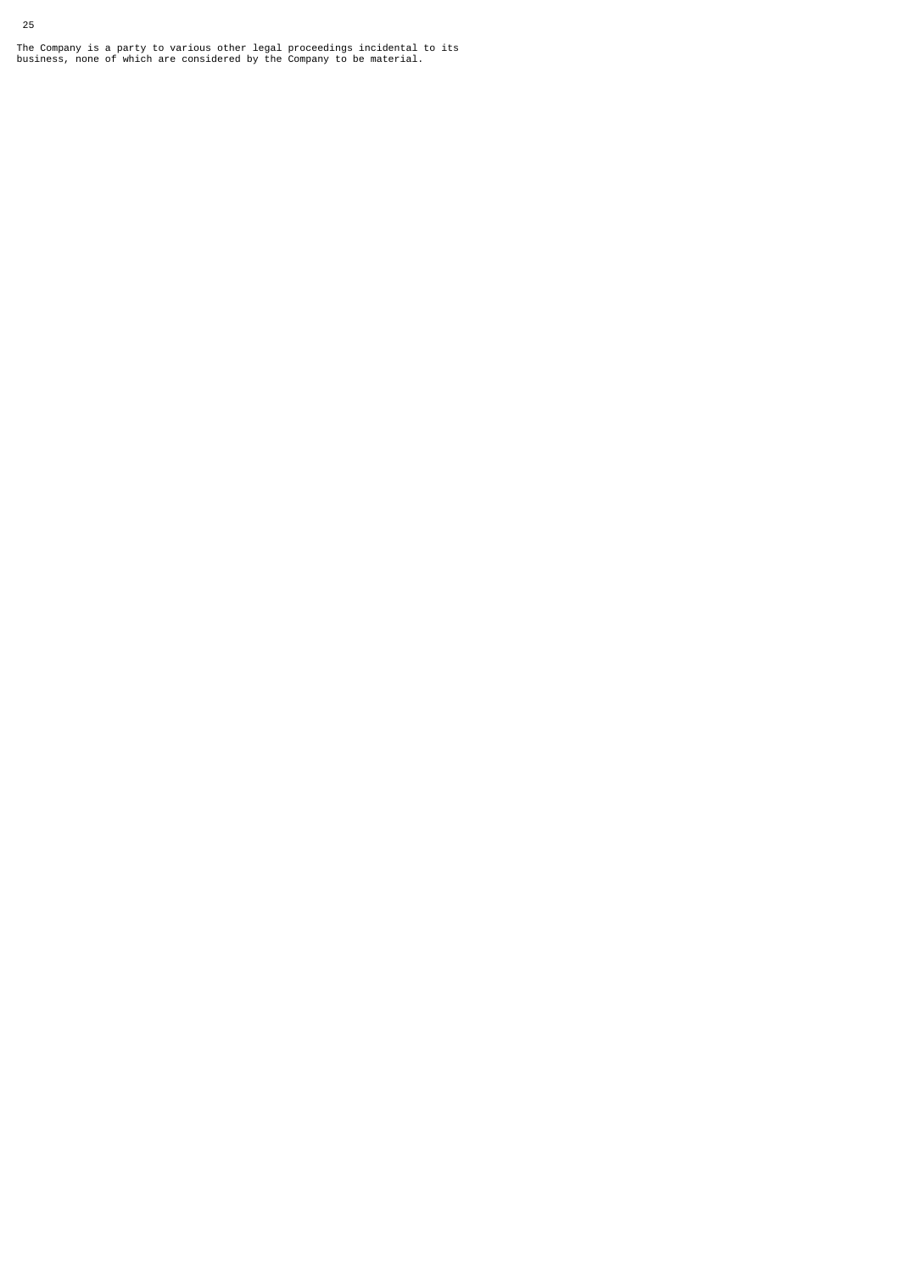The Company is a party to various other legal proceedings incidental to its business, none of which are considered by the Company to be material.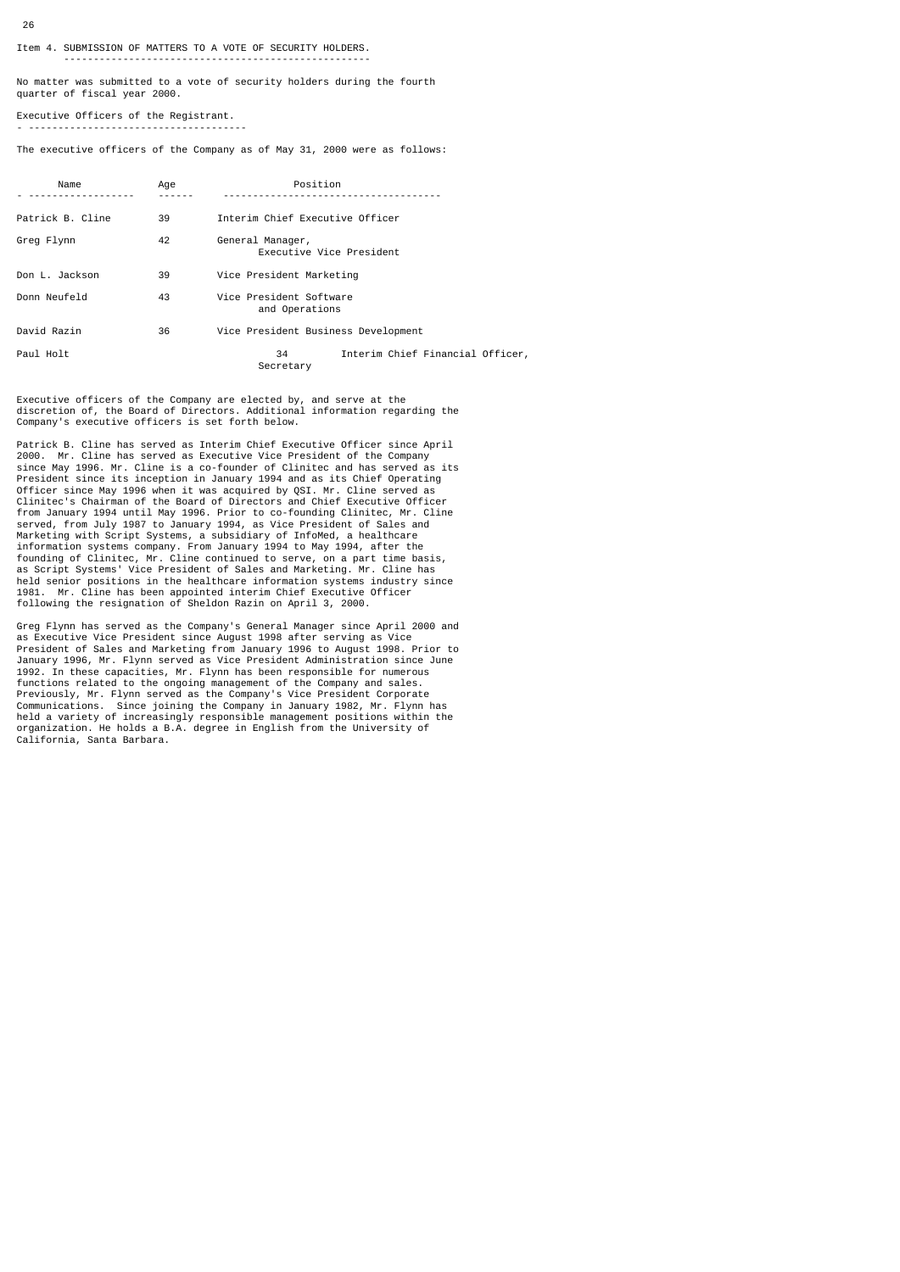## Item 4. SUBMISSION OF MATTERS TO A VOTE OF SECURITY HOLDERS.

----------------------------------------------------

No matter was submitted to a vote of security holders during the fourth quarter of fiscal year 2000.

Executive Officers of the Registrant. - -------------------------------------

The executive officers of the Company as of May 31, 2000 were as follows:

| Name             | Age | Position                                            |  |  |  |  |
|------------------|-----|-----------------------------------------------------|--|--|--|--|
| Patrick B. Cline | 39  | Interim Chief Executive Officer                     |  |  |  |  |
| Greg Flynn       | 42  | General Manager,<br>Executive Vice President        |  |  |  |  |
| Don L. Jackson   | 39  | Vice President Marketing                            |  |  |  |  |
| Donn Neufeld     | 43  | Vice President Software<br>and Operations           |  |  |  |  |
| David Razin      | 36  | Vice President Business Development                 |  |  |  |  |
| Paul Holt        |     | Interim Chief Financial Officer,<br>34<br>Secretary |  |  |  |  |

Executive officers of the Company are elected by, and serve at the discretion of, the Board of Directors. Additional information regarding the Company's executive officers is set forth below.

Patrick B. Cline has served as Interim Chief Executive Officer since April 2000. Mr. Cline has served as Executive Vice President of the Company since May 1996. Mr. Cline is a co-founder of Clinitec and has served as its President since its inception in January 1994 and as its Chief Operating Officer since May 1996 when it was acquired by QSI. Mr. Cline served as<br>Clinitec's Chairman of the Board of Directors and Chief Executive Officer<br>from January 1994 until May 1996. Prior to co-founding Clinitec, Mr. Cline<br>s founding of Clinitec, Mr. Cline continued to serve, on a part time basis, as Script Systems' Vice President of Sales and Marketing. Mr. Cline has held senior positions in the healthcare information systems industry since 1981. Mr. Cline has been appointed interim Chief Executive Officer following the resignation of Sheldon Razin on April 3, 2000.

Greg Flynn has served as the Company's General Manager since April 2000 and as Executive Vice President since August 1998 after serving as Vice President of Sales and Marketing from January 1996 to August 1998. Prior to January 1996, Mr. Flynn served as Vice President Administration since June<br>1992. In these capacities, Mr. Flynn has been responsible for numerous<br>functions related to the ongoing management of the Company and sales.<br>Previo organization. He holds a B.A. degree in English from the University of California, Santa Barbara.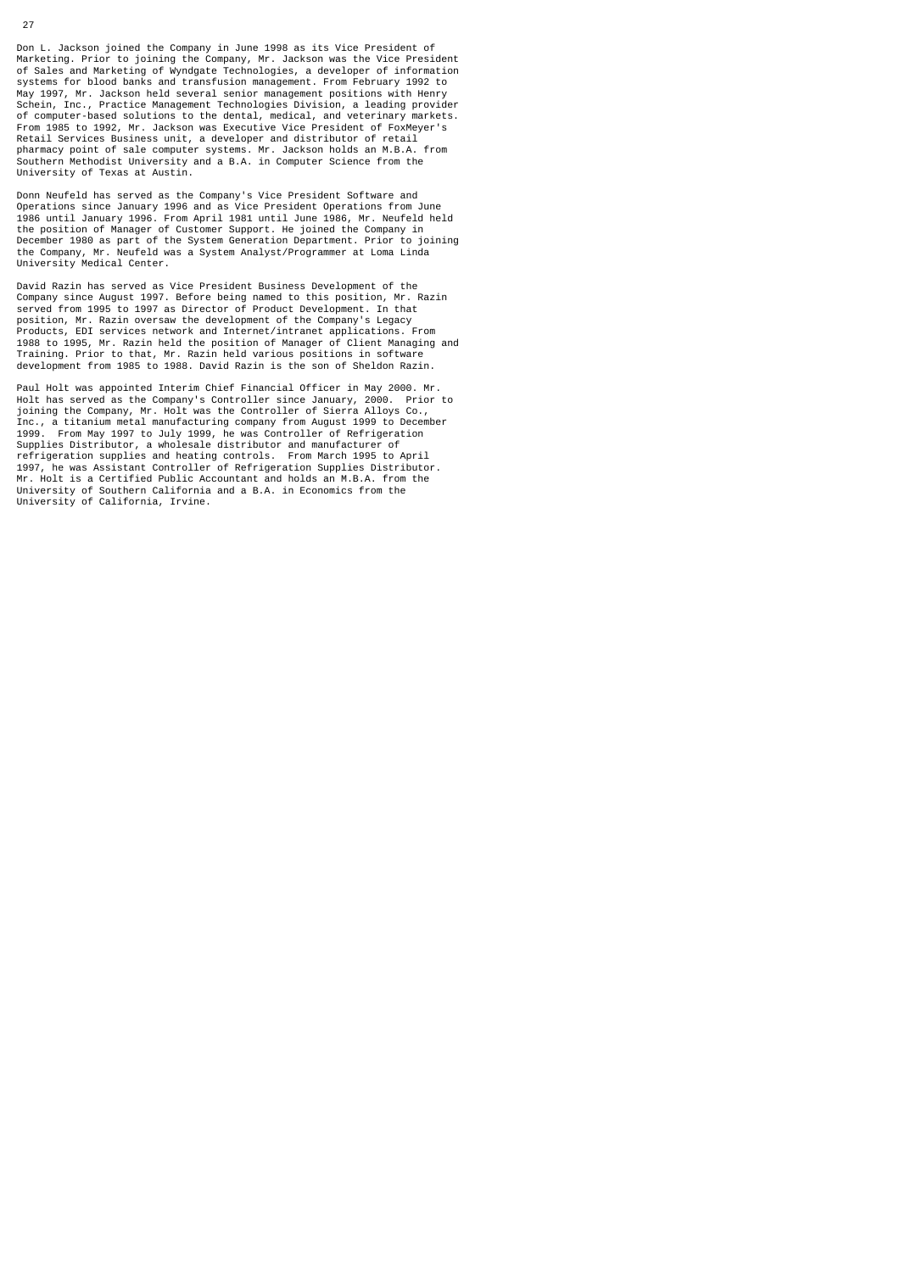Don L. Jackson joined the Company in June 1998 as its Vice President of Marketing. Prior to joining the Company, Mr. Jackson was the Vice President of Sales and Marketing of Wyndgate Technologies, a developer of information systems for blood banks and transfusion management. From February 1992 to May 1997, Mr. Jackson held several senior management positions with Henry Schein, Inc., Practice Management Technologies Division, a leading provider of computer-based solutions to the dental, medical, and veterinary markets. From 1985 to 1992, Mr. Jackson was Executive Vice President of FoxMeyer's Retail Services Business unit, a developer and distributor of retail pharmacy point of sale computer systems. Mr. Jackson holds an M.B.A. from Southern Methodist University and a B.A. in Computer Science from the University of Texas at Austin.

Donn Neufeld has served as the Company's Vice President Software and Operations since January 1996 and as Vice President Operations from June 1986 until January 1996. From April 1981 until June 1986, Mr. Neufeld held the position of Manager of Customer Support. He joined the Company in December 1980 as part of the System Generation Department. Prior to joining the Company, Mr. Neufeld was a System Analyst/Programmer at Loma Linda University Medical Center.

David Razin has served as Vice President Business Development of the Company since August 1997. Before being named to this position, Mr. Razin served from 1995 to 1997 as Director of Product Development. In that position, Mr. Razin oversaw the development of the Company's Legacy Products, EDI services network and Internet/intranet applications. From 1988 to 1995, Mr. Razin held the position of Manager of Client Managing and Training. Prior to that, Mr. Razin held various positions in software development from 1985 to 1988. David Razin is the son of Sheldon Razin.

Paul Holt was appointed Interim Chief Financial Officer in May 2000. Mr. Holt has served as the Company's Controller since January, 2000. Prior to joining the Company, Mr. Holt was the Controller of Sierra Alloys Co., Inc., a titanium metal manufacturing company from August 1999 to December 1999. From May 1997 to July 1999, he was Controller of Refrigeration<br>Supplies Distributor, a wholesale distributor and manufacturer of<br>refrigeration supplies and heating controls. From March 1995 to April<br>1997, he was Assi University of Southern California and a B.A. in Economics from the University of California, Irvine.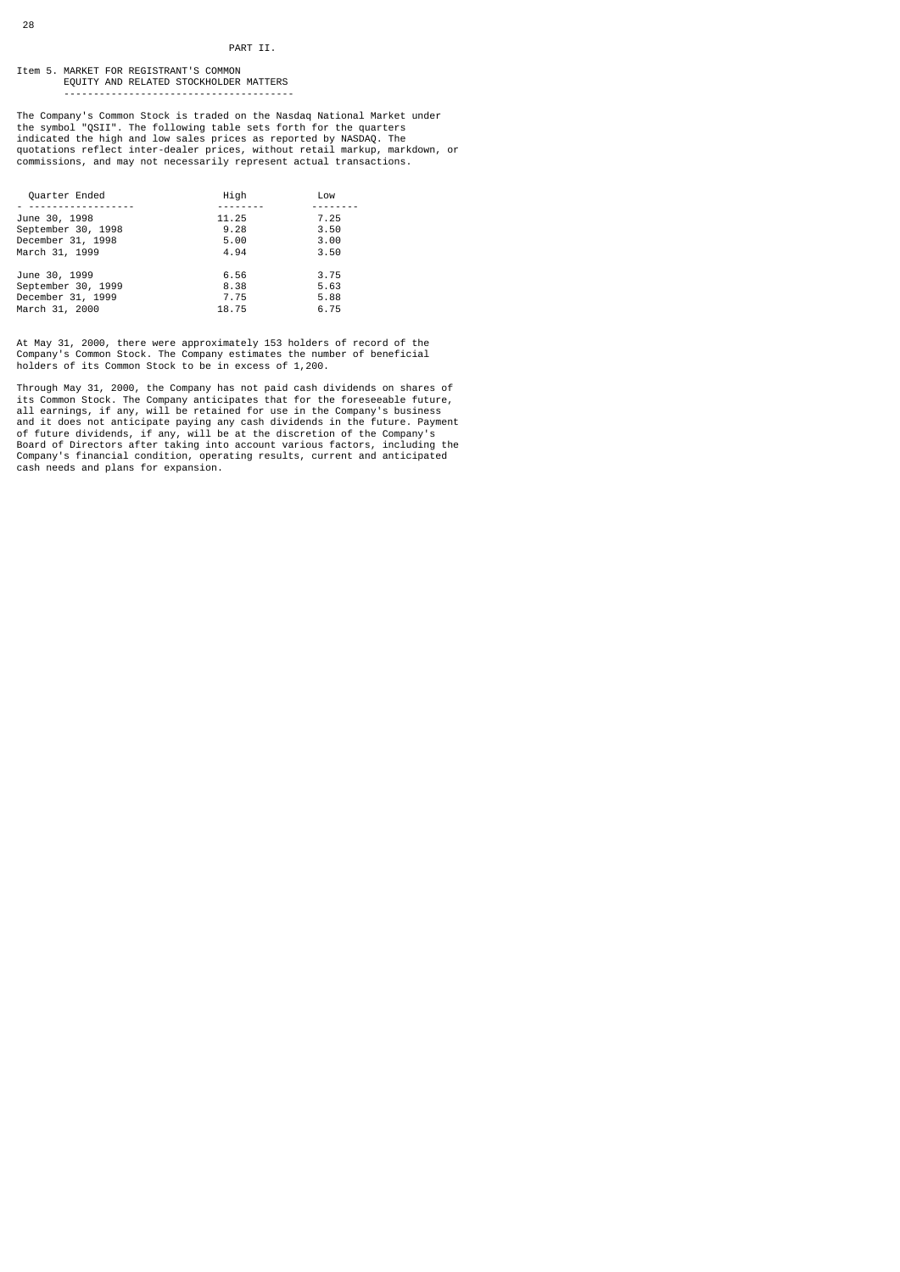#### Item 5. MARKET FOR REGISTRANT'S COMMON EQUITY AND RELATED STOCKHOLDER MATTERS ---------------------------------------

The Company's Common Stock is traded on the Nasdaq National Market under<br>the symbol "QSII". The following table sets forth for the quarters<br>indicated the high and low sales prices as reported by NASDAQ. The<br>quotations refl commissions, and may not necessarily represent actual transactions.

| Quarter Ended      | High  | Low  |
|--------------------|-------|------|
|                    |       |      |
| June 30, 1998      | 11.25 | 7.25 |
| September 30, 1998 | 9.28  | 3.50 |
| December 31, 1998  | 5.00  | 3.00 |
| March 31, 1999     | 4.94  | 3.50 |
| June 30, 1999      | 6.56  | 3.75 |
| September 30, 1999 | 8.38  | 5.63 |
| December 31, 1999  | 7.75  | 5.88 |
| March 31, 2000     | 18.75 | 6.75 |

At May 31, 2000, there were approximately 153 holders of record of the Company's Common Stock. The Company estimates the number of beneficial holders of its Common Stock to be in excess of 1,200.

Through May 31, 2000, the Company has not paid cash dividends on shares of<br>its Common Stock. The Company anticipates that for the foreseeable future,<br>all earnings, if any, will be retained for use in the Company's business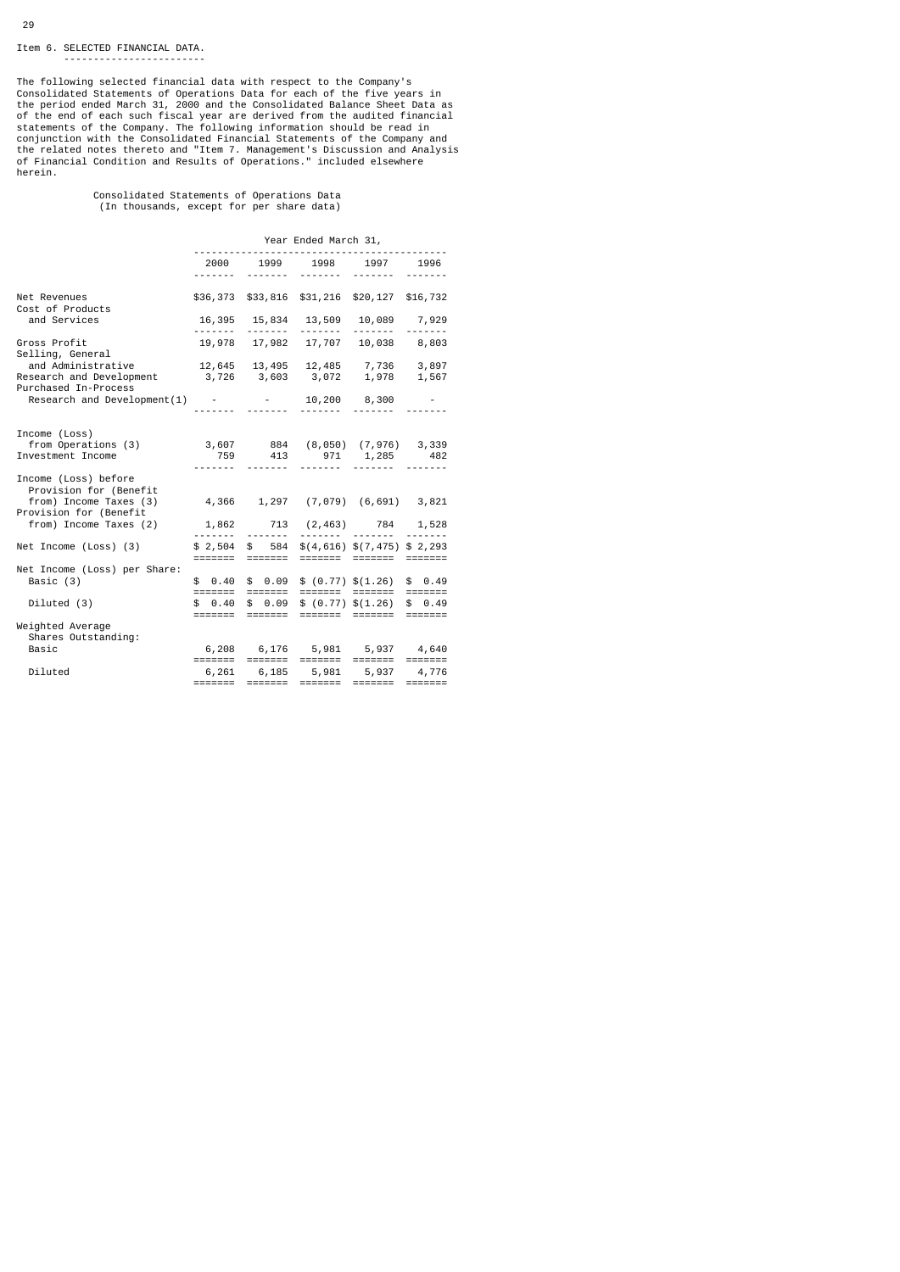# Item 6. SELECTED FINANCIAL DATA.

------------------------

The following selected financial data with respect to the Company's<br>Consolidated Statements of Operations Data for each of the five years in<br>the period ended March 31, 2000 and the Consolidated Balance Sheet Data as<br>of the herein.

Consolidated Statements of Operations Data (In thousands, except for per share data)

|                                                                                                                         | Year Ended March 31, |                   |                                                                   |                                                                                                                                                                                                                                                                                                                          |                |
|-------------------------------------------------------------------------------------------------------------------------|----------------------|-------------------|-------------------------------------------------------------------|--------------------------------------------------------------------------------------------------------------------------------------------------------------------------------------------------------------------------------------------------------------------------------------------------------------------------|----------------|
|                                                                                                                         | . <sub>.</sub>       |                   | 2000 1999 1998 1997 1996<br><u>.</u>                              | <u>.</u>                                                                                                                                                                                                                                                                                                                 |                |
|                                                                                                                         |                      |                   |                                                                   |                                                                                                                                                                                                                                                                                                                          |                |
| Net Revenues<br>Cost of Products                                                                                        |                      |                   | \$36,373 \$33,816 \$31,216 \$20,127 \$16,732                      |                                                                                                                                                                                                                                                                                                                          |                |
| and Services                                                                                                            | . <sub>.</sub>       | <u>.</u>          | 16,395 15,834 13,509 10,089 7,929<br><b><i><u>AAAAAAA</u></i></b> | <u>.</u>                                                                                                                                                                                                                                                                                                                 |                |
| Gross Profit<br>Selling, General                                                                                        |                      |                   | 19,978  17,982  17,707  10,038  8,803                             |                                                                                                                                                                                                                                                                                                                          |                |
| and Administrative $12,645$ $13,495$ $12,485$ $7,736$ $3,897$<br>Research and Development 3,726 3,603 3,072 1,978 1,567 |                      |                   |                                                                   |                                                                                                                                                                                                                                                                                                                          |                |
| Purchased In-Process                                                                                                    |                      |                   |                                                                   |                                                                                                                                                                                                                                                                                                                          |                |
| Research and Development $(1)$ - - 10,200 8,300 -                                                                       |                      |                   |                                                                   | <u>.</u>                                                                                                                                                                                                                                                                                                                 |                |
| Income (Loss)                                                                                                           |                      |                   |                                                                   |                                                                                                                                                                                                                                                                                                                          |                |
| from Operations (3)                                                                                                     |                      |                   | 3,607 884 (8,050) (7,976) 3,339                                   |                                                                                                                                                                                                                                                                                                                          |                |
| Investment Income                                                                                                       | .                    | <u>.</u> .        | 759 413 971 1,285 482<br><u>.</u>                                 | <u>.</u>                                                                                                                                                                                                                                                                                                                 | -------        |
| Income (Loss) before<br>Provision for (Benefit                                                                          |                      |                   |                                                                   |                                                                                                                                                                                                                                                                                                                          |                |
| from) Income Taxes (3)<br>Provision for (Benefit                                                                        |                      |                   | 4,366 1,297 (7,079) (6,691) 3,821                                 |                                                                                                                                                                                                                                                                                                                          |                |
| from) Income Taxes (2)                                                                                                  | <u>.</u>             |                   | 1,862 713 (2,463) 784 1,528                                       | .                                                                                                                                                                                                                                                                                                                        | -------        |
| Net Income (Loss) (3)                                                                                                   | \$2,504              |                   | $$584$ $$(4,616)$ $$(7,475)$ \$ 2,293                             |                                                                                                                                                                                                                                                                                                                          |                |
| Net Income (Loss) per Share:                                                                                            |                      |                   |                                                                   |                                                                                                                                                                                                                                                                                                                          |                |
| Basic (3)                                                                                                               | \$0.40<br>=======    | \$0.09<br>======= |                                                                   | \$ (0.77) \$(1.26) \$ \$ 0.49<br>======= ======= =======                                                                                                                                                                                                                                                                 |                |
| Diluted (3)                                                                                                             | \$0.40               |                   | $$0.09$$ \$ (0.77) \$ (1.26) \$ 0.49                              |                                                                                                                                                                                                                                                                                                                          |                |
| Weighted Average<br>Shares Outstanding:                                                                                 |                      |                   |                                                                   | ======= ======= =======                                                                                                                                                                                                                                                                                                  |                |
| Basic                                                                                                                   |                      |                   | 6,208 6,176 5,981 5,937 4,640                                     | $\begin{tabular}{ll} \bf 2222222 & \bf 2222222 \\ \bf 322222 & \bf 222222 \\ \bf 32222 & \bf 22222 \\ \bf 32222 & \bf 22222 \\ \bf 32222 & \bf 22222 \\ \bf 32222 & \bf 22222 \\ \bf 32222 & \bf 22222 \\ \bf 32222 & \bf 22222 \\ \bf 32222 & \bf 22222 \\ \bf 32222 & \bf 22222 \\ \bf 32222 & \bf 22222 \\ \bf 32222$ |                |
| Diluted                                                                                                                 | =======              |                   | 6,261 6,185 5,981 5,937 4,776                                     | =======                                                                                                                                                                                                                                                                                                                  | <b>EDECEDE</b> |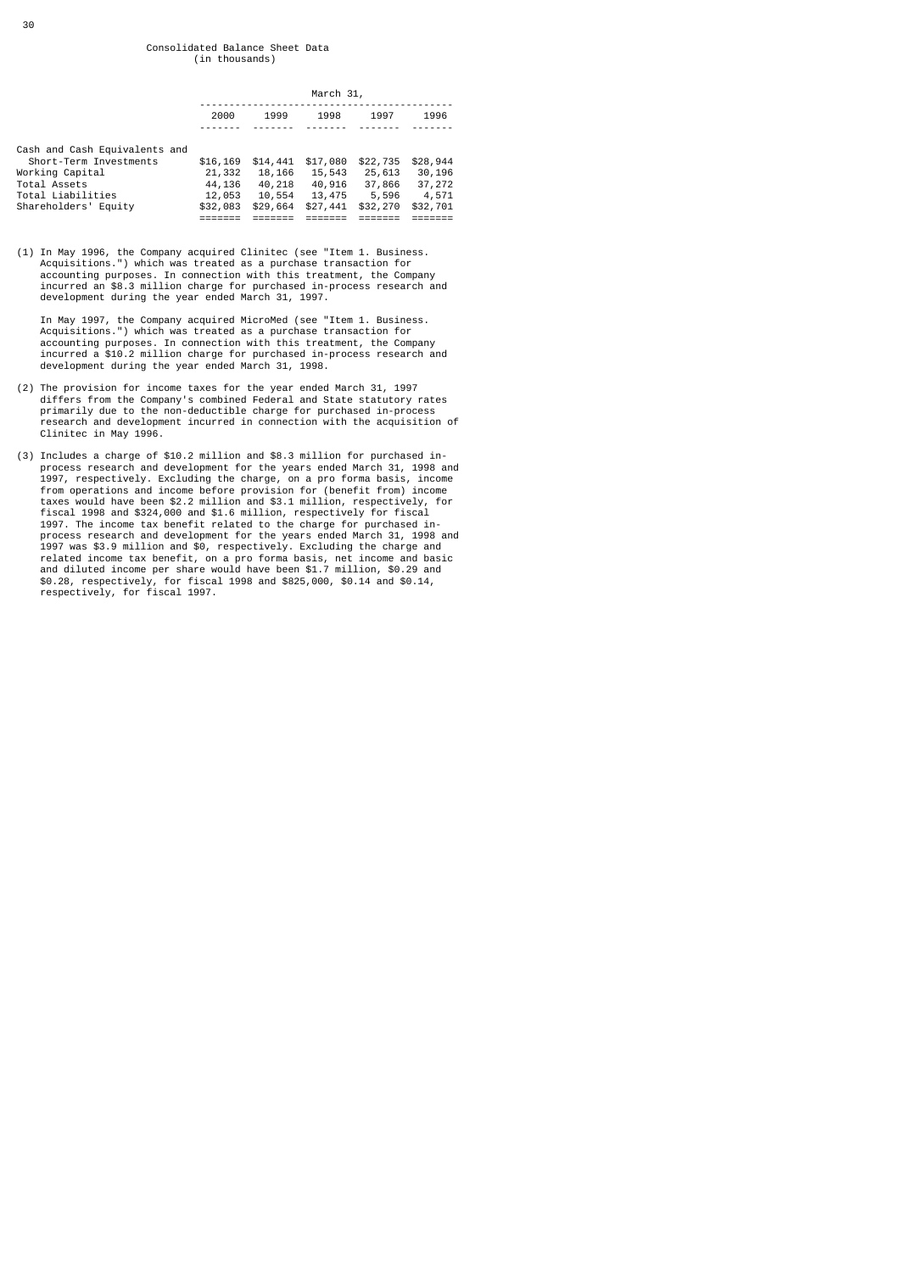|                                                                                                                                         | March 31,                                          |                                                    |                                                    |                                                   |                                                   |
|-----------------------------------------------------------------------------------------------------------------------------------------|----------------------------------------------------|----------------------------------------------------|----------------------------------------------------|---------------------------------------------------|---------------------------------------------------|
|                                                                                                                                         | 2000                                               | 1999                                               | 1998                                               | 1997                                              | 1996                                              |
| Cash and Cash Equivalents and<br>Short-Term Investments<br>Working Capital<br>Total Assets<br>Total Liabilities<br>Shareholders' Equity | \$16,169<br>21,332<br>44,136<br>12,053<br>\$32,083 | \$14,441<br>18,166<br>40,218<br>10,554<br>\$29,664 | \$17,080<br>15,543<br>40,916<br>13,475<br>\$27,441 | \$22,735<br>25,613<br>37,866<br>5,596<br>\$32,270 | \$28,944<br>30,196<br>37,272<br>4,571<br>\$32,701 |

(1) In May 1996, the Company acquired Clinitec (see "Item 1. Business. Acquisitions.") which was treated as a purchase transaction for accounting purposes. In connection with this treatment, the Company incurred an \$8.3 million charge for purchased in-process research and development during the year ended March 31, 1997.

 In May 1997, the Company acquired MicroMed (see "Item 1. Business. Acquisitions.") which was treated as a purchase transaction for accounting purposes. In connection with this treatment, the Company incurred a \$10.2 million charge for purchased in-process research and development during the year ended March 31, 1998.

- (2) The provision for income taxes for the year ended March 31, 1997 differs from the Company's combined Federal and State statutory rates primarily due to the non-deductible charge for purchased in-process research and development incurred in connection with the acquisition of Clinitec in May 1996.
- (3) Includes a charge of \$10.2 million and \$8.3 million for purchased in- process research and development for the years ended March 31, 1998 and 1997, respectively. Excluding the charge, on a pro forma basis, income from operations and income before provision for (benefit from) income taxes would have been \$2.2 million and \$3.1 million, respectively, for fiscal 1998 and \$324,000 and \$1.6 million, respectively for fiscal 1997. The income tax benefit related to the charge for purchased in-<br>process research and development for the years ended March 31, 1998 and<br>1997 was \$3.9 million and \$0, respectively. Excluding the charge and<br>related inc respectively, for fiscal 1997.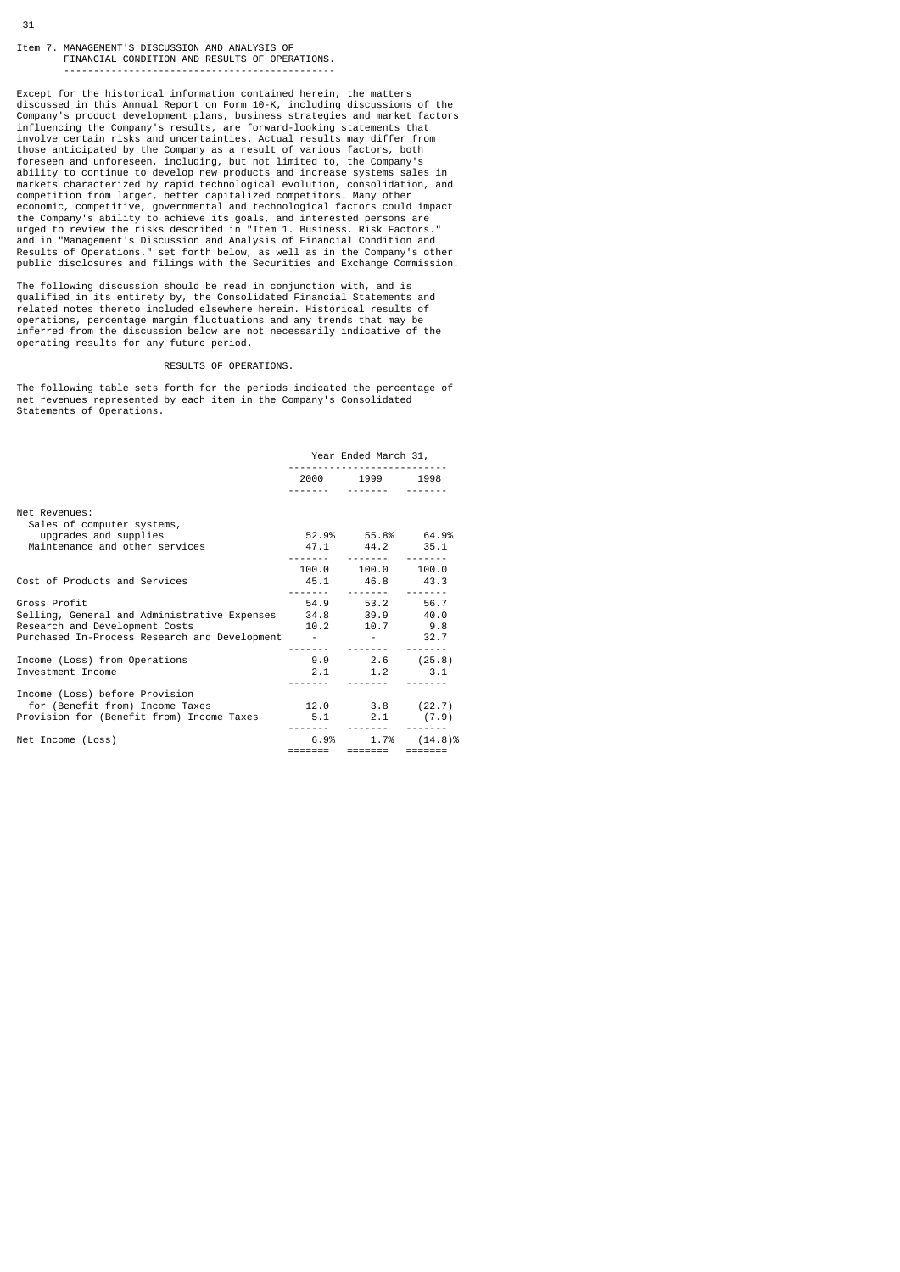## Item 7. MANAGEMENT'S DISCUSSION AND ANALYSIS OF FINANCIAL CONDITION AND RESULTS OF OPERATIONS. ----------------------------------------------

Except for the historical information contained herein, the matters discussed in this Annual Report on Form 10-K, including discussions of the Company's product development plans, business strategies and market factors influencing the Company's results, are forward-looking statements that involve certain risks and uncertainties. Actual results may differ from those anticipated by the Company as a result of various factors, both foreseen and unforeseen, including, but not limited to, the Company's<br>ability to continue to develop new products and increase systems sales in<br>markets characterized by rapid technological evolution, consolidation, and<br>com

The following discussion should be read in conjunction with, and is qualified in its entirety by, the Consolidated Financial Statements and related notes thereto included elsewhere herein. Historical results of operations, percentage margin fluctuations and any trends that may be inferred from the discussion below are not necessarily indicative of the operating results for any future period.

## RESULTS OF OPERATIONS.

The following table sets forth for the periods indicated the percentage of net revenues represented by each item in the Company's Consolidated Statements of Operations.

|                                                                                                                                            | Year Ended March 31, |                                           |                         |  |
|--------------------------------------------------------------------------------------------------------------------------------------------|----------------------|-------------------------------------------|-------------------------|--|
|                                                                                                                                            |                      | 2000 1999 1998                            |                         |  |
| Net Revenues:<br>Sales of computer systems,<br>upgrades and supplies<br>Maintenance and other services                                     |                      | 52.9% 55.8% 64.9%<br>47.1 44.2 35.1       |                         |  |
| Cost of Products and Services                                                                                                              |                      | 100.0 100.0 100.0<br>45.1 46.8 43.3       |                         |  |
| Gross Profit<br>Selling, General and Administrative Expenses 34.8 39.9 40.0<br>Research and Development Costs                              |                      | 54.9 53.2 56.7<br>$10.2$ $10.7$ $9.8$     |                         |  |
| Purchased In-Process Research and Development - The Research and Development - 132.7<br>Income (Loss) from Operations<br>Investment Income |                      | <br>$9.9$ 2.6 (25.8)<br>$2.1$ $1.2$ $3.1$ |                         |  |
| Income (Loss) before Provision<br>for (Benefit from) Income Taxes<br>Provision for (Benefit from) Income Taxes 5.1 2.1 (7.9)               |                      | $12.0$ $3.8$ $(22.7)$<br>                 |                         |  |
| Net Income (Loss)                                                                                                                          |                      | ======= ======= =======                   | $6.9\%$ 1.7% $(14.8)\%$ |  |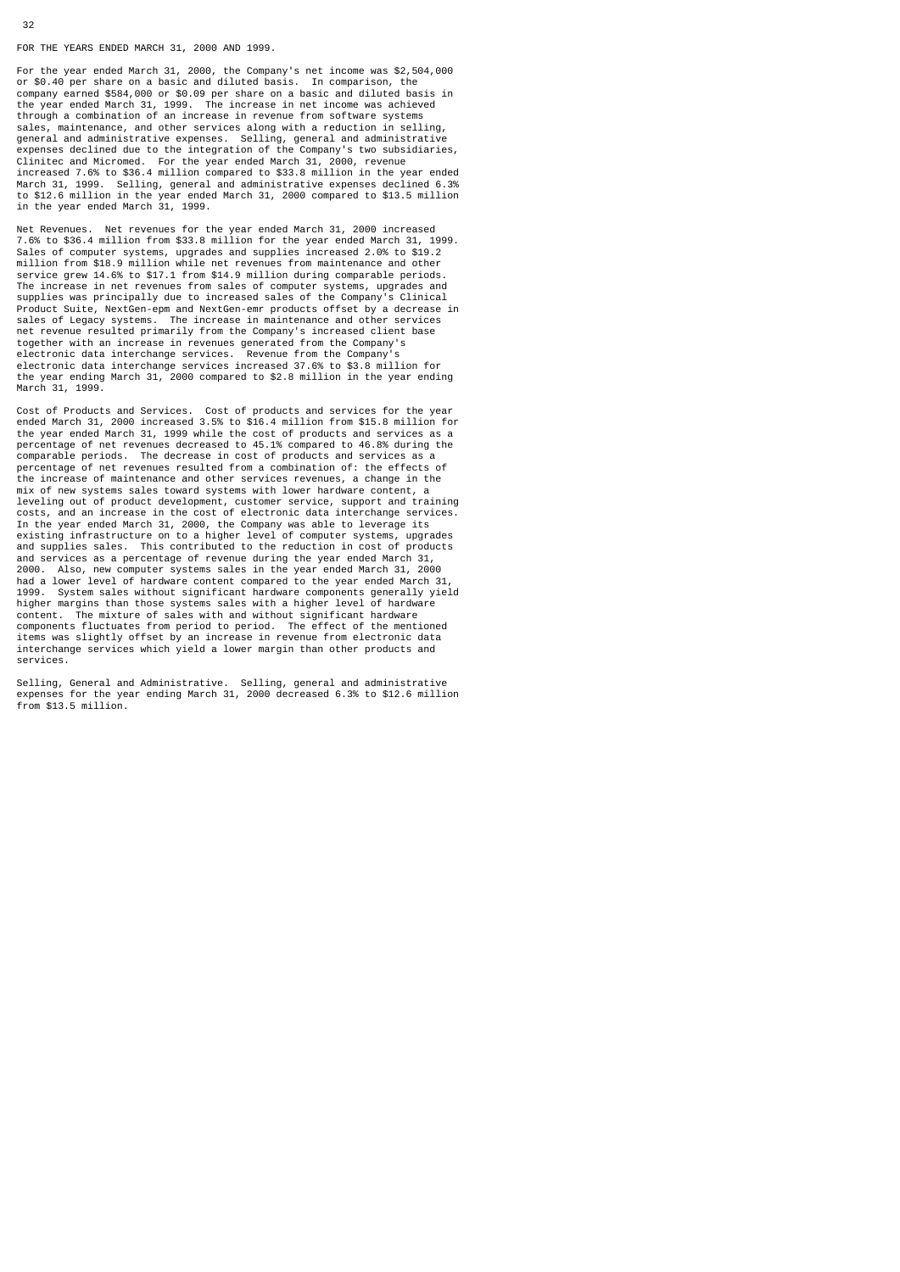FOR THE YEARS ENDED MARCH 31, 2000 AND 1999.

For the year ended March 31, 2000, the Company's net income was \$2,504,000 or \$0.40 per share on a basic and diluted basis. In comparison, the company earned \$584,000 or \$0.09 per share on a basic and diluted basis in the year ended March 31, 1999. The increase in net income was achieved through a combination of an increase in revenue from software systems maintenance, and other services along with a reduction in selling, general and administrative expenses. Selling, general and administrative expenses declined due to the integration of the Company's two subsidiaries, Clinitec and Micromed. For the year ended March 31, 2000, revenue increased 7.6% to \$36.4 million compared to \$33.8 million in the year ended March 31, 1999. Selling, general and administrative expenses declined 6.3% to \$12.6 million in the year ended March 31, 2000 compared to \$13.5 million in the year ended March 31, 1999.

Net Revenues. Net revenues for the year ended March 31, 2000 increased 7.6% to \$36.4 million from \$33.8 million for the year ended March 31, 1999. Sales of computer systems, upgrades and supplies increased 2.0% to \$19.2 million from \$18.9 million while net revenues from maintenance and other service grew 14.6% to \$17.1 from \$14.9 million during comparable periods. The increase in net revenues from sales of computer systems, upgrades and supplies was principally due to increased sales of the Company's Clinical Product Suite, NextGen-epm and NextGen-emr products offset by a decrease in sales of Legacy systems. The increase in maintenance and other services net revenue resulted primarily from the Company's increased client base<br>together with an increase in revenues generated from the Company's<br>electronic data interchange services. Revenue from the Company's<br>electronic data in March 31, 1999.

Cost of Products and Services. Cost of products and services for the year ended March 31, 2000 increased 3.5% to \$16.4 million from \$15.8 million for the year ended March 31, 1999 while the cost of products and services as a percentage of net revenues decreased to 45.1% compared to 46.8% during the comparable periods. The decrease in cost of products and services as a percentage of net revenues resulted from a combination of: the effects of the increase of maintenance and other services revenues, a change in the mix of new systems sales toward systems with lower hardware content, a leveling out of product development, customer service, support and training costs, and an increase in the cost of electronic data interchange services. In the year ended March 31, 2000, the Company was able to leverage its existing infrastructure on to a higher level of computer systems, upgrades and supplies sales. This contributed to the reduction in cost of products and services as a percentage of revenue during the year ended March 31, 2000. Also, new computer systems sales in the year ended March 31, 2000 had a lower level of hardware content compared to the year ended March 31, 1999. System sales without significant hardware components generally yield higher margins than those systems sales with a higher level of hardware content. The mixture of sales with and without significant hardware components fluctuates from period to period. The effect of the mentioned items was slightly offset by an increase in revenue from electronic data interchange services which yield a lower margin than other products and services.

Selling, General and Administrative. Selling, general and administrative expenses for the year ending March 31, 2000 decreased 6.3% to \$12.6 million from \$13.5 million.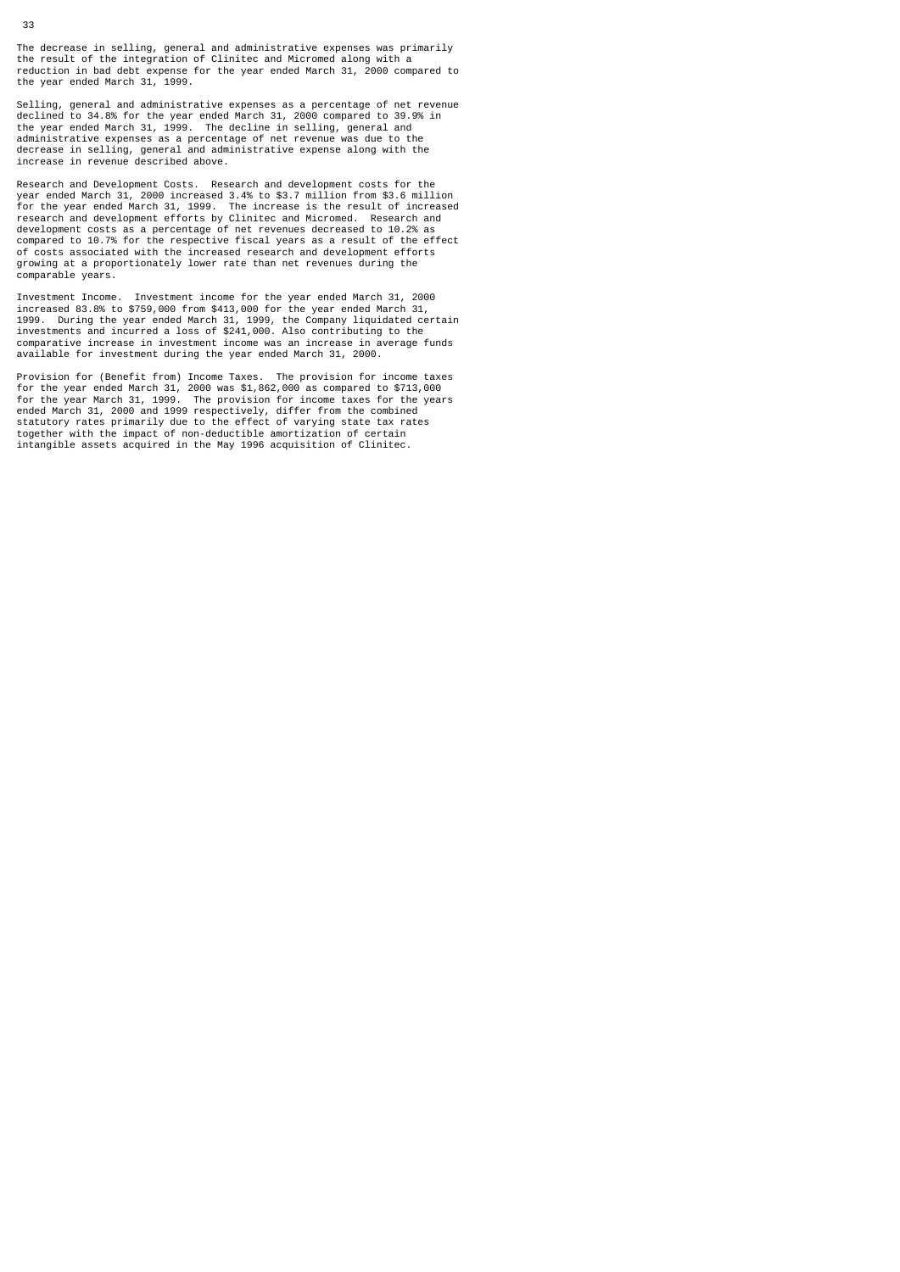The decrease in selling, general and administrative expenses was primarily the result of the integration of Clinitec and Micromed along with a reduction in bad debt expense for the year ended March 31, 2000 compared to the year ended March 31, 1999.

Selling, general and administrative expenses as a percentage of net revenue declined to 34.8% for the year ended March 31, 2000 compared to 39.9% in the year ended March 31, 1999. The decline in selling, general and administrative expenses as a percentage of net revenue was due to the decrease in selling, general and administrative expense along with the increase in revenue described above.

Research and Development Costs. Research and development costs for the<br>year ended March 31, 2000 increased 3.4% to \$3.7 million from \$3.6 million<br>for the year ended March 31, 1999. The increase is the result of increased<br>r of costs associated with the increased research and development efforts growing at a proportionately lower rate than net revenues during the comparable years.

Investment Income. Investment income for the year ended March 31, 2000 increased 83.8% to \$759,000 from \$413,000 for the year ended March 31, 1999. During the year ended March 31, 1999, the Company liquidated certain investments and incurred a loss of \$241,000. Also contributing to the comparative increase in investment income was an increase in average funds available for investment during the year ended March 31, 2000.

Provision for (Benefit from) Income Taxes. The provision for income taxes<br>for the year ended March 31, 2000 was \$1,862,000 as compared to \$713,000<br>for the year March 31, 1999. The provision for income taxes for the years<br>e intangible assets acquired in the May 1996 acquisition of Clinitec.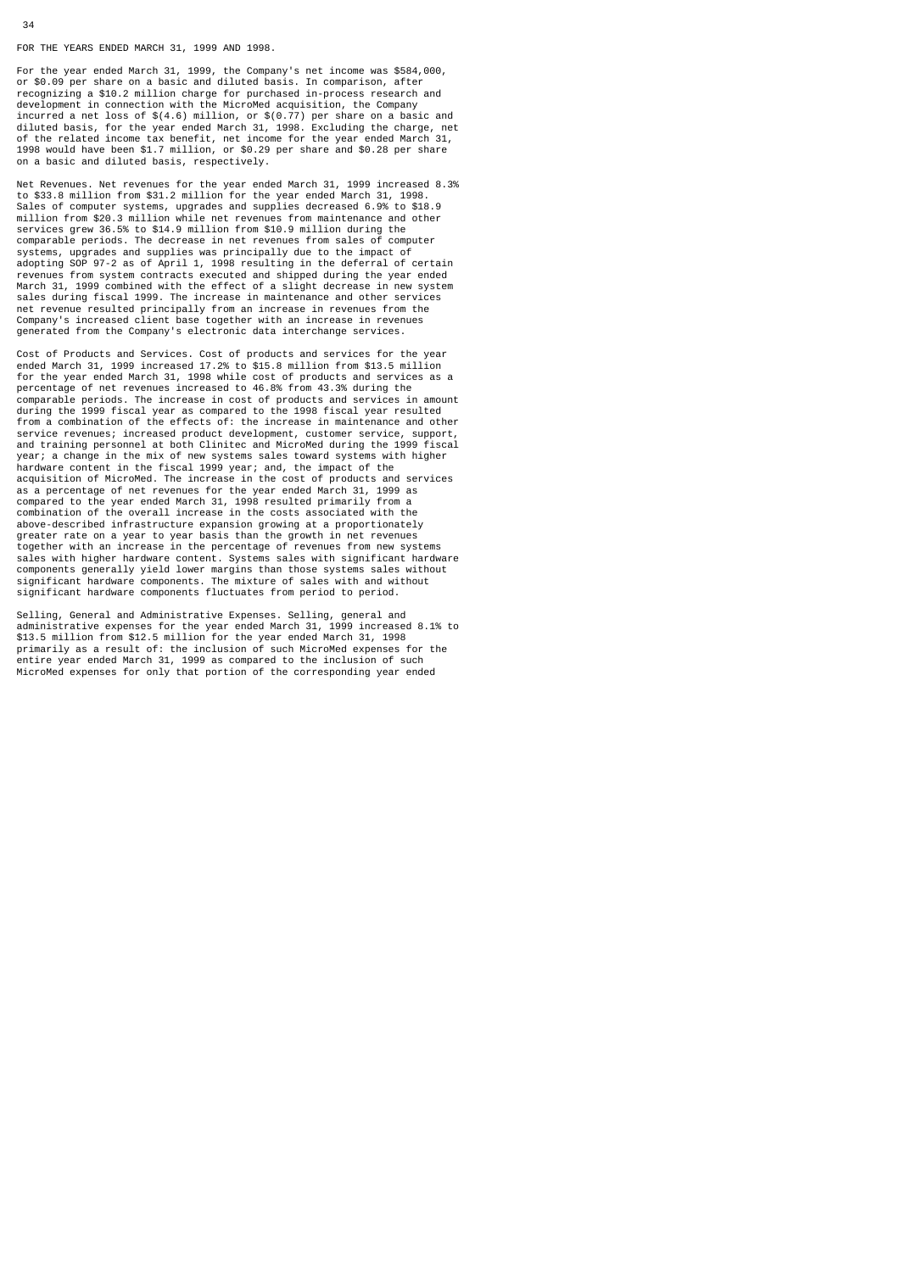FOR THE YEARS ENDED MARCH 31, 1999 AND 1998.

34

For the year ended March 31, 1999, the Company's net income was \$584,000, or \$0.09 per share on a basic and diluted basis. In comparison, after recognizing a \$10.2 million charge for purchased in-process research and development in connection with the MicroMed acquisition, the Company incurred a net loss of \$(4.6) million, or \$(0.77) per share on a basic and diluted basis, for the year ended March 31, 1998. Excluding the charge, net of the related income tax benefit, net income for the year ended March 31, 1998 would have been \$1.7 million, or \$0.29 per share and \$0.28 per share on a basic and diluted basis, respectively.

Net Revenues. Net revenues for the year ended March 31, 1999 increased 8.3% to \$33.8 million from \$31.2 million for the year ended March 31, 1998. Sales of computer systems, upgrades and supplies decreased 6.9% to \$18.9 million from \$20.3 million while net revenues from maintenance and other services grew 36.5% to \$14.9 million from \$10.9 million during the comparable periods. The decrease in net revenues from sales of computer systems, upgrades and supplies was principally due to the impact of adopting SOP 97-2 as of April 1, 1998 resulting in the deferral of certain revenues from system contracts executed and shipped during the year ended March 31, 1999 combined with the effect of a slight decrease in new system sales during fiscal 1999. The increase in maintenance and other services net revenue resulted principally from an increase in revenues from the Company's increased client base together with an increase in revenues generated from the Company's electronic data interchange services.

Cost of Products and Services. Cost of products and services for the year ended March 31, 1999 increased 17.2% to \$15.8 million from \$13.5 million for the year ended March 31, 1998 while cost of products and services as a percentage of net revenues increased to 46.8% from 43.3% during the comparable periods. The increase in cost of products and services in amount during the 1999 fiscal year as compared to the 1998 fiscal year resulted from a combination of the effects of: the increase in maintenance and other<br>service revenues; increased product development, customer service, support,<br>and training personnel at both Clinitec and MicroMed during the 1999 f year; a change in the mix of new systems sales toward systems with higher hardware content in the fiscal 1999 year; and, the impact of the acquisition of MicroMed. The increase in the cost of products and services as a percentage of net revenues for the year ended March 31, 1999 as compared to the year ended March 31, 1998 resulted primarily from a combination of the overall increase in the costs associated with the above-described infrastructure expansion growing at a proportionately greater rate on a year to year basis than the growth in net revenues together with an increase in the percentage of revenues from new systems sales with higher hardware content. Systems sales with significant hardware components generally yield lower margins than those systems sales without significant hardware components. The mixture of sales with and without significant hardware components fluctuates from period to period.

Selling, General and Administrative Expenses. Selling, general and administrative expenses for the year ended March 31, 1999 increased 8.1% to \$13.5 million from \$12.5 million for the year ended March 31, 1998 primarily as a result of: the inclusion of such MicroMed expenses for the entire year ended March 31, 1999 as compared to the inclusion of such MicroMed expenses for only that portion of the corresponding year ended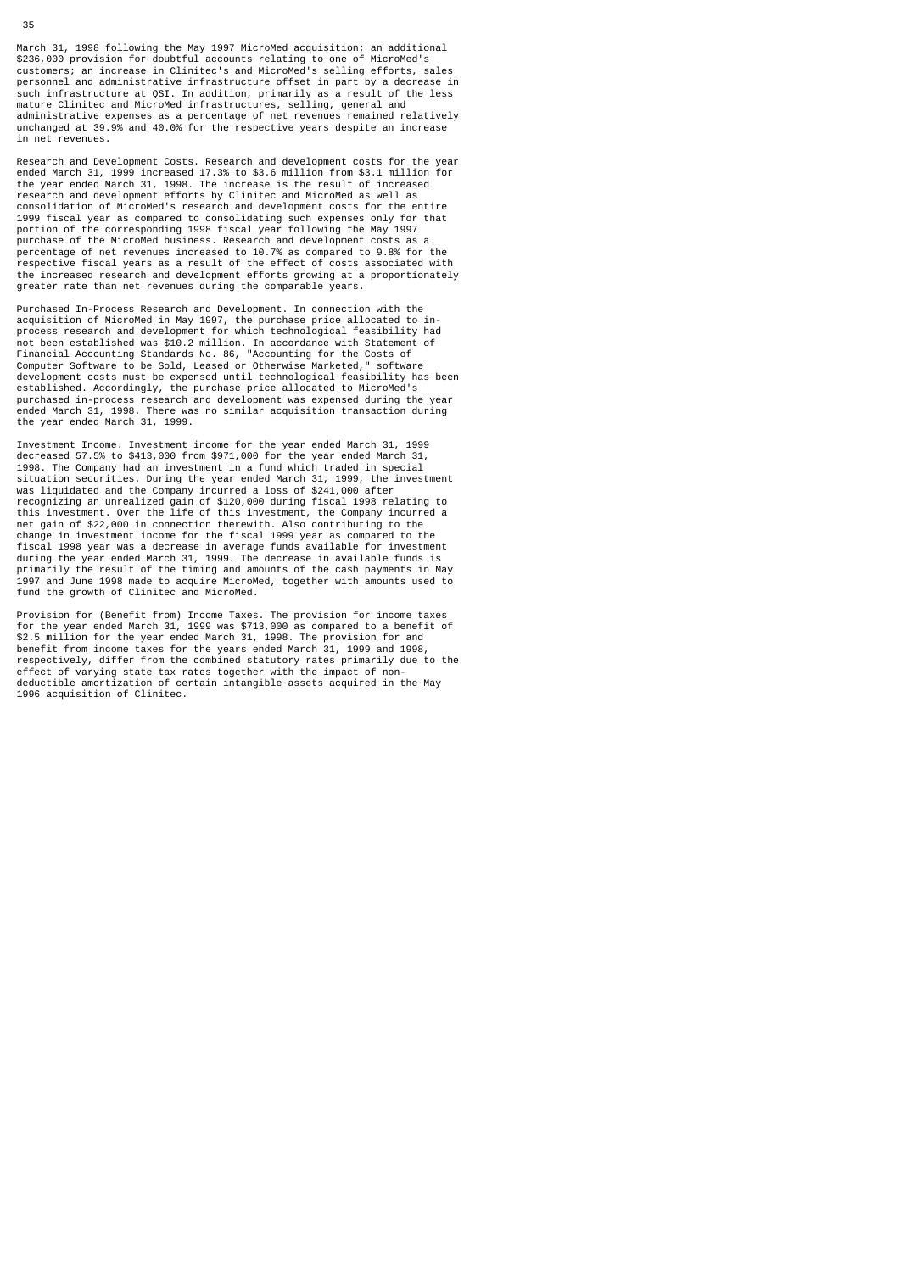March 31, 1998 following the May 1997 MicroMed acquisition; an additional<br>\$236,000 provision for doubtful accounts relating to one of MicroMed's<br>customers; an increase in Clinitec's and MicroMed's selling efforts, sales<br>pe such infrastructure at QSI. In addition, primarily as a result of the less mature Clinitec and MicroMed infrastructures, selling, general and administrative expenses as a percentage of net revenues remained relatively unchanged at 39.9% and 40.0% for the respective years despite an increase in net revenues.

Research and Development Costs. Research and development costs for the year ended March 31, 1999 increased 17.3% to \$3.6 million from \$3.1 million for the year ended March 31, 1998. The increase is the result of increased research and development efforts by Clinitec and MicroMed as well as consolidation of MicroMed's research and development costs for the entire 1999 fiscal year as compared to consolidating such expenses only for that portion of the corresponding 1998 fiscal year following the May 1997 purchase of the MicroMed business. Research and development costs as a percentage of net revenues increased to 10.7% as compared to 9.8% for the respective fiscal years as a result of the effect of costs associated with the increased research and development efforts growing at a proportionately greater rate than net revenues during the comparable years.

Purchased In-Process Research and Development. In connection with the acquisition of MicroMed in May 1997, the purchase price allocated to in-process research and development for which technological feasibility had not been established was \$10.2 million. In accordance with Statement of<br>Financial Accounting Standards No. 86, "Accounting for the Costs of<br>Computer Software to be Sold, Leased or Otherwise Marketed," software<br>development established. Accordingly, the purchase price allocated to MicroMed's purchased in-process research and development was expensed during the year ended March 31, 1998. There was no similar acquisition transaction during the year ended March 31, 1999.

Investment Income. Investment income for the year ended March 31, 1999 decreased 57.5% to \$413,000 from \$971,000 for the year ended March 31, 1998. The Company had an investment in a fund which traded in special situation securities. During the year ended March 31, 1999, the investment was liquidated and the Company incurred a loss of \$241,000 after recognizing an unrealized gain of \$120,000 during fiscal 1998 relating to this investment. Over the life of this investment, the Company incurred a net gain of \$22,000 in connection therewith. Also contributing to the change in investment income for the fiscal 1999 year as compared to the fiscal 1998 year was a decrease in average funds available for investment during the year ended March 31, 1999. The decrease in available funds is primarily the result of the timing and amounts of the cash payments in May 1997 and June 1998 made to acquire MicroMed, together with amounts used to fund the growth of Clinitec and MicroMed.

Provision for (Benefit from) Income Taxes. The provision for income taxes<br>for the year ended March 31, 1999 was \$713,000 as compared to a benefit of<br>\$2.5 million for the year ended March 31, 1998. The provision for and<br>ben respectively, differ from the combined statutory rates primarily due to the effect of varying state tax rates together with the impact of nondeductible amortization of certain intangible assets acquired in the May 1996 acquisition of Clinitec.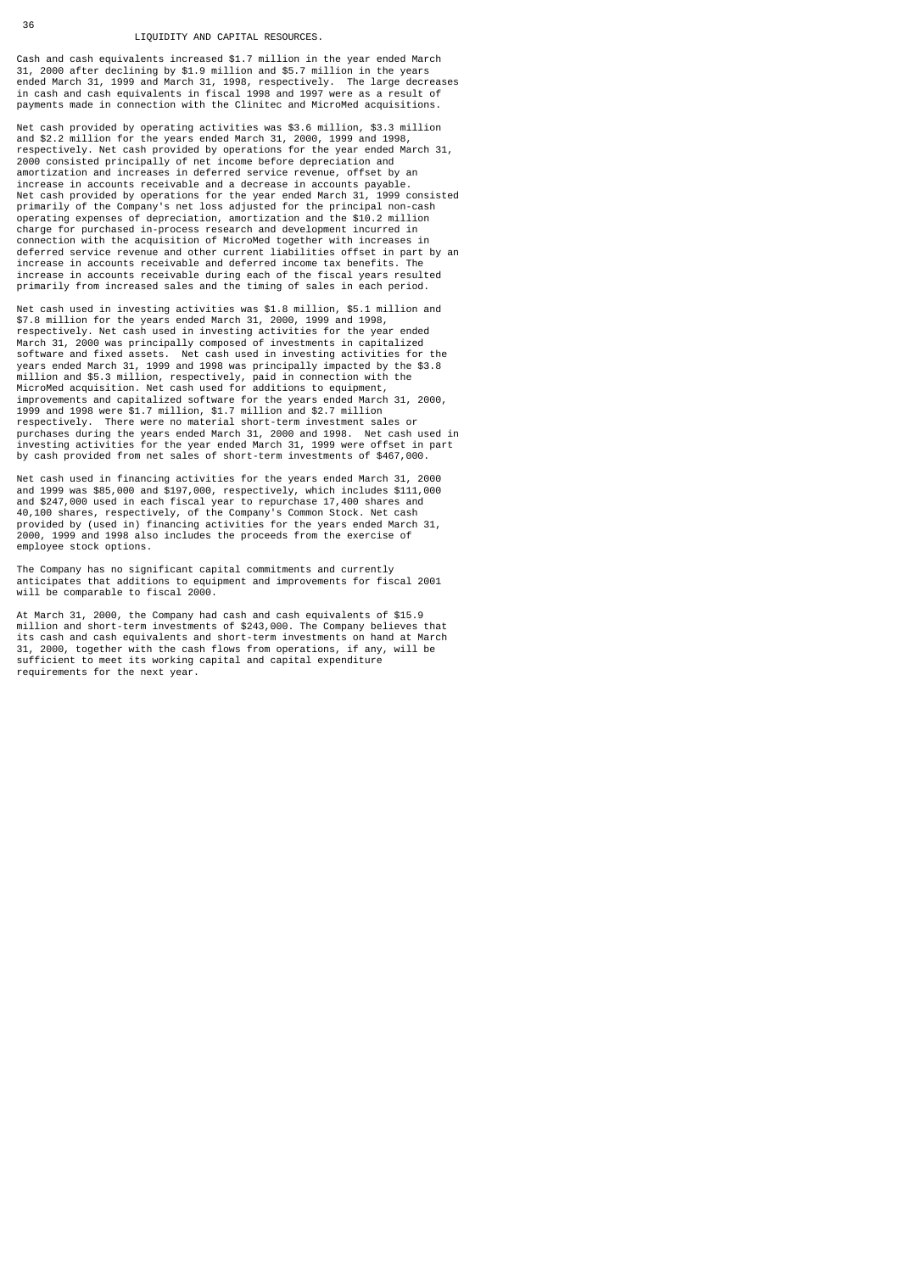#### LIQUIDITY AND CAPITAL RESOURCES.

Cash and cash equivalents increased \$1.7 million in the year ended March 31, 2000 after declining by \$1.9 million and \$5.7 million in the years ended March 31, 1999 and March 31, 1998, respectively. The large decreases in cash and cash equivalents in fiscal 1998 and 1997 were as a result of payments made in connection with the Clinitec and MicroMed acquisitions.

Net cash provided by operating activities was \$3.6 million, \$3.3 million and \$2.2 million for the years ended March 31, 2000, 1999 and 1998,<br>respectively. Net cash provided by operations for the year ended March 31,<br>2000 consisted principally of net income before depreciation and<br>amortization a increase in accounts receivable and a decrease in accounts payable. Net cash provided by operations for the year ended March 31, 1999 consisted primarily of the Company's net loss adjusted for the principal non-cash operating expenses of depreciation, amortization and the \$10.2 million charge for purchased in-process research and development incurred in connection with the acquisition of MicroMed together with increases in deferred service revenue and other current liabilities offset in part by an increase in accounts receivable and deferred income tax benefits. The increase in accounts receivable during each of the fiscal years resulted primarily from increased sales and the timing of sales in each period.

Net cash used in investing activities was \$1.8 million, \$5.1 million and \$7.8 million for the years ended March 31, 2000, 1999 and 1998, respectively. Net cash used in investing activities for the year ended March 31, 2000 was principally composed of investments in capitalized software and fixed assets. Net cash used in investing activities for the<br>years ended March 31, 1999 and 1998 was principally impacted by the \$3.8<br>million and \$5.3 million, respectively, paid in connection with the<br>MicroMed improvements and capitalized software for the years ended March 31, 2000, 1999 and 1998 were \$1.7 million, \$1.7 million and \$2.7 million respectively. There were no material short-term investment sales or purchases during the years ended March 31, 2000 and 1998. Net cash used in investing activities for the year ended March 31, 1999 were offset in part by cash provided from net sales of short-term investments of \$467,000.

Net cash used in financing activities for the years ended March 31, 2000 and 1999 was \$85,000 and \$197,000, respectively, which includes \$111,000 and \$247,000 used in each fiscal year to repurchase 17,400 shares and 40,100 shares, respectively, of the Company's Common Stock. Net cash provided by (used in) financing activities for the years ended March 31, 2000, 1999 and 1998 also includes the proceeds from the exercise of employee stock options.

The Company has no significant capital commitments and currently anticipates that additions to equipment and improvements for fiscal 2001 will be comparable to fiscal 2000.

At March 31, 2000, the Company had cash and cash equivalents of \$15.9 million and short-term investments of \$243,000. The Company believes that its cash and cash equivalents and short-term investments on hand at March 31, 2000, together with the cash flows from operations, if any, will be sufficient to meet its working capital and capital expenditure requirements for the next year.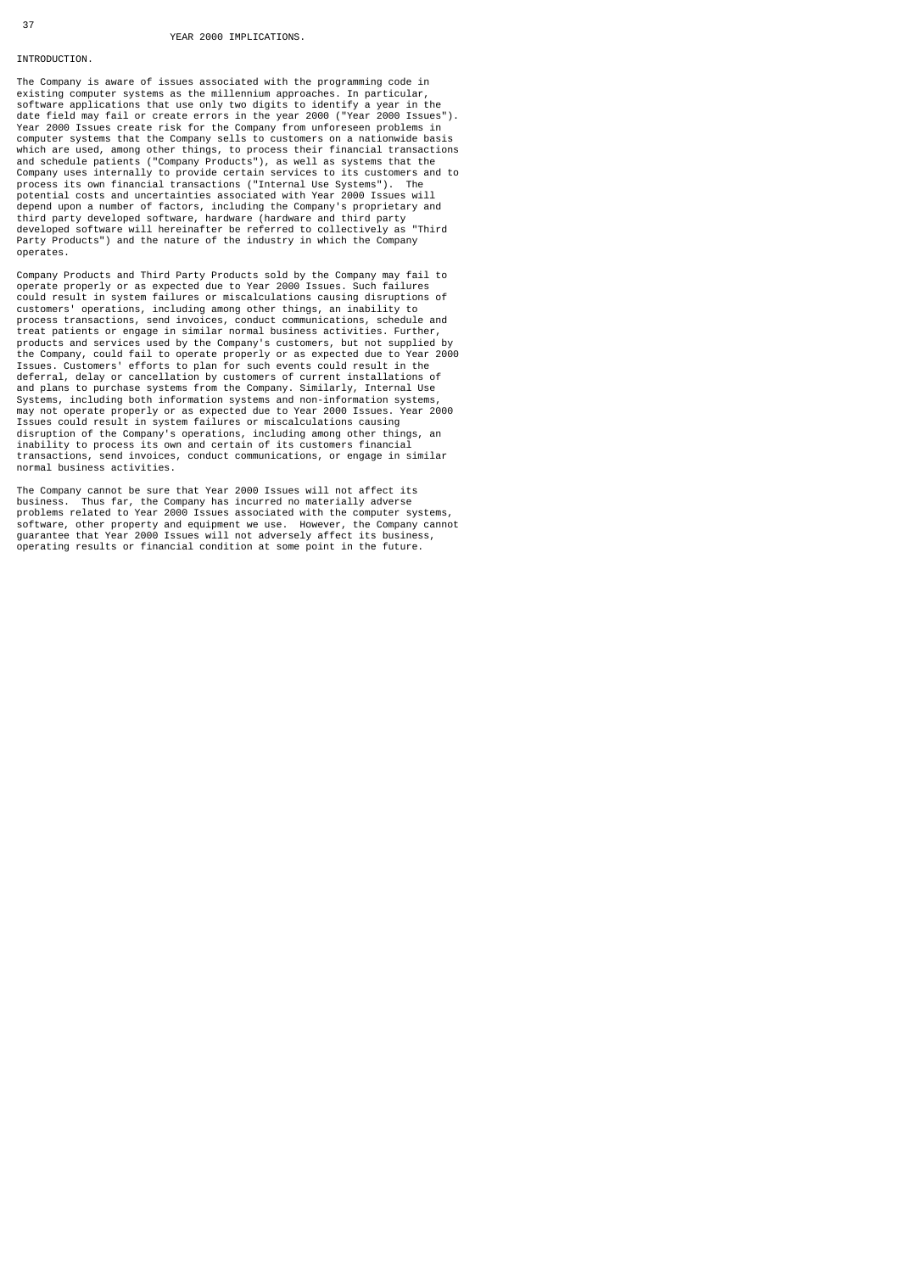### INTRODUCTION.

The Company is aware of issues associated with the programming code in<br>existing computer systems as the millennium approaches. In particular,<br>software applications that use only two digits to identify a year in the<br>date fi computer systems that the Company sells to customers on a nationwide basis which are used, among other things, to process their financial transactions and schedule patients ("Company Products"), as well as systems that the Company uses internally to provide certain services to its customers and to process its own financial transactions ("Internal Use Systems"). The potential costs and uncertainties associated with Year 2000 Issues will depend upon a number of factors, including the Company's proprietary and third party developed software, hardware (hardware and third party developed software will hereinafter be referred to collectively as "Third Party Products") and the nature of the industry in which the Company operates.

Company Products and Third Party Products sold by the Company may fail to operate properly or as expected due to Year 2000 Issues. Such failures could result in system failures or miscalculations causing disruptions of customers' operations, including among other things, an inability to process transactions, send invoices, conduct communications, schedule and treat patients or engage in similar normal business activities. Further, products and services used by the Company's customers, but not supplied by the Company, could fail to operate properly or as expected due to Year 2000 Issues. Customers' efforts to plan for such events could result in the deferral, delay or cancellation by customers of current installations of and plans to purchase systems from the Company. Similarly, Internal Use Systems, including both information systems and non-information systems, may not operate properly or as expected due to Year 2000 Issues. Year 2000 Issues could result in system failures or miscalculations causing disruption of the Company's operations, including among other things, an inability to process its own and certain of its customers financial transactions, send invoices, conduct communications, or engage in similar normal business activities.

The Company cannot be sure that Year 2000 Issues will not affect its business. Thus far, the Company has incurred no materially adverse problems related to Year 2000 Issues associated with the computer systems, software, other property and equipment we use. However, the Company cannot guarantee that Year 2000 Issues will not adversely affect its business, operating results or financial condition at some point in the future.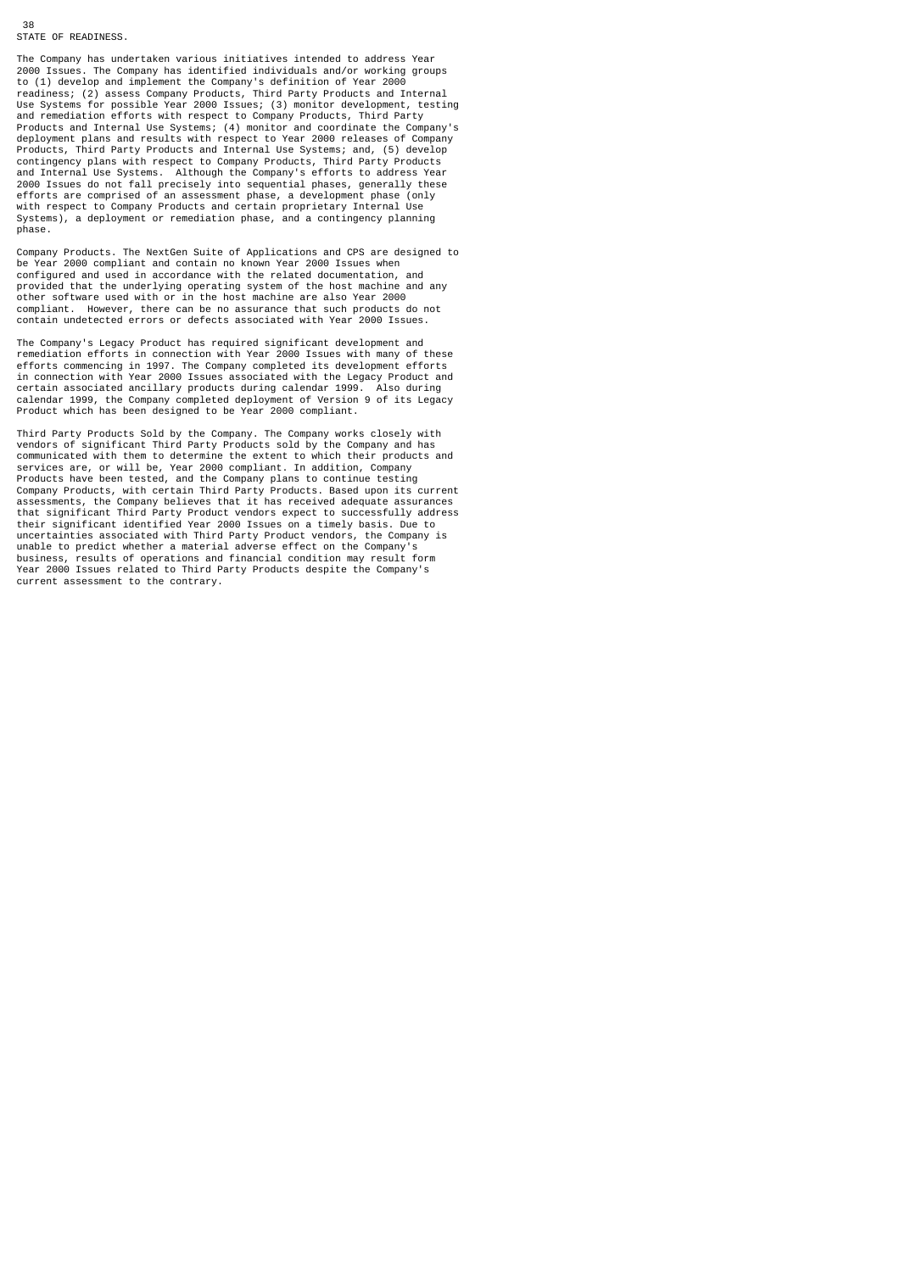38 STATE OF READINESS.

The Company has undertaken various initiatives intended to address Year 2000 Issues. The Company has identified individuals and/or working groups to (1) develop and implement the Company's definition of Year 2000 readiness; (2) assess Company Products, Third Party Products and Internal Use Systems for possible Year 2000 Issues; (3) monitor development, testing and remediation efforts with respect to Company Products, Third Party Products and Internal Use Systems; (4) monitor and coordinate the Company's deployment plans and results with respect to Year 2000 releases of Company Products, Third Party Products and Internal Use Systems; and, (5) develop contingency plans with respect to Company Products, Third Party Products and Internal Use Systems. Although the Company's efforts to address Year 2000 Issues do not fall precisely into sequential phases, generally these efforts are comprised of an assessment phase, a development phase (only with respect to Company Products and certain proprietary Internal Use Systems), a deployment or remediation phase, and a contingency planning phase.

Company Products. The NextGen Suite of Applications and CPS are designed to be Year 2000 compliant and contain no known Year 2000 Issues when configured and used in accordance with the related documentation, and provided that the underlying operating system of the host machine and any other software used with or in the host machine are also Year 2000 compliant. However, there can be no assurance that such products do not contain undetected errors or defects associated with Year 2000 Issues.

The Company's Legacy Product has required significant development and remediation efforts in connection with Year 2000 Issues with many of these efforts commencing in 1997. The Company completed its development efforts in connection with Year 2000 Issues associated with the Legacy Product and certain associated ancillary products during calendar 1999. Also during calendar 1999, the Company completed deployment of Version 9 of its Legacy Product which has been designed to be Year 2000 compliant.

Third Party Products Sold by the Company. The Company works closely with vendors of significant Third Party Products sold by the Company and has communicated with them to determine the extent to which their products and services are, or will be, Year 2000 compliant. In addition, Company<br>Products have been tested, and the Company plans to continue testing<br>Company Products, with certain Third Party Products. Based upon its current<br>assessmen that significant Third Party Product vendors expect to successfully address their significant identified Year 2000 Issues on a timely basis. Due to uncertainties associated with Third Party Product vendors, the Company is unable to predict whether a material adverse effect on the Company's business, results of operations and financial condition may result form Year 2000 Issues related to Third Party Products despite the Company's current assessment to the contrary.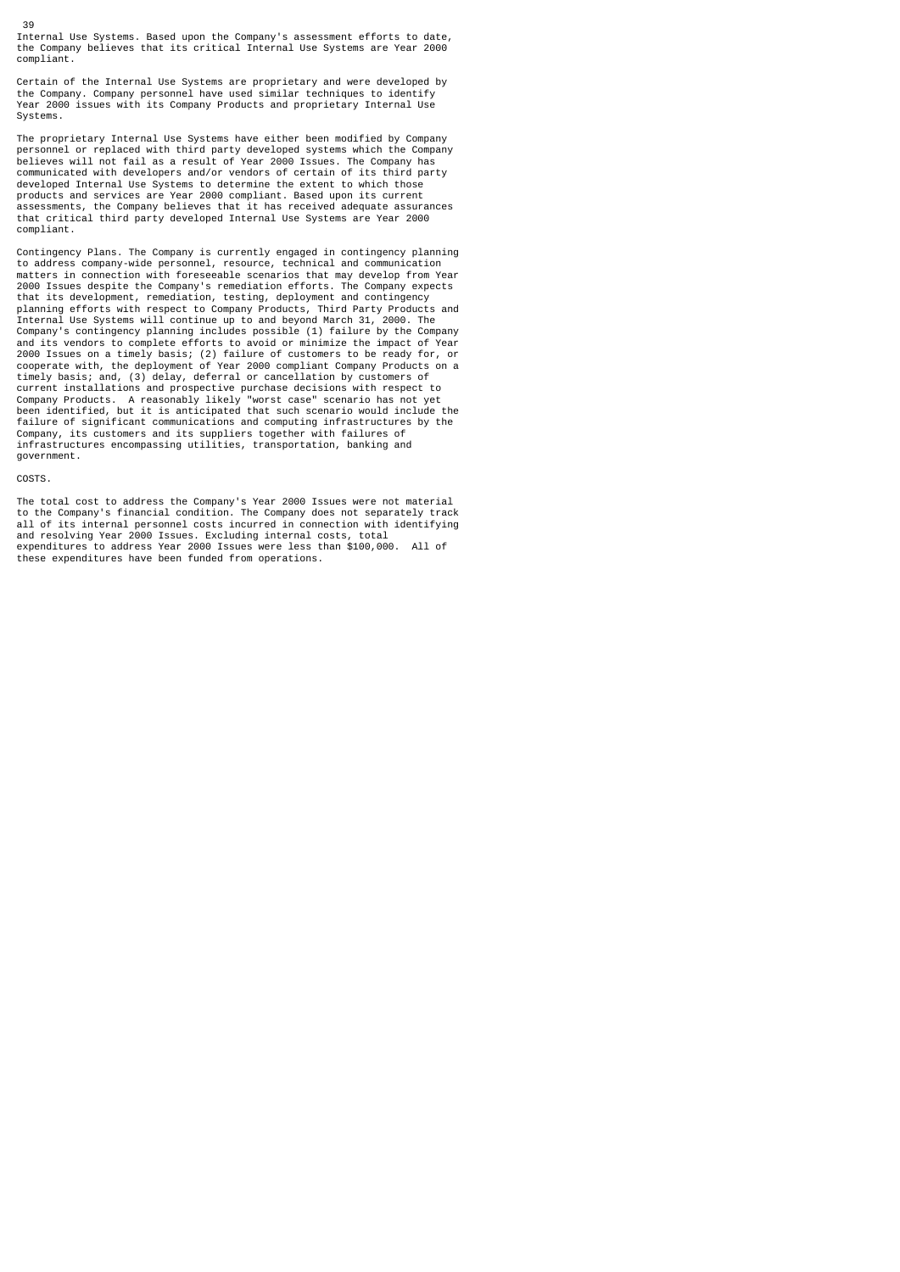39 Internal Use Systems. Based upon the Company's assessment efforts to date, the Company believes that its critical Internal Use Systems are Year 2000 compliant.

Certain of the Internal Use Systems are proprietary and were developed by the Company. Company personnel have used similar techniques to identify Year 2000 issues with its Company Products and proprietary Internal Use Systems.

The proprietary Internal Use Systems have either been modified by Company personnel or replaced with third party developed systems which the Company believes will not fail as a result of Year 2000 Issues. The Company has communicated with developers and/or vendors of certain of its third party developed Internal Use Systems to determine the extent to which those products and services are Year 2000 compliant. Based upon its current assessments, the Company believes that it has received adequate assurances that critical third party developed Internal Use Systems are Year 2000 compliant.

Contingency Plans. The Company is currently engaged in contingency planning to address company-wide personnel, resource, technical and communication matters in connection with foreseeable scenarios that may develop from Year 2000 Issues despite the Company's remediation efforts. The Company expects that its development, remediation, testing, deployment and contingency planning efforts with respect to Company Products, Third Party Products and Internal Use Systems will continue up to and beyond March 31, 2000. The Company's contingency planning includes possible (1) failure by the Company and its vendors to complete efforts to avoid or minimize the impact of Year 2000 Issues on a timely basis; (2) failure of customers to be ready for, or cooperate with, the deployment of Year 2000 compliant Company Products on a timely basis; and, (3) delay, deferral or cancellation by customers of current installations and prospective purchase decisions with respect to Company Products. A reasonably likely "worst case" scenario has not yet been identified, but it is anticipated that such scenario would include the failure of significant communications and computing infrastructures by the Company, its customers and its suppliers together with failures of infrastructures encompassing utilities, transportation, banking and government.

### COSTS.

The total cost to address the Company's Year 2000 Issues were not material to the Company's financial condition. The Company does not separately track all of its internal personnel costs incurred in connection with identifying and resolving Year 2000 Issues. Excluding internal costs, total expenditures to address Year 2000 Issues were less than \$100,000. All of these expenditures have been funded from operations.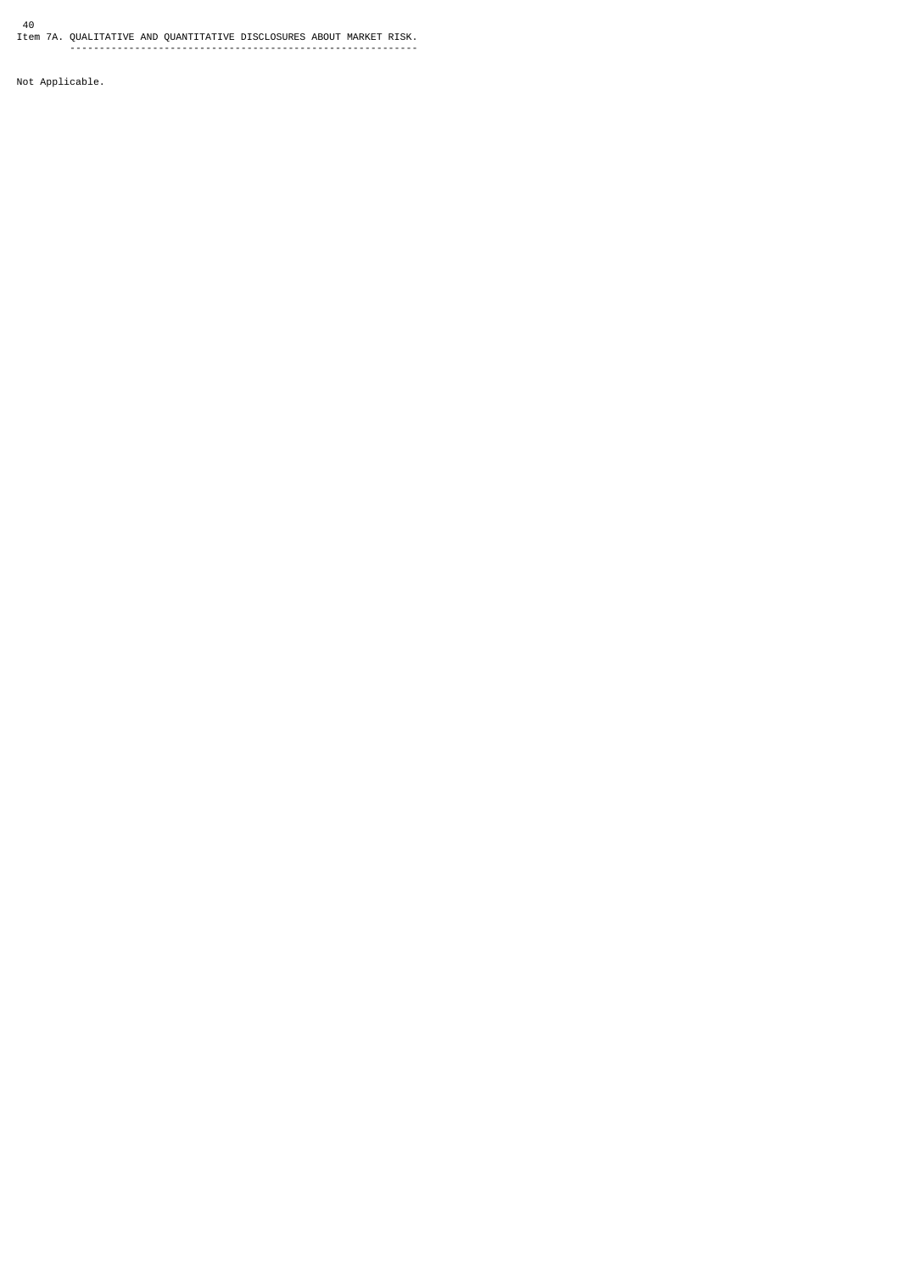40 Item 7A. QUALITATIVE AND QUANTITATIVE DISCLOSURES ABOUT MARKET RISK. -----------------------------------------------------------

Not Applicable.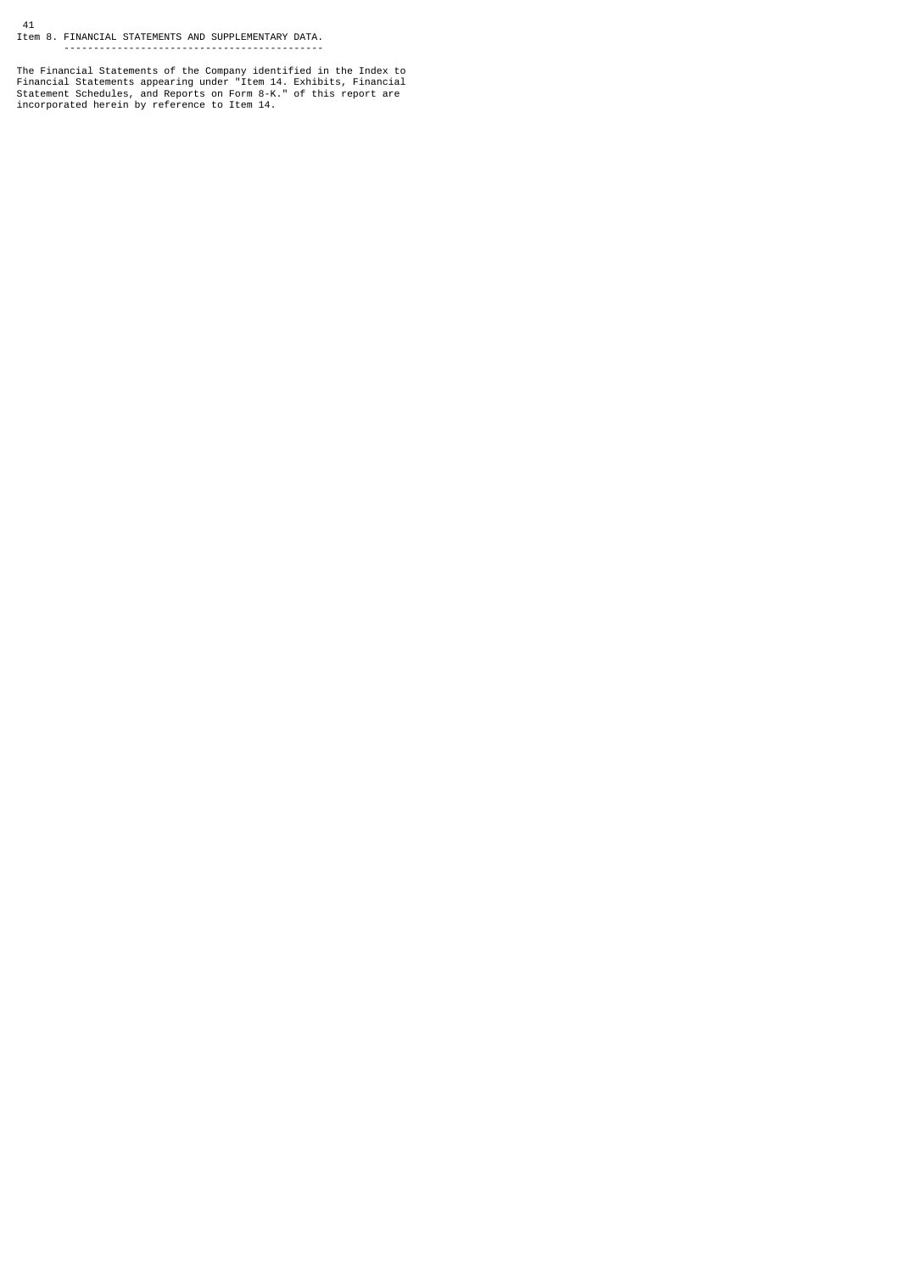41 Item 8. FINANCIAL STATEMENTS AND SUPPLEMENTARY DATA. --------------------------------------------

The Financial Statements of the Company identified in the Index to<br>Financial Statements appearing under "Item 14. Exhibits, Financial<br>Statement Schedules, and Reports on Form 8-K." of this report are<br>incorporated herein by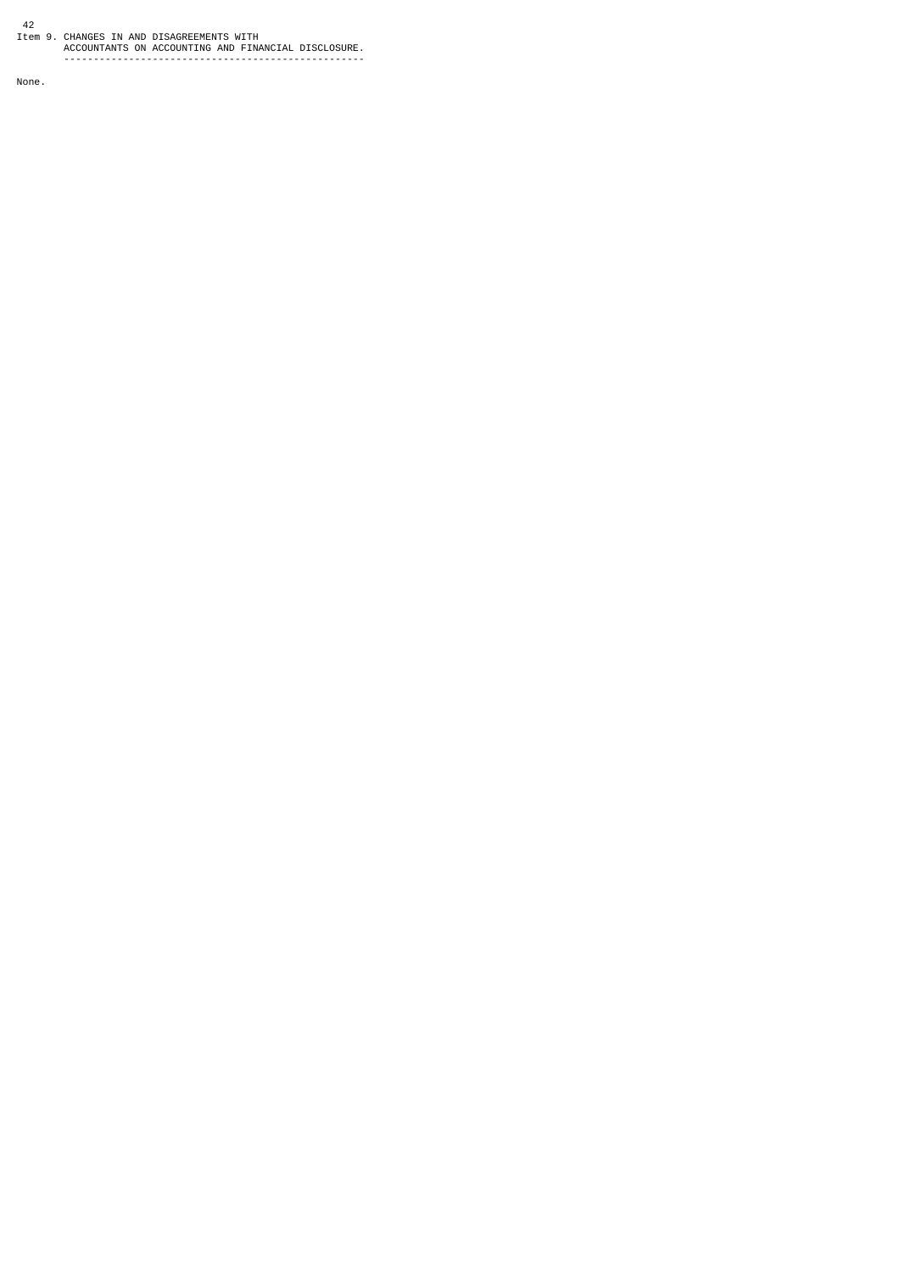42 Item 9. CHANGES IN AND DISAGREEMENTS WITH ACCOUNTANTS ON ACCOUNTING AND FINANCIAL DISCLOSURE. ---------------------------------------------------

None.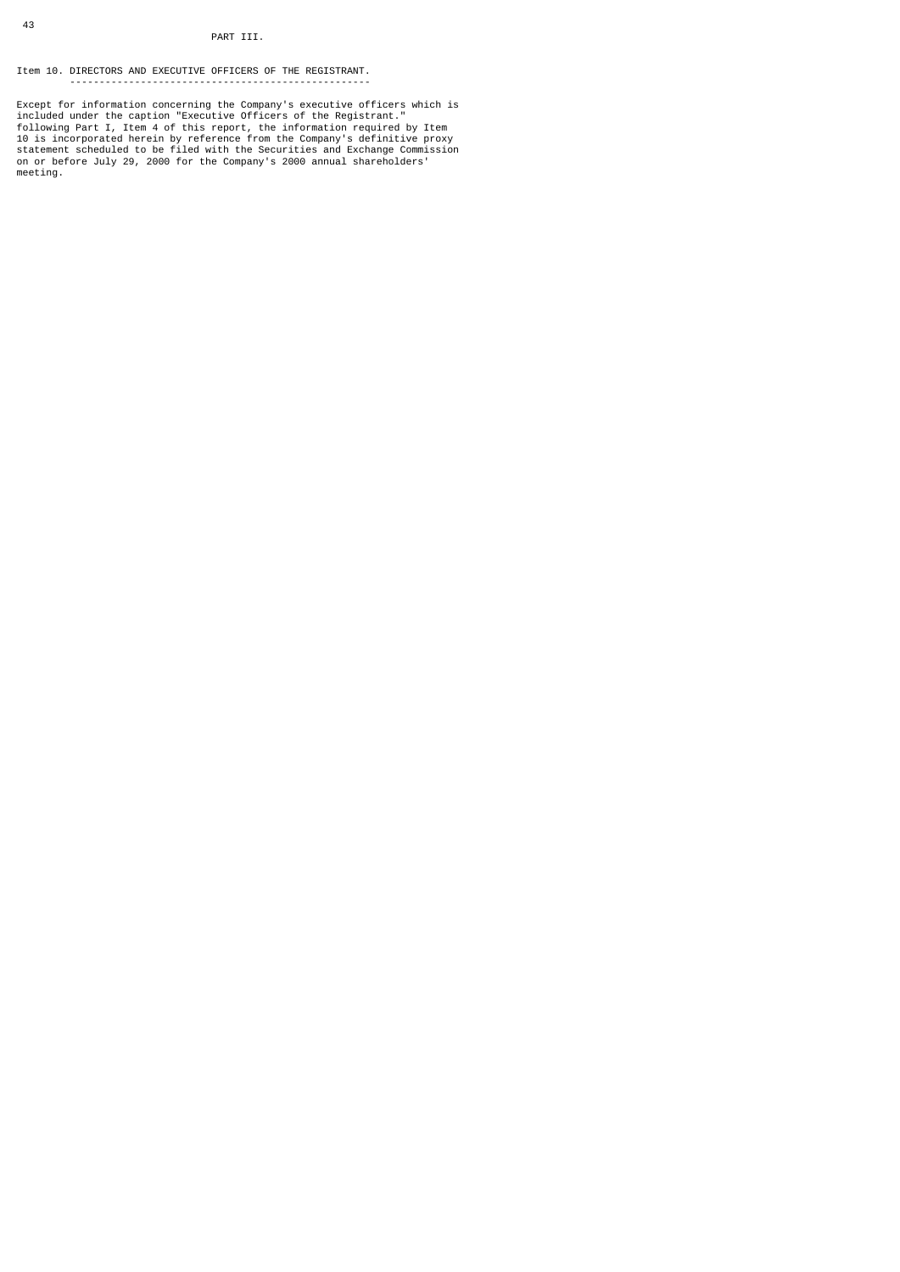### PART III.

Item 10. DIRECTORS AND EXECUTIVE OFFICERS OF THE REGISTRANT. ---------------------------------------------------

Except for information concerning the Company's executive officers which is<br>included under the caption "Executive officers of the Registrant."<br>following Part I, Item 4 of this report, the information required by Item<br>10 is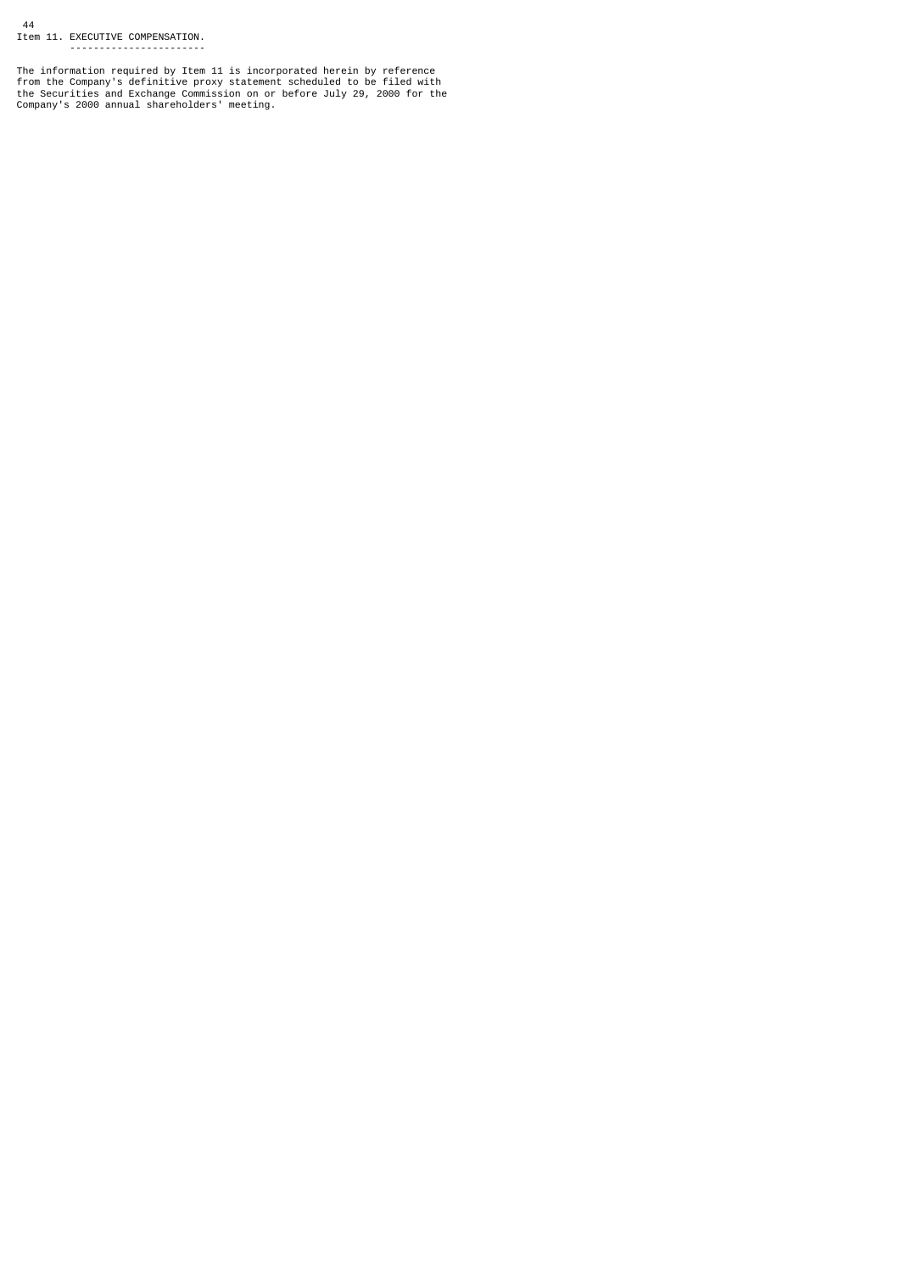44 Item 11. EXECUTIVE COMPENSATION. -----------------------

The information required by Item 11 is incorporated herein by reference<br>from the Company's definitive proxy statement scheduled to be filed with<br>the Securities and Exchange Commission on or before July 29, 2000 for the<br>Com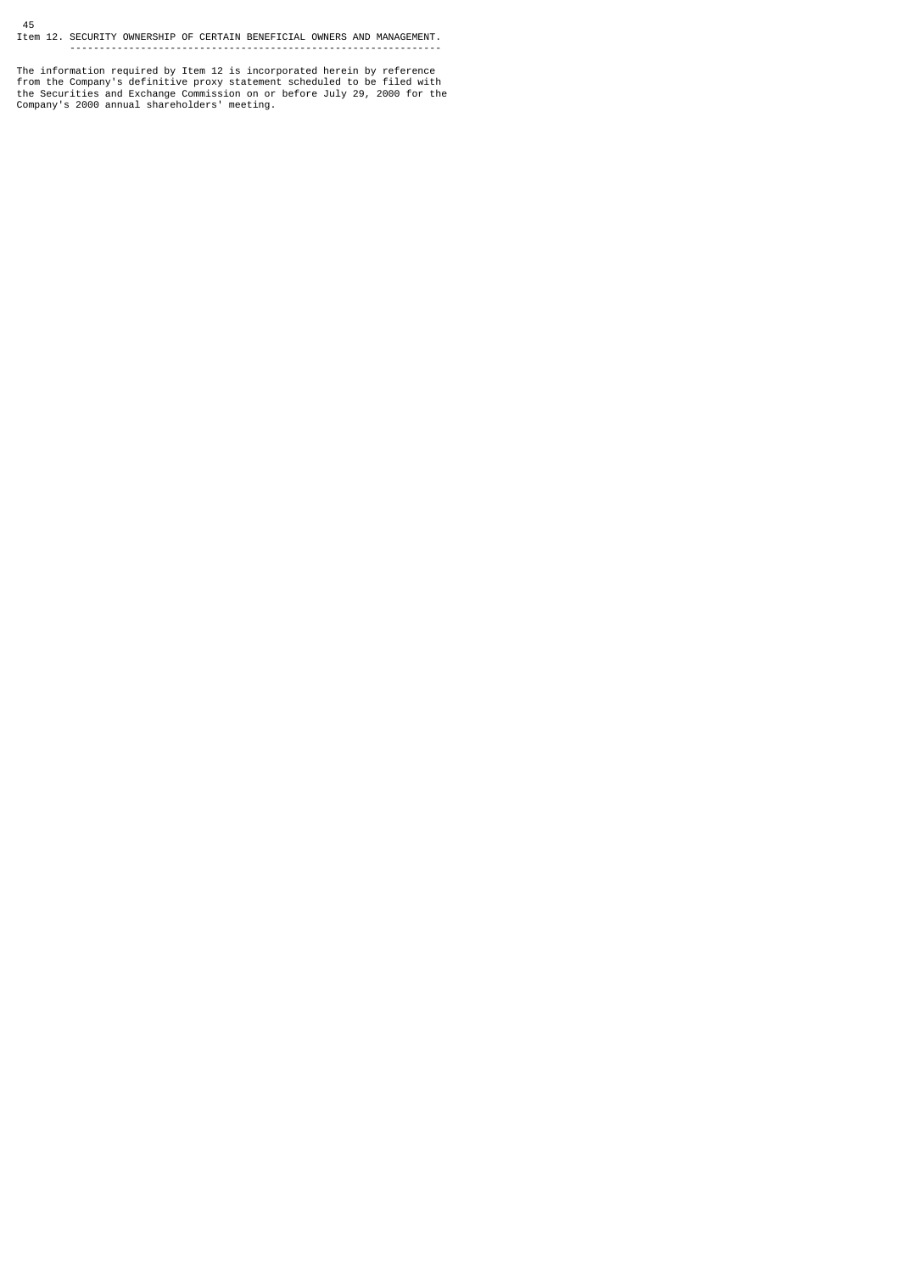# 45 Item 12. SECURITY OWNERSHIP OF CERTAIN BENEFICIAL OWNERS AND MANAGEMENT. ---------------------------------------------------------------

The information required by Item 12 is incorporated herein by reference<br>from the Company's definitive proxy statement scheduled to be filed with<br>the Securities and Exchange Commission on or before July 29, 2000 for the<br>Com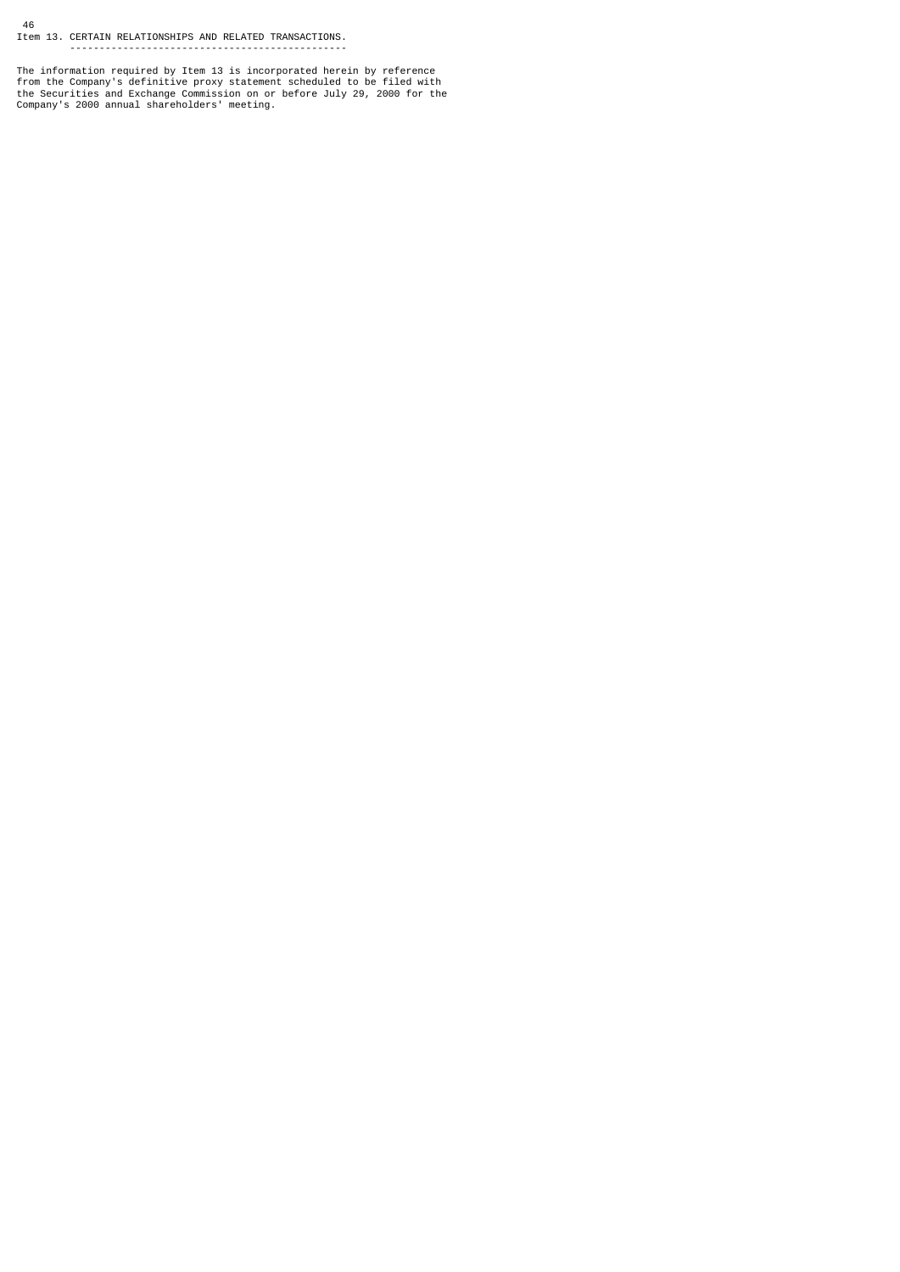46 Item 13. CERTAIN RELATIONSHIPS AND RELATED TRANSACTIONS. -----------------------------------------------

The information required by Item 13 is incorporated herein by reference<br>from the Company's definitive proxy statement scheduled to be filed with<br>the Securities and Exchange Commission on or before July 29, 2000 for the<br>Com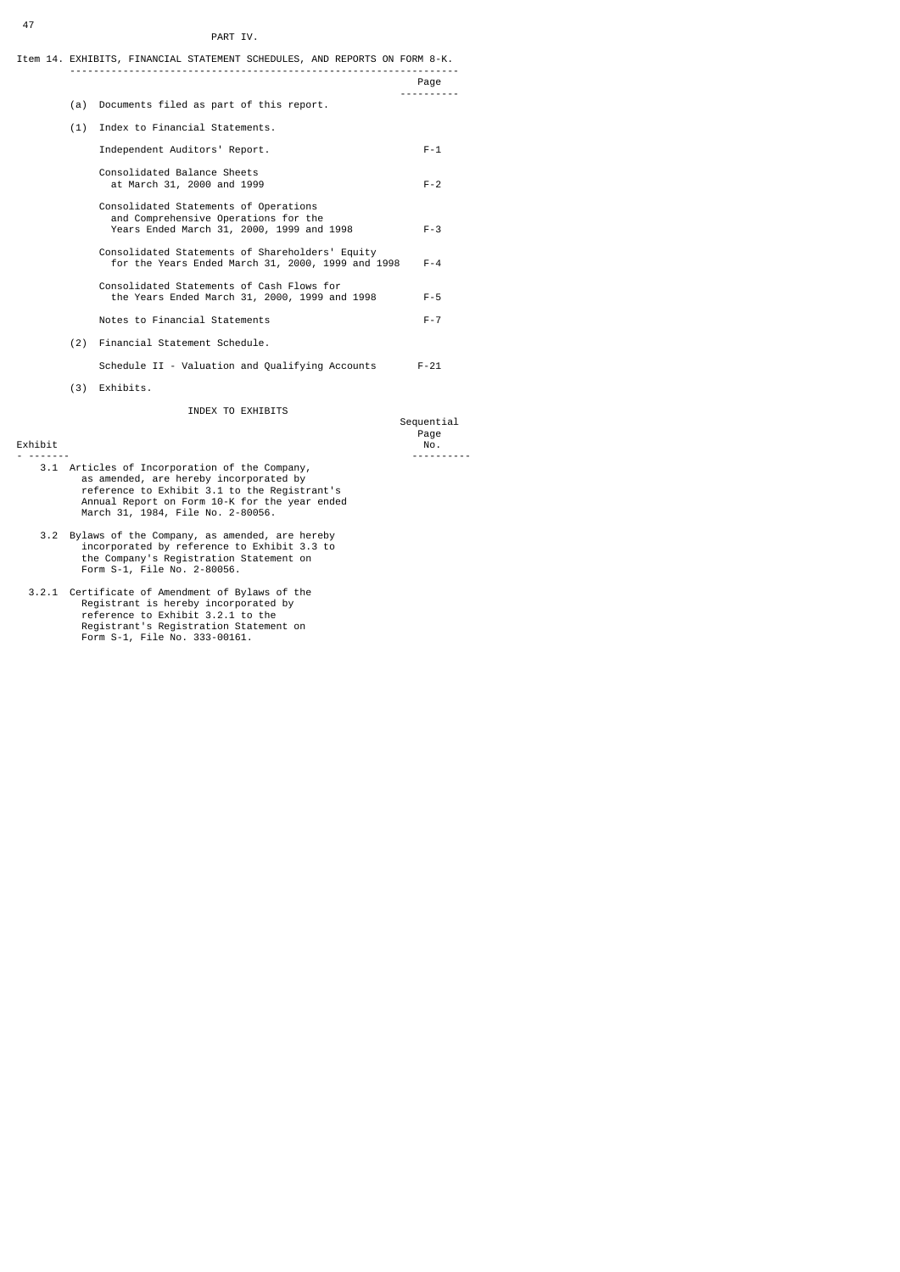### PART IV.

|     | Item 14. EXHIBITS, FINANCIAL STATEMENT SCHEDULES, AND REPORTS ON FORM 8-K.<br>__________________________________           |                    |
|-----|----------------------------------------------------------------------------------------------------------------------------|--------------------|
|     |                                                                                                                            | Page               |
| (a) | Documents filed as part of this report.                                                                                    |                    |
| (1) | Index to Financial Statements.                                                                                             |                    |
|     | Independent Auditors' Report.                                                                                              | $F - 1$            |
|     | Consolidated Balance Sheets<br>at March 31, 2000 and 1999                                                                  | $F - 2$            |
|     | Consolidated Statements of Operations<br>and Comprehensive Operations for the<br>Years Ended March 31, 2000, 1999 and 1998 | $F - 3$            |
|     | Consolidated Statements of Shareholders' Equity<br>for the Years Ended March 31, 2000, 1999 and 1998                       | $F - 4$            |
|     | Consolidated Statements of Cash Flows for<br>the Years Ended March 31, 2000, 1999 and 1998                                 | $F - 5$            |
|     | Notes to Financial Statements                                                                                              | $F - 7$            |
|     | (2) Financial Statement Schedule.                                                                                          |                    |
|     | Schedule II - Valuation and Qualifying Accounts                                                                            | $F - 21$           |
| (3) | Exhibits.                                                                                                                  |                    |
|     | INDEX TO EXHIBITS                                                                                                          | Sequential<br>Page |

Exhibit No.

- 3.1 Articles of Incorporation of the Company,<br>as amended, are hereby incorporated by<br>reference to Exhibit 3.1 to the Registrant's<br>Annual Report on Form 10-K for the year ended<br>March 31, 1984, File No. 2-80056.
- 3.2 Bylaws of the Company, as amended, are hereby incorporated by reference to Exhibit 3.3 to the Company's Registration Statement on Form S-1, File No. 2-80056.
- 3.2.1 Certificate of Amendment of Bylaws of the Registrant is hereby incorporated by reference to Exhibit 3.2.1 to the Registrant's Registration Statement on Form S-1, File No. 333-00161.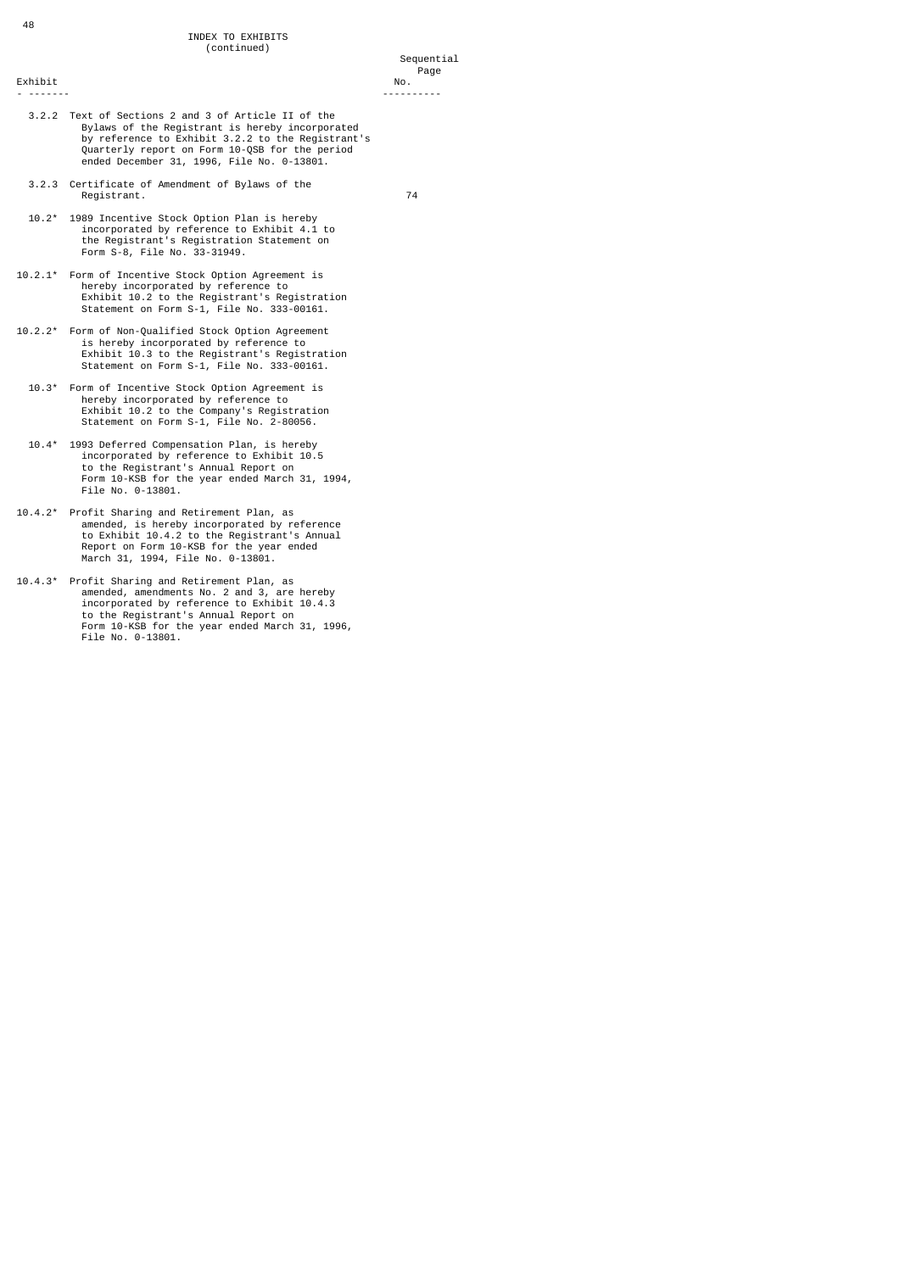#### Sequential na dia 1992 nope 2012 nope 2012 nope 2012 nope 2012 nope 2012 nope 2012 nope 2012 nope 2012 nope 201

Exhibit No.

- ------- ----------
- 3.2.2 Text of Sections 2 and 3 of Article II of the Bylaws of the Registrant is hereby incorporated by reference to Exhibit 3.2.2 to the Registrant's Quarterly report on Form 10-QSB for the period ended December 31, 1996, File No. 0-13801.
- 3.2.3 Certificate of Amendment of Bylaws of the Registrant. 74

- 10.2\* 1989 Incentive Stock Option Plan is hereby incorporated by reference to Exhibit 4.1 to the Registrant's Registration Statement on Form S-8, File No. 33-31949.
- 10.2.1\* Form of Incentive Stock Option Agreement is hereby incorporated by reference to Exhibit 10.2 to the Registrant's Registration Statement on Form S-1, File No. 333-00161.
- 10.2.2\* Form of Non-Qualified Stock Option Agreement is hereby incorporated by reference to Exhibit 10.3 to the Registrant's Registration Statement on Form S-1, File No. 333-00161.
- 10.3\* Form of Incentive Stock Option Agreement is hereby incorporated by reference to Exhibit 10.2 to the Company's Registration Statement on Form S-1, File No. 2-80056.
- 10.4\* 1993 Deferred Compensation Plan, is hereby incorporated by reference to Exhibit 10.5 to the Registrant's Annual Report on Form 10-KSB for the year ended March 31, 1994, File No. 0-13801.
- 10.4.2\* Profit Sharing and Retirement Plan, as amended, is hereby incorporated by reference to Exhibit 10.4.2 to the Registrant's Annual Report on Form 10-KSB for the year ended March 31, 1994, File No. 0-13801.
- 10.4.3\* Profit Sharing and Retirement Plan, as amended, amendments No. 2 and 3, are hereby incorporated by reference to Exhibit 10.4.3 to the Registrant's Annual Report on Form 10-KSB for the year ended March 31, 1996, File No. 0-13801.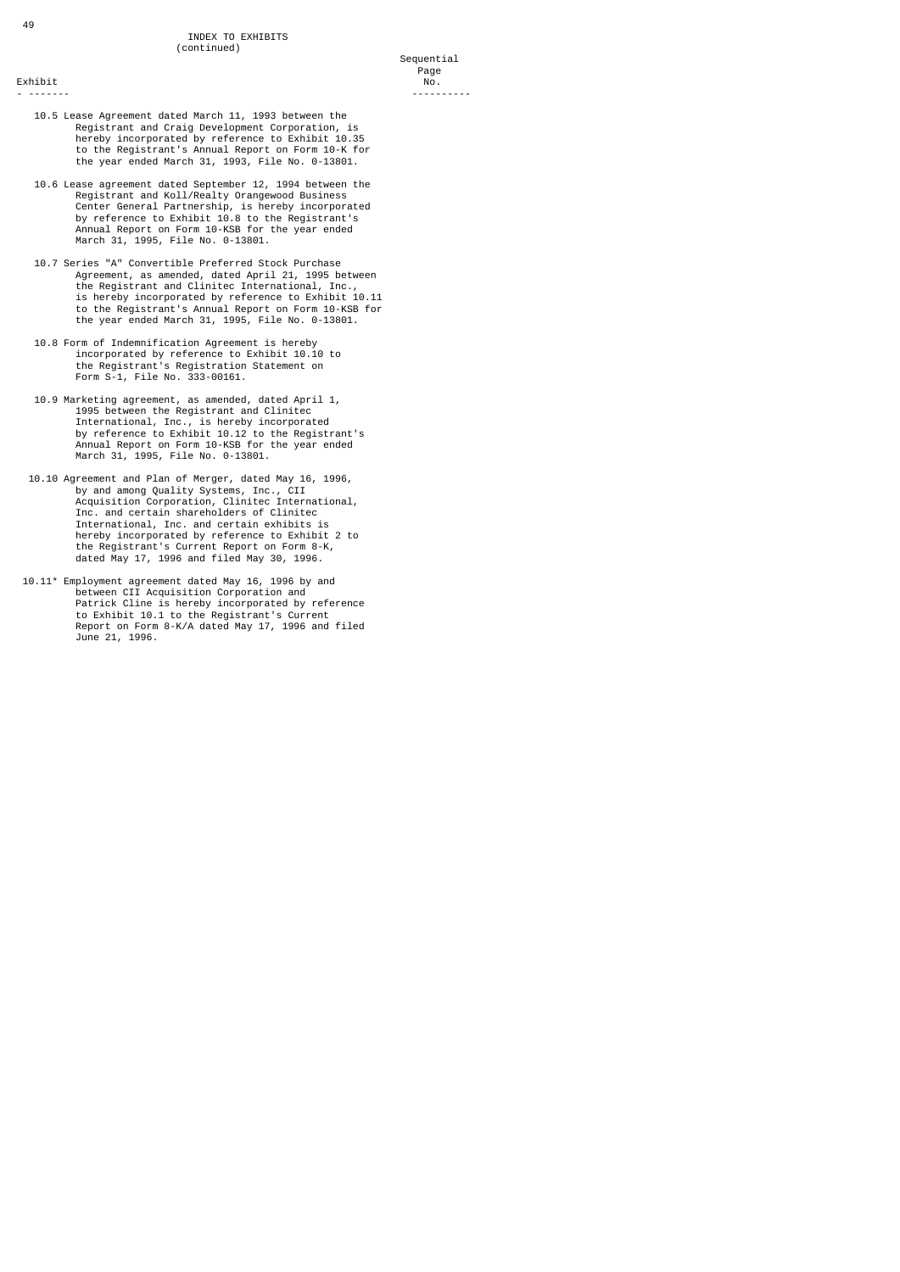- ------- ----------

- 10.5 Lease Agreement dated March 11, 1993 between the Registrant and Craig Development Corporation, hereby incorporated by reference to Exhibit 10.35 to the Registrant's Annual Report on Form 10-K for the year ended March 31, 1993, File No. 0-13801.
- 10.6 Lease agreement dated September 12, 1994 between the Registrant and Koll/Realty Orangewood Business Center General Partnership, is hereby incorporated by reference to Exhibit 10.8 to the Registrant's Annual Report on Form 10-KSB for the year ended March 31, 1995, File No. 0-13801.
- 10.7 Series "A" Convertible Preferred Stock Purchase Agreement, as amended, dated April 21, 1995 between the Registrant and Clinitec International, Inc., is hereby incorporated by reference to Exhibit 10.11 to the Registrant's Annual Report on Form 10-KSB for the year ended March 31, 1995, File No. 0-13801.
- 10.8 Form of Indemnification Agreement is hereby incorporated by reference to Exhibit 10.10 to the Registrant's Registration Statement on Form S-1, File No. 333-00161.
- 10.9 Marketing agreement, as amended, dated April 1, 1995 between the Registrant and Clinitec International, Inc., is hereby incorporated by reference to Exhibit 10.12 to the Registrant's Annual Report on Form 10-KSB for the year ended March 31, 1995, File No. 0-13801.
- 10.10 Agreement and Plan of Merger, dated May 16, 1996,<br>by and among Quality Systems, Inc., CII<br>Acquisition Corporation, Clinitec International,<br>Inc. and certain shareholders of Clinitec<br>International, Inc. and certain exh dated May 17, 1996 and filed May 30, 1996.
- 10.11\* Employment agreement dated May 16, 1996 by and between CII Acquisition Corporation and Patrick Cline is hereby incorporated by reference to Exhibit 10.1 to the Registrant's Current Report on Form 8-K/A dated May 17, 1996 and filed June 21, 1996.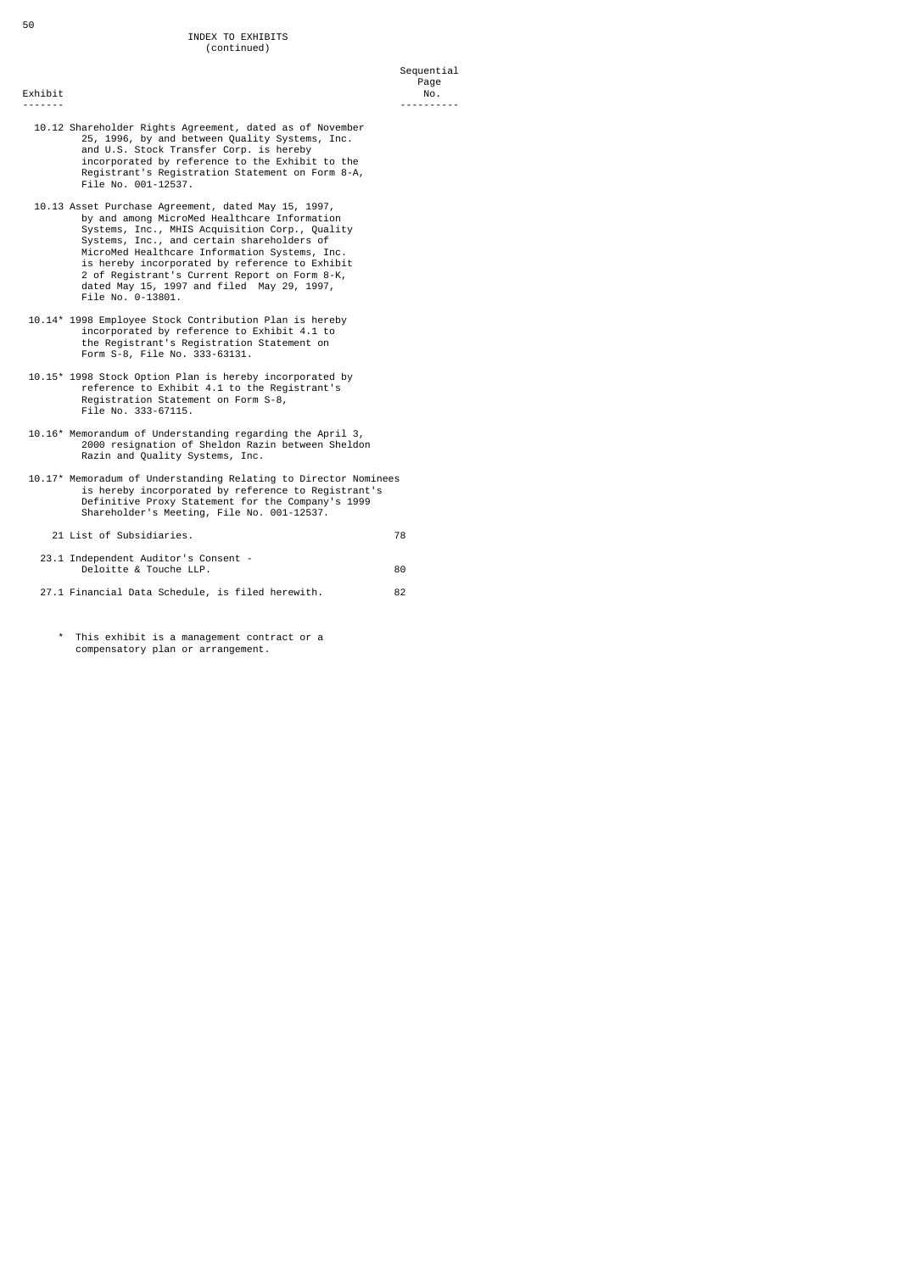## 10.12 Shareholder Rights Agreement, dated as of November 25, 1996, by and between Quality Systems, Inc. and U.S. Stock Transfer Corp. is hereby incorporated by reference to the Exhibit to the Registrant's Registration Statement on Form 8-A, File No. 001-12537.

- 10.13 Asset Purchase Agreement, dated May 15, 1997, by and among MicroMed Healthcare Information Systems, Inc., MHIS Acquisition Corp., Quality Systems, Inc., and certain shareholders of MicroMed Healthcare Information Systems, Inc.<br>is hereby incorporated by reference to Exhibit<br>2 of Registrant's Current Report on Form 8-K,<br>dated May 15, 1997 and filed May 29, 1997,<br>File No. 0-13801.
- 10.14\* 1998 Employee Stock Contribution Plan is hereby incorporated by reference to Exhibit 4.1 to the Registrant's Registration Statement on Form S-8, File No. 333-63131.
- 10.15\* 1998 Stock Option Plan is hereby incorporated by reference to Exhibit 4.1 to the Registrant's Registration Statement on Form S-8, File No. 333-67115.
- 10.16\* Memorandum of Understanding regarding the April 3, 2000 resignation of Sheldon Razin between Sheldon Razin and Quality Systems, Inc.
- 10.17\* Memoradum of Understanding Relating to Director Nominees is hereby incorporated by reference to Registrant's Definitive Proxy Statement for the Company's 1999 Shareholder's Meeting, File No. 001-12537.

21 List of Subsidiaries. 78 23.1 Independent Auditor's Consent

| LO.I INGENSINGING AGGILEDI 3 CONSCIIE<br>Deloitte & Touche LLP. | 80 |
|-----------------------------------------------------------------|----|
| 27.1 Financial Data Schedule, is filed herewith.                | 82 |

This exhibit is a management contract or a compensatory plan or arrangement.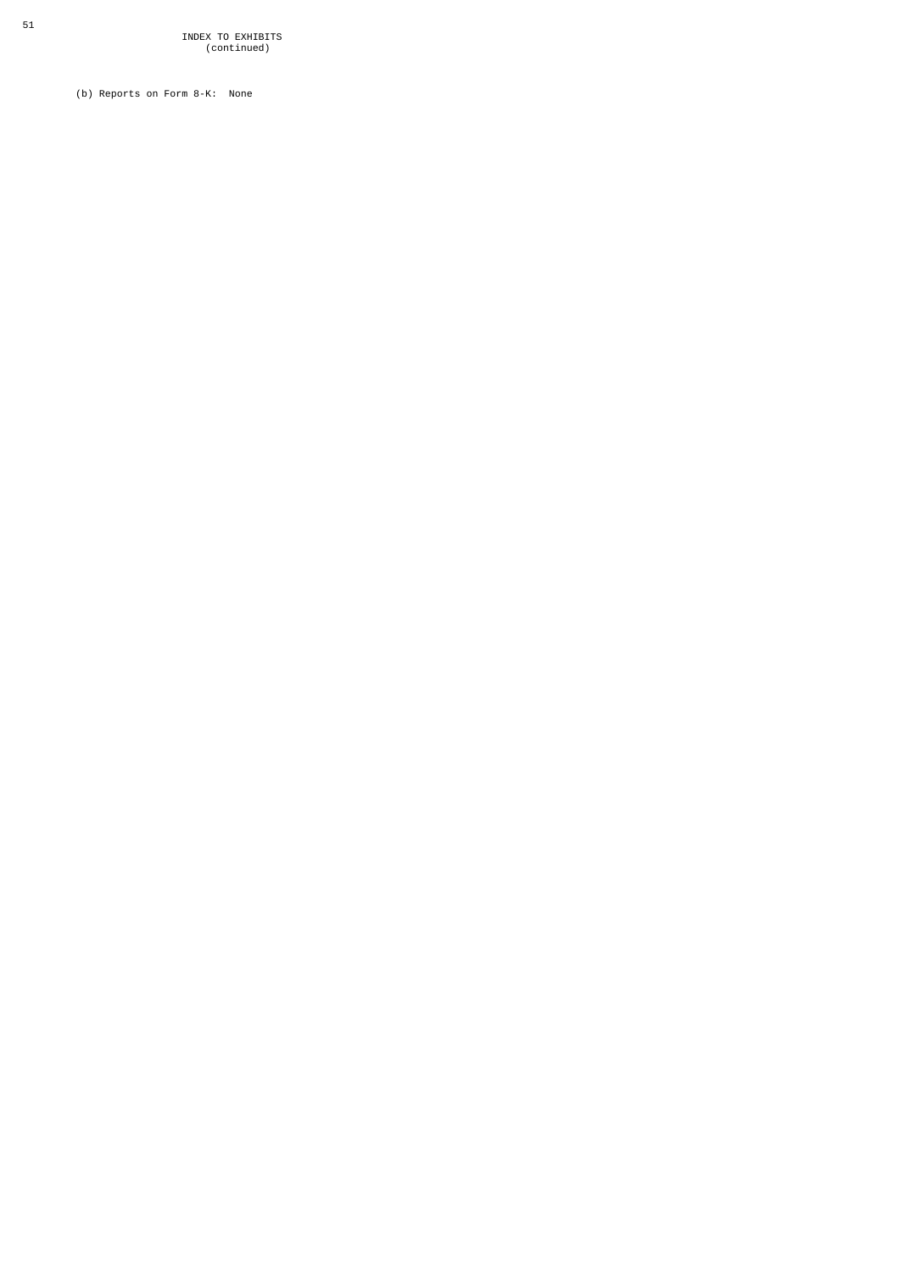(b) Reports on Form 8-K: None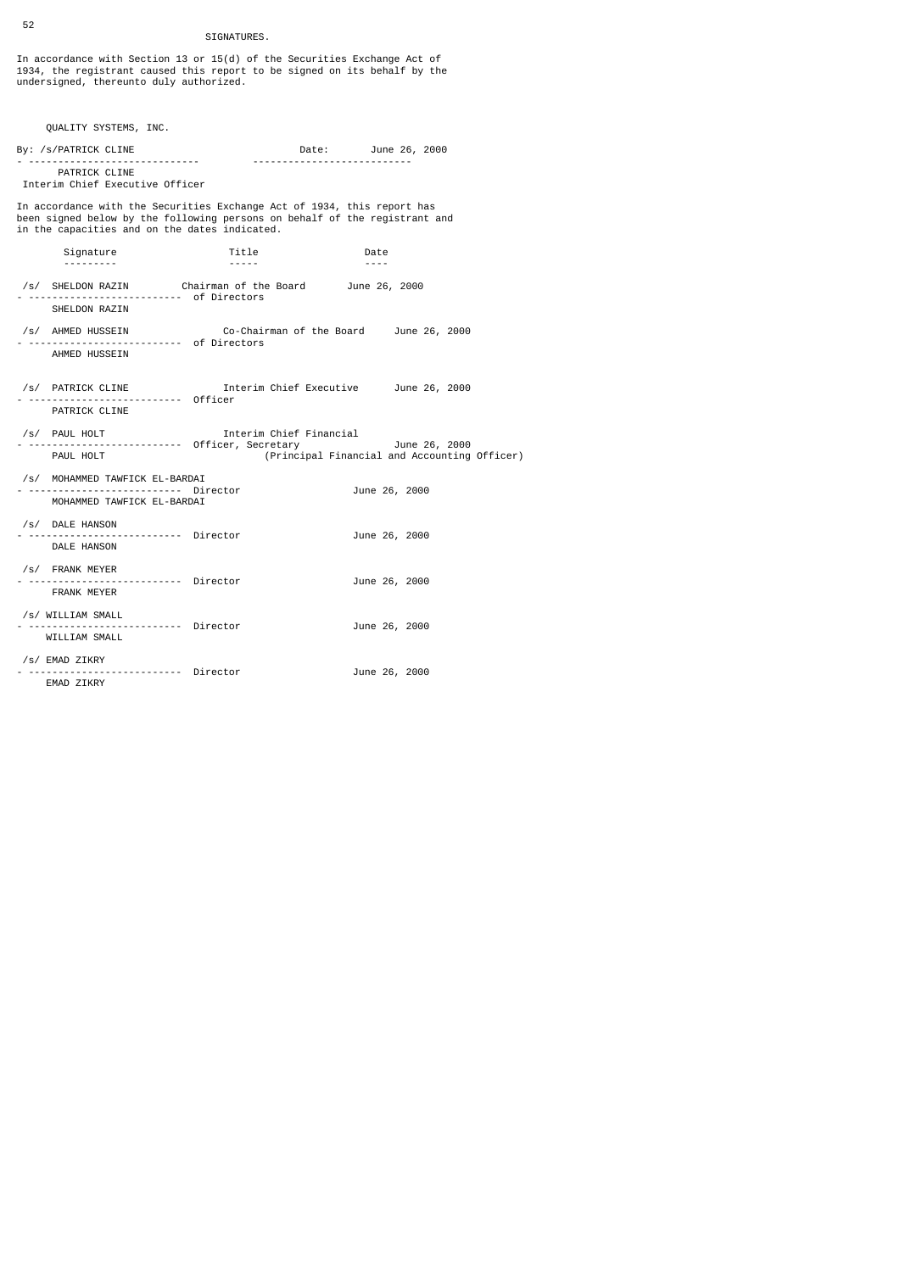## SIGNATURES.

In accordance with Section 13 or 15(d) of the Securities Exchange Act of 1934, the registrant caused this report to be signed on its behalf by the undersigned, thereunto duly authorized.

| QUALITY SYSTEMS, INC.                                                                                                                                                                                  |                                                                                                                                                                                          |                     |                   |                                              |
|--------------------------------------------------------------------------------------------------------------------------------------------------------------------------------------------------------|------------------------------------------------------------------------------------------------------------------------------------------------------------------------------------------|---------------------|-------------------|----------------------------------------------|
| By: /s/PATRICK CLINE<br><u>.</u>                                                                                                                                                                       |                                                                                                                                                                                          | Date: June 26, 2000 |                   |                                              |
| PATRICK CLINE<br>Interim Chief Executive Officer                                                                                                                                                       |                                                                                                                                                                                          |                     |                   |                                              |
| In accordance with the Securities Exchange Act of 1934, this report has<br>been signed below by the following persons on behalf of the registrant and<br>in the capacities and on the dates indicated. |                                                                                                                                                                                          |                     |                   |                                              |
| Signature<br>---------                                                                                                                                                                                 | Title<br>$\frac{1}{2} \left( \frac{1}{2} \right) \left( \frac{1}{2} \right) \left( \frac{1}{2} \right) \left( \frac{1}{2} \right) \left( \frac{1}{2} \right) \left( \frac{1}{2} \right)$ |                     | Date<br>$- - - -$ |                                              |
| /s/ SHELDON RAZIN Chairman of the Board June 26, 2000<br>- -------------------------- of Directors<br>SHELDON RAZIN                                                                                    |                                                                                                                                                                                          |                     |                   |                                              |
| /s/ AHMED HUSSEIN<br>AHMED HUSSEIN                                                                                                                                                                     | Co-Chairman of the Board June 26, 2000                                                                                                                                                   |                     |                   |                                              |
| /s/ PATRICK CLINE Thterim Chief Executive June 26, 2000<br>Officer<br>PATRICK CLINE                                                                                                                    |                                                                                                                                                                                          |                     |                   |                                              |
| /s/ PAUL HOLT<br>PAUL HOLT                                                                                                                                                                             | Interim Chief Financial                                                                                                                                                                  |                     |                   | (Principal Financial and Accounting Officer) |
| /s/ MOHAMMED TAWFICK EL-BARDAI<br>-------------------- Director<br>MOHAMMED TAWFICK EL-BARDAI                                                                                                          |                                                                                                                                                                                          |                     | June 26, 2000     |                                              |
| /s/ DALE HANSON<br>Director<br>DALE HANSON                                                                                                                                                             |                                                                                                                                                                                          |                     | June 26, 2000     |                                              |
| /s/ FRANK MEYER<br>--------------------- Director<br><b>FRANK MEYER</b>                                                                                                                                |                                                                                                                                                                                          |                     | June 26, 2000     |                                              |
| /s/ WILLIAM SMALL<br>Director<br>WILLIAM SMALL                                                                                                                                                         |                                                                                                                                                                                          |                     | June 26, 2000     |                                              |
| /s/ EMAD ZIKRY<br>EMAD ZIKRY                                                                                                                                                                           |                                                                                                                                                                                          |                     | June 26, 2000     |                                              |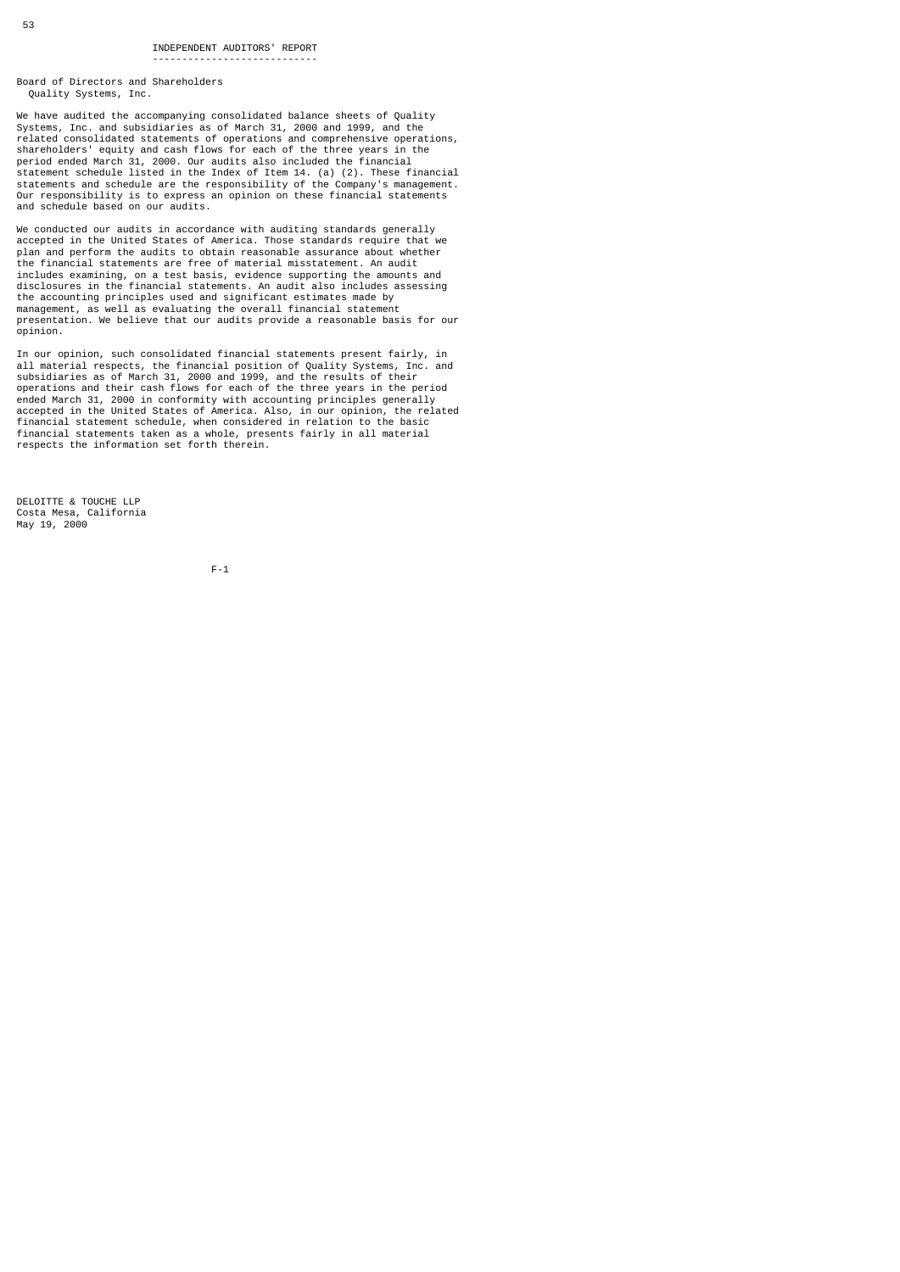Board of Directors and Shareholders Quality Systems, Inc.

----------------------------

We have audited the accompanying consolidated balance sheets of Quality<br>Systems, Inc. and subsidiaries as of March 31, 2000 and 1999, and the<br>related consolidated statements of operations and comprehensive operations,<br>shar statements and schedule are the responsibility of the Company's management. Our responsibility is to express an opinion on these financial statements and schedule based on our audits.

We conducted our audits in accordance with auditing standards generally accepted in the United States of America. Those standards require that we plan and perform the audits to obtain reasonable assurance about whether the financial statements are free of material misstatement. An audit<br>includes examining, on a test basis, evidence supporting the amounts and<br>disclosures in the financial statements. An audit also includes assessing<br>the ac management, as well as evaluating the overall financial statement presentation. We believe that our audits provide a reasonable basis for our opinion.

In our opinion, such consolidated financial statements present fairly, in<br>all material respects, the financial position of Quality Systems, Inc. and<br>subsidiaries as of March 31, 2000 and 1999, and the results of their<br>oper financial statement schedule, when considered in relation to the basic financial statements taken as a whole, presents fairly in all material respects the information set forth therein.

DELOITTE & TOUCHE LLP Costa Mesa, California May 19, 2000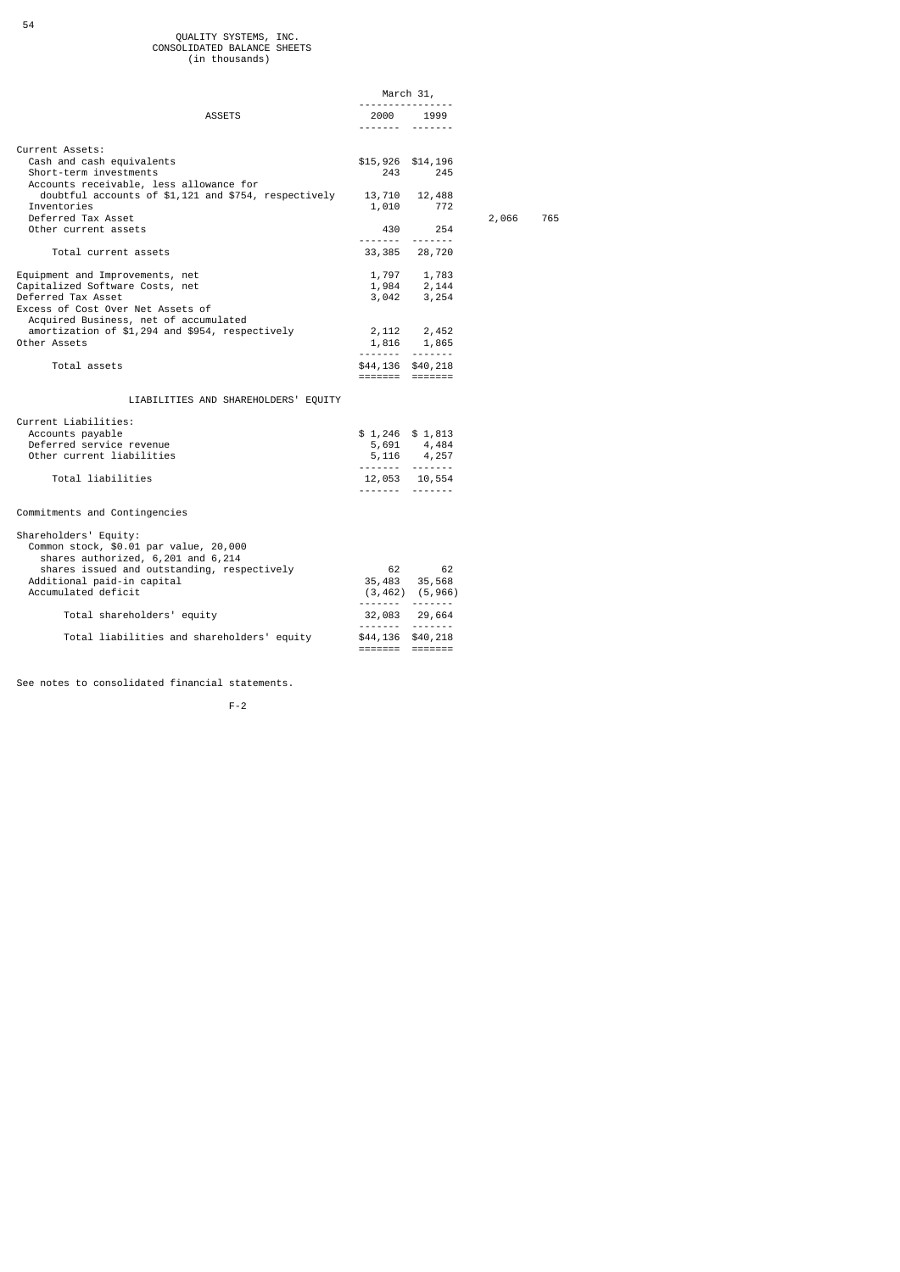# QUALITY SYSTEMS, INC. CONSOLIDATED BALANCE SHEETS

|                                                                                                                                                                                                           |              | March 31,                                                              |       |     |
|-----------------------------------------------------------------------------------------------------------------------------------------------------------------------------------------------------------|--------------|------------------------------------------------------------------------|-------|-----|
| <b>ASSETS</b>                                                                                                                                                                                             | 2000<br>.    | 1999                                                                   |       |     |
| Current Assets:<br>Cash and cash equivalents<br>Short-term investments                                                                                                                                    |              | \$15,926 \$14,196<br>243<br>245                                        |       |     |
| Accounts receivable, less allowance for<br>doubtful accounts of $$1,121$ and $$754$ , respectively 13,710 12,488<br>Inventories<br>Deferred Tax Asset<br>Other current assets                             |              | 1,010 772<br>430<br>254                                                | 2,066 | 765 |
| Total current assets                                                                                                                                                                                      |              | <br>33,385 28,720                                                      |       |     |
| Equipment and Improvements, net<br>Capitalized Software Costs, net<br>Deferred Tax Asset<br>Excess of Cost Over Net Assets of                                                                             |              | 1,797 1,783<br>1,984 2,144<br>3,042 3,254                              |       |     |
| Acquired Business, net of accumulated<br>amortization of \$1,294 and \$954, respectively<br>Other Assets                                                                                                  |              | 2, 112 2, 452<br>1,816 1,865                                           |       |     |
| Total assets                                                                                                                                                                                              |              | <br>\$44,136 \$40,218<br>------- ------                                |       |     |
| LIABILITIES AND SHAREHOLDERS' EQUITY                                                                                                                                                                      |              |                                                                        |       |     |
| Current Liabilities:<br>Accounts payable<br>Deferred service revenue<br>Other current liabilities<br>Total liabilities                                                                                    | <u>.</u>     | $$1,246$ $$1,813$<br>5,691 4,484<br>$5,116$ 4,257<br><br>12,053 10,554 |       |     |
| Commitments and Contingencies                                                                                                                                                                             |              |                                                                        |       |     |
| Shareholders' Equity:<br>Common stock, \$0.01 par value, 20,000<br>shares authorized, 6,201 and 6,214<br>shares issued and outstanding, respectively<br>Additional paid-in capital<br>Accumulated deficit | 62<br>35,483 | 62<br>35,568<br>$(3, 462)$ $(5, 966)$<br>                              |       |     |
| Total shareholders' equity                                                                                                                                                                                |              | 32,083 29,664<br><u>.</u>                                              |       |     |
| Total liabilities and shareholders' equity                                                                                                                                                                |              | \$44,136 \$40,218                                                      |       |     |

See notes to consolidated financial statements.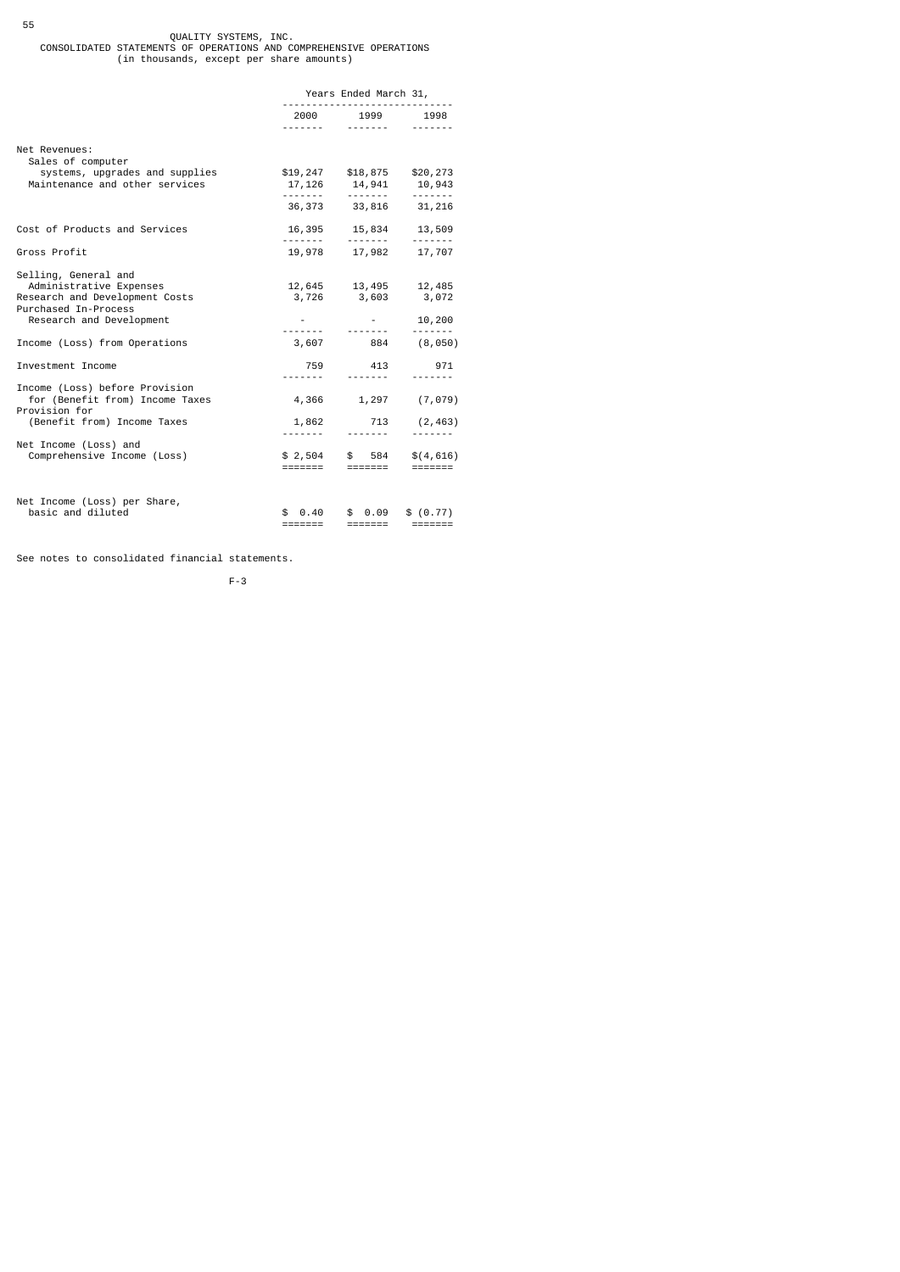## 55 QUALITY SYSTEMS, INC.<br>CONSOLIDATED STATEMENTS OF OPERATIONS AND COMPREHENSIVE OPERATIONS<br>in thousands, except per share amounts)

|                                                                                                                                       | Years Ended March 31,<br> |                                                                                  |                                    |  |
|---------------------------------------------------------------------------------------------------------------------------------------|---------------------------|----------------------------------------------------------------------------------|------------------------------------|--|
|                                                                                                                                       |                           | 2000 1999 1998                                                                   |                                    |  |
| Net Revenues:<br>Sales of computer                                                                                                    |                           |                                                                                  |                                    |  |
| systems, upgrades and supplies<br>Maintenance and other services                                                                      | .                         | $$19,247$ $$18,875$ $$20,273$<br>17, 126 14, 941 10, 943<br>.<br>36, 373 33, 816 | 31,216                             |  |
| Cost of Products and Services                                                                                                         |                           | 16,395 15,834 13,509                                                             |                                    |  |
| Gross Profit                                                                                                                          |                           | 19,978 17,982 17,707                                                             |                                    |  |
| Selling, General and<br>Administrative Expenses<br>Research and Development Costs<br>Purchased In-Process<br>Research and Development |                           | $12,645$ $13,495$ $12,485$<br>3,726 3,603                                        | 3,072<br>10,200                    |  |
| Income (Loss) from Operations                                                                                                         |                           |                                                                                  | <b></b><br>$3,607$ $884$ $(8,050)$ |  |
| Investment Income                                                                                                                     | --------                  | 759 413                                                                          | 971                                |  |
| Income (Loss) before Provision<br>for (Benefit from) Income Taxes<br>Provision for<br>(Benefit from) Income Taxes                     | 1,862                     | <u>.</u>                                                                         | 4,366 1,297 (7,079)<br>713 (2,463) |  |
| Net Income (Loss) and<br>Comprehensive Income (Loss)                                                                                  | =======                   | $$2,504$ \$ 584<br>=======                                                       | \$(4,616)<br>$= 1.1222222$         |  |
| Net Income (Loss) per Share,<br>basic and diluted                                                                                     | \$ 0.40<br>=======        | \$0.09<br>=======                                                                | \$ (0.77)                          |  |

See notes to consolidated financial statements.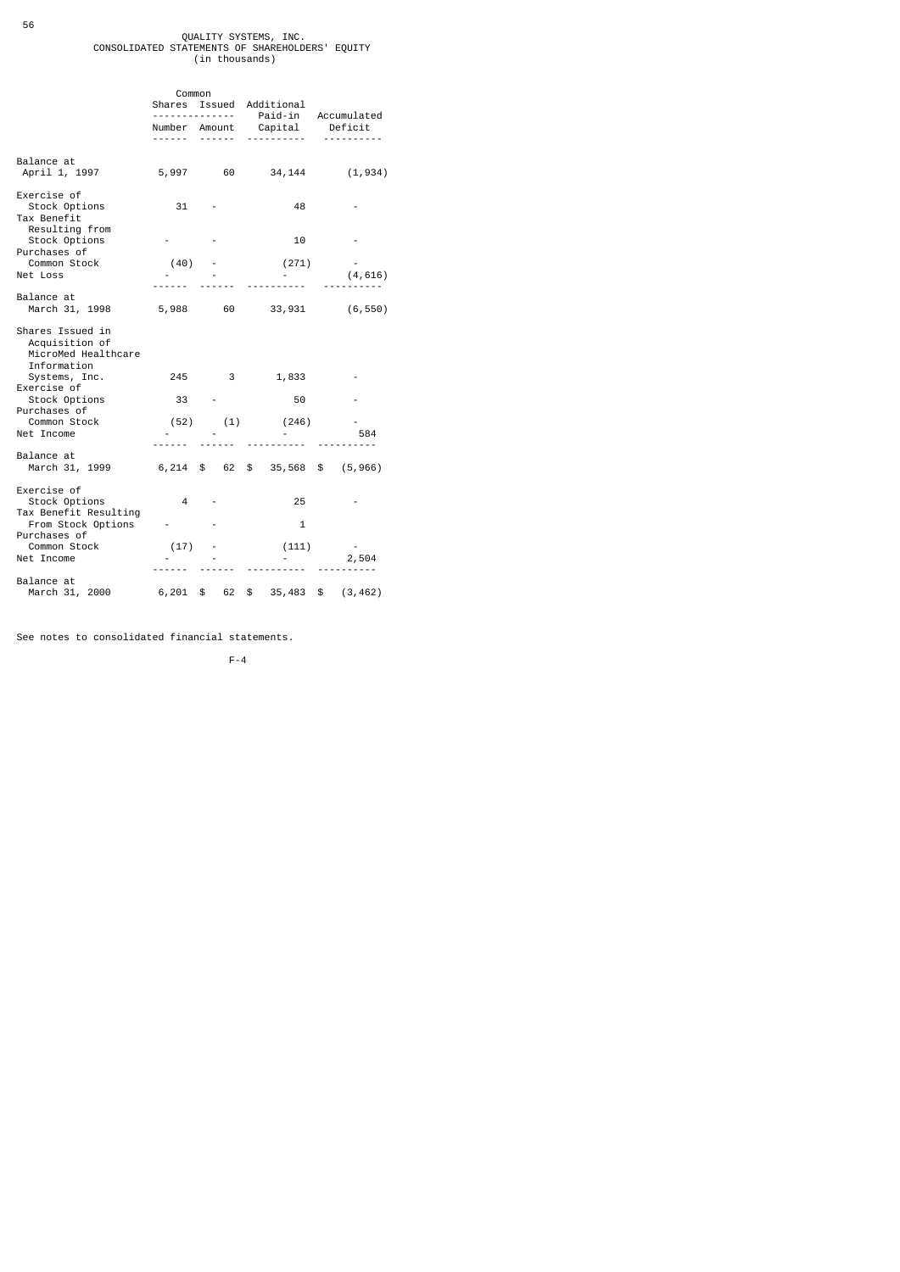# QUALITY SYSTEMS, INC.<br>CONSOLIDATED STATEMENTS OF SHAREHOLDERS' EQUITY<br>in thousands)

|                                                                          | Shares             | Common<br>Issued<br>Additional<br><u>.</u> |                      |                                        |
|--------------------------------------------------------------------------|--------------------|--------------------------------------------|----------------------|----------------------------------------|
|                                                                          | Number Amount<br>. |                                            | <u>.</u>             | Paid-in Accumulated<br>Capital Deficit |
| Balance at<br>April 1, 1997                                              |                    |                                            |                      | 5,997 60 34,144 (1,934)                |
| Exercise of<br>Stock Options<br>Tax Benefit                              | 31                 |                                            | 48                   |                                        |
| Resulting from<br>Stock Options<br>Purchases of                          |                    |                                            | 10                   |                                        |
| Common Stock<br>Net Loss                                                 |                    | $(40)$ -                                   | (271)                | (4, 616)                               |
| Balance at<br>March 31, 1998                                             |                    | 5,988 60                                   |                      | 33,931 (6,550)                         |
| Shares Issued in<br>Acquisition of<br>MicroMed Healthcare<br>Information |                    |                                            |                      |                                        |
| Systems, Inc.<br>Exercise of                                             | 245                | $\overline{\mathbf{3}}$                    | 1,833                |                                        |
| Stock Options<br>Purchases of                                            | 33                 |                                            | 50                   |                                        |
| Common Stock<br>Net Income                                               |                    |                                            | $(52)$ $(1)$ $(246)$ | 584                                    |
| Balance at<br>March 31, 1999                                             |                    |                                            |                      | 6,214 \$ 62 \$ 35,568 \$ (5,966)       |
| Exercise of<br>Stock Options                                             | $\overline{4}$     |                                            | 25                   |                                        |
| Tax Benefit Resulting<br>From Stock Options<br>Purchases of              |                    |                                            | $\mathbf{1}$         |                                        |
| Common Stock<br>Net Income                                               | (17)               |                                            | (111)                | 2,504                                  |
| Balance at<br>March 31, 2000 6, 201                                      |                    | \$ 62                                      |                      | $$35,483$$ (3,462)                     |

See notes to consolidated financial statements.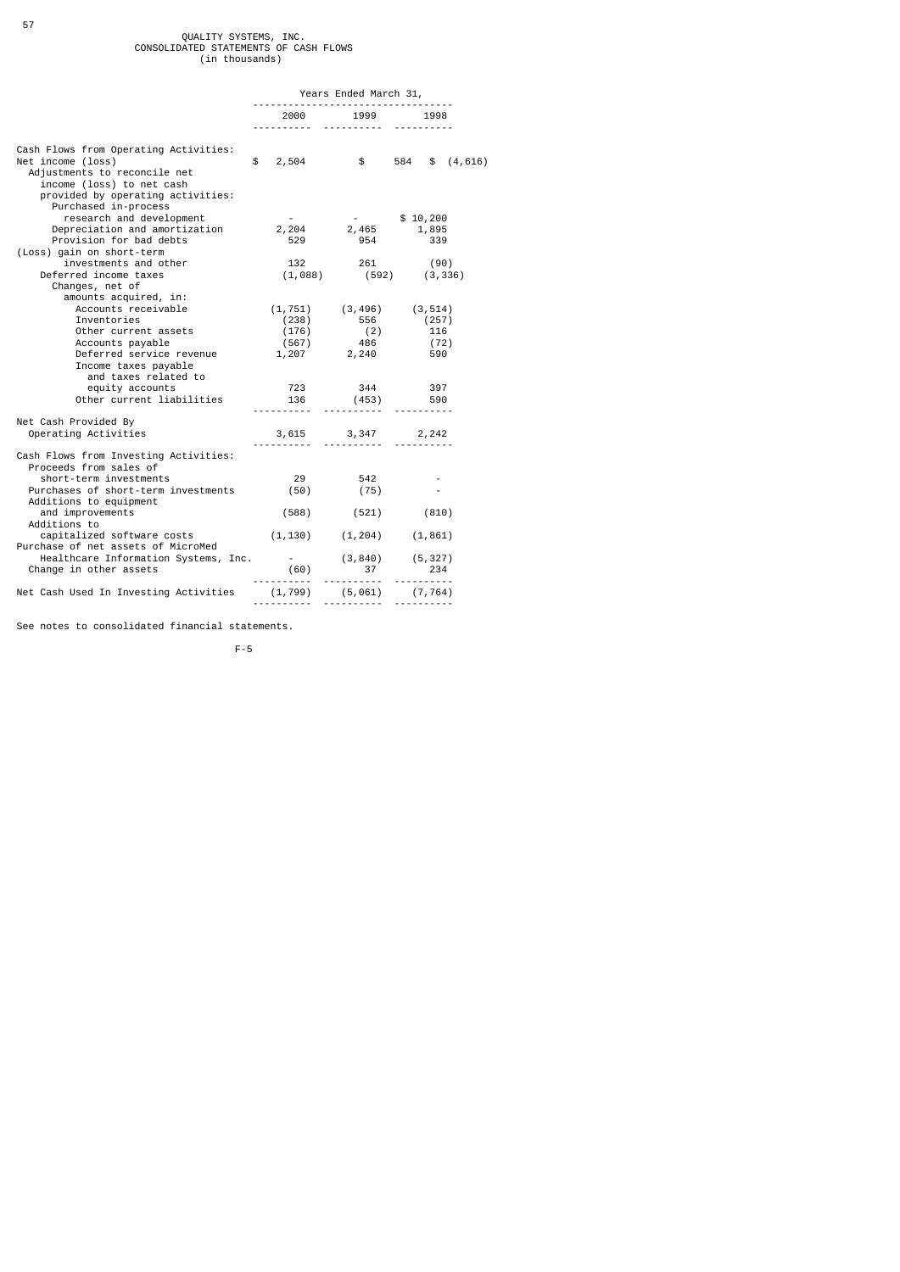# QUALITY SYSTEMS, INC.<br>CONSOLIDATED STATEMENTS OF CASH FLOWS<br>in thousands)

|                                                                                                                                                                                      | Years Ended March 31,                                                                                                                                  |                                  |                            |  |  |  |
|--------------------------------------------------------------------------------------------------------------------------------------------------------------------------------------|--------------------------------------------------------------------------------------------------------------------------------------------------------|----------------------------------|----------------------------|--|--|--|
|                                                                                                                                                                                      |                                                                                                                                                        | 2000 1999                        | 1998                       |  |  |  |
| Cash Flows from Operating Activities:<br>Net income (loss)<br>Adjustments to reconcile net<br>income (loss) to net cash<br>provided by operating activities:<br>Purchased in-process |                                                                                                                                                        |                                  | $$2,504$ $$584$ $$(4,616)$ |  |  |  |
| research and development                                                                                                                                                             |                                                                                                                                                        |                                  |                            |  |  |  |
| Depreciation and amortization                                                                                                                                                        |                                                                                                                                                        |                                  |                            |  |  |  |
| Provision for bad debts                                                                                                                                                              | $2,204$<br>$529$<br>$529$<br>$2,465$<br>$1,895$<br>$954$<br>$339$<br>529                                                                               |                                  |                            |  |  |  |
| (Loss) gain on short-term                                                                                                                                                            |                                                                                                                                                        |                                  |                            |  |  |  |
| investments and other                                                                                                                                                                |                                                                                                                                                        |                                  |                            |  |  |  |
| Deferred income taxes                                                                                                                                                                |                                                                                                                                                        |                                  |                            |  |  |  |
| Changes, net of                                                                                                                                                                      |                                                                                                                                                        |                                  |                            |  |  |  |
| amounts acquired, in:                                                                                                                                                                |                                                                                                                                                        |                                  |                            |  |  |  |
| Accounts receivable                                                                                                                                                                  | $\begin{array}{cccc} (1,751) & (3,496) & (3,514) \\ (238) & 556 & (257) \\ (176) & (2) & 116 \\ (567) & 486 & (72) \\ 1,207 & 2,240 & 590 \end{array}$ |                                  |                            |  |  |  |
| Inventories                                                                                                                                                                          |                                                                                                                                                        |                                  |                            |  |  |  |
| Other current assets                                                                                                                                                                 |                                                                                                                                                        |                                  |                            |  |  |  |
| Accounts payable                                                                                                                                                                     |                                                                                                                                                        |                                  |                            |  |  |  |
| Deferred service revenue                                                                                                                                                             |                                                                                                                                                        |                                  |                            |  |  |  |
| Income taxes payable                                                                                                                                                                 |                                                                                                                                                        |                                  |                            |  |  |  |
| and taxes related to<br>equity accounts                                                                                                                                              |                                                                                                                                                        | 723 344 397                      |                            |  |  |  |
| Other current liabilities                                                                                                                                                            |                                                                                                                                                        |                                  |                            |  |  |  |
|                                                                                                                                                                                      |                                                                                                                                                        | 136 (453) 590                    |                            |  |  |  |
| Net Cash Provided By                                                                                                                                                                 |                                                                                                                                                        |                                  |                            |  |  |  |
| Operating Activities                                                                                                                                                                 |                                                                                                                                                        | 3,615 3,347 2,242                |                            |  |  |  |
|                                                                                                                                                                                      |                                                                                                                                                        |                                  | <u>.</u>                   |  |  |  |
| Cash Flows from Investing Activities:<br>Proceeds from sales of                                                                                                                      |                                                                                                                                                        |                                  |                            |  |  |  |
| short-term investments                                                                                                                                                               |                                                                                                                                                        | 29 542                           |                            |  |  |  |
| Purchases of short-term investments                                                                                                                                                  | (50)                                                                                                                                                   | (75)                             |                            |  |  |  |
| Additions to equipment                                                                                                                                                               |                                                                                                                                                        |                                  |                            |  |  |  |
| and improvements                                                                                                                                                                     |                                                                                                                                                        | $(588)$ $(521)$ $(810)$          |                            |  |  |  |
| Additions to                                                                                                                                                                         |                                                                                                                                                        |                                  |                            |  |  |  |
| capitalized software costs                                                                                                                                                           |                                                                                                                                                        | $(1, 130)$ $(1, 204)$ $(1, 861)$ |                            |  |  |  |
| Purchase of net assets of MicroMed                                                                                                                                                   |                                                                                                                                                        |                                  |                            |  |  |  |
| Healthcare Information Systems, Inc. $(3,840)$                                                                                                                                       |                                                                                                                                                        |                                  | (5, 327)                   |  |  |  |
| Change in other assets                                                                                                                                                               |                                                                                                                                                        | $(60)$ 37                        | 234                        |  |  |  |
| Net Cash Used In Investing Activities (1,799) (5,061) (7,764)                                                                                                                        |                                                                                                                                                        |                                  |                            |  |  |  |
|                                                                                                                                                                                      |                                                                                                                                                        |                                  |                            |  |  |  |

See notes to consolidated financial statements.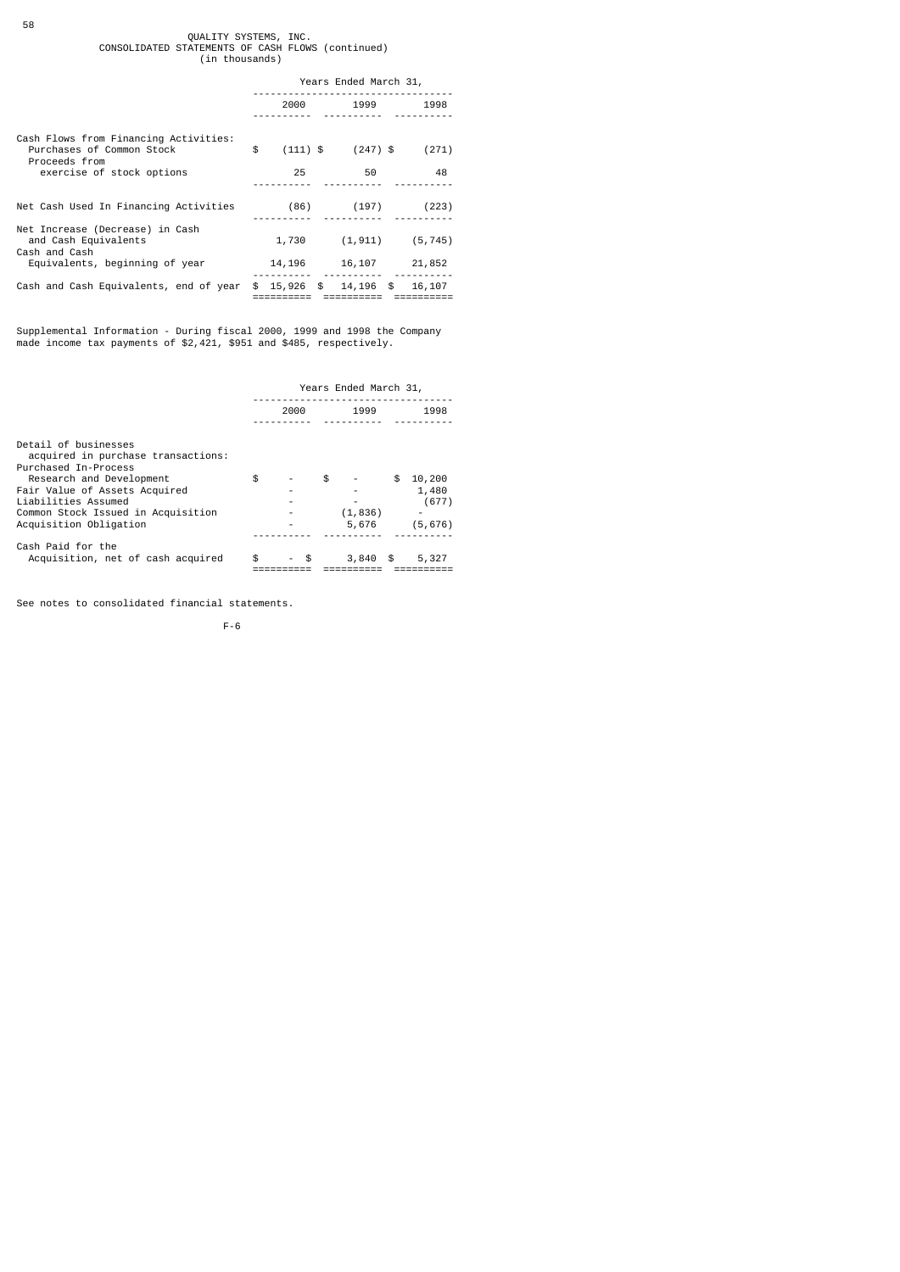# QUALITY SYSTEMS, INC.<br>CONSOLIDATED STATEMENTS OF CASH FLOWS (continued)<br>in thousands)

|                                                                                     | Years Ended March 31, |            |                     |          |  |  |
|-------------------------------------------------------------------------------------|-----------------------|------------|---------------------|----------|--|--|
|                                                                                     |                       | 2000       | 1999                | 1998     |  |  |
| Cash Flows from Financing Activities:<br>Purchases of Common Stock<br>Proceeds from | \$                    | $(111)$ \$ | $(247)$ \$          | (271)    |  |  |
| exercise of stock options                                                           |                       | 25         | 50                  | 48       |  |  |
| Net Cash Used In Financing Activities                                               |                       | (86)       | (197)               | (223)    |  |  |
| Net Increase (Decrease) in Cash<br>and Cash Equivalents<br>Cash and Cash            |                       | 1,730      | (1, 911)            | (5, 745) |  |  |
| Equivalents, beginning of year                                                      |                       | 14,196     | 16,107              | 21,852   |  |  |
| Cash and Cash Equivalents, end of year                                              | \$                    |            | 15,926 \$ 14,196 \$ | 16,107   |  |  |

Supplemental Information - During fiscal 2000, 1999 and 1998 the Company made income tax payments of \$2,421, \$951 and \$485, respectively.

|                                                              | Years Ended March 31, |     |    |                   |      |          |  |
|--------------------------------------------------------------|-----------------------|-----|----|-------------------|------|----------|--|
|                                                              | 2000                  |     |    | 1999              |      | 1998     |  |
|                                                              |                       |     |    |                   |      |          |  |
| Detail of businesses<br>acquired in purchase transactions:   |                       |     |    |                   |      |          |  |
| Purchased In-Process<br>Research and Development             | \$                    |     | \$ |                   | \$   | 10,200   |  |
| Fair Value of Assets Acquired                                |                       |     |    |                   |      | 1,480    |  |
| Liabilities Assumed                                          |                       |     |    | ۰                 |      | (677)    |  |
| Common Stock Issued in Acquisition<br>Acquisition Obligation |                       |     |    | (1, 836)<br>5,676 |      | (5, 676) |  |
| Cash Paid for the                                            |                       |     |    |                   |      |          |  |
| Acquisition, net of cash acquired                            | \$                    | \$. |    | 3,840             | - \$ | 5,327    |  |

See notes to consolidated financial statements.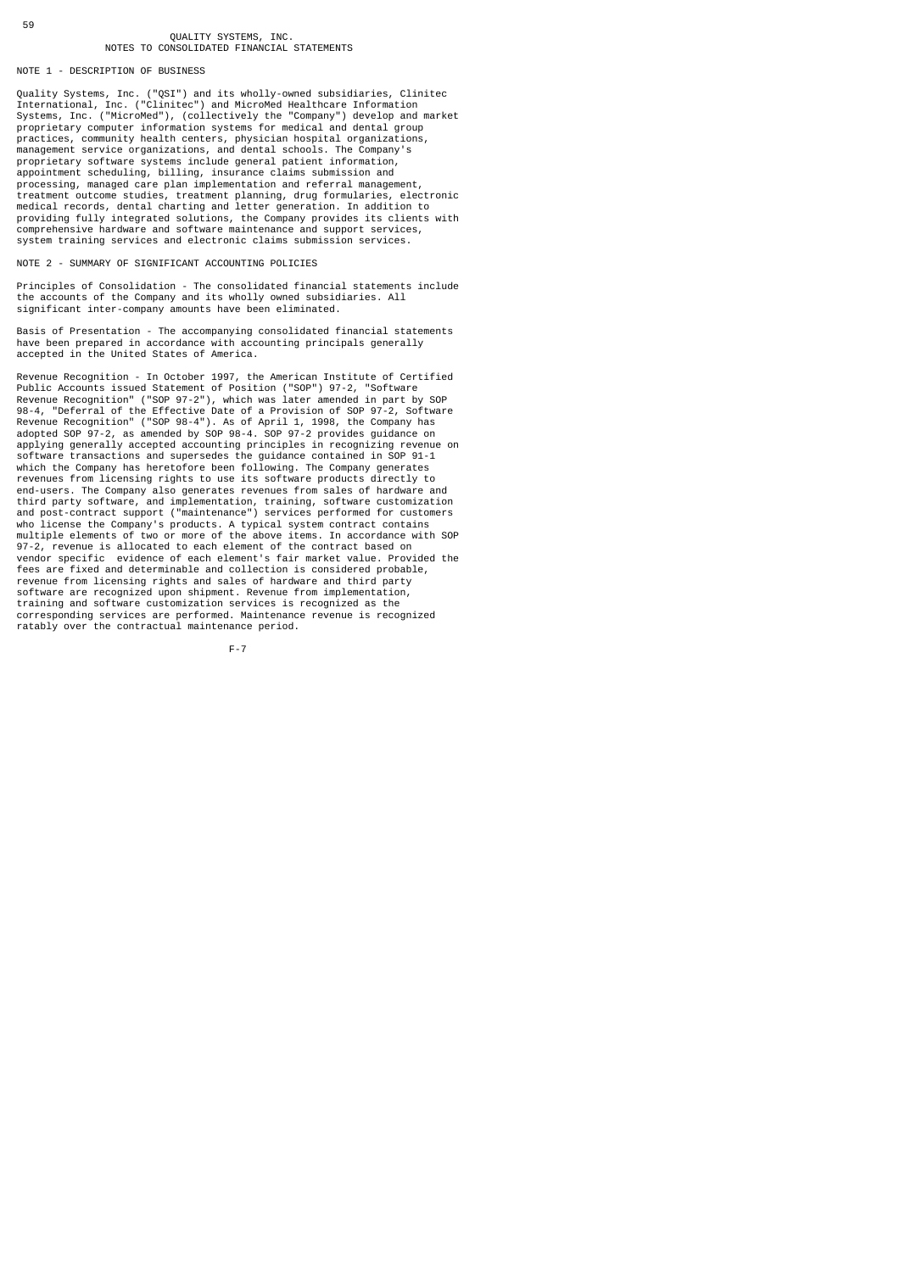#### NOTE 1 - DESCRIPTION OF BUSINESS

Quality Systems, Inc. ("QSI") and its wholly-owned subsidiaries, Clinitec<br>International, Inc. ("Clinitec") and MicroMed Healthcare Information<br>Systems, Inc. ("MicroMed"), (collectively the "Company") develop and market<br>pro practices, community health centers, physician hospital organizations, management service organizations, and dental schools. The Company's proprietary software systems include general patient information, appointment scheduling, billing, insurance claims submission and processing, managed care plan implementation and referral management,<br>treatment outcome studies, treatment planning, drug formularies, electronic<br>medical records, dental charting and letter generation. In addition to providing fully integrated solutions, the Company provides its clients with comprehensive hardware and software maintenance and support services, system training services and electronic claims submission services.

NOTE 2 - SUMMARY OF SIGNIFICANT ACCOUNTING POLICIES

Principles of Consolidation - The consolidated financial statements include the accounts of the Company and its wholly owned subsidiaries. All significant inter-company amounts have been eliminated.

Basis of Presentation - The accompanying consolidated financial statements have been prepared in accordance with accounting principals generally accepted in the United States of America.

Revenue Recognition - In October 1997, the American Institute of Certified Public Accounts issued Statement of Position ("SOP") 97-2, "Software<br>Revenue Recognition" ("SOP 97-2"), which was later amended in part by SOP<br>98-4, "Deferral of the Effective Date of a Provision of SOP 97-2, Software<br>Reve software transactions and supersedes the guidance contained in SOP 91-1 which the Company has heretofore been following. The Company generates revenues from licensing rights to use its software products directly to end-users. The Company also generates revenues from sales of hardware and third party software, and implementation, training, software customization and post-contract support ("maintenance") services performed for customers who license the Company's products. A typical system contract contains multiple elements of two or more of the above items. In accordance with SOP 97-2, revenue is allocated to each element of the contract based on vendor specific evidence of each element's fair market value. Provided the fees are fixed and determinable and collection is considered probable, revenue from licensing rights and sales of hardware and third party software are recognized upon shipment. Revenue from implementation, training and software customization services is recognized as the corresponding services are performed. Maintenance revenue is recognized ratably over the contractual maintenance period.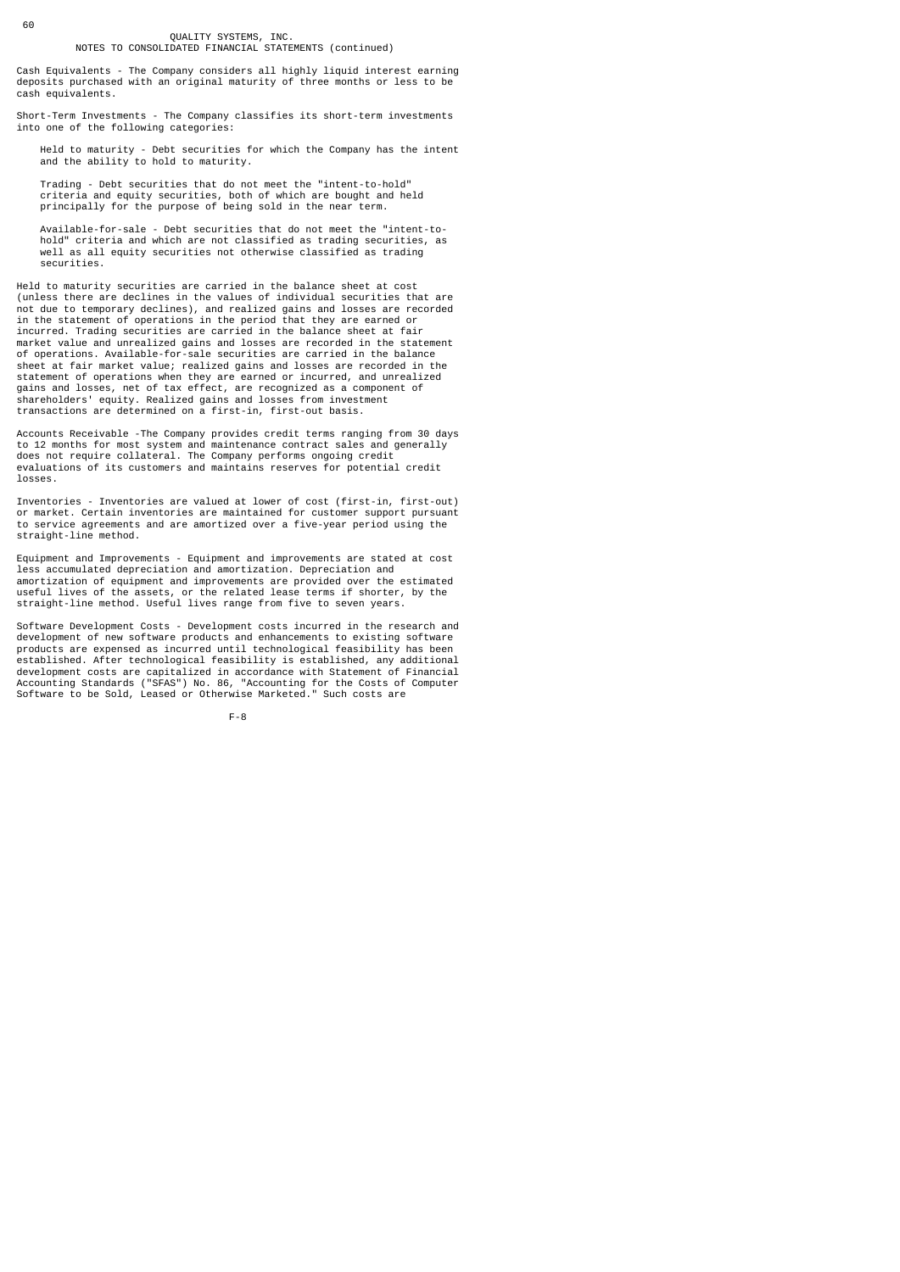Cash Equivalents - The Company considers all highly liquid interest earning deposits purchased with an original maturity of three months or less to be cash equivalents.

Short-Term Investments - The Company classifies its short-term investments into one of the following categories:

 Held to maturity - Debt securities for which the Company has the intent and the ability to hold to maturity.

 Trading - Debt securities that do not meet the "intent-to-hold" criteria and equity securities, both of which are bought and held principally for the purpose of being sold in the near term.

 Available-for-sale - Debt securities that do not meet the "intent-to hold" criteria and which are not classified as trading securities, as well as all equity securities not otherwise classified as trading securities.

Held to maturity securities are carried in the balance sheet at cost (unless there are declines in the values of individual securities that are not due to temporary declines), and realized gains and losses are recorded in the statement of operations in the period that they are earned or incurred. Trading securities are carried in the balance sheet at fair market value and unrealized gains and losses are recorded in the statement of operations. Available-for-sale securities are carried in the balance sheet at fair market value; realized gains and losses are recorded in the statement of operations when they are earned or incurred, and unrealized gains and losses, net of tax effect, are recognized as a component of shareholders' equity. Realized gains and losses from investment transactions are determined on a first-in, first-out basis.

Accounts Receivable -The Company provides credit terms ranging from 30 days to 12 months for most system and maintenance contract sales and generally does not require collateral. The Company performs ongoing credit evaluations of its customers and maintains reserves for potential credit losses.

Inventories - Inventories are valued at lower of cost (first-in, first-out) or market. Certain inventories are maintained for customer support pursuant to service agreements and are amortized over a five-year period using the straight-line method.

Equipment and Improvements - Equipment and improvements are stated at cost less accumulated depreciation and amortization. Depreciation and amortization of equipment and improvements are provided over the estimated useful lives of the assets, or the related lease terms if shorter, by the straight-line method. Useful lives range from five to seven years.

Software Development Costs - Development costs incurred in the research and development of new software products and enhancements to existing software products are expensed as incurred until technological feasibility has been established. After technological feasibility is established, any additional development costs are capitalized in accordance with Statement of Financial Accounting Standards ("SFAS") No. 86, "Accounting for the Costs of Computer Software to be Sold, Leased or Otherwise Marketed." Such costs are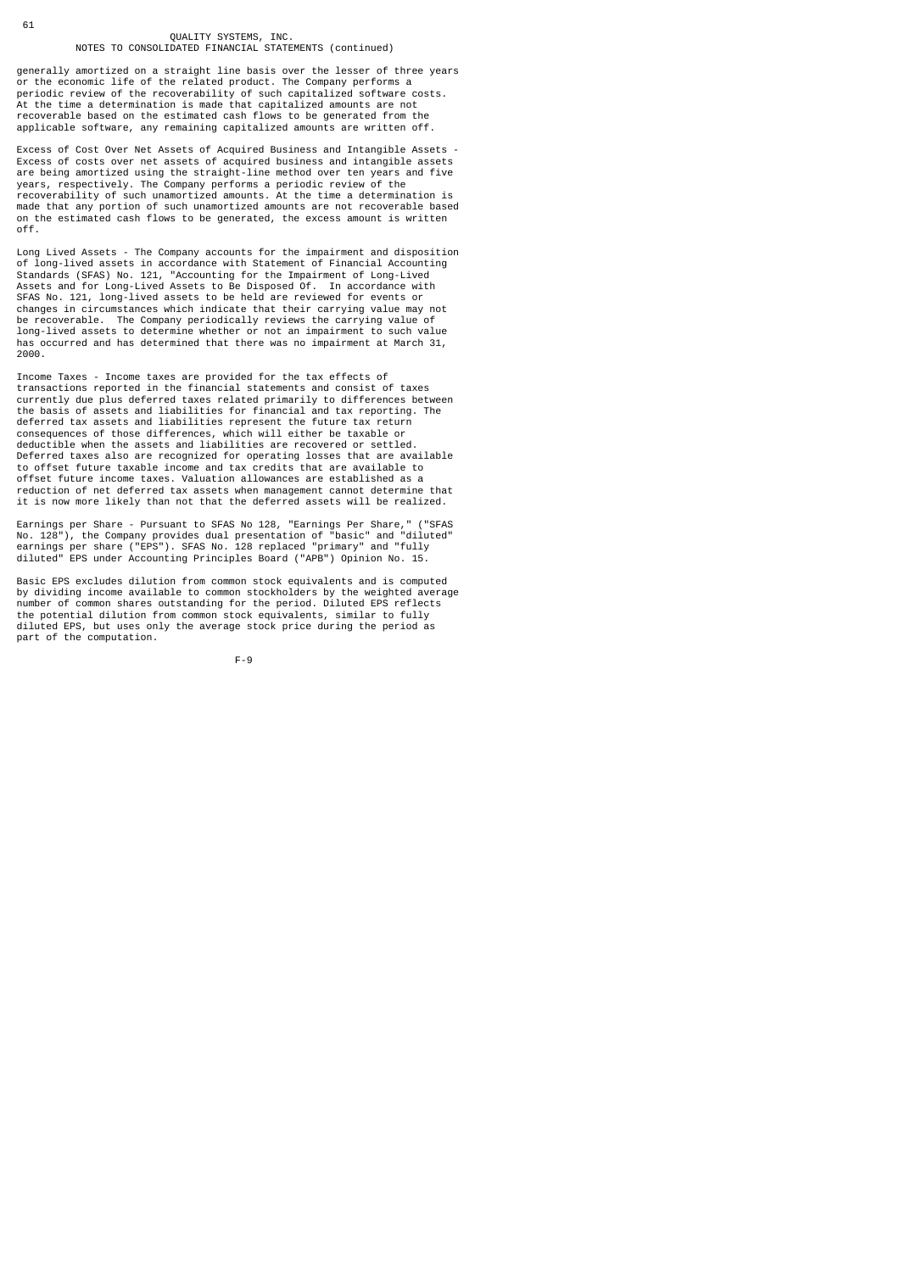generally amortized on a straight line basis over the lesser of three years or the economic life of the related product. The Company performs a periodic review of the recoverability of such capitalized software costs. At the time a determination is made that capitalized amounts are not recoverable based on the estimated cash flows to be generated from the applicable software, any remaining capitalized amounts are written off.

Excess of Cost Over Net Assets of Acquired Business and Intangible Assets - Excess of costs over net assets of acquired business and intangible assets are being amortized using the straight-line method over ten years and five years, respectively. The Company performs a periodic review of the recoverability of such unamortized amounts. At the time a determination is made that any portion of such unamortized amounts are not recoverable based on the estimated cash flows to be generated, the excess amount is written off.

Long Lived Assets - The Company accounts for the impairment and disposition of long-lived assets in accordance with Statement of Financial Accounting Standards (SFAS) No. 121, "Accounting for the Impairment of Long-Lived Assets and for Long-Lived Assets to Be Disposed Of. In accordance with SFAS No. 121, long-lived assets to be held are reviewed for events or changes in circumstances which indicate that their carrying value may not be recoverable. The Company periodically reviews the carrying value of long-lived assets to determine whether or not an impairment to such value has occurred and has determined that there was no impairment at March 31, 2000.

Income Taxes - Income taxes are provided for the tax effects of transactions reported in the financial statements and consist of taxes currently due plus deferred taxes related primarily to differences between the basis of assets and liabilities for financial and tax reporting. The deferred tax assets and liabilities represent the future tax return consequences of those differences, which will either be taxable or deductible when the assets and liabilities are recovered or settled. Deferred taxes also are recognized for operating losses that are available to offset future taxable income and tax credits that are available to offset future income taxes. Valuation allowances are established as a reduction of net deferred tax assets when management cannot determine that it is now more likely than not that the deferred assets will be realized.

Earnings per Share - Pursuant to SFAS No 128, "Earnings Per Share," ("SFAS<br>No. 128"), the Company provides dual presentation of "basic" and "diluted"<br>earnings per share ("EPS"). SFAS No. 128 replaced "primary" and "fully<br>d

Basic EPS excludes dilution from common stock equivalents and is computed by dividing income available to common stockholders by the weighted average number of common shares outstanding for the period. Diluted EPS reflects the potential dilution from common stock equivalents, similar to fully diluted EPS, but uses only the average stock price during the period as part of the computation.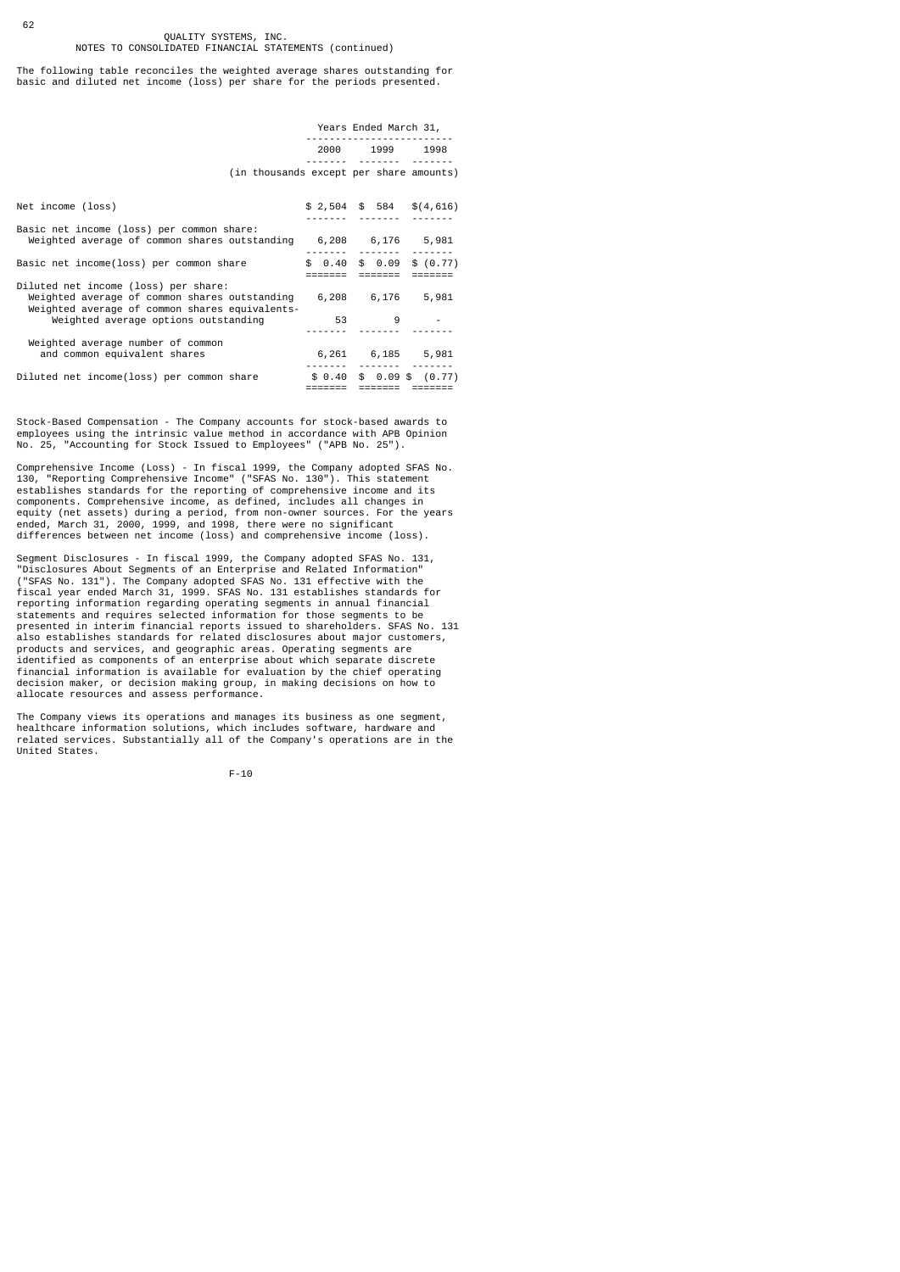The following table reconciles the weighted average shares outstanding for basic and diluted net income (loss) per share for the periods presented.

|                                                                                                                                         | Years Ended March 31, |                            |  |  |
|-----------------------------------------------------------------------------------------------------------------------------------------|-----------------------|----------------------------|--|--|
|                                                                                                                                         |                       | 2000 1999 1998             |  |  |
| (in thousands except per share amounts)                                                                                                 |                       |                            |  |  |
| Net income (loss)                                                                                                                       |                       | $$2,504$ \$ 584 \$ (4,616) |  |  |
| Basic net income (loss) per common share:<br>Weighted average of common shares outstanding 6,208 6,176 5,981                            |                       |                            |  |  |
| Basic net income(loss) per common share                                                                                                 |                       | $$0.40$$ \$ 0.09 \$ (0.77) |  |  |
| Diluted net income (loss) per share:<br>Weighted average of common shares outstanding<br>Weighted average of common shares equivalents- |                       | 6,208 6,176 5,981          |  |  |
| Weighted average options outstanding                                                                                                    |                       | 53 9                       |  |  |
| Weighted average number of common<br>and common equivalent shares                                                                       |                       | 6,261 6,185 5,981          |  |  |
| Diluted net income(loss) per common share                                                                                               |                       | $$0.40$$ \$ 0.09 \$ (0.77) |  |  |

Stock-Based Compensation - The Company accounts for stock-based awards to employees using the intrinsic value method in accordance with APB Opinion No. 25, "Accounting for Stock Issued to Employees" ("APB No. 25").

Comprehensive Income (Loss) - In fiscal 1999, the Company adopted SFAS No. 130, "Reporting Comprehensive Income" ("SFAS No. 130"). This statement establishes standards for the reporting of comprehensive income and its components. Comprehensive income, as defined, includes all changes in equity (net assets) during a period, from non-owner sources. For the years ended, March 31, 2000, 1999, and 1998, there were no significant differences between net income (loss) and comprehensive income (loss).

Segment Disclosures - In fiscal 1999, the Company adopted SFAS No. 131,<br>"Disclosures About Segments of an Enterprise and Related Information"<br>("SFAS No. 131"). The Company adopted SFAS No. 131 effective with the<br>fiscal yea presented in interim financial reports issued to shareholders. SFAS No. 131 also establishes standards for related disclosures about major customers, products and services, and geographic areas. Operating segments are identified as components of an enterprise about which separate discrete financial information is available for evaluation by the chief operating decision maker, or decision making group, in making decisions on how to allocate resources and assess performance.

The Company views its operations and manages its business as one segment, healthcare information solutions, which includes software, hardware and related services. Substantially all of the Company's operations are in the United States.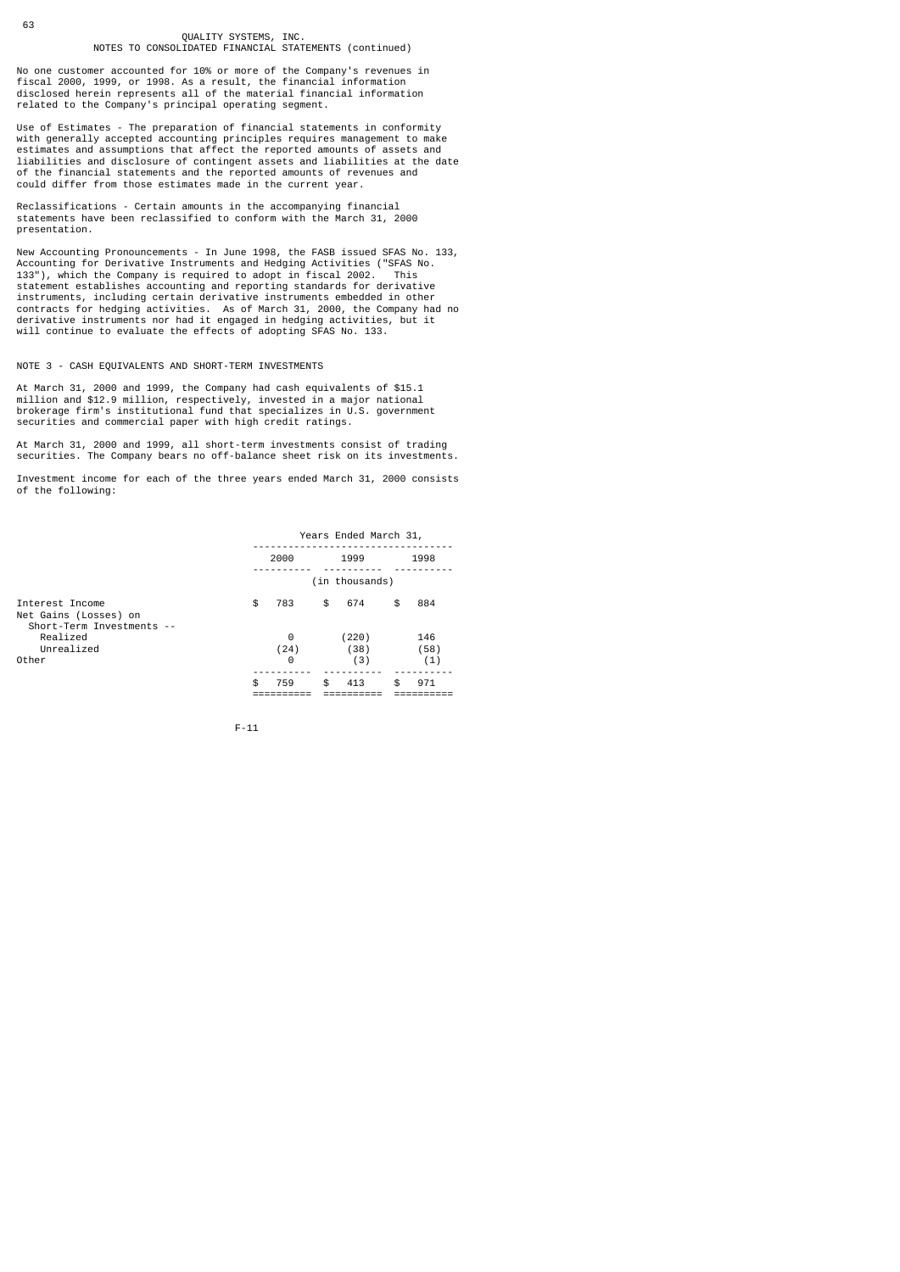No one customer accounted for 10% or more of the Company's revenues in fiscal 2000, 1999, or 1998. As a result, the financial information disclosed herein represents all of the material financial information related to the Company's principal operating segment.

Use of Estimates - The preparation of financial statements in conformity with generally accepted accounting principles requires management to make estimates and assumptions that affect the reported amounts of assets and liabilities and disclosure of contingent assets and liabilities at the date of the financial statements and the reported amounts of revenues and could differ from those estimates made in the current year.

Reclassifications - Certain amounts in the accompanying financial statements have been reclassified to conform with the March 31, 2000 presentation.

New Accounting Pronouncements - In June 1998, the FASB issued SFAS No. 133, Accounting for Derivative Instruments and Hedging Activities ("SFAS No. 133"), which the Company is required to adopt in fiscal 2002. This statement establishes accounting and reporting standards for derivative instruments, including certain derivative instruments embedded in other contracts for hedging activities. As of March 31, 2000, the Company had no derivative instruments nor had it engaged in hedging activities, but it will continue to evaluate the effects of adopting SFAS No. 133.

#### NOTE 3 - CASH EQUIVALENTS AND SHORT-TERM INVESTMENTS

At March 31, 2000 and 1999, the Company had cash equivalents of \$15.1 million and \$12.9 million, respectively, invested in a major national brokerage firm's institutional fund that specializes in U.S. government securities and commercial paper with high credit ratings.

At March 31, 2000 and 1999, all short-term investments consist of trading securities. The Company bears no off-balance sheet risk on its investments.

Investment income for each of the three years ended March 31, 2000 consists of the following:

|                                                                       | Years Ended March 31, |                |    |                      |    |                    |  |  |  |
|-----------------------------------------------------------------------|-----------------------|----------------|----|----------------------|----|--------------------|--|--|--|
|                                                                       | 2000                  |                |    | 1999                 |    | 1998               |  |  |  |
|                                                                       |                       |                |    | (in thousands)       |    |                    |  |  |  |
| Interest Income<br>Net Gains (Losses) on<br>Short-Term Investments -- | \$                    | 783            | \$ | 674                  | \$ | 884                |  |  |  |
| Realized<br>Unrealized<br>Other                                       |                       | 0<br>(24)<br>0 |    | (220)<br>(38)<br>(3) |    | 146<br>(58)<br>(1) |  |  |  |
|                                                                       | \$                    | 759            | \$ | 413                  | \$ | 971                |  |  |  |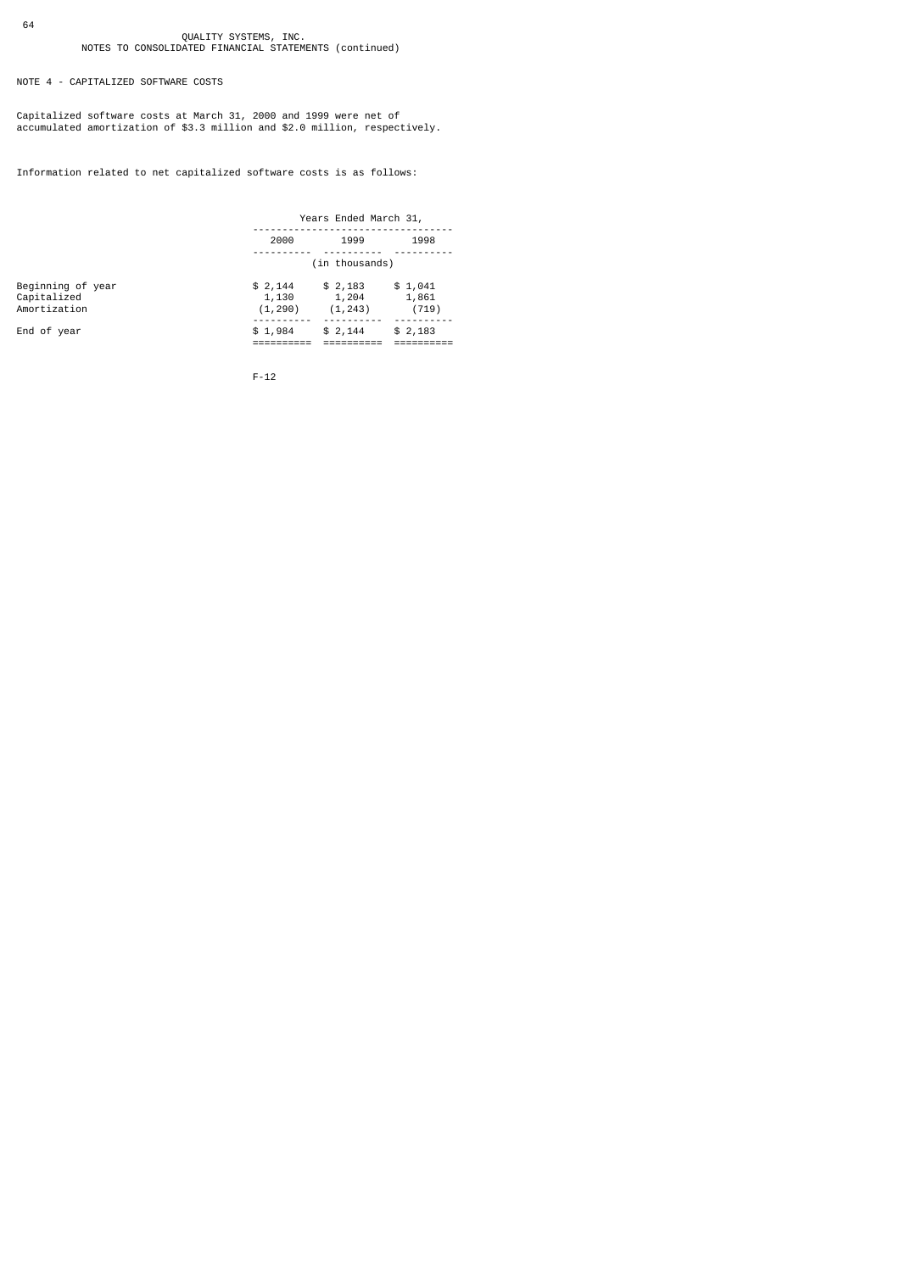NOTE 4 - CAPITALIZED SOFTWARE COSTS

Capitalized software costs at March 31, 2000 and 1999 were net of accumulated amortization of \$3.3 million and \$2.0 million, respectively.

Information related to net capitalized software costs is as follows:

|                                                  | Years Ended March 31,        |                              |                           |  |
|--------------------------------------------------|------------------------------|------------------------------|---------------------------|--|
|                                                  | 2000                         | 1999                         | 1998                      |  |
|                                                  | (in thousands)               |                              |                           |  |
| Beginning of year<br>Capitalized<br>Amortization | \$2,144<br>1,130<br>(1, 290) | \$2,183<br>1,204<br>(1, 243) | \$1,041<br>1,861<br>(719) |  |
| End of year                                      | \$1,984                      | \$2,144                      | \$2,183                   |  |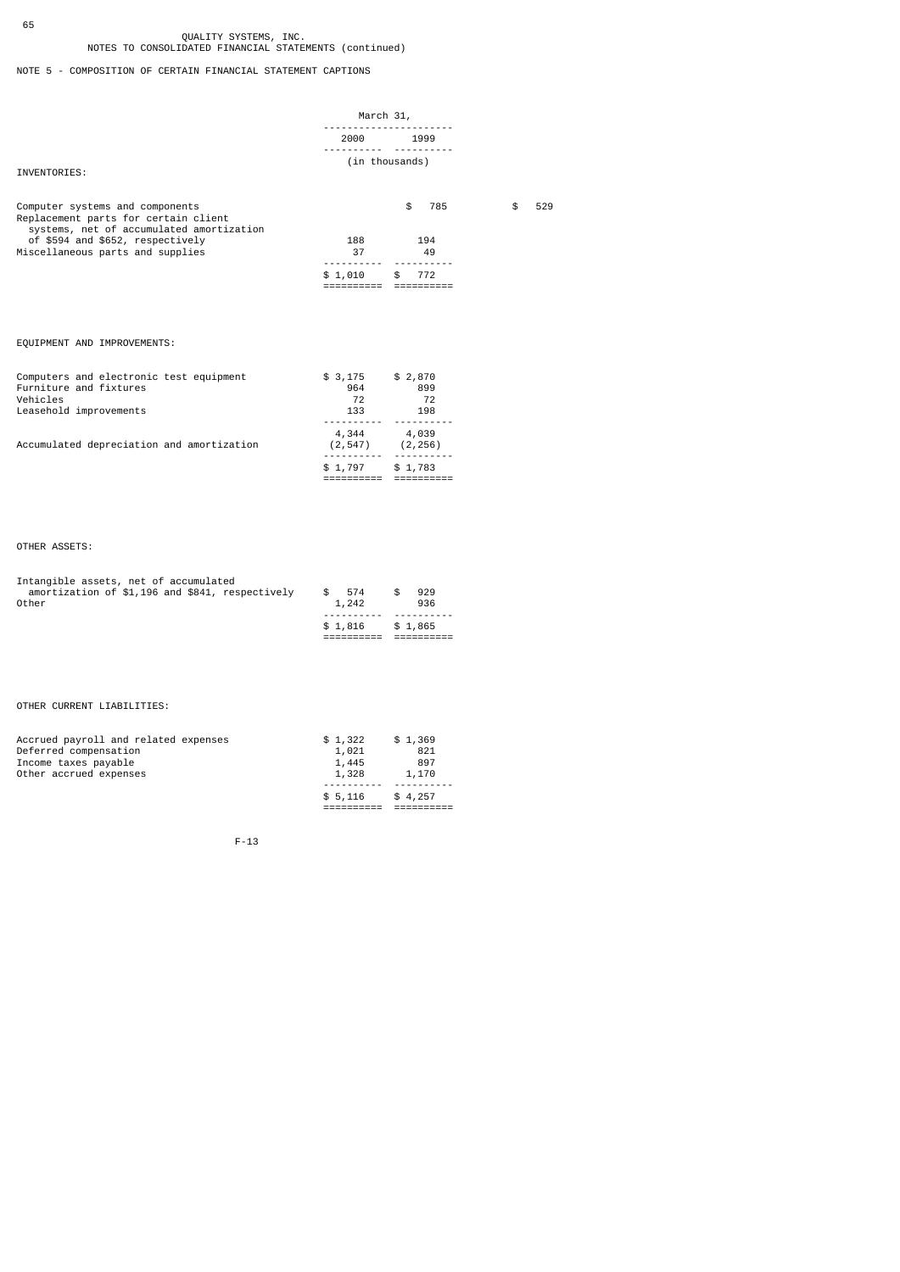NOTE 5 - COMPOSITION OF CERTAIN FINANCIAL STATEMENT CAPTIONS

|                                                                                                                     | March 31,                |                |           |
|---------------------------------------------------------------------------------------------------------------------|--------------------------|----------------|-----------|
|                                                                                                                     |                          | 2000 1999      |           |
| INVENTORIES:                                                                                                        |                          | (in thousands) |           |
| Computer systems and components<br>Replacement parts for certain client<br>systems, net of accumulated amortization |                          | \$<br>785      | 529<br>\$ |
| of \$594 and \$652, respectively<br>Miscellaneous parts and supplies                                                | 188<br>37                | 194<br>49      |           |
|                                                                                                                     | \$1,010                  | 772<br>\$      |           |
|                                                                                                                     |                          |                |           |
| EQUIPMENT AND IMPROVEMENTS:                                                                                         |                          |                |           |
| Computers and electronic test equipment<br>Furniture and fixtures                                                   | $$3,175$ $$2,870$<br>964 | 899            |           |

|                                           | \$1,797          | \$1,783           |
|-------------------------------------------|------------------|-------------------|
| Accumulated depreciation and amortization | 4,344<br>(2.547) | 4,039<br>(2, 256) |
| Leasehold improvements                    | 133              | 198               |
| Vehicles                                  | 72               | 72                |

## OTHER ASSETS:

65

| Intangible assets, net of accumulated           |         |         |
|-------------------------------------------------|---------|---------|
| amortization of \$1,196 and \$841, respectively | \$574   | 929     |
| Other                                           | 1,242   | 936     |
|                                                 |         |         |
|                                                 | \$1.816 | \$1,865 |
|                                                 |         |         |

## OTHER CURRENT LIABILITIES:

| Accrued payroll and related expenses | \$1,322 | \$1,369 |
|--------------------------------------|---------|---------|
| Deferred compensation                | 1,021   | 821     |
| Income taxes payable                 | 1,445   | 897     |
| Other accrued expenses               | 1,328   | 1,170   |
|                                      |         |         |
|                                      | \$5.116 | \$4.257 |
|                                      |         |         |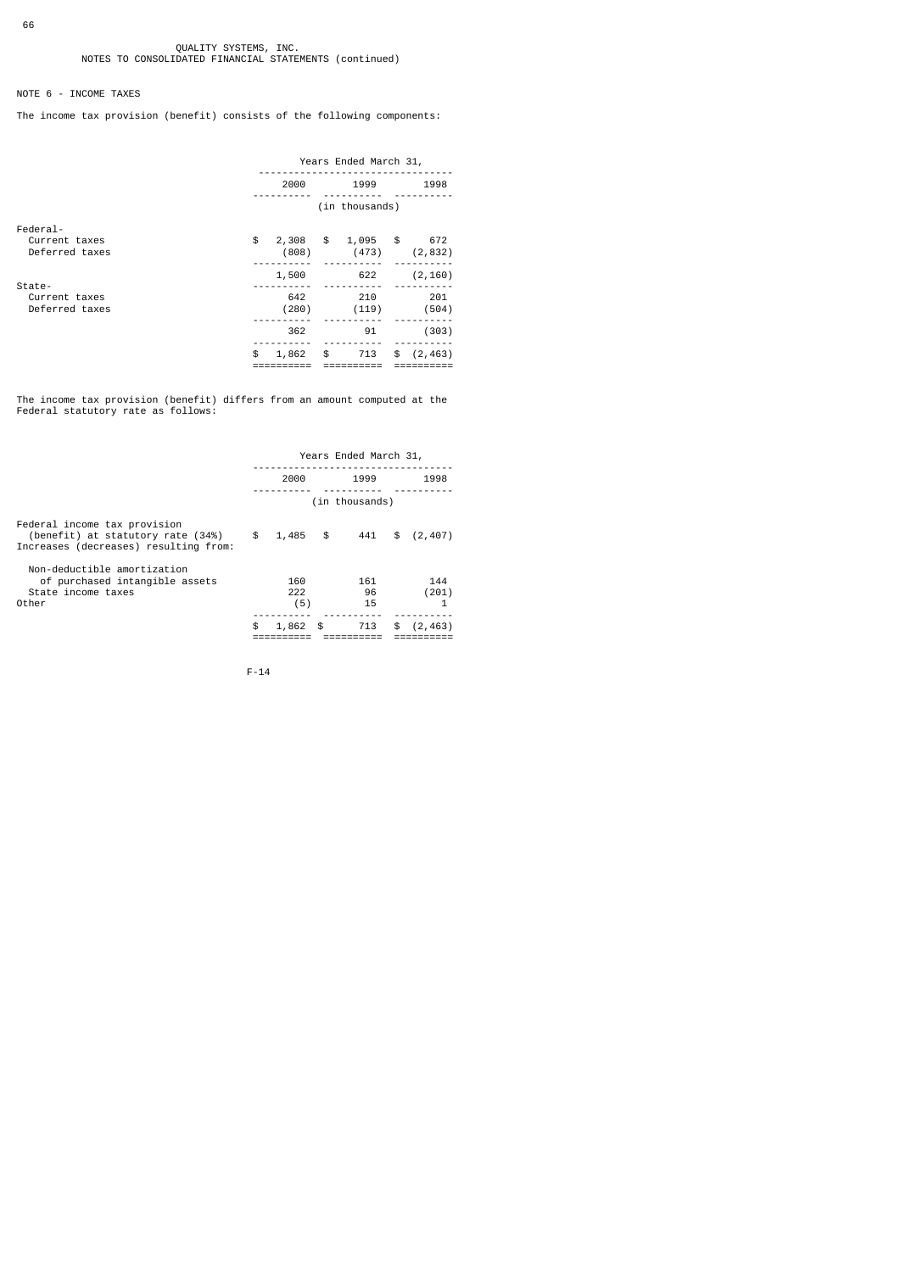## NOTE 6 - INCOME TAXES

The income tax provision (benefit) consists of the following components:

|                                             | Years Ended March 31,                 |                                                 |  |  |
|---------------------------------------------|---------------------------------------|-------------------------------------------------|--|--|
|                                             | 2000                                  | 1999<br>1998                                    |  |  |
|                                             |                                       | (in thousands)                                  |  |  |
| Federal-<br>Current taxes<br>Deferred taxes | \$<br>$\frac{1}{2}$<br>2,308<br>(808) | 1,095<br>$\sqrt{3}$<br>672<br>(473)<br>(2, 832) |  |  |
| State-<br>Current taxes                     | 1,500<br>642                          | (2, 160)<br>622<br>201<br>210                   |  |  |
| Deferred taxes                              | (280)<br>362                          | (119)<br>(504)<br>(303)<br>91                   |  |  |
|                                             | \$<br>\$<br>1,862                     | 713<br>\$<br>(2, 463)                           |  |  |

The income tax provision (benefit) differs from an amount computed at the Federal statutory rate as follows:

|                                                                                                            |                   |    | Years Ended March 31, |                |
|------------------------------------------------------------------------------------------------------------|-------------------|----|-----------------------|----------------|
|                                                                                                            | 2000              |    | 1999                  | 1998           |
|                                                                                                            |                   |    | (in thousands)        |                |
| Federal income tax provision<br>(benefit) at statutory rate (34%)<br>Increases (decreases) resulting from: | \$<br>1,485       | \$ | 441                   | \$<br>(2, 407) |
| Non-deductible amortization<br>of purchased intangible assets<br>State income taxes<br>Other               | 160<br>222<br>(5) |    | 161<br>96<br>15       | 144<br>(201)   |
|                                                                                                            | \$<br>1,862       | £. | 713                   | \$<br>(2, 463) |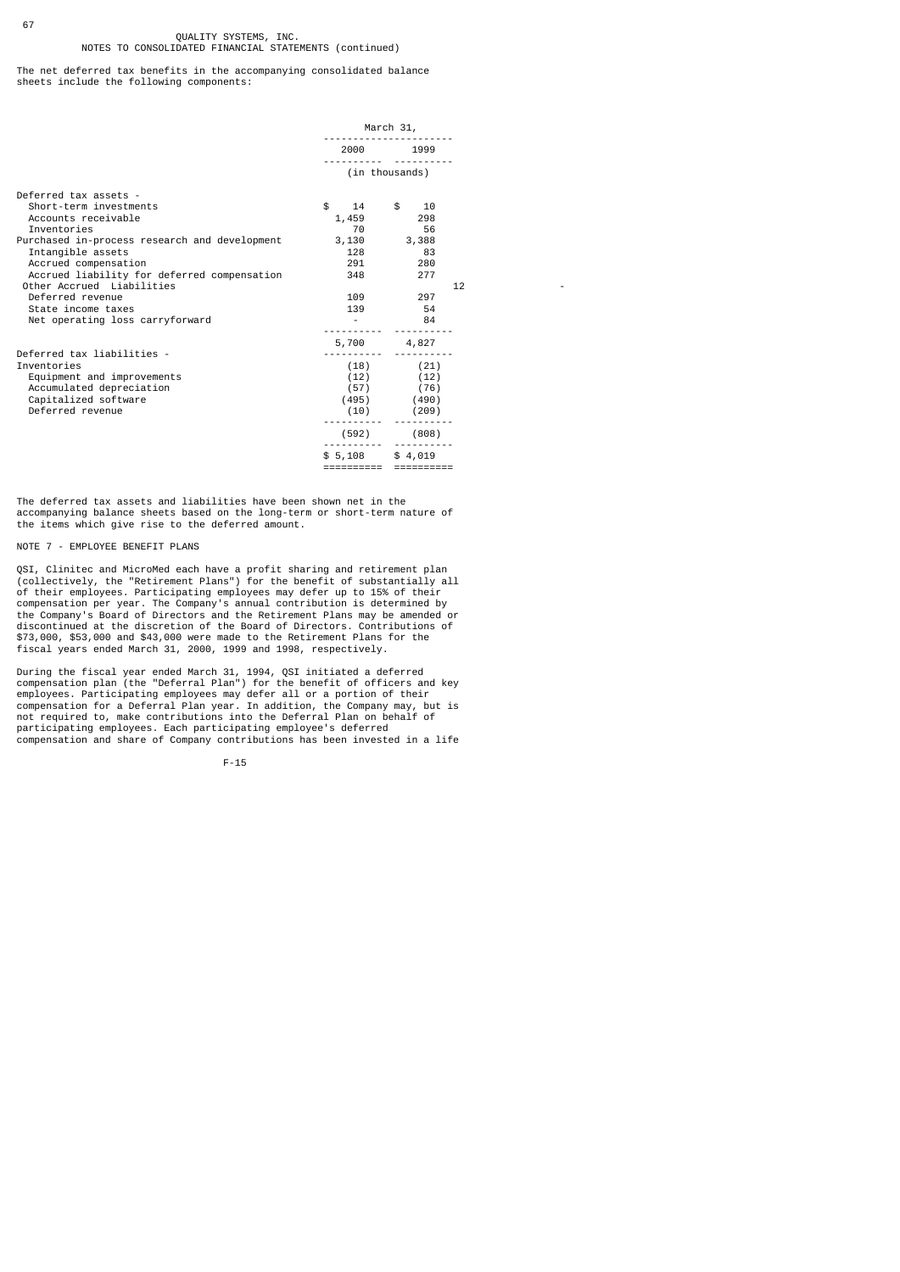The net deferred tax benefits in the accompanying consolidated balance sheets include the following components:

|                                               | March 31,       |                |    |
|-----------------------------------------------|-----------------|----------------|----|
|                                               | 2000 100        | 1999           |    |
|                                               |                 | (in thousands) |    |
| Deferred tax assets -                         |                 |                |    |
| Short-term investments                        | \$              | 14 \$ 10       |    |
| Accounts receivable                           | 1,459 298       |                |    |
| Inventories                                   | 70              | 56             |    |
| Purchased in-process research and development | $3,130$ $3,388$ |                |    |
| Intangible assets                             | 128 — 128       | 83             |    |
| Accrued compensation                          | 291 72          | 280            |    |
| Accrued liability for deferred compensation   | 348             | 277            |    |
| Other Accrued Liabilities                     |                 |                | 12 |
| Deferred revenue                              | 109             | 297            |    |
| State income taxes                            |                 | 139 54         |    |
| Net operating loss carryforward               |                 | 84             |    |
|                                               | 5,700 4,827     |                |    |
| Deferred tax liabilities -                    |                 |                |    |
| Inventories                                   |                 | $(18)$ $(21)$  |    |
| Equipment and improvements                    |                 | $(12)$ $(12)$  |    |
| Accumulated depreciation                      |                 | $(57)$ $(76)$  |    |
| Capitalized software                          |                 | $(495)$ (490)  |    |
| Deferred revenue                              | (10)            | (209)          |    |
|                                               | (592)           | (808)          |    |
|                                               |                 |                |    |
|                                               | \$5,108         | \$4,019        |    |
|                                               | ==========      | ----------     |    |

The deferred tax assets and liabilities have been shown net in the accompanying balance sheets based on the long-term or short-term nature of the items which give rise to the deferred amount.

### NOTE 7 - EMPLOYEE BENEFIT PLANS

67

QSI, Clinitec and MicroMed each have a profit sharing and retirement plan (collectively, the "Retirement Plans") for the benefit of substantially all of their employees. Participating employees may defer up to 15% of their

During the fiscal year ended March 31, 1994, QSI initiated a deferred<br>compensation plan (the "Deferral Plan") for the benefit of officers and key<br>employees. Participating employees may defer all or a portion of their<br>compe participating employees. Each participating employee's deferred compensation and share of Company contributions has been invested in a life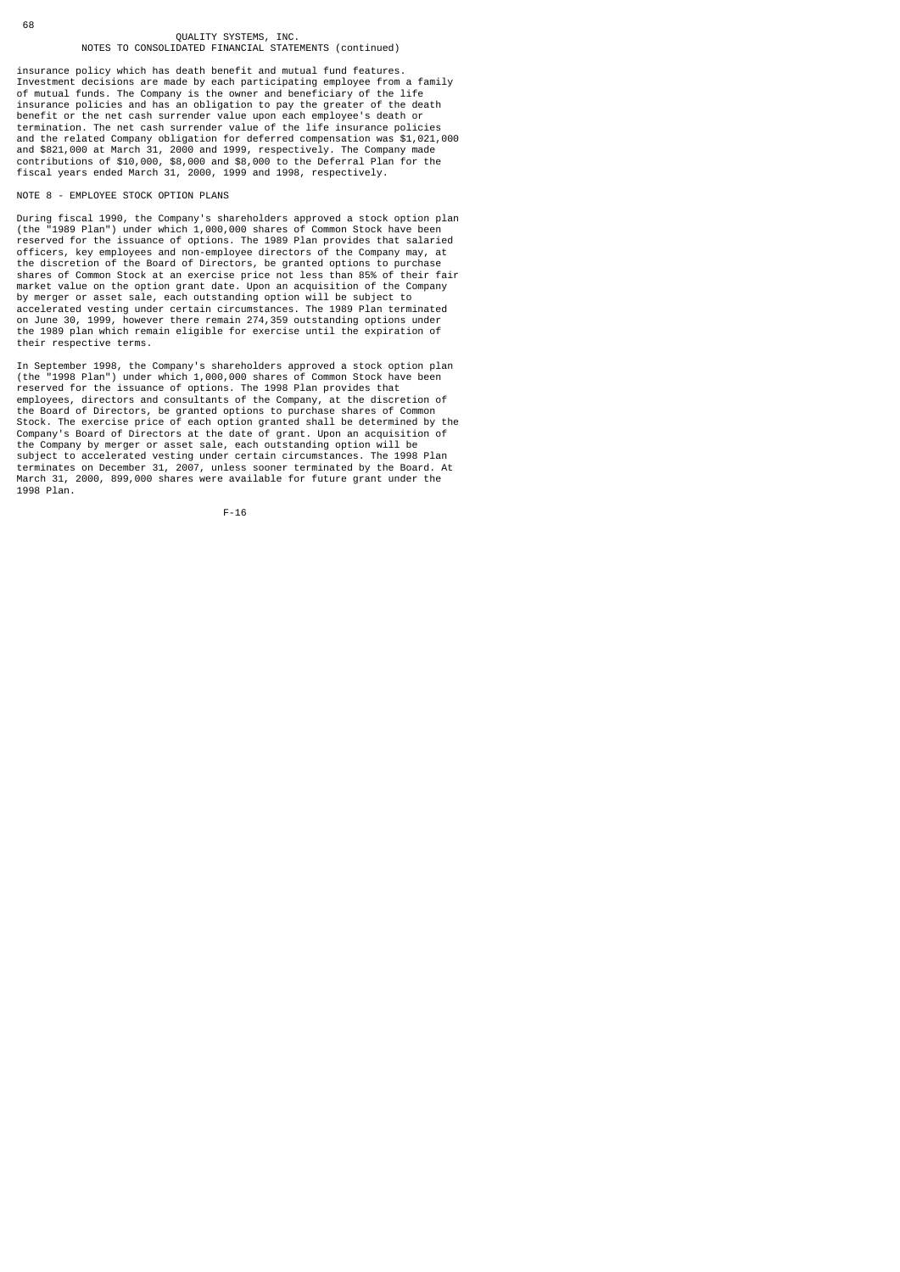insurance policy which has death benefit and mutual fund features. Investment decisions are made by each participating employee from a family of mutual funds. The Company is the owner and beneficiary of the life insurance policies and has an obligation to pay the greater of the death<br>benefit or the net cash surrender value upon each employee's death or<br>termination. The net cash surrender value of the life insurance policies<br>and th

#### NOTE 8 - EMPLOYEE STOCK OPTION PLANS

During fiscal 1990, the Company's shareholders approved a stock option plan (the "1989 Plan") under which 1,000,000 shares of Common Stock have been reserved for the issuance of options. The 1989 Plan provides that salaried officers, key employees and non-employee directors of the Company may, at the discretion of the Board of Directors, be granted options to purchase shares of Common Stock at an exercise price not less than 85% of their fair market value on the option grant date. Upon an acquisition of the Company by merger or asset sale, each outstanding option will be subject to<br>accelerated vesting under certain circumstances. The 1989 Plan terminated<br>on June 30, 1999, however there remain 274,359 outstanding options under<br>the 198 their respective terms.

In September 1998, the Company's shareholders approved a stock option plan (the "1998 Plan") under which 1,000,000 shares of Common Stock have been reserved for the issuance of options. The 1998 Plan provides that employees, directors and consultants of the Company, at the discretion of the Board of Directors, be granted options to purchase shares of Common Stock. The exercise price of each option granted shall be determined by the Company's Board of Directors at the date of grant. Upon an acquisition of the Company by merger or asset sale, each outstanding option will be<br>subject to accelerated vesting under certain circumstances. The 1998 Plan<br>terminates on December 31, 2007, unless sooner terminated by the Board. At<br>tMar 1998 Plan.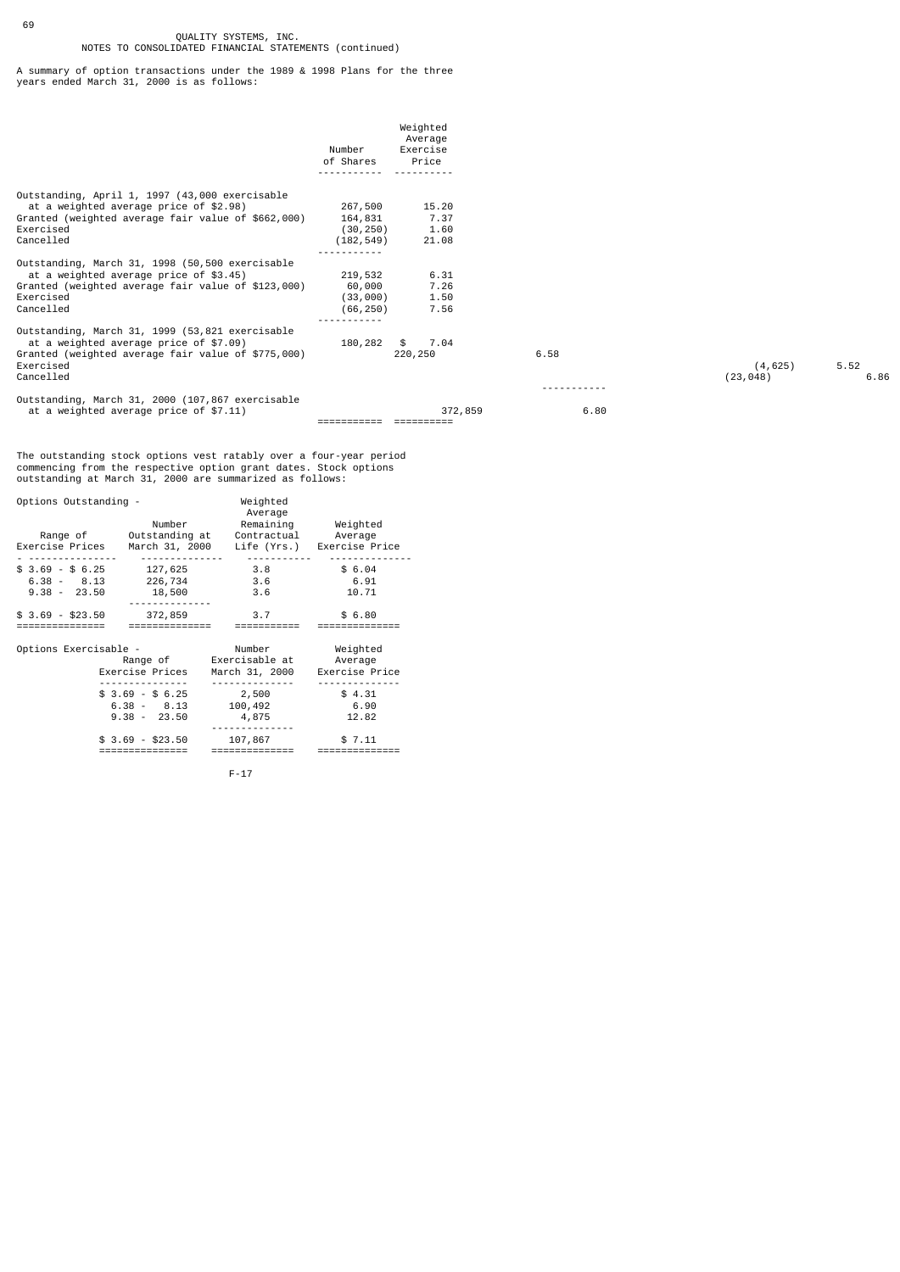69

A summary of option transactions under the 1989 & 1998 Plans for the three years ended March 31, 2000 is as follows:

|                                                                                                                                                                           | Number<br>of Shares                           | Weighted<br>Average<br>Exercise<br>Price |      |                       |              |
|---------------------------------------------------------------------------------------------------------------------------------------------------------------------------|-----------------------------------------------|------------------------------------------|------|-----------------------|--------------|
| Outstanding, April 1, 1997 (43,000 exercisable<br>at a weighted average price of \$2.98)<br>Granted (weighted average fair value of \$662,000)<br>Exercised<br>Cancelled  | 267,500<br>164,831<br>(30, 250)<br>(182, 549) | 15.20<br>7.37<br>1.60<br>21.08           |      |                       |              |
| Outstanding, March 31, 1998 (50,500 exercisable<br>at a weighted average price of \$3.45)<br>Granted (weighted average fair value of \$123,000)<br>Exercised<br>Cancelled | 219,532<br>60,000<br>(33,000)<br>(66, 250)    | 6.31<br>7.26<br>1.50<br>7.56             |      |                       |              |
| Outstanding, March 31, 1999 (53,821 exercisable<br>at a weighted average price of \$7.09)<br>Granted (weighted average fair value of \$775,000)<br>Exercised<br>Cancelled | 180,282                                       | 7.04<br>\$<br>220,250                    | 6.58 | (4, 625)<br>(23, 048) | 5.52<br>6.86 |
| Outstanding, March 31, 2000 (107,867 exercisable<br>at a weighted average price of \$7.11)                                                                                |                                               | 372,859                                  | 6.80 |                       |              |

The outstanding stock options vest ratably over a four-year period commencing from the respective option grant dates. Stock options outstanding at March 31, 2000 are summarized as follows:

| Options Outstanding -                              |                                                    | Weighted<br>Average                                        |                                       |
|----------------------------------------------------|----------------------------------------------------|------------------------------------------------------------|---------------------------------------|
|                                                    | Number<br>Range of Outstanding at                  | Remaining<br>Contractual                                   | Weighted<br>Average                   |
|                                                    |                                                    | Exercise Prices March 31, 2000 Life (Yrs.) Exercise Price  |                                       |
| $$3.69 - $6.25$<br>$6.38 - 8.13$<br>$9.38 - 23.50$ | 127,625<br>226,734<br>18,500                       | 3.8<br>3.6<br>3.6                                          | \$6.04<br>6.91<br>10.71               |
| $$3.69$ - $$23.50$<br>.==============              | 372,859                                            | 3.7                                                        | \$6.80                                |
| Options Exercisable -                              | Exercise Prices                                    | Number<br>Range of        Exercisable at<br>March 31, 2000 | Weighted<br>Average<br>Exercise Price |
|                                                    | $$3.69 - $6.25$<br>$6.38 - 8.13$<br>$9.38 - 23.50$ | 2,500<br>100,492<br>4,875                                  | \$4.31<br>6.90<br>12.82               |
|                                                    | \$ 3.69 - \$23.50                                  | 107,867                                                    | \$7.11                                |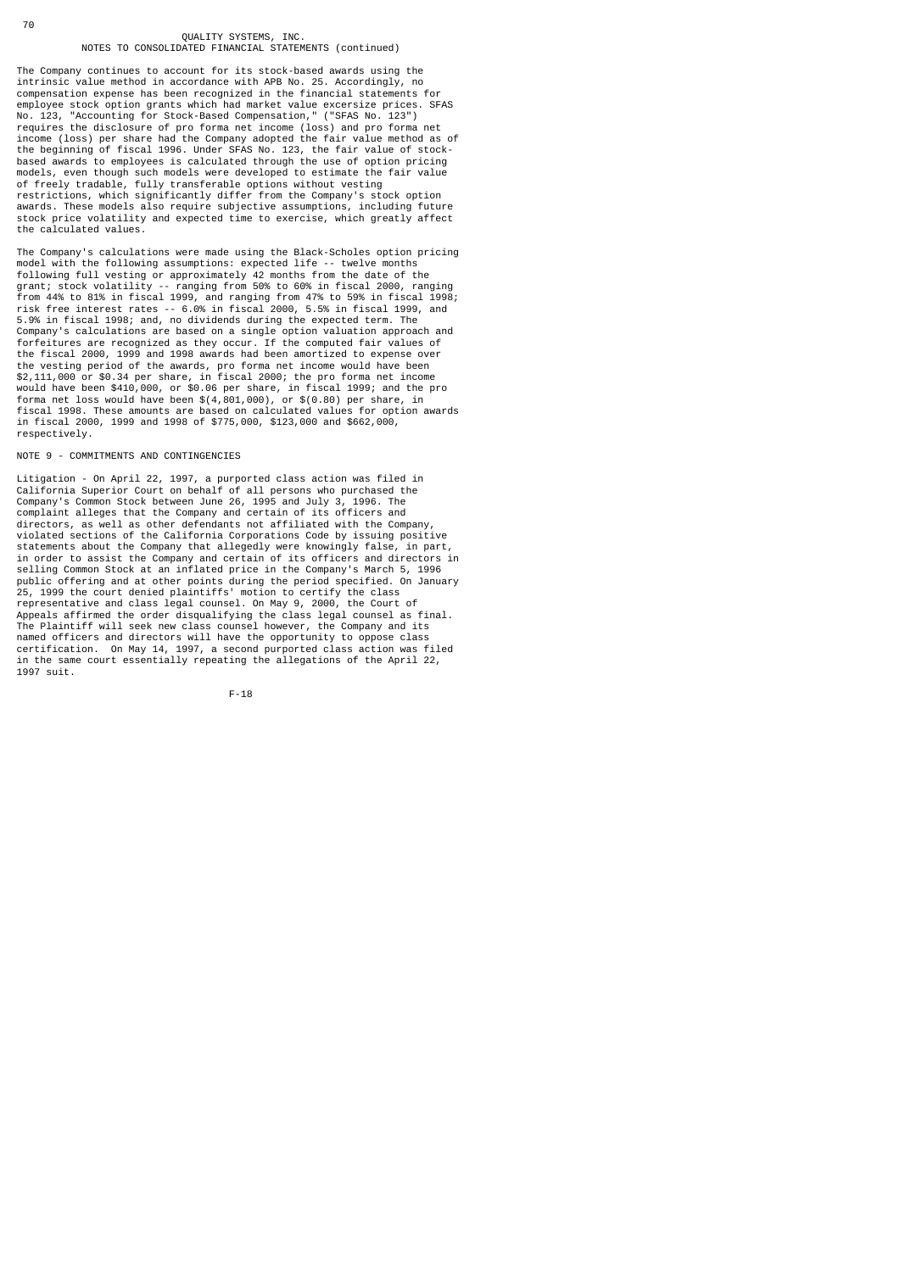The Company continues to account for its stock-based awards using the intrinsic value method in accordance with APB No. 25. Accordingly, no compensation expense has been recognized in the financial statements for employee stock option grants which had market value excersize prices. SFAS No. 123, "Accounting for Stock-Based Compensation," ("SFAS No. 123") requires the disclosure of pro forma net income (loss) and pro forma net income (loss) per share had the Company adopted the fair value method as of the beginning of fiscal 1996. Under SFAS No. 123, the fair value of stock-based awards to employees is calculated through the use of option pricing models, even though such models were developed to estimate the fair value of freely tradable, fully transferable options without vesting restrictions, which significantly differ from the Company's stock option awards. These models also require subjective assumptions, including future stock price volatility and expected time to exercise, which greatly affect the calculated values.

The Company's calculations were made using the Black-Scholes option pricing model with the following assumptions: expected life -- twelve months<br>following full vesting or approximately 42 months from the date of the<br>grant; stock volatility -- ranging from 50% to 60% in fiscal 2000, ranging<br>from 44 5.9% in fiscal 1998; and, no dividends during the expected term. The Company's calculations are based on a single option valuation approach and forfeitures are recognized as they occur. If the computed fair values of the fiscal 2000, 1999 and 1998 awards had been amortized to expense over the vesting period of the awards, pro forma net income would have been \$2,111,000 or \$0.34 per share, in fiscal 2000; the pro forma net income would have been \$410,000, or \$0.06 per share, in fiscal 1999; and the pro forma net loss would have been \$(4,801,000), or \$(0.80) per share, in fiscal 1998. These amounts are based on calculated values for option awards in fiscal 2000, 1999 and 1998 of \$775,000, \$123,000 and \$662,000, respectively.

NOTE 9 - COMMITMENTS AND CONTINGENCIES

Litigation - On April 22, 1997, a purported class action was filed in<br>California Superior Court on behalf of all persons who purchased the<br>Company's Common Stock between June 26, 1995 and July 3, 1996. The<br>complaint allege directors, as well as other defendants not affiliated with the Company, violated sections of the California Corporations Code by issuing positive statements about the Company that allegedly were knowingly false, in part, in order to assist the Company and certain of its officers and directors in<br>selling Common Stock at an inflated price in the Company's March 5, 1996<br>public offering and at other points during the period specified. On Janua The Plaintiff will seek new class counsel however, the Company and its named officers and directors will have the opportunity to oppose class certification. On May 14, 1997, a second purported class action was filed in the same court essentially repeating the allegations of the April 22, 1997 suit.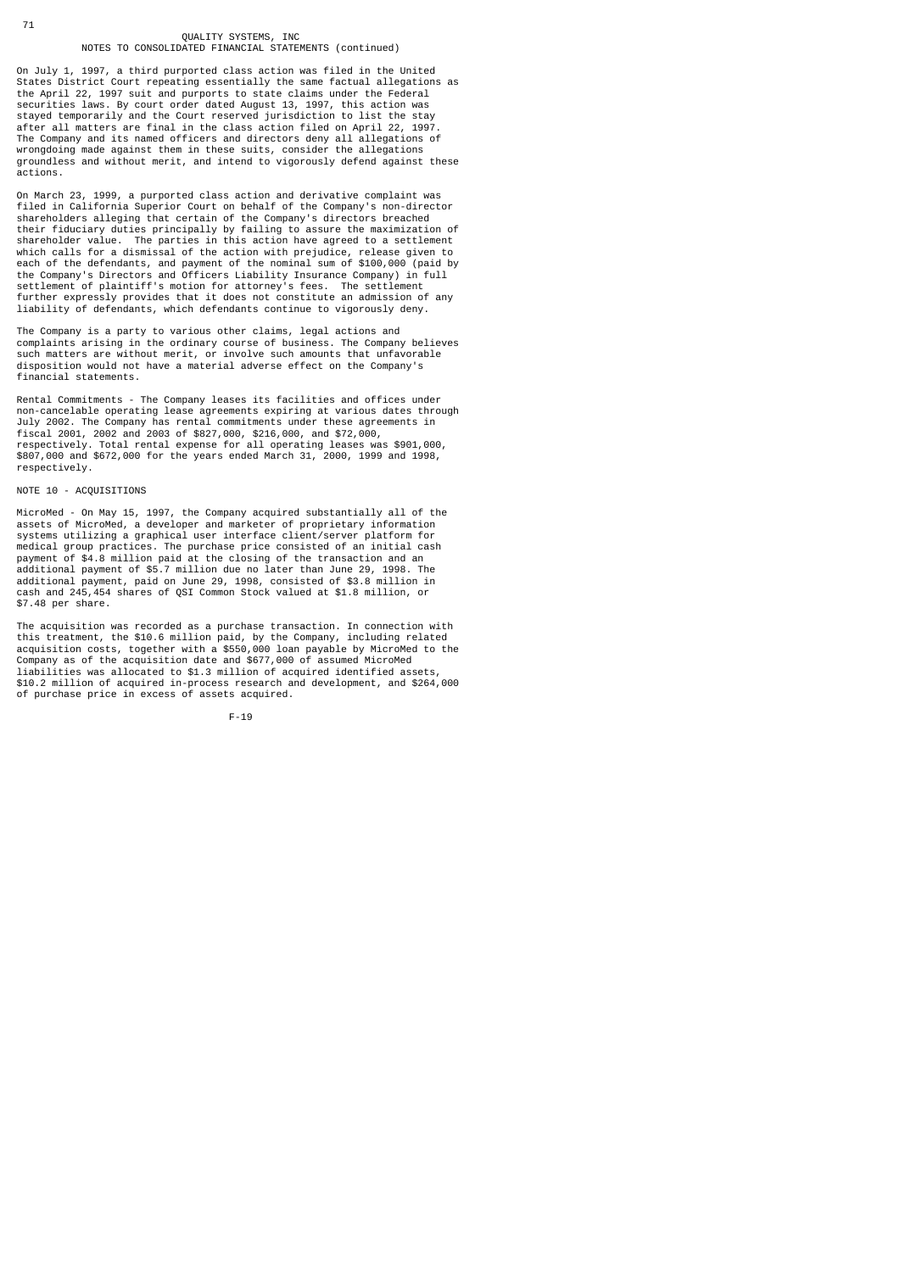On July 1, 1997, a third purported class action was filed in the United States District Court repeating essentially the same factual allegations as the April 22, 1997 suit and purports to state claims under the Federal securities laws. By court order dated August 13, 1997, this action was stayed temporarily and the Court reserved jurisdiction to list the stay after all matters are final in the class action filed on April 22, 1997. The Company and its named officers and directors deny all allegations of wrongdoing made against them in these suits, consider the allegations groundless and without merit, and intend to vigorously defend against these actions.

On March 23, 1999, a purported class action and derivative complaint was filed in California Superior Court on behalf of the Company's non-director shareholders alleging that certain of the Company's directors breached their fiduciary duties principally by failing to assure the maximization of shareholder value. The parties in this action have agreed to a settlement which calls for a dismissal of the action with prejudice, release given to<br>each of the defendants, and payment of the nominal sum of \$100,000 (paid by<br>the Company's Directors and Officers Liability Insurance Company) in fu liability of defendants, which defendants continue to vigorously deny.

The Company is a party to various other claims, legal actions and complaints arising in the ordinary course of business. The Company believes such matters are without merit, or involve such amounts that unfavorable disposition would not have a material adverse effect on the Company's financial statements.

Rental Commitments - The Company leases its facilities and offices under non-cancelable operating lease agreements expiring at various dates through July 2002. The Company has rental commitments under these agreements in fiscal 2001, 2002 and 2003 of \$827,000, \$216,000, and \$72,000, respectively. Total rental expense for all operating leases was \$901,000, \$807,000 and \$672,000 for the years ended March 31, 2000, 1999 and 1998, respectively.

### NOTE 10 - ACQUISITIONS

71

MicroMed - On May 15, 1997, the Company acquired substantially all of the assets of MicroMed, a developer and marketer of proprietary information systems utilizing a graphical user interface client/server platform for medical group practices. The purchase price consisted of an initial cash payment of \$4.8 million paid at the closing of the transaction and an additional payment of \$5.7 million due no later than June 29, 1998. The additional payment, paid on June 29, 1998, consisted of \$3.8 million in cash and 245,454 shares of QSI Common Stock valued at \$1.8 million, or \$7.48 per share.

The acquisition was recorded as a purchase transaction. In connection with this treatment, the \$10.6 million paid, by the Company, including related acquisition costs, together with a \$550,000 loan payable by MicroMed to the Company as of the acquisition date and \$677,000 of assumed MicroMed liabilities was allocated to \$1.3 million of acquired identified assets, \$10.2 million of acquired in-process research and development, and \$264,000 of purchase price in excess of assets acquired.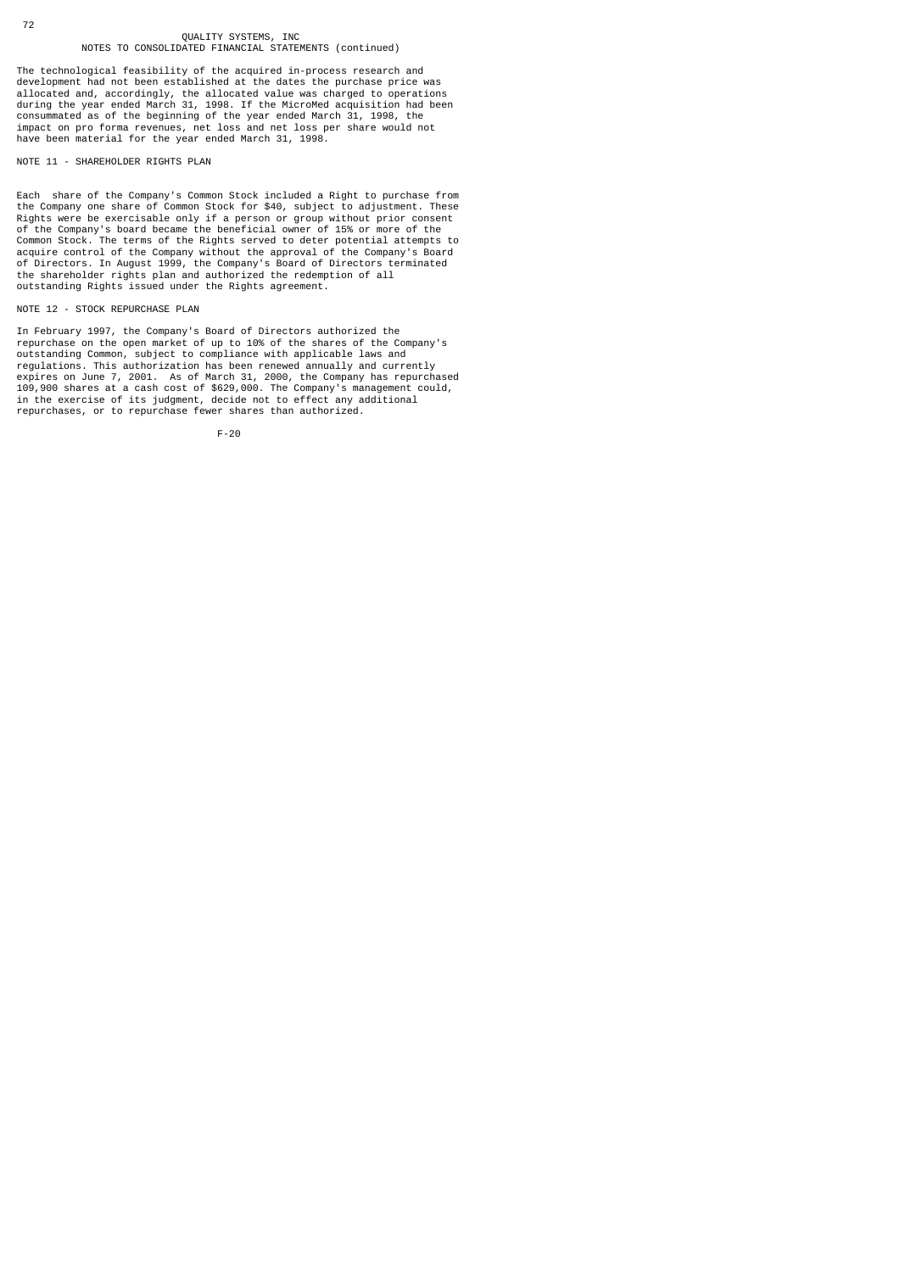The technological feasibility of the acquired in-process research and<br>development had not been established at the dates the purchase price was<br>allocated and, accordingly, the allocated value was charged to operations<br>durin have been material for the year ended March 31, 1998.

NOTE 11 - SHAREHOLDER RIGHTS PLAN

Each share of the Company's Common Stock included a Right to purchase from the Company one share of Common Stock for \$40, subject to adjustment. These<br>Rights were be exercisable only if a person or group without prior consent<br>of the Company's board became the beneficial owner of 15% or more of th outstanding Rights issued under the Rights agreement.

#### NOTE 12 - STOCK REPURCHASE PLAN

In February 1997, the Company's Board of Directors authorized the repurchase on the open market of up to 10% of the shares of the Company's outstanding Common, subject to compliance with applicable laws and<br>regulations. This authorization has been renewed annually and currently<br>expires on June 7, 2001. As of March 31, 2000, the Company has repurchased<br>109,900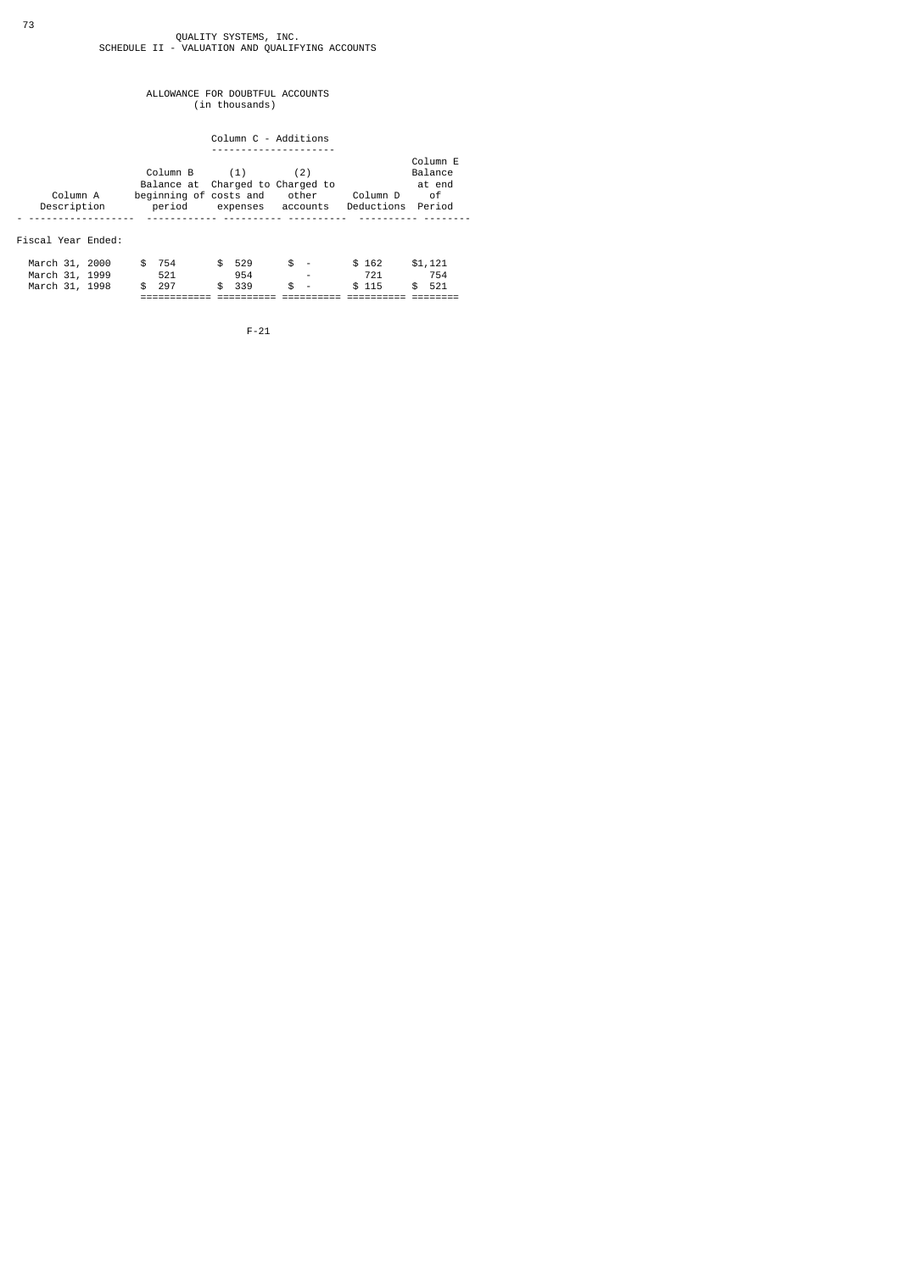# QUALITY SYSTEMS, INC.<br>SCHEDULE II - VALUATION AND QUALIFYING ACCOUNTS

## ALLOWANCE FOR DOUBTFUL ACCOUNTS (in thousands)

Column C - Additions

|                    |                                  |                   |       |                   | Column E |  |  |
|--------------------|----------------------------------|-------------------|-------|-------------------|----------|--|--|
|                    | $Column B$ $(1)$                 |                   | (2)   |                   | Balance  |  |  |
|                    | Balance at Charged to Charged to |                   |       |                   | at end   |  |  |
| Column A           | beginning of costs and           |                   | other | Column D          | of       |  |  |
| Description        | period                           | expenses accounts |       | Deductions Period |          |  |  |
|                    |                                  |                   |       |                   |          |  |  |
|                    |                                  |                   |       |                   |          |  |  |
| Fiscal Year Ended: |                                  |                   |       |                   |          |  |  |
|                    |                                  |                   |       |                   |          |  |  |

|                |  | ____________<br>_____________ |       |               |     |                 |                          |  |       |     |
|----------------|--|-------------------------------|-------|---------------|-----|-----------------|--------------------------|--|-------|-----|
| March 31, 1998 |  |                               | \$297 | $\mathcal{S}$ | 339 | $\mathcal{S}$ – |                          |  | \$115 | 521 |
| March 31, 1999 |  |                               |       |               | 954 |                 | $\overline{\phantom{a}}$ |  |       | 754 |
| March 31, 2000 |  |                               | 754   | \$.           | 529 | $s -$           |                          |  | \$162 |     |

F-21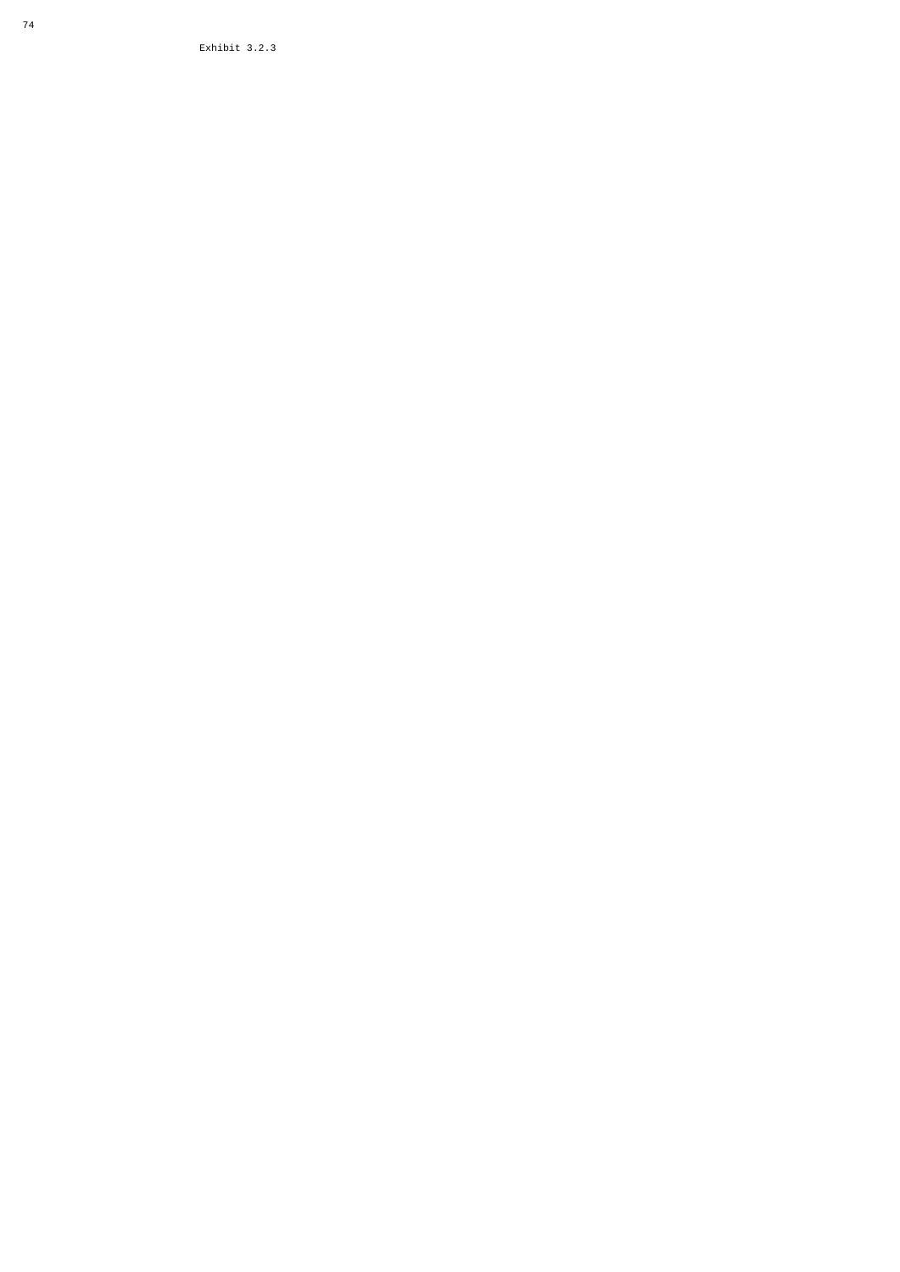Exhibit 3.2.3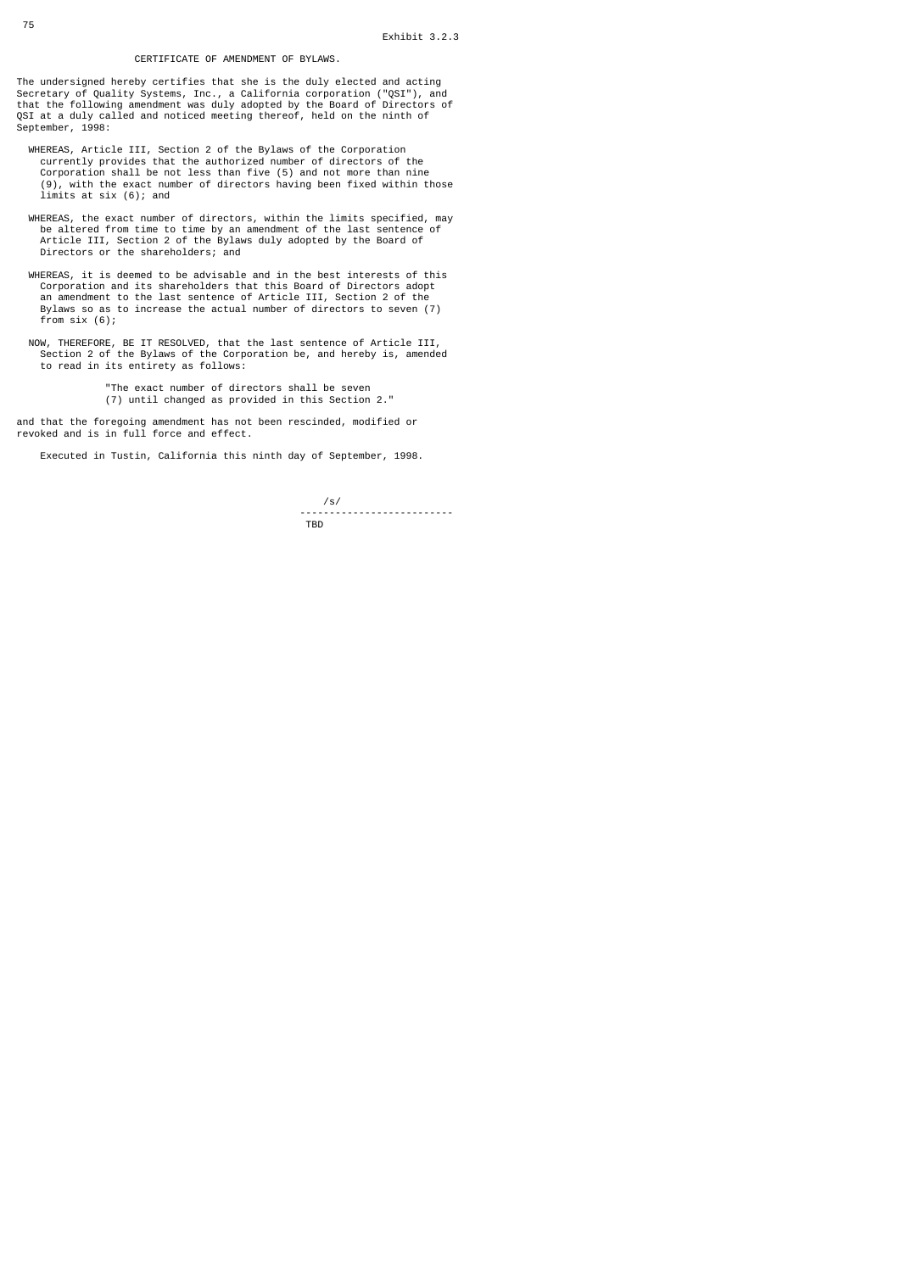### CERTIFICATE OF AMENDMENT OF BYLAWS.

The undersigned hereby certifies that she is the duly elected and acting Secretary of Quality Systems, Inc., a California corporation ("QSI"), and that the following amendment was duly adopted by the Board of Directors of QSI at a duly called and noticed meeting thereof, held on the ninth of September, 1998:

- WHEREAS, Article III, Section 2 of the Bylaws of the Corporation currently provides that the authorized number of directors of the Corporation shall be not less than five (5) and not more than nine (9), with the exact number of directors having been fixed within those limits at six  $(6)$ ; and
- WHEREAS, the exact number of directors, within the limits specified, may<br>be altered from time to time by an amendment of the last sentence of<br>Article III, Section 2 of the Bylaws duly adopted by the Board of<br>Directors or t
- WHEREAS, it is deemed to be advisable and in the best interests of this Corporation and its shareholders that this Board of Directors adopt an amendment to the last sentence of Article III, Section 2 of the Bylaws so as to increase the actual number of directors to seven (7) from six (6);
- NOW, THEREFORE, BE IT RESOLVED, that the last sentence of Article III, Section 2 of the Bylaws of the Corporation be, and hereby is, amended to read in its entirety as follows:
- "The exact number of directors shall be seven (7) until changed as provided in this Section 2."

and that the foregoing amendment has not been rescinded, modified or revoked and is in full force and effect.

Executed in Tustin, California this ninth day of September, 1998.

 /s/ ------------------------- the contract of the contract of the contract of the contract of the contract of the contract of the contract o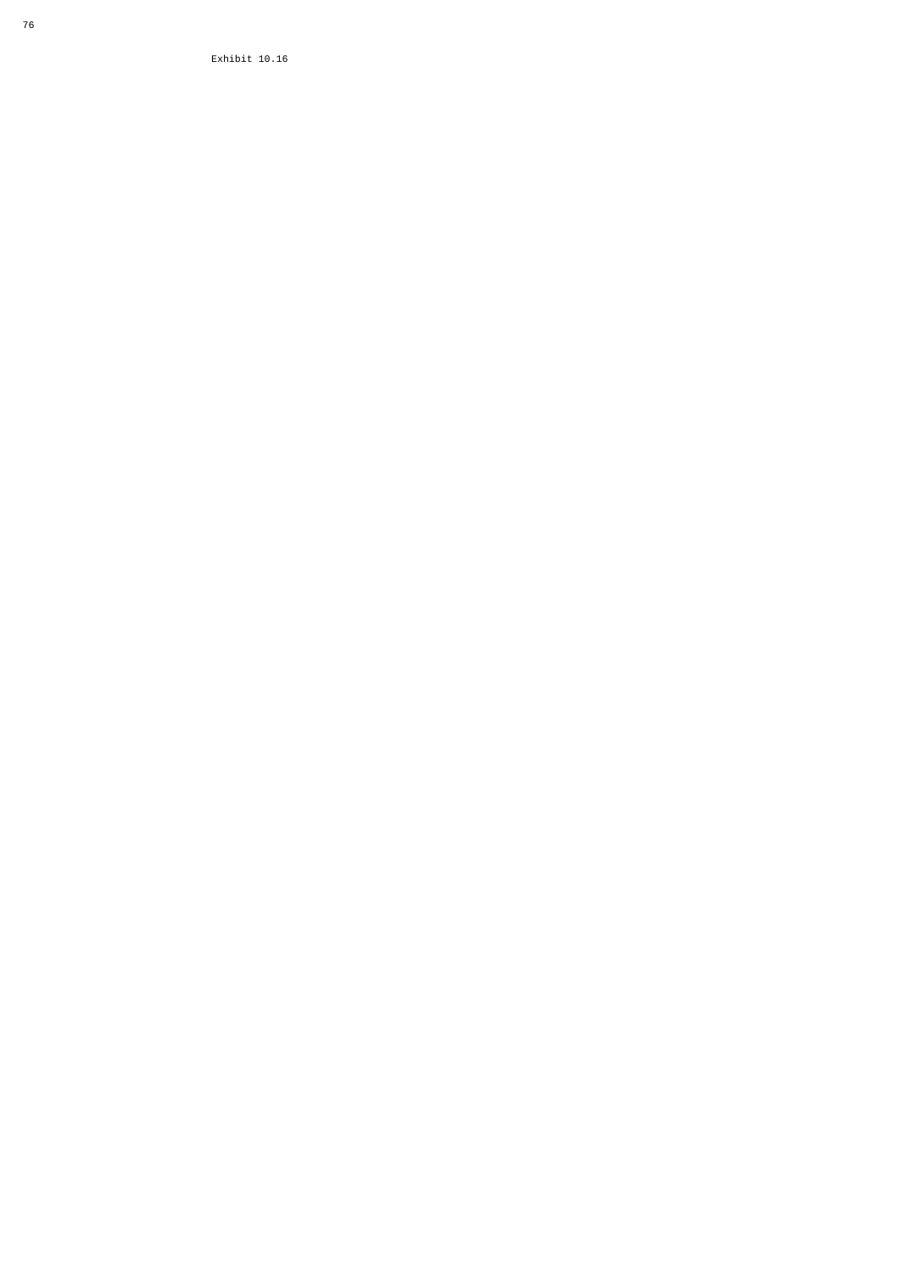Exhibit 10.16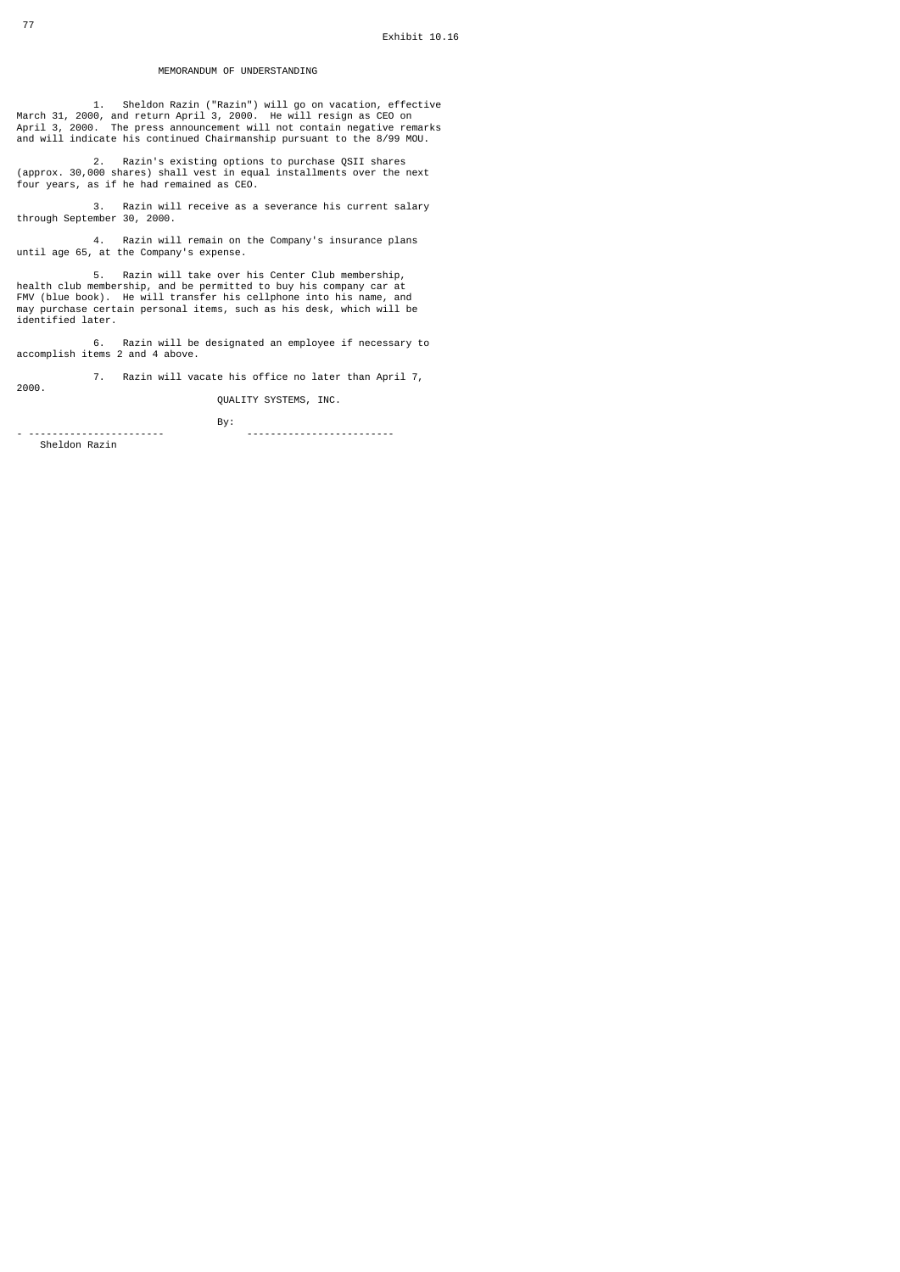#### MEMORANDUM OF UNDERSTANDING

1. Sheldon Razin ("Razin") will go on vacation, effective<br>March 31, 2000, and return April 3, 2000. He will resign as CEO on<br>April 3, 2000. The press announcement will not contain negative remarks<br>and will indicate his c

 2. Razin's existing options to purchase QSII shares (approx. 30,000 shares) shall vest in equal installments over the next four years, as if he had remained as CEO.

3. Razin will receive as a severance his current salary through September 30, 2000.

4. Razin will remain on the Company's insurance plans until age 65, at the Company's expense.

 5. Razin will take over his Center Club membership, health club membership, and be permitted to buy his company car at FMV (blue book). He will transfer his cellphone into his name, and may purchase certain personal items, such as his desk, which will be identified later.

6. Razin will be designated an employee if necessary to accomplish items 2 and 4 above.

 7. Razin will vacate his office no later than April 7, 2000.

QUALITY SYSTEMS, INC.

- ----------------------- -------------------------

**By:** By:

Sheldon Razin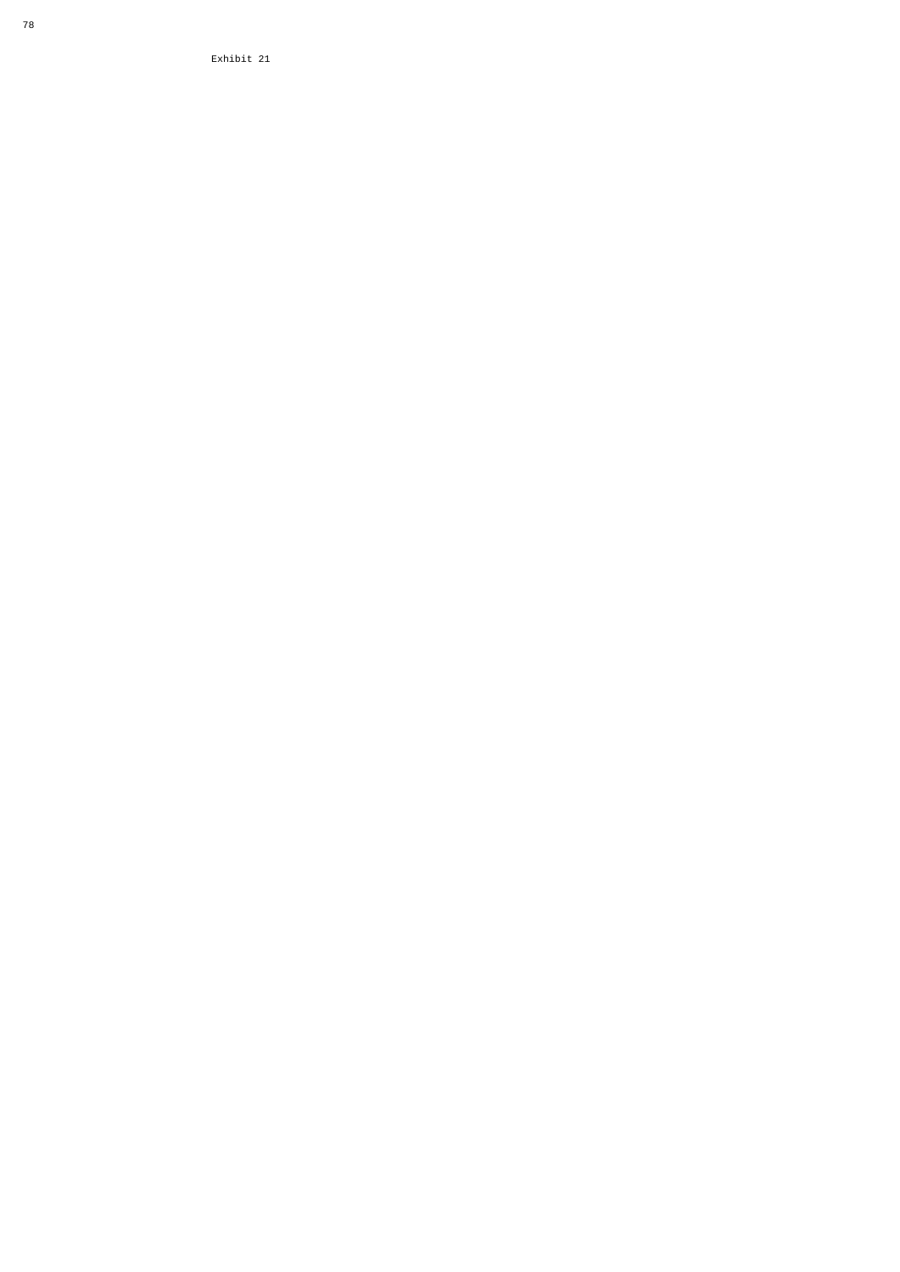Exhibit 21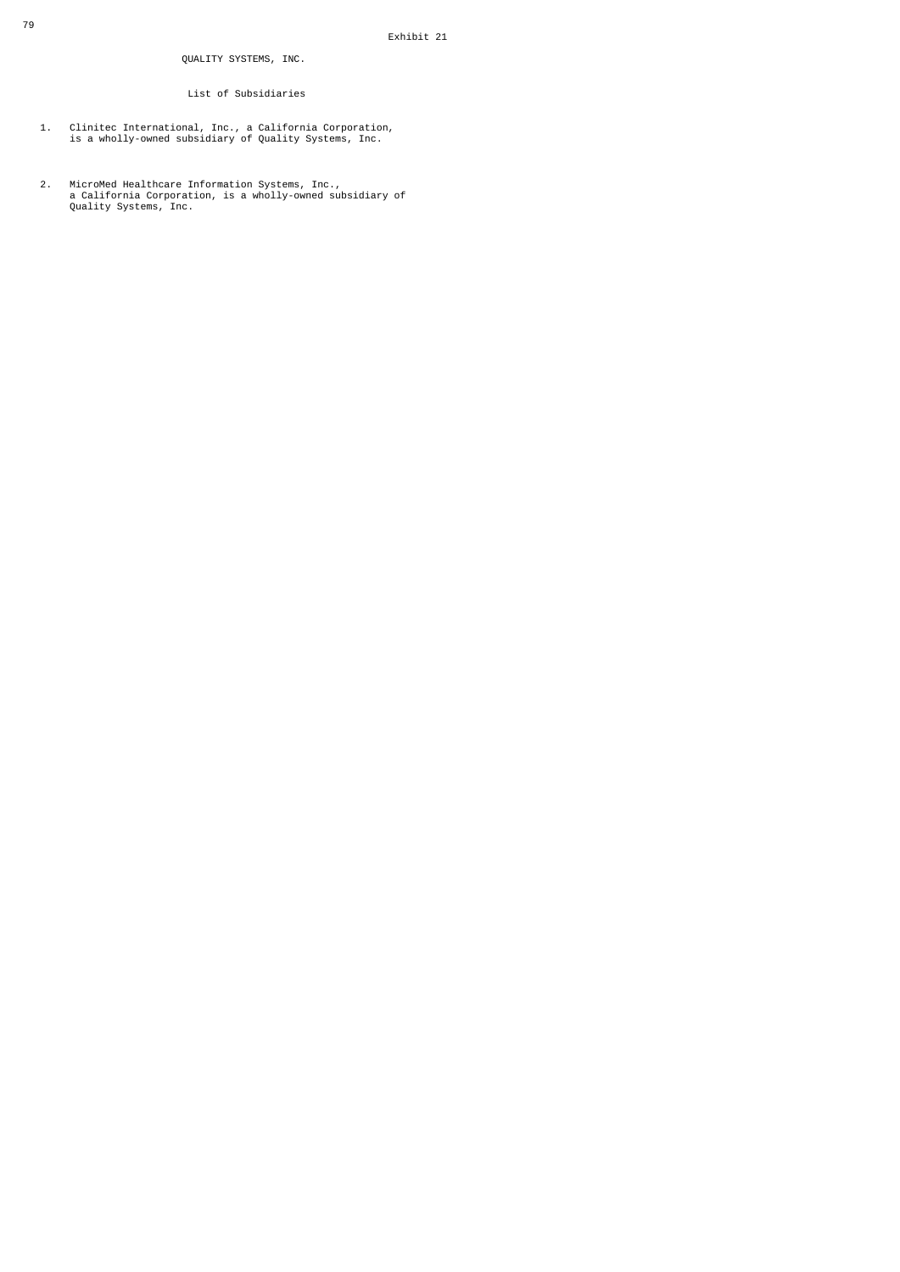### List of Subsidiaries

- 1. Clinitec International, Inc., a California Corporation, is a wholly-owned subsidiary of Quality Systems, Inc.
- 2. MicroMed Healthcare Information Systems, Inc., a California Corporation, is a wholly-owned subsidiary of Quality Systems, Inc.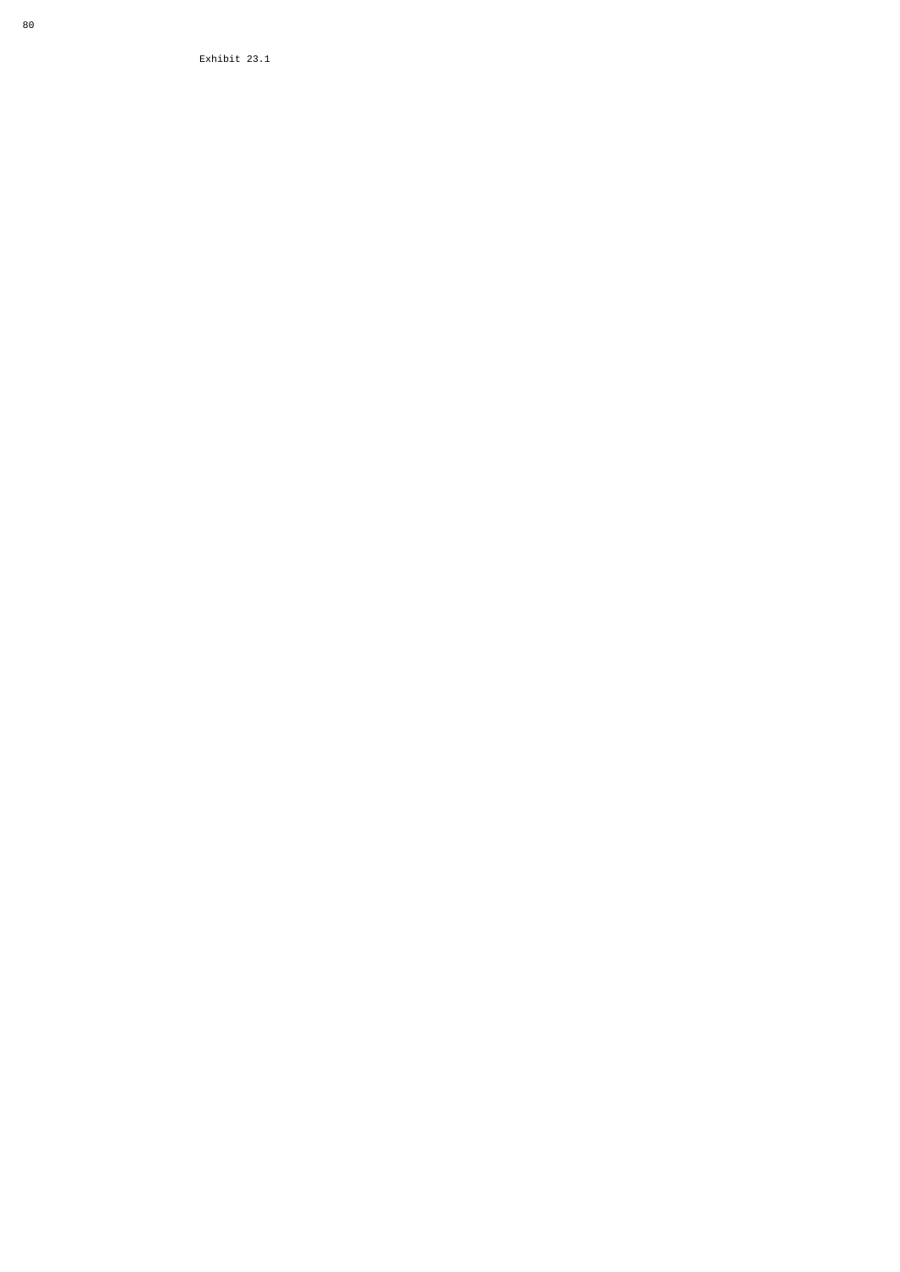Exhibit 23.1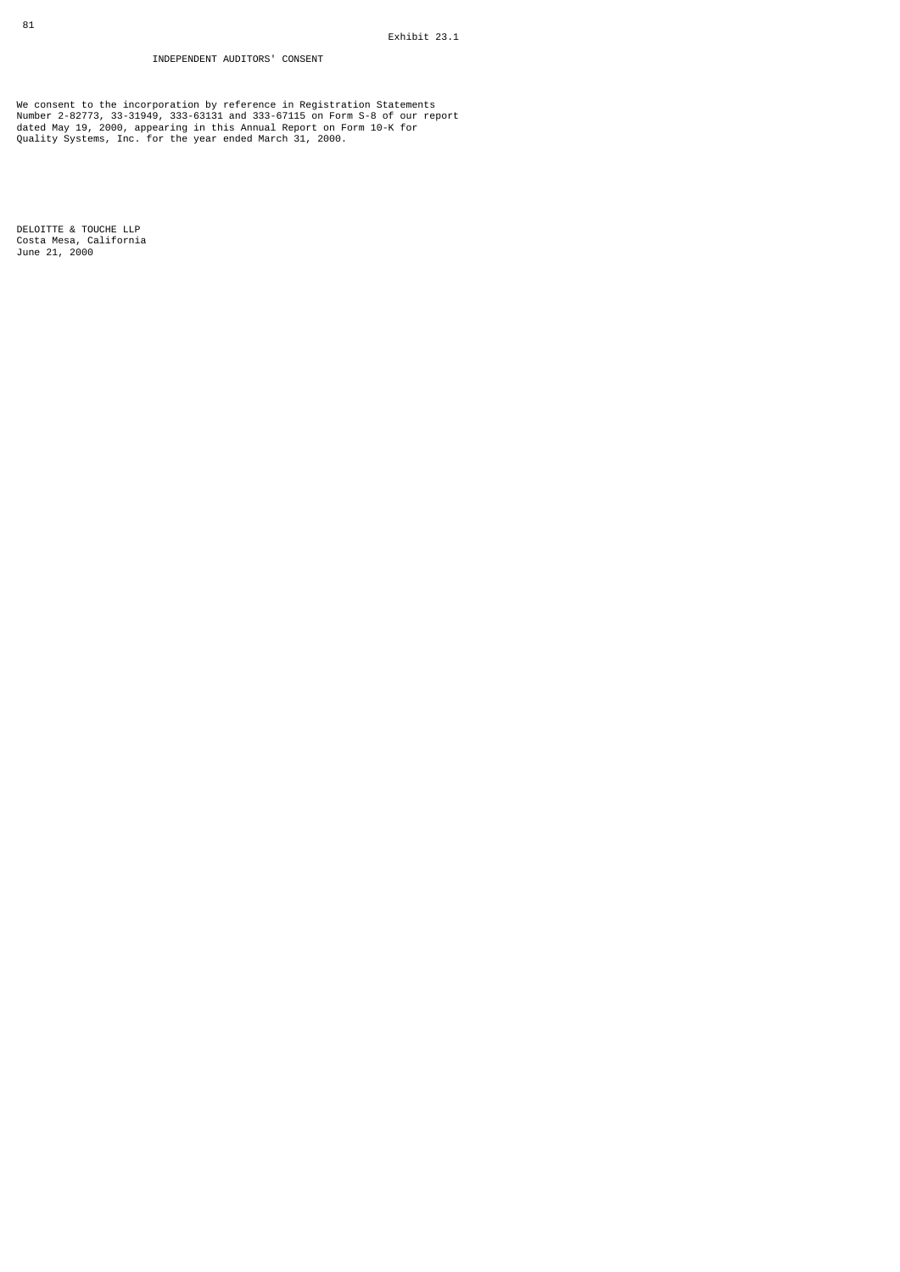## INDEPENDENT AUDITORS' CONSENT

We consent to the incorporation by reference in Registration Statements<br>Number 2-82773, 33-31949, 333-63131 and 333-6715 on Form S-8 of our report<br>dated May 19, 2000, appearing in this Annual Report on Form 10-K for<br>Qualit

DELOITTE & TOUCHE LLP Costa Mesa, California June 21, 2000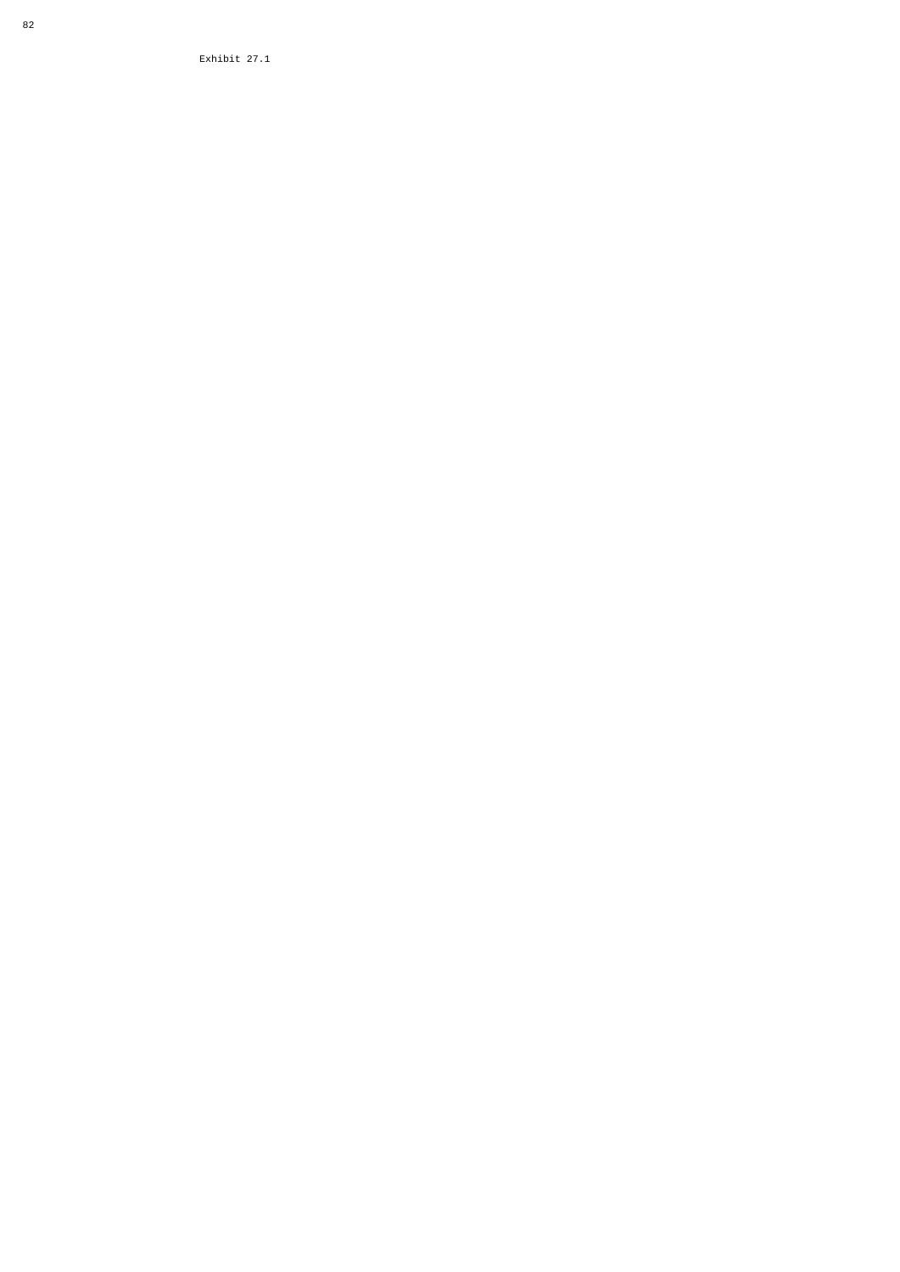Exhibit 27.1